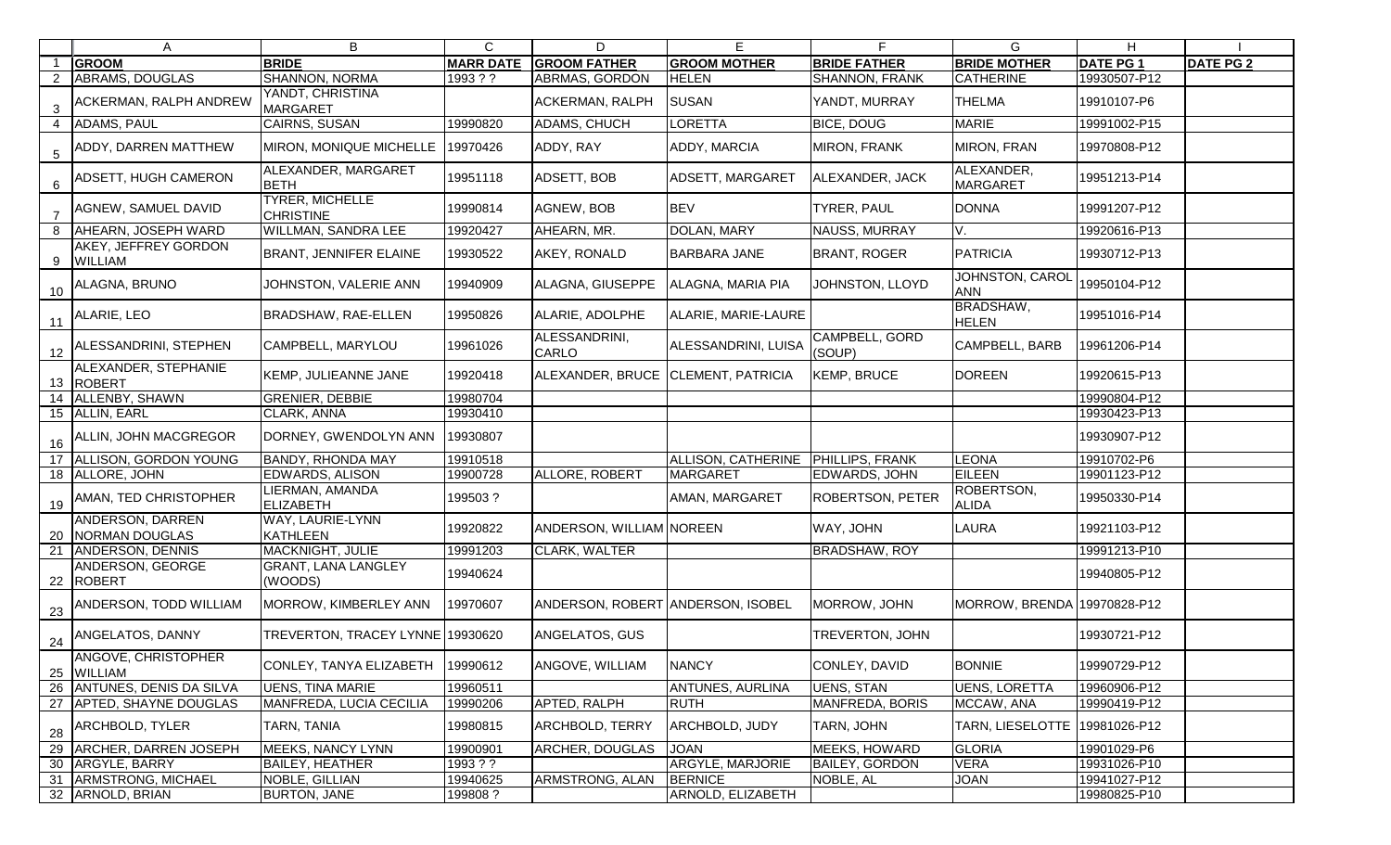|                | A                                      | B                                          | $\mathsf{C}$     | D                                  | E                                  | F.                       | G                                | H.              |                  |
|----------------|----------------------------------------|--------------------------------------------|------------------|------------------------------------|------------------------------------|--------------------------|----------------------------------|-----------------|------------------|
|                | <b>GROOM</b>                           | <b>BRIDE</b>                               | <b>MARR DATE</b> | <b>GROOM FATHER</b>                | <b>GROOM MOTHER</b>                | <b>BRIDE FATHER</b>      | <b>BRIDE MOTHER</b>              | <b>DATE PG1</b> | <b>DATE PG 2</b> |
| $\overline{2}$ | <b>ABRAMS, DOUGLAS</b>                 | <b>SHANNON, NORMA</b>                      | 1993 ? ?         | ABRMAS, GORDON                     | <b>HELEN</b>                       | SHANNON, FRANK           | <b>CATHERINE</b>                 | 19930507-P12    |                  |
| 3              | ACKERMAN, RALPH ANDREW                 | YANDT, CHRISTINA<br><b>MARGARET</b>        |                  | <b>ACKERMAN, RALPH</b>             | <b>SUSAN</b>                       | YANDT, MURRAY            | <b>THELMA</b>                    | 19910107-P6     |                  |
|                | <b>ADAMS, PAUL</b>                     | <b>CAIRNS, SUSAN</b>                       | 19990820         | <b>ADAMS, CHUCH</b>                | LORETTA                            | <b>BICE, DOUG</b>        | <b>MARIE</b>                     | 19991002-P15    |                  |
| $\overline{5}$ | ADDY, DARREN MATTHEW                   | MIRON, MONIQUE MICHELLE                    | 19970426         | ADDY, RAY                          | ADDY, MARCIA                       | <b>MIRON, FRANK</b>      | <b>MIRON, FRAN</b>               | 19970808-P12    |                  |
| 6              | ADSETT, HUGH CAMERON                   | ALEXANDER, MARGARET<br><b>BETH</b>         | 19951118         | <b>ADSETT, BOB</b>                 | ADSETT, MARGARET                   | ALEXANDER, JACK          | ALEXANDER,<br><b>MARGARET</b>    | 19951213-P14    |                  |
| $\overline{7}$ | AGNEW, SAMUEL DAVID                    | <b>TYRER, MICHELLE</b><br><b>CHRISTINE</b> | 19990814         | AGNEW, BOB                         | <b>BEV</b>                         | <b>TYRER, PAUL</b>       | <b>DONNA</b>                     | 19991207-P12    |                  |
| 8              | AHEARN, JOSEPH WARD                    | WILLMAN, SANDRA LEE                        | 19920427         | AHEARN, MR.                        | DOLAN, MARY                        | NAUSS, MURRAY            | V.                               | 19920616-P13    |                  |
| 9              | AKEY, JEFFREY GORDON<br><b>WILLIAM</b> | <b>BRANT, JENNIFER ELAINE</b>              | 19930522         | AKEY, RONALD                       | <b>BARBARA JANE</b>                | <b>BRANT, ROGER</b>      | <b>PATRICIA</b>                  | 19930712-P13    |                  |
| 10             | ALAGNA, BRUNO                          | JOHNSTON, VALERIE ANN                      | 19940909         | ALAGNA, GIUSEPPE                   | ALAGNA, MARIA PIA                  | JOHNSTON, LLOYD          | JOHNSTON, CAROI<br><b>ANN</b>    | 19950104-P12    |                  |
| 11             | ALARIE, LEO                            | BRADSHAW, RAE-ELLEN                        | 19950826         | ALARIE, ADOLPHE                    | ALARIE, MARIE-LAURE                |                          | <b>BRADSHAW,</b><br><b>HELEN</b> | 19951016-P14    |                  |
| 12             | ALESSANDRINI, STEPHEN                  | CAMPBELL, MARYLOU                          | 19961026         | ALESSANDRINI,<br><b>CARLO</b>      | ALESSANDRINI, LUISA                | CAMPBELL, GORD<br>(SOUP) | CAMPBELL, BARB                   | 19961206-P14    |                  |
|                | ALEXANDER, STEPHANIE<br>13 ROBERT      | KEMP, JULIEANNE JANE                       | 19920418         | ALEXANDER, BRUCE CLEMENT, PATRICIA |                                    | <b>KEMP, BRUCE</b>       | <b>DOREEN</b>                    | 19920615-P13    |                  |
| 14             | ALLENBY, SHAWN                         | <b>GRENIER, DEBBIE</b>                     | 19980704         |                                    |                                    |                          |                                  | 19990804-P12    |                  |
|                | 15 ALLIN, EARL                         | CLARK, ANNA                                | 19930410         |                                    |                                    |                          |                                  | 19930423-P13    |                  |
| 16             | ALLIN, JOHN MACGREGOR                  | DORNEY, GWENDOLYN ANN                      | 19930807         |                                    |                                    |                          |                                  | 19930907-P12    |                  |
|                | ALLISON, GORDON YOUNG                  | <b>BANDY, RHONDA MAY</b>                   | 19910518         |                                    | ALLISON, CATHERINE PHILLIPS, FRANK |                          | <b>LEONA</b>                     | 19910702-P6     |                  |
|                | 18 ALLORE, JOHN                        | <b>EDWARDS, ALISON</b>                     | 19900728         | <b>ALLORE, ROBERT</b>              | <b>MARGARET</b>                    | EDWARDS, JOHN            | <b>EILEEN</b>                    | 19901123-P12    |                  |
| 19             | AMAN, TED CHRISTOPHER                  | <b>IERMAN, AMANDA</b><br><b>ELIZABETH</b>  | 199503?          |                                    | AMAN, MARGARET                     | <b>ROBERTSON, PETER</b>  | ROBERTSON,<br><b>ALIDA</b>       | 19950330-P14    |                  |
| 20             | ANDERSON, DARREN<br>NORMAN DOUGLAS     | WAY, LAURIE-LYNN<br><b>KATHLEEN</b>        | 19920822         | ANDERSON, WILLIAM NOREEN           |                                    | WAY, JOHN                | <b>LAURA</b>                     | 19921103-P12    |                  |
| 21             | <b>ANDERSON, DENNIS</b>                | <b>MACKNIGHT, JULIE</b>                    | 19991203         | CLARK, WALTER                      |                                    | <b>BRADSHAW, ROY</b>     |                                  | 19991213-P10    |                  |
| 22             | ANDERSON, GEORGE<br><b>ROBERT</b>      | <b>GRANT, LANA LANGLEY</b><br>(WOODS)      | 19940624         |                                    |                                    |                          |                                  | 19940805-P12    |                  |
| 23             | ANDERSON, TODD WILLIAM                 | MORROW, KIMBERLEY ANN                      | 19970607         | ANDERSON, ROBERT ANDERSON, ISOBEL  |                                    | MORROW, JOHN             | MORROW, BRENDA 19970828-P12      |                 |                  |
| 24             | ANGELATOS, DANNY                       | TREVERTON, TRACEY LYNNE 19930620           |                  | ANGELATOS, GUS                     |                                    | <b>TREVERTON, JOHN</b>   |                                  | 19930721-P12    |                  |
| 25             | ANGOVE, CHRISTOPHER<br><b>WILLIAM</b>  | CONLEY, TANYA ELIZABETH                    | 19990612         | ANGOVE, WILLIAM                    | <b>NANCY</b>                       | CONLEY, DAVID            | <b>BONNIE</b>                    | 19990729-P12    |                  |
| 26             | <b>ANTUNES, DENIS DA SILVA</b>         | <b>UENS, TINA MARIE</b>                    | 19960511         |                                    | ANTUNES, AURLINA                   | UENS, STAN               | <b>UENS, LORETTA</b>             | 19960906-P12    |                  |
|                | 27 APTED, SHAYNE DOUGLAS               | MANFREDA, LUCIA CECILIA                    | 19990206         | APTED, RALPH                       | <b>RUTH</b>                        | MANFREDA, BORIS          | MCCAW, ANA                       | 19990419-P12    |                  |
| 28             | ARCHBOLD, TYLER                        | TARN, TANIA                                | 19980815         | <b>ARCHBOLD, TERRY</b>             | ARCHBOLD, JUDY                     | TARN, JOHN               | TARN, LIESELOTTE   19981026-P12  |                 |                  |
| 29             | <b>ARCHER, DARREN JOSEPH</b>           | MEEKS, NANCY LYNN                          | 19900901         | <b>ARCHER, DOUGLAS</b>             | <b>JOAN</b>                        | <b>MEEKS, HOWARD</b>     | <b>GLORIA</b>                    | 19901029-P6     |                  |
|                | 30 ARGYLE, BARRY                       | <b>BAILEY, HEATHER</b>                     | 1993??           |                                    | ARGYLE, MARJORIE                   | <b>BAILEY, GORDON</b>    | <b>VERA</b>                      | 19931026-P10    |                  |
| 31             | ARMSTRONG, MICHAEL                     | NOBLE, GILLIAN                             | 19940625         | ARMSTRONG, ALAN                    | <b>BERNICE</b>                     | NOBLE, AL                | JOAN                             | 19941027-P12    |                  |
|                | 32 ARNOLD, BRIAN                       | <b>BURTON, JANE</b>                        | 199808?          |                                    | ARNOLD, ELIZABETH                  |                          |                                  | 19980825-P10    |                  |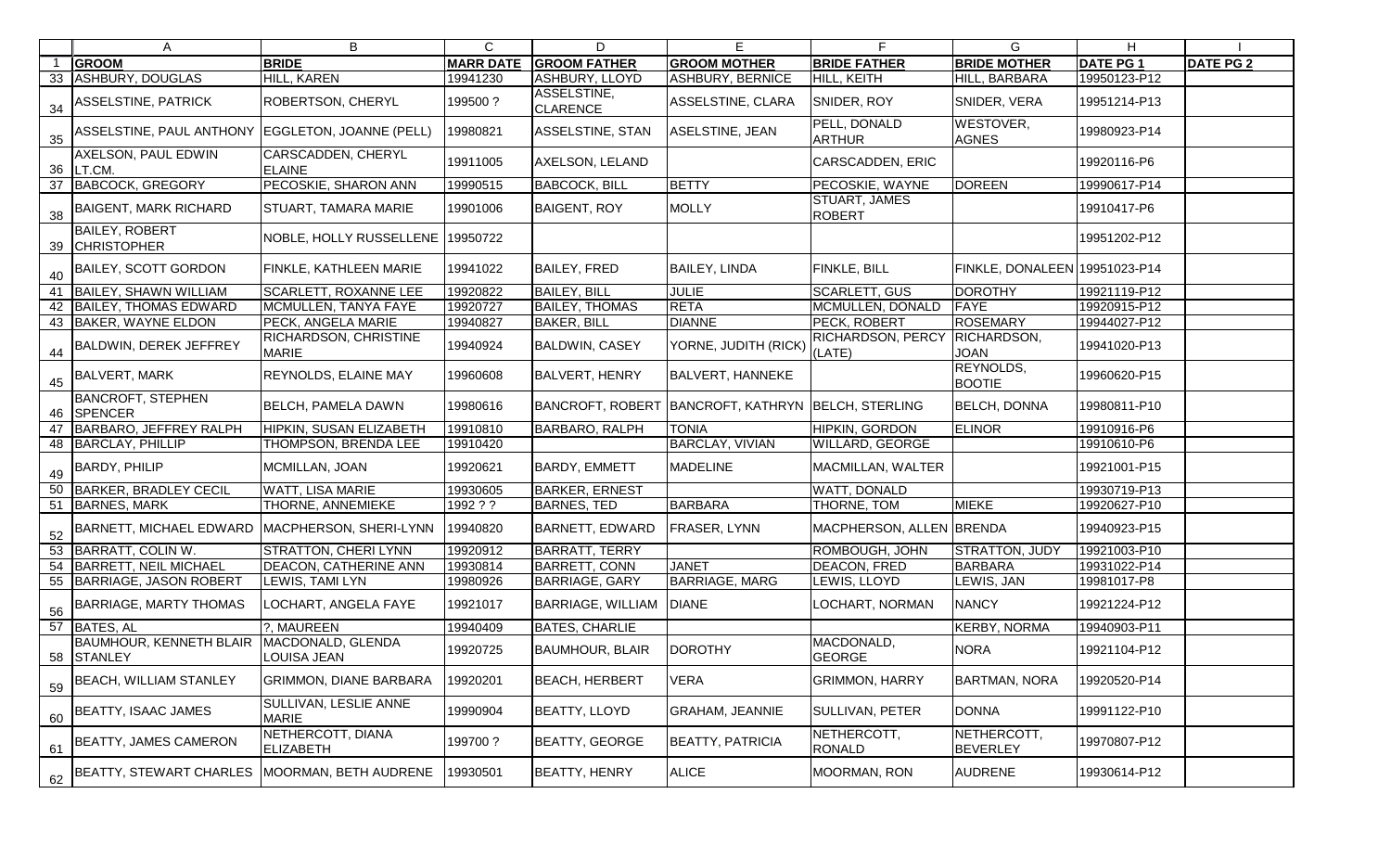|    | $\mathsf{A}$                                              | B                                            | C                | D                              | E.                                |                                       | G.                             | H.              |                  |
|----|-----------------------------------------------------------|----------------------------------------------|------------------|--------------------------------|-----------------------------------|---------------------------------------|--------------------------------|-----------------|------------------|
|    | <b>GROOM</b>                                              | <b>BRIDE</b>                                 | <b>MARR DATE</b> | <b>GROOM FATHER</b>            | <b>GROOM MOTHER</b>               | <b>BRIDE FATHER</b>                   | <b>BRIDE MOTHER</b>            | <b>DATE PG1</b> | <b>DATE PG 2</b> |
|    | 33 ASHBURY, DOUGLAS                                       | HILL, KAREN                                  | 19941230         | <b>ASHBURY, LLOYD</b>          | ASHBURY, BERNICE                  | HILL, KEITH                           | HILL, BARBARA                  | 19950123-P12    |                  |
| 34 | <b>ASSELSTINE, PATRICK</b>                                | <b>ROBERTSON, CHERYL</b>                     | 199500?          | ASSELSTINE,<br><b>CLARENCE</b> | ASSELSTINE, CLARA                 | SNIDER, ROY                           | SNIDER, VERA                   | 19951214-P13    |                  |
|    | 35 ASSELSTINE, PAUL ANTHONY EGGLETON, JOANNE (PELL)       |                                              | 19980821         | <b>ASSELSTINE, STAN</b>        | ASELSTINE, JEAN                   | PELL, DONALD<br><b>ARTHUR</b>         | WESTOVER,<br><b>AGNES</b>      | 19980923-P14    |                  |
|    | AXELSON, PAUL EDWIN<br>36   LT.CM.                        | <b>CARSCADDEN, CHERYL</b><br><b>ELAINE</b>   | 19911005         | AXELSON, LELAND                |                                   | <b>CARSCADDEN, ERIC</b>               |                                | 19920116-P6     |                  |
|    | 37 BABCOCK, GREGORY                                       | PECOSKIE, SHARON ANN                         | 19990515         | <b>BABCOCK, BILL</b>           | BETTY                             | PECOSKIE, WAYNE                       | <b>DOREEN</b>                  | 19990617-P14    |                  |
|    | 38 BAIGENT, MARK RICHARD                                  | <b>STUART, TAMARA MARIE</b>                  | 19901006         | <b>BAIGENT, ROY</b>            | <b>MOLLY</b>                      | <b>STUART, JAMES</b><br><b>ROBERT</b> |                                | 19910417-P6     |                  |
|    | <b>BAILEY, ROBERT</b><br>39 CHRISTOPHER                   | NOBLE, HOLLY RUSSELLENE 19950722             |                  |                                |                                   |                                       |                                | 19951202-P12    |                  |
|    | 40 BAILEY, SCOTT GORDON                                   | <b>FINKLE, KATHLEEN MARIE</b>                | 19941022         | <b>BAILEY, FRED</b>            | <b>BAILEY, LINDA</b>              | FINKLE, BILL                          | FINKLE, DONALEEN 19951023-P14  |                 |                  |
| 41 | <b>BAILEY, SHAWN WILLIAM</b>                              | <b>SCARLETT, ROXANNE LEE</b>                 | 19920822         | <b>BAILEY, BILL</b>            | <b>JULIE</b>                      | <b>SCARLETT, GUS</b>                  | <b>DOROTHY</b>                 | 19921119-P12    |                  |
|    | 42   BAILEY, THOMAS EDWARD                                | MCMULLEN, TANYA FAYE                         | 19920727         | <b>BAILEY, THOMAS</b>          | <b>RETA</b>                       | MCMULLEN, DONALD                      | FAYE                           | 19920915-P12    |                  |
|    | 43 BAKER, WAYNE ELDON                                     | PECK, ANGELA MARIE                           | 19940827         | <b>BAKER, BILL</b>             | <b>DIANNE</b>                     | PECK, ROBERT                          | <b>ROSEMARY</b>                | 19944027-P12    |                  |
|    | 44 BALDWIN, DEREK JEFFREY                                 | <b>RICHARDSON, CHRISTINE</b><br><b>MARIE</b> | 19940924         | <b>BALDWIN, CASEY</b>          | YORNE, JUDITH (RICK)              | <b>RICHARDSON, PERCY</b><br>(LATE)    | RICHARDSON,<br><b>JOAN</b>     | 19941020-P13    |                  |
|    | 45 BALVERT, MARK                                          | <b>REYNOLDS, ELAINE MAY</b>                  | 19960608         | <b>BALVERT, HENRY</b>          | <b>BALVERT, HANNEKE</b>           |                                       | REYNOLDS,<br><b>BOOTIE</b>     | 19960620-P15    |                  |
|    | <b>BANCROFT, STEPHEN</b><br>46 SPENCER                    | <b>BELCH, PAMELA DAWN</b>                    | 19980616         | <b>BANCROFT, ROBERT</b>        | BANCROFT, KATHRYN BELCH, STERLING |                                       | <b>BELCH, DONNA</b>            | 19980811-P10    |                  |
| 47 | BARBARO, JEFFREY RALPH                                    | HIPKIN, SUSAN ELIZABETH                      | 19910810         | <b>BARBARO, RALPH</b>          | <b>TONIA</b>                      | HIPKIN, GORDON                        | <b>ELINOR</b>                  | 19910916-P6     |                  |
|    | 48 BARCLAY, PHILLIP                                       | THOMPSON, BRENDA LEE                         | 19910420         |                                | <b>BARCLAY, VIVIAN</b>            | WILLARD, GEORGE                       |                                | 19910610-P6     |                  |
|    | 49 BARDY, PHILIP                                          | MCMILLAN, JOAN                               | 19920621         | <b>BARDY, EMMETT</b>           | <b>MADELINE</b>                   | MACMILLAN, WALTER                     |                                | 19921001-P15    |                  |
|    | 50 BARKER, BRADLEY CECIL                                  | <b>WATT, LISA MARIE</b>                      | 19930605         | <b>BARKER, ERNEST</b>          |                                   | WATT, DONALD                          |                                | 19930719-P13    |                  |
|    | 51 BARNES, MARK                                           | <b>THORNE, ANNEMIEKE</b>                     | 1992 ? ?         | <b>BARNES, TED</b>             | <b>BARBARA</b>                    | THORNE, TOM                           | <b>MIEKE</b>                   | 19920627-P10    |                  |
| 52 | BARNETT, MICHAEL EDWARD MACPHERSON, SHERI-LYNN            |                                              | 19940820         | <b>BARNETT, EDWARD</b>         | <b>FRASER, LYNN</b>               | MACPHERSON, ALLEN BRENDA              |                                | 19940923-P15    |                  |
| 53 | BARRATT, COLIN W.                                         | <b>STRATTON, CHERILYNN</b>                   | 19920912         | <b>BARRATT, TERRY</b>          |                                   | ROMBOUGH, JOHN                        | <b>STRATTON, JUDY</b>          | 19921003-P10    |                  |
| 54 | BARRETT, NEIL MICHAEL                                     | <b>DEACON, CATHERINE ANN</b>                 | 19930814         | <b>BARRETT, CONN</b>           | <b>JANET</b>                      | DEACON, FRED                          | <b>BARBARA</b>                 | 19931022-P14    |                  |
| 55 | BARRIAGE, JASON ROBERT                                    | <b>LEWIS, TAMI LYN</b>                       | 19980926         | <b>BARRIAGE, GARY</b>          | <b>BARRIAGE, MARG</b>             | LEWIS, LLOYD                          | LEWIS, JAN                     | 19981017-P8     |                  |
| 56 | BARRIAGE, MARTY THOMAS                                    | LOCHART, ANGELA FAYE                         | 19921017         | <b>BARRIAGE, WILLIAM</b>       | <b>DIANE</b>                      | <b>LOCHART, NORMAN</b>                | <b>NANCY</b>                   | 19921224-P12    |                  |
|    | 57 BATES, AL                                              | ?, MAUREEN                                   | 19940409         | <b>BATES, CHARLIE</b>          |                                   |                                       | <b>KERBY, NORMA</b>            | 19940903-P11    |                  |
|    | BAUMHOUR, KENNETH BLAIR   MACDONALD, GLENDA<br>58 STANLEY | LOUISA JEAN                                  | 19920725         | <b>BAUMHOUR, BLAIR</b>         | <b>DOROTHY</b>                    | MACDONALD,<br><b>GEORGE</b>           | <b>NORA</b>                    | 19921104-P12    |                  |
| 59 | <b>BEACH, WILLIAM STANLEY</b>                             | <b>GRIMMON, DIANE BARBARA</b>                | 19920201         | <b>BEACH, HERBERT</b>          | <b>VERA</b>                       | <b>GRIMMON, HARRY</b>                 | <b>BARTMAN, NORA</b>           | 19920520-P14    |                  |
| 60 | BEATTY, ISAAC JAMES                                       | <b>SULLIVAN, LESLIE ANNE</b><br><b>MARIE</b> | 19990904         | BEATTY, LLOYD                  | <b>GRAHAM, JEANNIE</b>            | SULLIVAN, PETER                       | <b>DONNA</b>                   | 19991122-P10    |                  |
| 61 | BEATTY, JAMES CAMERON                                     | NETHERCOTT, DIANA<br><b>ELIZABETH</b>        | 199700?          | <b>BEATTY, GEORGE</b>          | <b>BEATTY, PATRICIA</b>           | NETHERCOTT,<br><b>RONALD</b>          | NETHERCOTT,<br><b>BEVERLEY</b> | 19970807-P12    |                  |
| 62 | BEATTY, STEWART CHARLES   MOORMAN, BETH AUDRENE           |                                              | 19930501         | BEATTY, HENRY                  | <b>ALICE</b>                      | MOORMAN, RON                          | <b>AUDRENE</b>                 | 19930614-P12    |                  |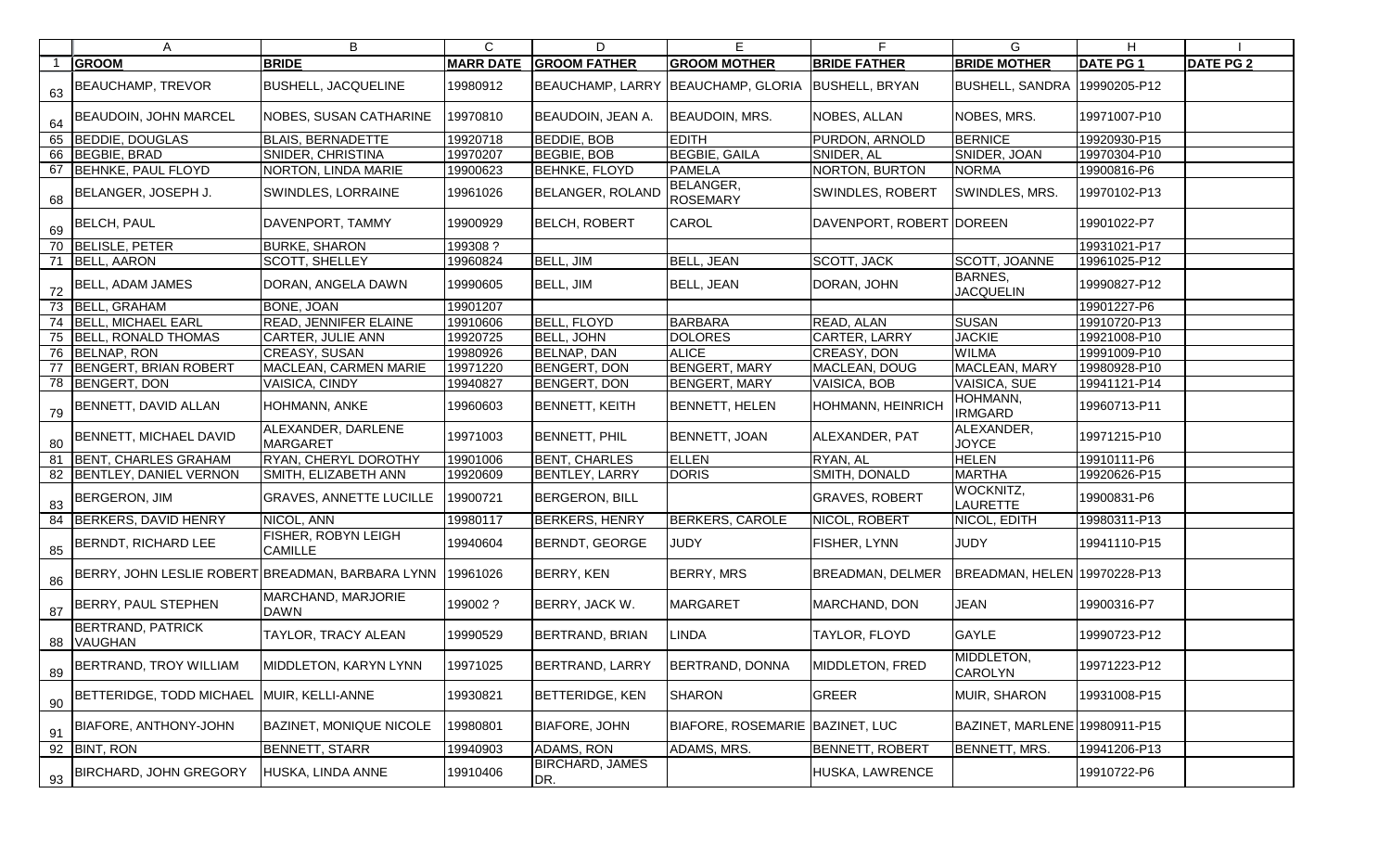|    | A                                                         | B                                     | $\mathsf{C}$ | D                             | E.                                 | F.                       | G                             | H.              |                  |
|----|-----------------------------------------------------------|---------------------------------------|--------------|-------------------------------|------------------------------------|--------------------------|-------------------------------|-----------------|------------------|
|    | <b>GROOM</b>                                              | <b>BRIDE</b>                          |              | <b>MARR DATE GROOM FATHER</b> | <b>GROOM MOTHER</b>                | <b>BRIDE FATHER</b>      | <b>BRIDE MOTHER</b>           | <b>DATE PG1</b> | <b>DATE PG 2</b> |
| 63 | <b>BEAUCHAMP, TREVOR</b>                                  | <b>BUSHELL, JACQUELINE</b>            | 19980912     |                               | BEAUCHAMP, LARRY BEAUCHAMP, GLORIA | <b>BUSHELL, BRYAN</b>    | <b>BUSHELL, SANDRA</b>        | 19990205-P12    |                  |
| 64 | <b>BEAUDOIN, JOHN MARCEL</b>                              | NOBES, SUSAN CATHARINE                | 19970810     | <b>BEAUDOIN, JEAN A.</b>      | <b>BEAUDOIN, MRS.</b>              | NOBES, ALLAN             | NOBES, MRS.                   | 19971007-P10    |                  |
| 65 | BEDDIE, DOUGLAS                                           | <b>BLAIS, BERNADETTE</b>              | 19920718     | <b>BEDDIE, BOB</b>            | <b>EDITH</b>                       | PURDON, ARNOLD           | <b>BERNICE</b>                | 19920930-P15    |                  |
| 66 | BEGBIE, BRAD                                              | <b>SNIDER, CHRISTINA</b>              | 19970207     | <b>BEGBIE, BOB</b>            | <b>BEGBIE, GAILA</b>               | SNIDER, AL               | SNIDER, JOAN                  | 19970304-P10    |                  |
| 67 | <b>BEHNKE, PAUL FLOYD</b>                                 | NORTON, LINDA MARIE                   | 19900623     | <b>BEHNKE, FLOYD</b>          | <b>PAMELA</b>                      | NORTON, BURTON           | <b>NORMA</b>                  | 19900816-P6     |                  |
| 68 | BELANGER, JOSEPH J.                                       | SWINDLES, LORRAINE                    | 19961026     | <b>BELANGER, ROLAND</b>       | BELANGER,<br><b>ROSEMARY</b>       | <b>SWINDLES, ROBERT</b>  | SWINDLES, MRS.                | 19970102-P13    |                  |
| 69 | <b>BELCH, PAUL</b>                                        | DAVENPORT, TAMMY                      | 19900929     | <b>BELCH, ROBERT</b>          | <b>CAROL</b>                       | DAVENPORT, ROBERT DOREEN |                               | 19901022-P7     |                  |
| 70 | <b>BELISLE, PETER</b>                                     | <b>BURKE, SHARON</b>                  | 199308?      |                               |                                    |                          |                               | 19931021-P17    |                  |
|    | 71 BELL, AARON                                            | SCOTT, SHELLEY                        | 19960824     | BELL, JIM                     | <b>BELL, JEAN</b>                  | SCOTT, JACK              | SCOTT, JOANNE                 | 19961025-P12    |                  |
| 72 | <b>BELL, ADAM JAMES</b>                                   | DORAN, ANGELA DAWN                    | 19990605     | BELL, JIM                     | <b>BELL, JEAN</b>                  | DORAN, JOHN              | BARNES,<br><b>JACQUELIN</b>   | 19990827-P12    |                  |
|    | 73 BELL, GRAHAM                                           | BONE, JOAN                            | 19901207     |                               |                                    |                          |                               | 19901227-P6     |                  |
| 74 | <b>BELL, MICHAEL EARL</b>                                 | READ, JENNIFER ELAINE                 | 19910606     | <b>BELL, FLOYD</b>            | <b>BARBARA</b>                     | READ, ALAN               | <b>SUSAN</b>                  | 19910720-P13    |                  |
| 75 | <b>BELL, RONALD THOMAS</b>                                | CARTER, JULIE ANN                     | 19920725     | BELL, JOHN                    | <b>DOLORES</b>                     | CARTER, LARRY            | <b>JACKIE</b>                 | 19921008-P10    |                  |
| 76 | BELNAP, RON                                               | CREASY, SUSAN                         | 19980926     | BELNAP, DAN                   | <b>ALICE</b>                       | <b>CREASY, DON</b>       | <b>WILMA</b>                  | 19991009-P10    |                  |
|    | BENGERT, BRIAN ROBERT                                     | MACLEAN, CARMEN MARIE                 | 19971220     | BENGERT, DON                  | BENGERT, MARY                      | MACLEAN, DOUG            | <b>MACLEAN, MARY</b>          | 19980928-P10    |                  |
|    | 78 BENGERT, DON                                           | VAISICA, CINDY                        | 19940827     | <b>BENGERT, DON</b>           | <b>BENGERT, MARY</b>               | <b>VAISICA, BOB</b>      | VAISICA, SUE                  | 19941121-P14    |                  |
| 79 | BENNETT, DAVID ALLAN                                      | HOHMANN, ANKE                         | 19960603     | <b>BENNETT, KEITH</b>         | <b>BENNETT, HELEN</b>              | HOHMANN, HEINRICH        | HOHMANN,<br><b>IRMGARD</b>    | 19960713-P11    |                  |
| 80 | BENNETT, MICHAEL DAVID                                    | ALEXANDER, DARLENE<br><b>MARGARET</b> | 19971003     | <b>BENNETT, PHIL</b>          | BENNETT, JOAN                      | ALEXANDER, PAT           | ALEXANDER,<br><b>JOYCE</b>    | 19971215-P10    |                  |
| 81 | BENT, CHARLES GRAHAM                                      | RYAN, CHERYL DOROTHY                  | 19901006     | <b>BENT, CHARLES</b>          | <b>ELLEN</b>                       | RYAN, AL                 | <b>HELEN</b>                  | 19910111-P6     |                  |
| 82 | BENTLEY, DANIEL VERNON                                    | SMITH, ELIZABETH ANN                  | 19920609     | <b>BENTLEY, LARRY</b>         | <b>DORIS</b>                       | SMITH, DONALD            | <b>MARTHA</b>                 | 19920626-P15    |                  |
| 83 | <b>BERGERON, JIM</b>                                      | <b>GRAVES, ANNETTE LUCILLE</b>        | 19900721     | <b>BERGERON, BILL</b>         |                                    | <b>GRAVES, ROBERT</b>    | WOCKNITZ,<br><b>LAURETTE</b>  | 19900831-P6     |                  |
| 84 | BERKERS, DAVID HENRY                                      | NICOL, ANN                            | 19980117     | <b>BERKERS, HENRY</b>         | <b>BERKERS, CAROLE</b>             | NICOL, ROBERT            | NICOL, EDITH                  | 19980311-P13    |                  |
| 85 | BERNDT, RICHARD LEE                                       | FISHER, ROBYN LEIGH<br>CAMILLE        | 19940604     | <b>BERNDT, GEORGE</b>         | JUDY                               | FISHER, LYNN             | <b>JUDY</b>                   | 19941110-P15    |                  |
| 86 | BERRY, JOHN LESLIE ROBERT BREADMAN, BARBARA LYNN 19961026 |                                       |              | <b>BERRY, KEN</b>             | <b>BERRY, MRS</b>                  | BREADMAN, DELMER         | BREADMAN, HELEN 19970228-P13  |                 |                  |
| 87 | BERRY, PAUL STEPHEN                                       | MARCHAND, MARJORIE<br><b>DAWN</b>     | 199002?      | BERRY, JACK W.                | <b>MARGARET</b>                    | MARCHAND, DON            | JEAN                          | 19900316-P7     |                  |
|    | <b>BERTRAND, PATRICK</b><br>88 VAUGHAN                    | TAYLOR, TRACY ALEAN                   | 19990529     | <b>BERTRAND, BRIAN</b>        | LINDA                              | TAYLOR, FLOYD            | <b>GAYLE</b>                  | 19990723-P12    |                  |
| 89 | BERTRAND, TROY WILLIAM                                    | MIDDLETON, KARYN LYNN                 | 19971025     | BERTRAND, LARRY               | BERTRAND, DONNA                    | MIDDLETON, FRED          | MIDDLETON,<br><b>CAROLYN</b>  | 19971223-P12    |                  |
| 90 | BETTERIDGE, TODD MICHAEL                                  | MUIR, KELLI-ANNE                      | 19930821     | <b>BETTERIDGE, KEN</b>        | <b>SHARON</b>                      | <b>GREER</b>             | MUIR, SHARON                  | 19931008-P15    |                  |
| 91 | BIAFORE, ANTHONY-JOHN                                     | <b>BAZINET, MONIQUE NICOLE</b>        | 9980801      | <b>BIAFORE, JOHN</b>          | BIAFORE, ROSEMARIE BAZINET, LUC    |                          | BAZINET, MARLENE 19980911-P15 |                 |                  |
|    | 92 BINT, RON                                              | <b>BENNETT, STARR</b>                 | 19940903     | ADAMS, RON                    | ADAMS, MRS.                        | <b>BENNETT, ROBERT</b>   | BENNETT, MRS.                 | 19941206-P13    |                  |
| 93 | <b>BIRCHARD, JOHN GREGORY</b>                             | HUSKA, LINDA ANNE                     | 19910406     | <b>BIRCHARD, JAMES</b><br>DR. |                                    | HUSKA, LAWRENCE          |                               | 19910722-P6     |                  |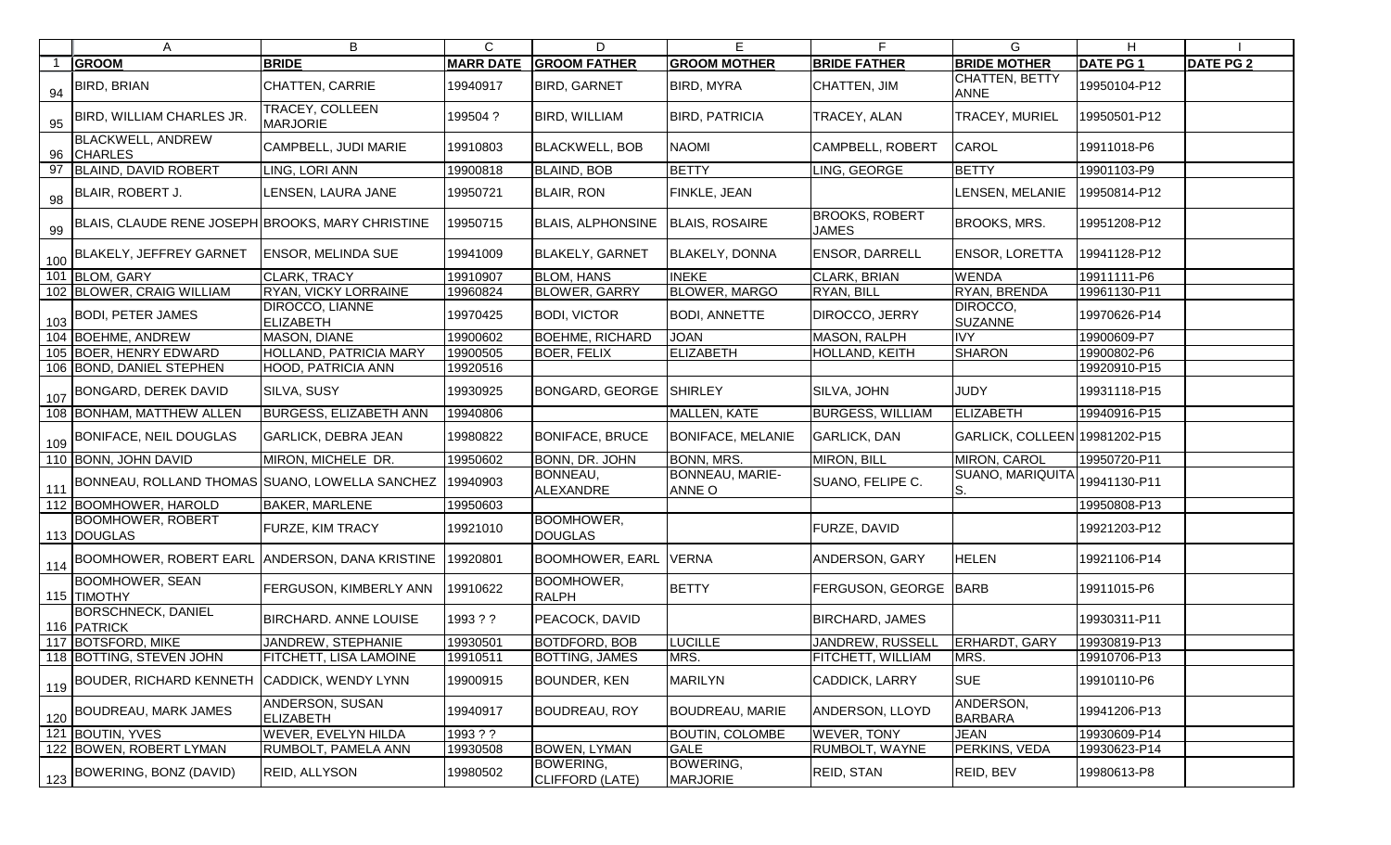|     | A                                                           | B                                          | $\mathsf{C}$     | D                                   | Е                                   | F                                     | G.                            | H.              |                  |
|-----|-------------------------------------------------------------|--------------------------------------------|------------------|-------------------------------------|-------------------------------------|---------------------------------------|-------------------------------|-----------------|------------------|
|     | <b>GROOM</b>                                                | <b>BRIDE</b>                               | <b>MARR DATE</b> | <b>GROOM FATHER</b>                 | <b>GROOM MOTHER</b>                 | <b>BRIDE FATHER</b>                   | <b>BRIDE MOTHER</b>           | <b>DATE PG1</b> | <b>DATE PG 2</b> |
| 94  | <b>BIRD, BRIAN</b>                                          | CHATTEN, CARRIE                            | 19940917         | <b>BIRD, GARNET</b>                 | <b>BIRD, MYRA</b>                   | CHATTEN, JIM                          | CHATTEN, BETTY<br><b>ANNE</b> | 19950104-P12    |                  |
|     | 95   BIRD, WILLIAM CHARLES JR.                              | TRACEY, COLLEEN<br><b>MARJORIE</b>         | 199504 ?         | BIRD, WILLIAM                       | <b>BIRD, PATRICIA</b>               | <b>TRACEY, ALAN</b>                   | <b>TRACEY, MURIEL</b>         | 19950501-P12    |                  |
|     | <b>BLACKWELL, ANDREW</b><br>96 CHARLES                      | CAMPBELL, JUDI MARIE                       | 19910803         | <b>BLACKWELL, BOB</b>               | <b>NAOMI</b>                        | <b>CAMPBELL, ROBERT</b>               | <b>CAROL</b>                  | 19911018-P6     |                  |
| 97  | <b>BLAIND, DAVID ROBERT</b>                                 | LING, LORI ANN                             | 19900818         | <b>BLAIND, BOB</b>                  | <b>BETTY</b>                        | LING, GEORGE                          | <b>BETTY</b>                  | 19901103-P9     |                  |
| 98  | BLAIR, ROBERT J.                                            | LENSEN, LAURA JANE                         | 19950721         | <b>BLAIR, RON</b>                   | <b>FINKLE, JEAN</b>                 |                                       | LENSEN, MELANIE               | 19950814-P12    |                  |
| 99  | BLAIS, CLAUDE RENE JOSEPH BROOKS, MARY CHRISTINE            |                                            | 19950715         | <b>BLAIS, ALPHONSINE</b>            | <b>BLAIS, ROSAIRE</b>               | <b>BROOKS, ROBERT</b><br><b>JAMES</b> | BROOKS, MRS.                  | 19951208-P12    |                  |
|     | 100 BLAKELY, JEFFREY GARNET                                 | <b>ENSOR, MELINDA SUE</b>                  | 19941009         | <b>BLAKELY, GARNET</b>              | <b>BLAKELY, DONNA</b>               | ENSOR, DARRELL                        | <b>ENSOR, LORETTA</b>         | 19941128-P12    |                  |
|     | 101 BLOM, GARY                                              | <b>CLARK, TRACY</b>                        | 19910907         | <b>BLOM, HANS</b>                   | <b>INEKE</b>                        | CLARK, BRIAN                          | <b>WENDA</b>                  | 19911111-P6     |                  |
|     | 102 BLOWER, CRAIG WILLIAM                                   | <b>RYAN, VICKY LORRAINE</b>                | 19960824         | <b>BLOWER, GARRY</b>                | <b>BLOWER, MARGO</b>                | RYAN, BILL                            | RYAN, BRENDA                  | 19961130-P11    |                  |
| 103 | <b>BODI, PETER JAMES</b>                                    | <b>DIROCCO, LIANNE</b><br><b>ELIZABETH</b> | 19970425         | <b>BODI, VICTOR</b>                 | <b>BODI, ANNETTE</b>                | DIROCCO, JERRY                        | DIROCCO,<br><b>SUZANNE</b>    | 19970626-P14    |                  |
|     | 104 BOEHME, ANDREW                                          | MASON, DIANE                               | 19900602         | <b>BOEHME, RICHARD</b>              | <b>JOAN</b>                         | MASON, RALPH                          | <b>IVY</b>                    | 19900609-P7     |                  |
|     | 105 BOER, HENRY EDWARD                                      | <b>HOLLAND, PATRICIA MARY</b>              | 19900505         | <b>BOER, FELIX</b>                  | <b>ELIZABETH</b>                    | HOLLAND, KEITH                        | <b>SHARON</b>                 | 19900802-P6     |                  |
|     | 106 BOND, DANIEL STEPHEN                                    | HOOD, PATRICIA ANN                         | 19920516         |                                     |                                     |                                       |                               | 19920910-P15    |                  |
| 107 | <b>BONGARD, DEREK DAVID</b>                                 | SILVA, SUSY                                | 19930925         | <b>BONGARD, GEORGE</b>              | <b>SHIRLEY</b>                      | SILVA, JOHN                           | <b>JUDY</b>                   | 19931118-P15    |                  |
|     | 108 BONHAM, MATTHEW ALLEN                                   | <b>BURGESS, ELIZABETH ANN</b>              | 19940806         |                                     | MALLEN, KATE                        | <b>BURGESS, WILLIAM</b>               | ELIZABETH                     | 19940916-P15    |                  |
| 109 | BONIFACE, NEIL DOUGLAS                                      | <b>GARLICK, DEBRA JEAN</b>                 | 19980822         | <b>BONIFACE, BRUCE</b>              | <b>BONIFACE, MELANIE</b>            | <b>GARLICK, DAN</b>                   | GARLICK, COLLEEN 19981202-P15 |                 |                  |
|     | 110 BONN, JOHN DAVID                                        | MIRON, MICHELE DR.                         | 19950602         | <b>BONN, DR. JOHN</b>               | <b>BONN, MRS.</b>                   | MIRON, BILL                           | MIRON, CAROL                  | 19950720-P11    |                  |
| 111 | BONNEAU, ROLLAND THOMAS SUANO, LOWELLA SANCHEZ              |                                            | 19940903         | BONNEAU,<br><b>ALEXANDRE</b>        | BONNEAU, MARIE-<br><b>ANNE O</b>    | SUANO, FELIPE C.                      | SUANO, MARIQUIT/<br>S.        | 19941130-P11    |                  |
|     | 112 BOOMHOWER, HAROLD                                       | <b>BAKER, MARLENE</b>                      | 19950603         |                                     |                                     |                                       |                               | 19950808-P13    |                  |
|     | <b>BOOMHOWER, ROBERT</b><br>113 DOUGLAS                     | <b>FURZE, KIM TRACY</b>                    | 19921010         | <b>BOOMHOWER,</b><br><b>DOUGLAS</b> |                                     | FURZE, DAVID                          |                               | 19921203-P12    |                  |
|     | 114 BOOMHOWER, ROBERT EARL ANDERSON, DANA KRISTINE 19920801 |                                            |                  | <b>BOOMHOWER, EARL VERNA</b>        |                                     | ANDERSON, GARY                        | <b>HELEN</b>                  | 19921106-P14    |                  |
|     | <b>BOOMHOWER, SEAN</b><br>115 TIMOTHY                       | FERGUSON, KIMBERLY ANN 19910622            |                  | BOOMHOWER,<br><b>RALPH</b>          | <b>BETTY</b>                        | <b>FERGUSON, GEORGE BARB</b>          |                               | 19911015-P6     |                  |
|     | <b>BORSCHNECK, DANIEL</b><br>116 PATRICK                    | BIRCHARD. ANNE LOUISE                      | 1993 ? ?         | PEACOCK, DAVID                      |                                     | <b>BIRCHARD, JAMES</b>                |                               | 19930311-P11    |                  |
|     | 117 BOTSFORD, MIKE                                          | JANDREW, STEPHANIE                         | 19930501         | <b>BOTDFORD, BOB</b>                | <b>LUCILLE</b>                      | JANDREW, RUSSELL                      | <b>ERHARDT, GARY</b>          | 19930819-P13    |                  |
|     | 118 BOTTING, STEVEN JOHN                                    | FITCHETT, LISA LAMOINE                     | 19910511         | <b>BOTTING, JAMES</b>               | MRS.                                | FITCHETT, WILLIAM                     | MRS.                          | 19910706-P13    |                  |
|     | 119 BOUDER, RICHARD KENNETH                                 | CADDICK, WENDY LYNN                        | 19900915         | <b>BOUNDER, KEN</b>                 | <b>MARILYN</b>                      | CADDICK, LARRY                        | <b>SUE</b>                    | 19910110-P6     |                  |
| 120 | BOUDREAU, MARK JAMES                                        | ANDERSON, SUSAN<br><b>ELIZABETH</b>        | 19940917         | <b>BOUDREAU, ROY</b>                | <b>BOUDREAU, MARIE</b>              | ANDERSON, LLOYD                       | ANDERSON,<br><b>BARBARA</b>   | 19941206-P13    |                  |
|     | 121 BOUTIN, YVES                                            | WEVER, EVELYN HILDA                        | 1993 ? ?         |                                     | <b>BOUTIN, COLOMBE</b>              | WEVER, TONY                           | <b>JEAN</b>                   | 19930609-P14    |                  |
|     | 122 BOWEN, ROBERT LYMAN                                     | RUMBOLT, PAMELA ANN                        | 19930508         | <b>BOWEN, LYMAN</b>                 | <b>GALE</b>                         | RUMBOLT, WAYNE                        | PERKINS, VEDA                 | 19930623-P14    |                  |
|     | $\frac{1}{123}$ BOWERING, BONZ (DAVID)                      | <b>REID, ALLYSON</b>                       | 19980502         | <b>BOWERING,</b><br>CLIFFORD (LATE) | <b>BOWERING,</b><br><b>MARJORIE</b> | REID, STAN                            | REID, BEV                     | 19980613-P8     |                  |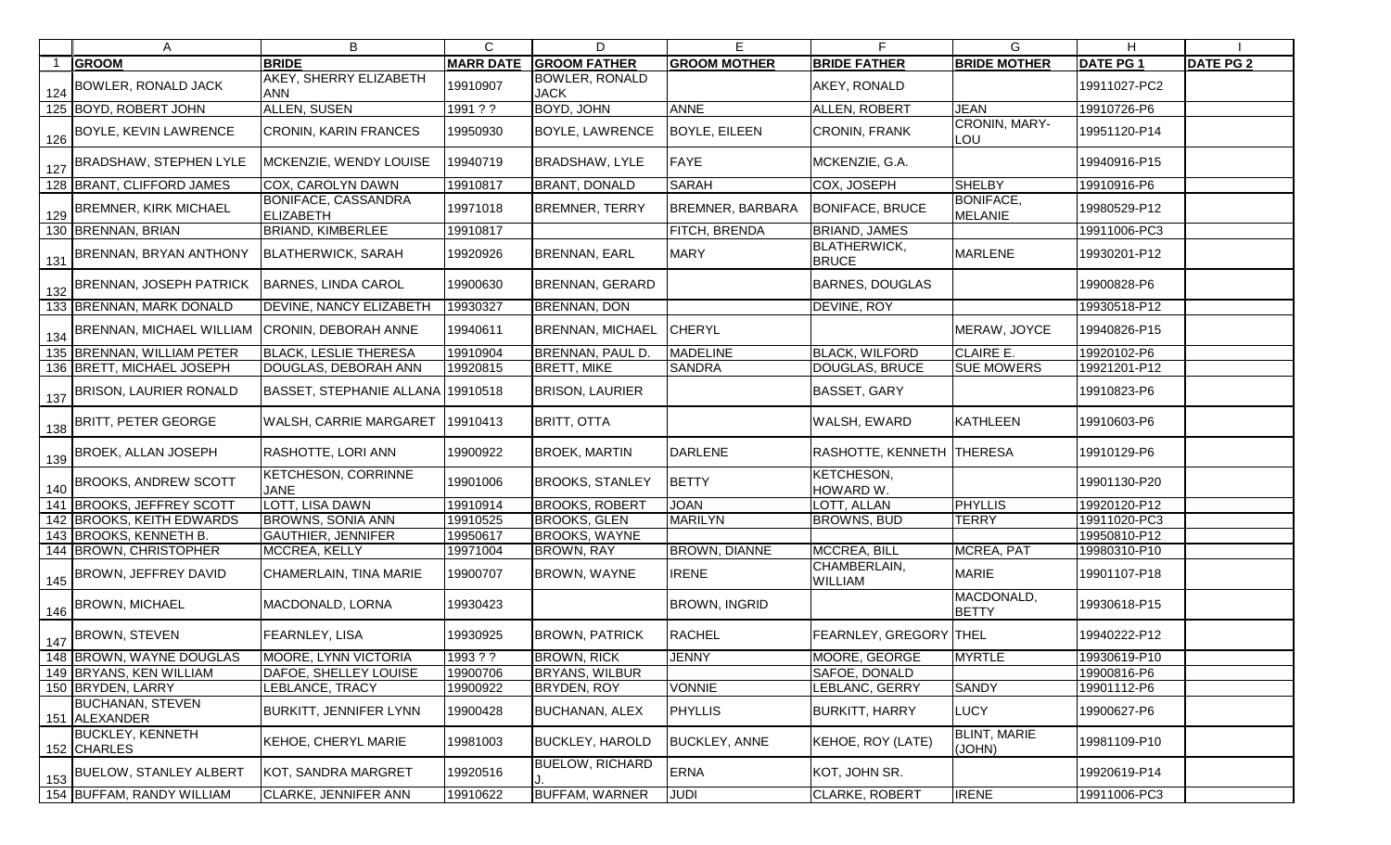| A                                        | B                                              | $\mathsf{C}$     | D                                    | E                       | F                                   | G                                  | H               |                  |
|------------------------------------------|------------------------------------------------|------------------|--------------------------------------|-------------------------|-------------------------------------|------------------------------------|-----------------|------------------|
| <b>GROOM</b>                             | <b>BRIDE</b>                                   | <b>MARR DATE</b> | <b>GROOM FATHER</b>                  | <b>GROOM MOTHER</b>     | <b>BRIDE FATHER</b>                 | <b>BRIDE MOTHER</b>                | <b>DATE PG1</b> | <b>DATE PG 2</b> |
| $124$ BOWLER, RONALD JACK                | <b>AKEY, SHERRY ELIZABETH</b><br><b>ANN</b>    | 19910907         | <b>BOWLER, RONALD</b><br><b>JACK</b> |                         | AKEY, RONALD                        |                                    | 19911027-PC2    |                  |
| 125 BOYD, ROBERT JOHN                    | <b>ALLEN, SUSEN</b>                            | 1991 ? ?         | <b>BOYD, JOHN</b>                    | <b>ANNE</b>             | ALLEN, ROBERT                       | <b>JEAN</b>                        | 19910726-P6     |                  |
| $\frac{126}{126}$ BOYLE, KEVIN LAWRENCE  | <b>CRONIN, KARIN FRANCES</b>                   | 19950930         | <b>BOYLE, LAWRENCE</b>               | <b>BOYLE, EILEEN</b>    | CRONIN, FRANK                       | CRONIN, MARY-<br>LOU               | 19951120-P14    |                  |
| $\frac{1}{27}$ BRADSHAW, STEPHEN LYLE    | MCKENZIE, WENDY LOUISE                         | 19940719         | BRADSHAW, LYLE                       | FAYE                    | MCKENZIE, G.A.                      |                                    | 19940916-P15    |                  |
| 128 BRANT, CLIFFORD JAMES                | <b>COX, CAROLYN DAWN</b>                       | 19910817         | <b>BRANT, DONALD</b>                 | SARAH                   | COX, JOSEPH                         | SHELBY                             | 19910916-P6     |                  |
| $\frac{129}{129}$ BREMNER, KIRK MICHAEL  | <b>BONIFACE, CASSANDRA</b><br><b>ELIZABETH</b> | 19971018         | <b>BREMNER, TERRY</b>                | <b>BREMNER, BARBARA</b> | <b>BONIFACE, BRUCE</b>              | <b>BONIFACE,</b><br><b>MELANIE</b> | 19980529-P12    |                  |
| 130 BRENNAN, BRIAN                       | <b>BRIAND, KIMBERLEE</b>                       | 19910817         |                                      | <b>FITCH, BRENDA</b>    | <b>BRIAND, JAMES</b>                |                                    | 19911006-PC3    |                  |
| 131 BRENNAN, BRYAN ANTHONY               | <b>BLATHERWICK, SARAH</b>                      | 19920926         | <b>BRENNAN, EARL</b>                 | <b>MARY</b>             | <b>BLATHERWICK,</b><br><b>BRUCE</b> | <b>MARLENE</b>                     | 19930201-P12    |                  |
| 132 BRENNAN, JOSEPH PATRICK              | <b>BARNES, LINDA CAROL</b>                     | 19900630         | <b>BRENNAN, GERARD</b>               |                         | <b>BARNES, DOUGLAS</b>              |                                    | 19900828-P6     |                  |
| 133 BRENNAN, MARK DONALD                 | <b>DEVINE, NANCY ELIZABETH</b>                 | 19930327         | BRENNAN, DON                         |                         | DEVINE, ROY                         |                                    | 19930518-P12    |                  |
| 134 BRENNAN, MICHAEL WILLIAM             | <b>CRONIN, DEBORAH ANNE</b>                    | 19940611         | BRENNAN, MICHAEL                     | <b>CHERYL</b>           |                                     | MERAW, JOYCE                       | 19940826-P15    |                  |
| 135 BRENNAN, WILLIAM PETER               | <b>BLACK, LESLIE THERESA</b>                   | 19910904         | BRENNAN, PAUL D.                     | <b>MADELINE</b>         | <b>BLACK, WILFORD</b>               | <b>CLAIRE E.</b>                   | 19920102-P6     |                  |
| 136 BRETT, MICHAEL JOSEPH                | DOUGLAS, DEBORAH ANN                           | 19920815         | <b>BRETT, MIKE</b>                   | SANDRA                  | <b>DOUGLAS, BRUCE</b>               | <b>SUE MOWERS</b>                  | 19921201-P12    |                  |
| 137 BRISON, LAURIER RONALD               | BASSET, STEPHANIE ALLANA 19910518              |                  | <b>BRISON, LAURIER</b>               |                         | <b>BASSET, GARY</b>                 |                                    | 19910823-P6     |                  |
| 138 BRITT, PETER GEORGE                  | <b>WALSH, CARRIE MARGARET</b>                  | 19910413         | <b>BRITT, OTTA</b>                   |                         | WALSH, EWARD                        | KATHLEEN                           | 19910603-P6     |                  |
| $\frac{139}{139}$ BROEK, ALLAN JOSEPH    | RASHOTTE, LORI ANN                             | 19900922         | <b>BROEK, MARTIN</b>                 | <b>DARLENE</b>          | RASHOTTE, KENNETH THERESA           |                                    | 19910129-P6     |                  |
| $\frac{140}{140}$ BROOKS, ANDREW SCOTT   | <b>KETCHESON, CORRINNE</b><br><b>JANE</b>      | 19901006         | <b>BROOKS, STANLEY</b>               | <b>BETTY</b>            | KETCHESON,<br>HOWARD W.             |                                    | 19901130-P20    |                  |
| 141 BROOKS, JEFFREY SCOTT                | LOTT, LISA DAWN                                | 19910914         | <b>BROOKS, ROBERT</b>                | <b>JOAN</b>             | LOTT, ALLAN                         | <b>PHYLLIS</b>                     | 19920120-P12    |                  |
| 142 BROOKS, KEITH EDWARDS                | <b>BROWNS, SONIA ANN</b>                       | 19910525         | <b>BROOKS, GLEN</b>                  | <b>MARILYN</b>          | <b>BROWNS, BUD</b>                  | <b>TERRY</b>                       | 19911020-PC3    |                  |
| 143 BROOKS, KENNETH B.                   | <b>GAUTHIER, JENNIFER</b>                      | 19950617         | <b>BROOKS, WAYNE</b>                 |                         |                                     |                                    | 19950810-P12    |                  |
| 144 BROWN, CHRISTOPHER                   | MCCREA, KELLY                                  | 19971004         | <b>BROWN, RAY</b>                    | <b>BROWN, DIANNE</b>    | MCCREA, BILL                        | MCREA, PAT                         | 19980310-P10    |                  |
| $145$ BROWN, JEFFREY DAVID               | CHAMERLAIN, TINA MARIE                         | 19900707         | BROWN, WAYNE                         | <b>IRENE</b>            | CHAMBERLAIN,<br><b>WILLIAM</b>      | <b>MARIE</b>                       | 19901107-P18    |                  |
| $\frac{1}{146}$ BROWN, MICHAEL           | MACDONALD, LORNA                               | 19930423         |                                      | <b>BROWN, INGRID</b>    |                                     | MACDONALD,<br><b>BETTY</b>         | 19930618-P15    |                  |
| $147$ BROWN, STEVEN                      | <b>FEARNLEY, LISA</b>                          | 19930925         | <b>BROWN, PATRICK</b>                | <b>RACHEL</b>           | FEARNLEY, GREGORY THEL              |                                    | 19940222-P12    |                  |
| 148 BROWN, WAYNE DOUGLAS                 | <b>MOORE, LYNN VICTORIA</b>                    | 1993 ? ?         | <b>BROWN, RICK</b>                   | <b>JENNY</b>            | MOORE, GEORGE                       | <b>MYRTLE</b>                      | 19930619-P10    |                  |
| 149 BRYANS, KEN WILLIAM                  | DAFOE, SHELLEY LOUISE                          | 19900706         | BRYANS, WILBUR                       |                         | SAFOE, DONALD                       |                                    | 19900816-P6     |                  |
| 150 BRYDEN, LARRY                        | <b>_EBLANCE, TRACY</b>                         | 19900922         | BRYDEN, ROY                          | <b>VONNIE</b>           | LEBLANC, GERRY                      | <b>SANDY</b>                       | 19901112-P6     |                  |
| <b>BUCHANAN, STEVEN</b><br>151 ALEXANDER | <b>BURKITT, JENNIFER LYNN</b>                  | 19900428         | <b>BUCHANAN, ALEX</b>                | <b>PHYLLIS</b>          | <b>BURKITT, HARRY</b>               | <b>LUCY</b>                        | 19900627-P6     |                  |
| <b>BUCKLEY, KENNETH</b><br>152 CHARLES   | <b>KEHOE, CHERYL MARIE</b>                     | 19981003         | <b>BUCKLEY, HAROLD</b>               | <b>BUCKLEY, ANNE</b>    | <b>KEHOE, ROY (LATE)</b>            | <b>BLINT, MARIE</b><br>(JOHN)      | 19981109-P10    |                  |
| 153 BUELOW, STANLEY ALBERT               | KOT, SANDRA MARGRET                            | 19920516         | <b>BUELOW, RICHARD</b>               | <b>ERNA</b>             | KOT, JOHN SR.                       |                                    | 19920619-P14    |                  |
| 154 BUFFAM, RANDY WILLIAM                | CLARKE, JENNIFER ANN                           | 19910622         | <b>BUFFAM, WARNER</b>                | <b>JUDI</b>             | <b>CLARKE, ROBERT</b>               | <b>IRENE</b>                       | 19911006-PC3    |                  |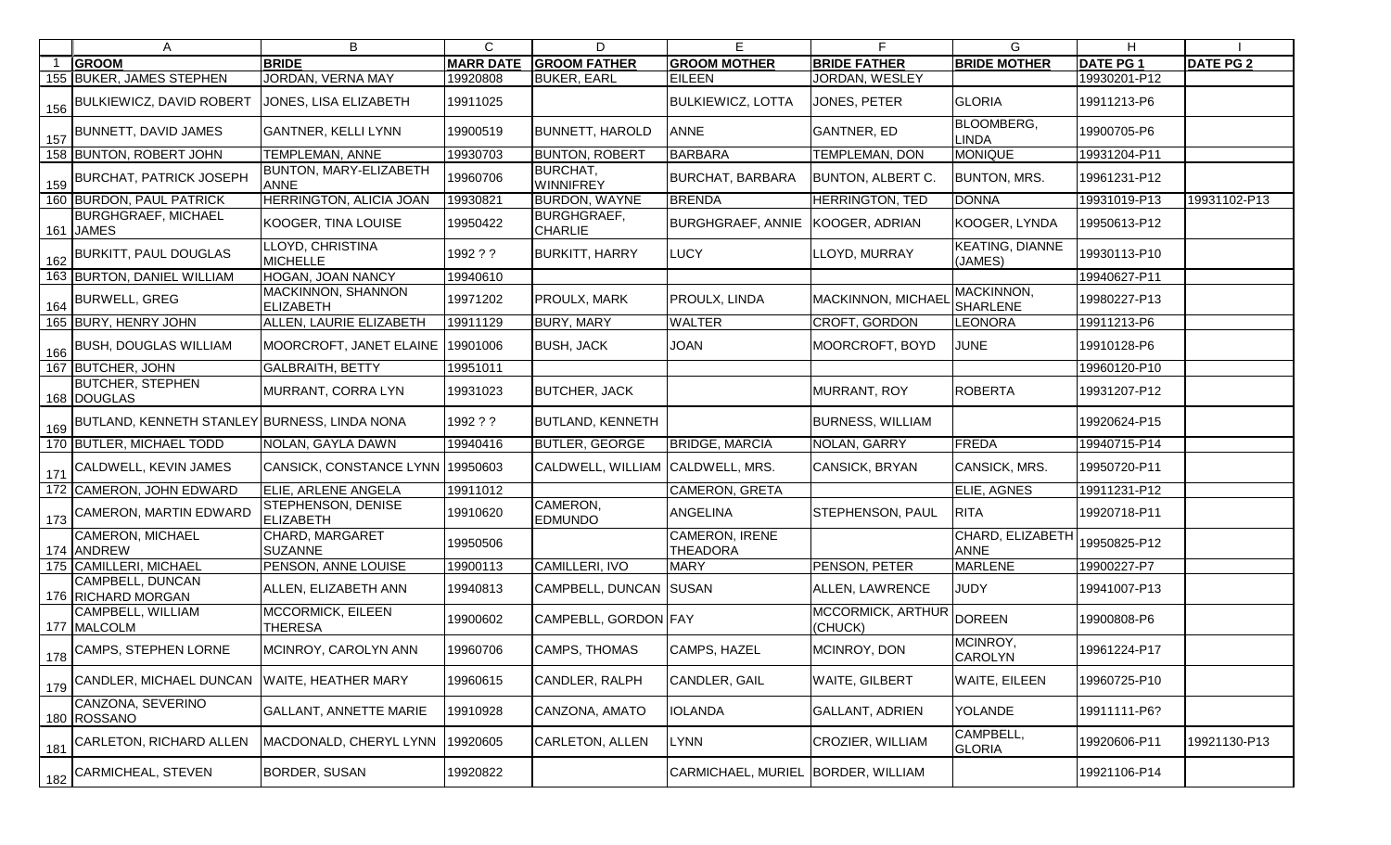|     | A                                            | B                                      | C                | D                                    | E                                        | F                            | G                                 | H               |                  |
|-----|----------------------------------------------|----------------------------------------|------------------|--------------------------------------|------------------------------------------|------------------------------|-----------------------------------|-----------------|------------------|
|     | <b>GROOM</b>                                 | <b>BRIDE</b>                           | <b>MARR DATE</b> | <b>GROOM FATHER</b>                  | <b>GROOM MOTHER</b>                      | <b>BRIDE FATHER</b>          | <b>BRIDE MOTHER</b>               | <b>DATE PG1</b> | <b>DATE PG 2</b> |
|     | 155 BUKER, JAMES STEPHEN                     | JORDAN, VERNA MAY                      | 19920808         | <b>BUKER, EARL</b>                   | <b>EILEEN</b>                            | JORDAN, WESLEY               |                                   | 19930201-P12    |                  |
| 156 | <b>BULKIEWICZ, DAVID ROBERT</b>              | JONES, LISA ELIZABETH                  | 19911025         |                                      | <b>BULKIEWICZ, LOTTA</b>                 | JONES, PETER                 | <b>GLORIA</b>                     | 19911213-P6     |                  |
| 157 | <b>BUNNETT, DAVID JAMES</b>                  | <b>GANTNER, KELLI LYNN</b>             | 19900519         | <b>BUNNETT, HAROLD</b>               | <b>ANNE</b>                              | <b>GANTNER, ED</b>           | <b>BLOOMBERG,</b><br><b>LINDA</b> | 19900705-P6     |                  |
|     | 158 BUNTON, ROBERT JOHN                      | <b>TEMPLEMAN, ANNE</b>                 | 19930703         | <b>BUNTON, ROBERT</b>                | BARBARA                                  | TEMPLEMAN, DON               | <b>MONIQUE</b>                    | 19931204-P11    |                  |
| 159 | <b>BURCHAT, PATRICK JOSEPH</b>               | BUNTON, MARY-ELIZABETH<br><b>ANNE</b>  | 19960706         | BURCHAT,<br><b>WINNIFREY</b>         | <b>BURCHAT, BARBARA</b>                  | BUNTON, ALBERT C.            | <b>BUNTON, MRS.</b>               | 19961231-P12    |                  |
|     | 160 BURDON, PAUL PATRICK                     | HERRINGTON, ALICIA JOAN                | 19930821         | <b>BURDON, WAYNE</b>                 | <b>BRENDA</b>                            | HERRINGTON, TED              | <b>DONNA</b>                      | 19931019-P13    | 19931102-P13     |
|     | <b>BURGHGRAEF, MICHAEL</b><br>161 JAMES      | KOOGER, TINA LOUISE                    | 19950422         | <b>BURGHGRAEF,</b><br><b>CHARLIE</b> | <b>BURGHGRAEF, ANNIE</b>                 | KOOGER, ADRIAN               | KOOGER, LYNDA                     | 19950613-P12    |                  |
| 162 | <b>BURKITT, PAUL DOUGLAS</b>                 | LLOYD, CHRISTINA<br><b>MICHELLE</b>    | 1992 ? ?         | <b>BURKITT, HARRY</b>                | <b>LUCY</b>                              | LOYD, MURRAY                 | <b>KEATING, DIANNE</b><br>(JAMES) | 19930113-P10    |                  |
|     | 163 BURTON, DANIEL WILLIAM                   | HOGAN, JOAN NANCY                      | 19940610         |                                      |                                          |                              |                                   | 19940627-P11    |                  |
| 164 | <b>BURWELL, GREG</b>                         | MACKINNON, SHANNON<br><b>ELIZABETH</b> | 19971202         | <b>PROULX, MARK</b>                  | PROULX, LINDA                            | MACKINNON, MICHAEL           | MACKINNON,<br>SHARLENE            | 19980227-P13    |                  |
|     | 165 BURY, HENRY JOHN                         | ALLEN, LAURIE ELIZABETH                | 19911129         | <b>BURY, MARY</b>                    | <b>WALTER</b>                            | CROFT, GORDON                | <b>LEONORA</b>                    | 19911213-P6     |                  |
| 166 | <b>BUSH, DOUGLAS WILLIAM</b>                 | MOORCROFT, JANET ELAINE                | 19901006         | <b>BUSH, JACK</b>                    | JOAN                                     | MOORCROFT, BOYD              | <b>JUNE</b>                       | 19910128-P6     |                  |
|     | 167 BUTCHER, JOHN                            | <b>GALBRAITH, BETTY</b>                | 19951011         |                                      |                                          |                              |                                   | 19960120-P10    |                  |
|     | <b>BUTCHER, STEPHEN</b><br>168 DOUGLAS       | MURRANT, CORRA LYN                     | 19931023         | <b>BUTCHER, JACK</b>                 |                                          | MURRANT, ROY                 | <b>ROBERTA</b>                    | 19931207-P12    |                  |
| 169 | BUTLAND, KENNETH STANLEY BURNESS, LINDA NONA |                                        | 1992 ? ?         | <b>BUTLAND, KENNETH</b>              |                                          | <b>BURNESS, WILLIAM</b>      |                                   | 19920624-P15    |                  |
|     | 170 BUTLER, MICHAEL TODD                     | NOLAN, GAYLA DAWN                      | 19940416         | <b>BUTLER, GEORGE</b>                | <b>BRIDGE, MARCIA</b>                    | NOLAN, GARRY                 | <b>FREDA</b>                      | 19940715-P14    |                  |
|     | CALDWELL, KEVIN JAMES                        | CANSICK, CONSTANCE LYNN 19950603       |                  | CALDWELL, WILLIAM CALDWELL, MRS.     |                                          | CANSICK, BRYAN               | CANSICK, MRS.                     | 19950720-P11    |                  |
|     | 172 CAMERON, JOHN EDWARD                     | ELIE, ARLENE ANGELA                    | 19911012         |                                      | <b>CAMERON, GRETA</b>                    |                              | ELIE, AGNES                       | 19911231-P12    |                  |
|     | 173 CAMERON, MARTIN EDWARD                   | STEPHENSON, DENISE<br><b>ELIZABETH</b> | 19910620         | CAMERON,<br><b>EDMUNDO</b>           | <b>ANGELINA</b>                          | STEPHENSON, PAUL             | <b>RITA</b>                       | 19920718-P11    |                  |
|     | CAMERON, MICHAEL<br>174 ANDREW               | CHARD, MARGARET<br><b>SUZANNE</b>      | 19950506         |                                      | <b>CAMERON, IRENE</b><br><b>THEADORA</b> |                              | CHARD, ELIZABETH<br><b>ANNE</b>   | 19950825-P12    |                  |
|     | 175 CAMILLERI, MICHAEL                       | PENSON, ANNE LOUISE                    | 19900113         | CAMILLERI, IVO                       | <b>MARY</b>                              | PENSON, PETER                | <b>MARLENE</b>                    | 19900227-P7     |                  |
|     | CAMPBELL, DUNCAN<br>176 RICHARD MORGAN       | ALLEN, ELIZABETH ANN                   | 19940813         | CAMPBELL, DUNCAN SUSAN               |                                          | ALLEN, LAWRENCE              | <b>JUDY</b>                       | 19941007-P13    |                  |
|     | CAMPBELL, WILLIAM<br>177 MALCOLM             | MCCORMICK, EILEEN<br><b>THERESA</b>    | 19900602         | CAMPEBLL, GORDON FAY                 |                                          | MCCORMICK, ARTHUR<br>(CHUCK) | <b>DOREEN</b>                     | 19900808-P6     |                  |
| 178 | CAMPS, STEPHEN LORNE                         | MCINROY, CAROLYN ANN                   | 19960706         | CAMPS, THOMAS                        | CAMPS, HAZEL                             | MCINROY, DON                 | MCINROY,<br><b>CAROLYN</b>        | 19961224-P17    |                  |
|     | 179 CANDLER, MICHAEL DUNCAN                  | <b>WAITE, HEATHER MARY</b>             | 19960615         | CANDLER, RALPH                       | CANDLER, GAIL                            | WAITE, GILBERT               | <b>WAITE, EILEEN</b>              | 19960725-P10    |                  |
|     | CANZONA, SEVERINO<br>180 ROSSANO             | <b>GALLANT, ANNETTE MARIE</b>          | 19910928         | CANZONA, AMATO                       | <b>IOLANDA</b>                           | <b>GALLANT, ADRIEN</b>       | <b>YOLANDE</b>                    | 19911111-P6?    |                  |
| 181 | <b>CARLETON, RICHARD ALLEN</b>               | MACDONALD, CHERYL LYNN                 | 19920605         | CARLETON, ALLEN                      | LYNN                                     | CROZIER, WILLIAM             | CAMPBELL,<br><b>GLORIA</b>        | 19920606-P11    | 19921130-P13     |
| 182 | CARMICHEAL, STEVEN                           | BORDER, SUSAN                          | 19920822         |                                      | <b>CARMICHAEL, MURIEL</b>                | <b>BORDER, WILLIAM</b>       |                                   | 19921106-P14    |                  |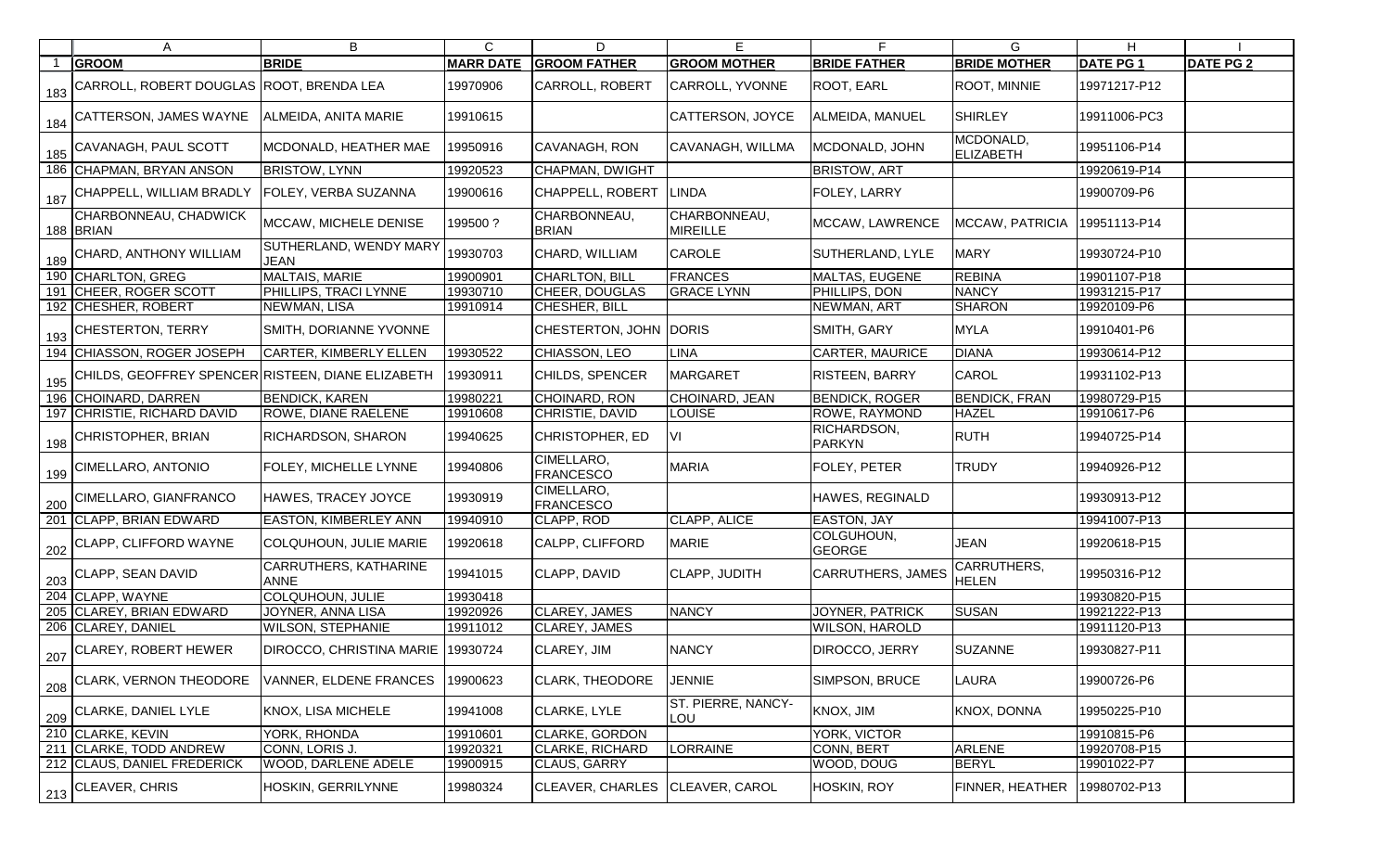| A                                                                    | В                                           | C                | D                               | Е                                |                              | G                           | H.              |                  |
|----------------------------------------------------------------------|---------------------------------------------|------------------|---------------------------------|----------------------------------|------------------------------|-----------------------------|-----------------|------------------|
| <b>GROOM</b>                                                         | <b>BRIDE</b>                                | <b>MARR DATE</b> | <b>GROOM FATHER</b>             | <b>GROOM MOTHER</b>              | <b>BRIDE FATHER</b>          | <b>BRIDE MOTHER</b>         | <b>DATE PG1</b> | <b>DATE PG 2</b> |
| 1 <sub>183</sub>   CARROLL, ROBERT DOUGLAS   ROOT, BRENDA LEA        |                                             | 19970906         | <b>CARROLL, ROBERT</b>          | CARROLL, YVONNE                  | ROOT, EARL                   | <b>ROOT, MINNIE</b>         | 19971217-P12    |                  |
| $\frac{1}{184}$ CATTERSON, JAMES WAYNE $\left $ ALMEIDA, ANITA MARIE |                                             | 19910615         |                                 | CATTERSON, JOYCE                 | ALMEIDA, MANUEL              | <b>SHIRLEY</b>              | 19911006-PC3    |                  |
| 185 CAVANAGH, PAUL SCOTT                                             | MCDONALD, HEATHER MAE                       | 19950916         | CAVANAGH, RON                   | CAVANAGH, WILLMA                 | MCDONALD, JOHN               | MCDONALD,<br>ELIZABETH      | 19951106-P14    |                  |
| 186 CHAPMAN, BRYAN ANSON                                             | <b>BRISTOW, LYNN</b>                        | 19920523         | CHAPMAN, DWIGHT                 |                                  | <b>BRISTOW, ART</b>          |                             | 19920619-P14    |                  |
| 187 CHAPPELL, WILLIAM BRADLY                                         | <b>FOLEY, VERBA SUZANNA</b>                 | 19900616         | CHAPPELL, ROBERT                | LINDA                            | FOLEY, LARRY                 |                             | 19900709-P6     |                  |
| CHARBONNEAU, CHADWICK<br>188 BRIAN                                   | MCCAW, MICHELE DENISE                       | 199500?          | CHARBONNEAU,<br><b>BRIAN</b>    | CHARBONNEAU,<br><b>MIREILLE</b>  | MCCAW, LAWRENCE              | MCCAW, PATRICIA             | 19951113-P14    |                  |
| 189 CHARD, ANTHONY WILLIAM                                           | SUTHERLAND, WENDY MARY<br><b>JEAN</b>       | 19930703         | CHARD, WILLIAM                  | <b>CAROLE</b>                    | SUTHERLAND, LYLE             | <b>MARY</b>                 | 19930724-P10    |                  |
| 190 CHARLTON, GREG                                                   | MALTAIS, MARIE                              | 19900901         | <b>CHARLTON, BILL</b>           | <b>FRANCES</b>                   | MALTAS, EUGENE               | <b>REBINA</b>               | 19901107-P18    |                  |
| 191 CHEER, ROGER SCOTT                                               | PHILLIPS, TRACI LYNNE                       | 19930710         | CHEER, DOUGLAS                  | <b>GRACE LYNN</b>                | PHILLIPS, DON                | <b>NANCY</b>                | 19931215-P17    |                  |
| 192 CHESHER, ROBERT                                                  | NEWMAN, LISA                                | 19910914         | CHESHER, BILL                   |                                  | NEWMAN, ART                  | <b>SHARON</b>               | 19920109-P6     |                  |
| 193 CHESTERTON, TERRY                                                | SMITH, DORIANNE YVONNE                      |                  | CHESTERTON, JOHN DORIS          |                                  | SMITH, GARY                  | <b>MYLA</b>                 | 19910401-P6     |                  |
| 194 CHIASSON, ROGER JOSEPH                                           | <b>CARTER, KIMBERLY ELLEN</b>               | 19930522         | CHIASSON, LEO                   | LINA                             | CARTER, MAURICE              | <b>DIANA</b>                | 19930614-P12    |                  |
| 195 CHILDS, GEOFFREY SPENCER RISTEEN, DIANE ELIZABETH                |                                             | 19930911         | CHILDS, SPENCER                 | MARGARET                         | RISTEEN, BARRY               | <b>CAROL</b>                | 19931102-P13    |                  |
| 196 CHOINARD, DARREN                                                 | <b>BENDICK, KAREN</b>                       | 19980221         | CHOINARD, RON                   | CHOINARD, JEAN                   | <b>BENDICK, ROGER</b>        | <b>BENDICK, FRAN</b>        | 19980729-P15    |                  |
| 197 CHRISTIE, RICHARD DAVID                                          | <b>ROWE, DIANE RAELENE</b>                  | 19910608         | CHRISTIE, DAVID                 | LOUISE                           | ROWE, RAYMOND                | <b>HAZEL</b>                | 19910617-P6     |                  |
| 198 CHRISTOPHER, BRIAN                                               | <b>RICHARDSON, SHARON</b>                   | 19940625         | CHRISTOPHER, ED                 | IVI.                             | RICHARDSON,<br><b>PARKYN</b> | <b>RUTH</b>                 | 19940725-P14    |                  |
| 199 CIMELLARO, ANTONIO                                               | <b>FOLEY, MICHELLE LYNNE</b>                | 19940806         | CIMELLARO,<br><b>FRANCESCO</b>  | <b>MARIA</b>                     | FOLEY, PETER                 | <b>TRUDY</b>                | 19940926-P12    |                  |
| 200 CIMELLARO, GIANFRANCO                                            | HAWES, TRACEY JOYCE                         | 19930919         | CIMELLARO,<br><b>FRANCESCO</b>  |                                  | HAWES, REGINALD              |                             | 19930913-P12    |                  |
| 201 CLAPP, BRIAN EDWARD                                              | <b>EASTON, KIMBERLEY ANN</b>                | 19940910         | CLAPP, ROD                      | <b>CLAPP, ALICE</b>              | EASTON, JAY                  |                             | 19941007-P13    |                  |
| 202 CLAPP, CLIFFORD WAYNE                                            | COLQUHOUN, JULIE MARIE                      | 19920618         | CALPP, CLIFFORD                 | <b>MARIE</b>                     | COLGUHOUN,<br><b>GEORGE</b>  | <b>JEAN</b>                 | 19920618-P15    |                  |
| 203 CLAPP, SEAN DAVID                                                | <b>CARRUTHERS, KATHARINE</b><br><b>ANNE</b> | 19941015         | CLAPP, DAVID                    | <b>CLAPP, JUDITH</b>             | <b>CARRUTHERS, JAMES</b>     | CARRUTHERS,<br><b>HELEN</b> | 19950316-P12    |                  |
| 204 CLAPP, WAYNE                                                     | COLQUHOUN, JULIE                            | 19930418         |                                 |                                  |                              |                             | 19930820-P15    |                  |
| 205 CLAREY, BRIAN EDWARD                                             | JOYNER, ANNA LISA                           | 19920926         | CLAREY, JAMES                   | <b>NANCY</b>                     | JOYNER, PATRICK              | <b>SUSAN</b>                | 19921222-P13    |                  |
| 206 CLAREY, DANIEL                                                   | <b>WILSON, STEPHANIE</b>                    | 19911012         | CLAREY, JAMES                   |                                  | WILSON, HAROLD               |                             | 19911120-P13    |                  |
| 207 CLAREY, ROBERT HEWER                                             | DIROCCO, CHRISTINA MARIE                    | 19930724         | CLAREY, JIM                     | <b>NANCY</b>                     | DIROCCO, JERRY               | <b>SUZANNE</b>              | 19930827-P11    |                  |
| 208 CLARK, VERNON THEODORE                                           | <b>VANNER, ELDENE FRANCES</b>               | 19900623         | <b>CLARK, THEODORE</b>          | JENNIE                           | SIMPSON, BRUCE               | LAURA                       | 19900726-P6     |                  |
| 209 CLARKE, DANIEL LYLE                                              | <b>KNOX, LISA MICHELE</b>                   | 19941008         | CLARKE, LYLE                    | <b>ST. PIERRE, NANCY-</b><br>LOU | KNOX, JIM                    | <b>KNOX, DONNA</b>          | 19950225-P10    |                  |
| 210 CLARKE, KEVIN                                                    | <b>YORK, RHONDA</b>                         | 19910601         | <b>CLARKE, GORDON</b>           |                                  | YORK, VICTOR                 |                             | 19910815-P6     |                  |
| 211 CLARKE, TODD ANDREW                                              | CONN, LORIS J.                              | 19920321         | <b>CLARKE, RICHARD</b>          | <b>LORRAINE</b>                  | CONN, BERT                   | ARLENE                      | 19920708-P15    |                  |
| 212 CLAUS, DANIEL FREDERICK                                          | <b>WOOD, DARLENE ADELE</b>                  | 19900915         | CLAUS, GARRY                    |                                  | WOOD, DOUG                   | <b>BERYL</b>                | 19901022-P7     |                  |
| 213 CLEAVER, CHRIS                                                   | HOSKIN, GERRILYNNE                          | 19980324         | CLEAVER, CHARLES CLEAVER, CAROL |                                  | HOSKIN, ROY                  | <b>FINNER, HEATHER</b>      | 19980702-P13    |                  |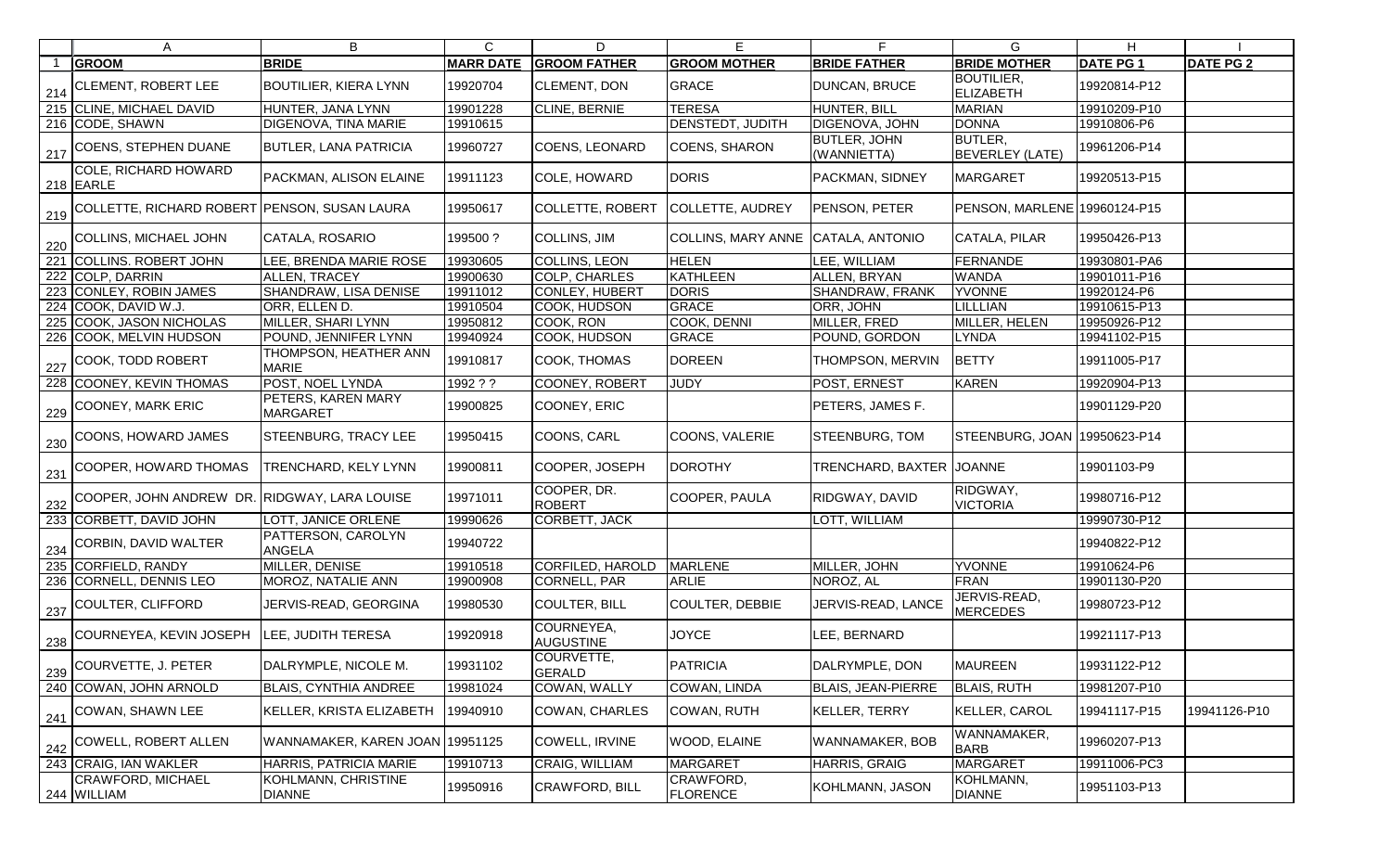| A                                                | В                                            | $\mathsf{C}$     | D                              | Е                                  | F                           | G.                                    | H.              |                  |
|--------------------------------------------------|----------------------------------------------|------------------|--------------------------------|------------------------------------|-----------------------------|---------------------------------------|-----------------|------------------|
| <b>GROOM</b>                                     | <b>BRIDE</b>                                 | <b>MARR DATE</b> | <b>GROOM FATHER</b>            | <b>GROOM MOTHER</b>                | <b>BRIDE FATHER</b>         | <b>BRIDE MOTHER</b>                   | <b>DATE PG1</b> | <b>DATE PG 2</b> |
| 214 CLEMENT, ROBERT LEE                          | <b>BOUTILIER, KIERA LYNN</b>                 | 19920704         | <b>CLEMENT, DON</b>            | <b>GRACE</b>                       | DUNCAN, BRUCE               | <b>BOUTILIER,</b><br><b>ELIZABETH</b> | 19920814-P12    |                  |
| 215 CLINE, MICHAEL DAVID                         | HUNTER, JANA LYNN                            | 19901228         | CLINE, BERNIE                  | <b>TERESA</b>                      | HUNTER, BILL                | <b>MARIAN</b>                         | 19910209-P10    |                  |
| 216 CODE, SHAWN                                  | <b>DIGENOVA, TINA MARIE</b>                  | 19910615         |                                | <b>DENSTEDT, JUDITH</b>            | DIGENOVA, JOHN              | <b>DONNA</b>                          | 19910806-P6     |                  |
| 217 COENS, STEPHEN DUANE                         | <b>BUTLER, LANA PATRICIA</b>                 | 19960727         | COENS, LEONARD                 | COENS, SHARON                      | BUTLER, JOHN<br>(WANNIETTA) | BUTLER,<br><b>BEVERLEY (LATE)</b>     | 19961206-P14    |                  |
| COLE, RICHARD HOWARD<br>$218$ EARLE              | <b>PACKMAN, ALISON ELAINE</b>                | 19911123         | COLE, HOWARD                   | <b>DORIS</b>                       | PACKMAN, SIDNEY             | <b>MARGARET</b>                       | 19920513-P15    |                  |
| 219 COLLETTE, RICHARD ROBERT PENSON, SUSAN LAURA |                                              | 19950617         | <b>COLLETTE, ROBERT</b>        | COLLETTE, AUDREY                   | PENSON, PETER               | PENSON, MARLENE 19960124-P15          |                 |                  |
| $\frac{220}{220}$ COLLINS, MICHAEL JOHN          | CATALA, ROSARIO                              | 199500?          | <b>COLLINS, JIM</b>            | COLLINS, MARY ANNE CATALA, ANTONIO |                             | CATALA, PILAR                         | 19950426-P13    |                  |
| 221 COLLINS. ROBERT JOHN                         | LEE, BRENDA MARIE ROSE                       | 19930605         | <b>COLLINS, LEON</b>           | <b>HELEN</b>                       | LEE, WILLIAM                | FERNANDE                              | 19930801-PA6    |                  |
| 222 COLP, DARRIN                                 | <b>ALLEN, TRACEY</b>                         | 19900630         | COLP, CHARLES                  | KATHLEEN                           | ALLEN, BRYAN                | <b>WANDA</b>                          | 19901011-P16    |                  |
| 223 CONLEY, ROBIN JAMES                          | <b>SHANDRAW, LISA DENISE</b>                 | 19911012         | <b>CONLEY, HUBERT</b>          | <b>DORIS</b>                       | SHANDRAW, FRANK             | <b>YVONNE</b>                         | 19920124-P6     |                  |
| 224 COOK, DAVID W.J.                             | ORR, ELLEN D.                                | 19910504         | COOK, HUDSON                   | GRACE                              | ORR, JOHN                   | <b>LILLLIAN</b>                       | 19910615-P13    |                  |
| 225 COOK, JASON NICHOLAS                         | MILLER, SHARI LYNN                           | 19950812         | COOK, RON                      | COOK, DENNI                        | MILLER, FRED                | MILLER, HELEN                         | 19950926-P12    |                  |
| 226 COOK, MELVIN HUDSON                          | POUND, JENNIFER LYNN                         | 19940924         | COOK, HUDSON                   | GRACE                              | POUND, GORDON               | <b>LYNDA</b>                          | 19941102-P15    |                  |
| $\frac{1}{227}$ COOK, TODD ROBERT                | THOMPSON, HEATHER ANN<br><b>MARIE</b>        | 19910817         | COOK, THOMAS                   | DOREEN                             | THOMPSON, MERVIN            | <b>BETTY</b>                          | 19911005-P17    |                  |
| 228 COONEY, KEVIN THOMAS                         | <b>POST, NOEL LYNDA</b>                      | 1992 ? ?         | COONEY, ROBERT                 | <b>JUDY</b>                        | POST, ERNEST                | <b>KAREN</b>                          | 19920904-P13    |                  |
| 229 COONEY, MARK ERIC                            | <b>PETERS, KAREN MARY</b><br><b>MARGARET</b> | 19900825         | COONEY, ERIC                   |                                    | PETERS, JAMES F.            |                                       | 19901129-P20    |                  |
| $\frac{1}{230}$ COONS, HOWARD JAMES              | <b>STEENBURG, TRACY LEE</b>                  | 19950415         | COONS, CARL                    | COONS, VALERIE                     | STEENBURG, TOM              | STEENBURG, JOAN 19950623-P14          |                 |                  |
| 231 COOPER, HOWARD THOMAS                        | <b>TRENCHARD, KELY LYNN</b>                  | 19900811         | COOPER, JOSEPH                 | <b>DOROTHY</b>                     | TRENCHARD, BAXTER           | <b>JOANNE</b>                         | 19901103-P9     |                  |
| 232 COOPER, JOHN ANDREW DR. RIDGWAY, LARA LOUISE |                                              | 19971011         | COOPER, DR.<br><b>ROBERT</b>   | COOPER, PAULA                      | RIDGWAY, DAVID              | RIDGWAY,<br><b>VICTORIA</b>           | 19980716-P12    |                  |
| 233 CORBETT, DAVID JOHN                          | LOTT, JANICE ORLENE                          | 19990626         | CORBETT, JACK                  |                                    | LOTT, WILLIAM               |                                       | 19990730-P12    |                  |
| $\frac{1}{234}$ CORBIN, DAVID WALTER             | PATTERSON, CAROLYN<br>ANGELA                 | 19940722         |                                |                                    |                             |                                       | 19940822-P12    |                  |
| 235 CORFIELD, RANDY                              | MILLER, DENISE                               | 19910518         | CORFILED, HAROLD               | <b>MARLENE</b>                     | MILLER, JOHN                | <b>YVONNE</b>                         | 19910624-P6     |                  |
| 236 CORNELL, DENNIS LEO                          | MOROZ, NATALIE ANN                           | 19900908         | <b>CORNELL, PAR</b>            | ARLIE                              | NOROZ, AL                   | <b>FRAN</b>                           | 19901130-P20    |                  |
| 237 COULTER, CLIFFORD                            | JERVIS-READ, GEORGINA                        | 19980530         | COULTER, BILL                  | <b>COULTER, DEBBIE</b>             | JERVIS-READ, LANCE          | JERVIS-READ,<br><b>MERCEDES</b>       | 19980723-P12    |                  |
| 238 COURNEYEA, KEVIN JOSEPH                      | LEE, JUDITH TERESA                           | 19920918         | COURNEYEA,<br><b>AUGUSTINE</b> | <b>JOYCE</b>                       | LEE, BERNARD                |                                       | 19921117-P13    |                  |
| 239 COURVETTE, J. PETER                          | DALRYMPLE, NICOLE M.                         | 19931102         | COURVETTE,<br><b>GERALD</b>    | PATRICIA                           | DALRYMPLE, DON              | <b>MAUREEN</b>                        | 19931122-P12    |                  |
| 240 COWAN, JOHN ARNOLD                           | <b>BLAIS, CYNTHIA ANDREE</b>                 | 19981024         | COWAN, WALLY                   | COWAN, LINDA                       | <b>BLAIS, JEAN-PIERRE</b>   | <b>BLAIS, RUTH</b>                    | 19981207-P10    |                  |
| 241 COWAN, SHAWN LEE                             | KELLER, KRISTA ELIZABETH                     | 19940910         | <b>COWAN, CHARLES</b>          | COWAN, RUTH                        | KELLER, TERRY               | KELLER, CAROL                         | 19941117-P15    | 19941126-P10     |
| 242 COWELL, ROBERT ALLEN                         | WANNAMAKER, KAREN JOAN 19951125              |                  | <b>COWELL, IRVINE</b>          | WOOD, ELAINE                       | WANNAMAKER, BOB             | WANNAMAKER,<br><b>BARB</b>            | 19960207-P13    |                  |
| 243 CRAIG, IAN WAKLER                            | HARRIS, PATRICIA MARIE                       | 19910713         | CRAIG, WILLIAM                 | <b>MARGARET</b>                    | HARRIS, GRAIG               | MARGARET                              | 19911006-PC3    |                  |
| CRAWFORD, MICHAEL<br>244 WILLIAM                 | KOHLMANN, CHRISTINE<br><b>DIANNE</b>         | 19950916         | <b>CRAWFORD, BILL</b>          | CRAWFORD,<br><b>FLORENCE</b>       | KOHLMANN, JASON             | KOHLMANN,<br><b>DIANNE</b>            | 19951103-P13    |                  |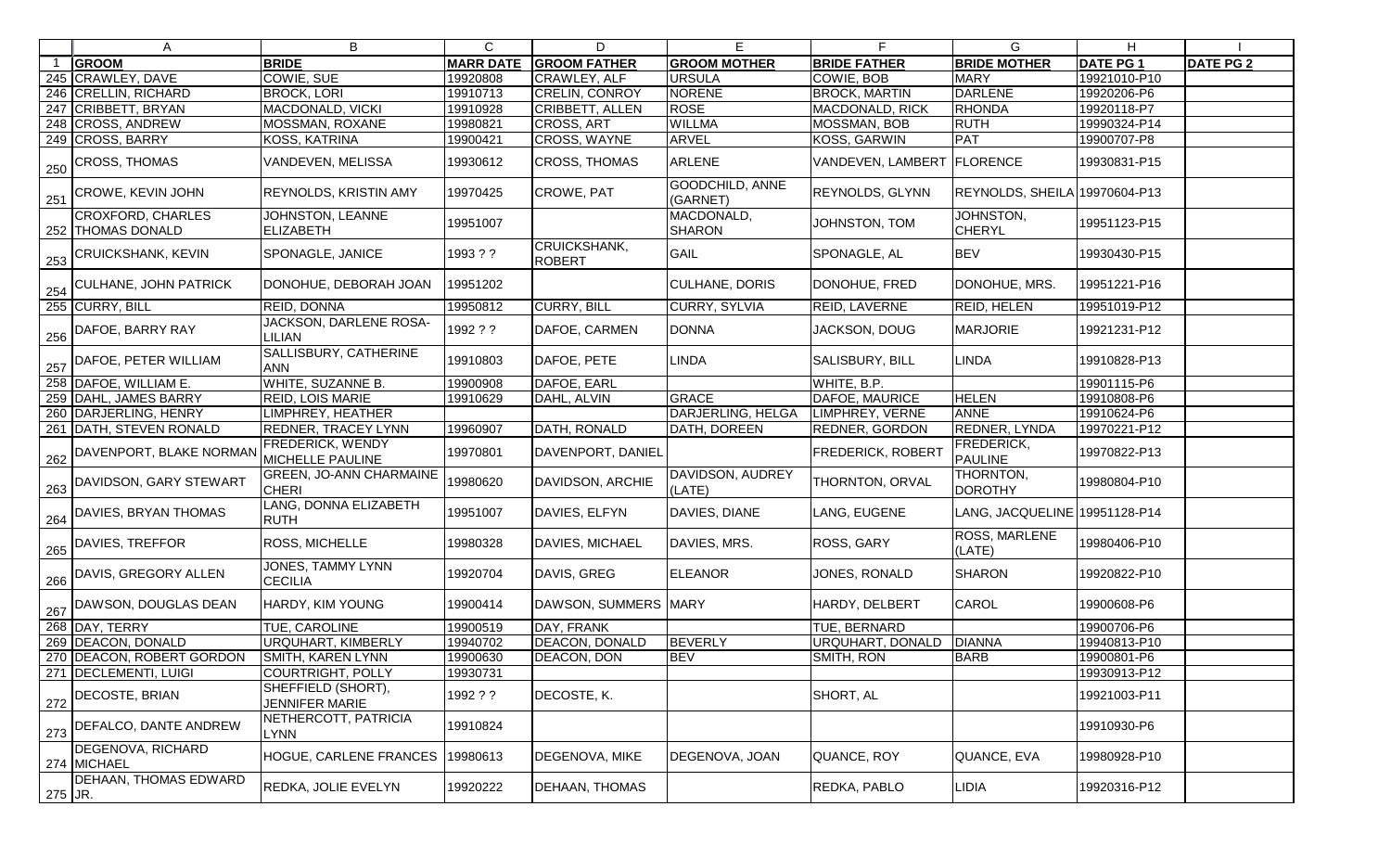|         | A                                               | B                                           | $\mathsf{C}$     | D                             | E                           | F.                           | G                             | H.              |                  |
|---------|-------------------------------------------------|---------------------------------------------|------------------|-------------------------------|-----------------------------|------------------------------|-------------------------------|-----------------|------------------|
|         | <b>GROOM</b>                                    | <b>BRIDE</b>                                | <b>MARR DATE</b> | <b>GROOM FATHER</b>           | <b>GROOM MOTHER</b>         | <b>BRIDE FATHER</b>          | <b>BRIDE MOTHER</b>           | <b>DATE PG1</b> | <b>DATE PG 2</b> |
|         | 245 CRAWLEY, DAVE                               | COWIE, SUE                                  | 19920808         | CRAWLEY, ALF                  | <b>URSULA</b>               | COWIE, BOB                   | <b>MARY</b>                   | 19921010-P10    |                  |
|         | 246 CRELLIN, RICHARD                            | <b>BROCK, LORI</b>                          | 19910713         | <b>CRELIN, CONROY</b>         | <b>NORENE</b>               | <b>BROCK, MARTIN</b>         | <b>DARLENE</b>                | 19920206-P6     |                  |
|         | 247 CRIBBETT, BRYAN                             | MACDONALD, VICKI                            | 19910928         | CRIBBETT, ALLEN               | <b>ROSE</b>                 | <b>MACDONALD, RICK</b>       | <b>RHONDA</b>                 | 19920118-P7     |                  |
|         | 248 CROSS, ANDREW                               | MOSSMAN, ROXANE                             | 19980821         | CROSS, ART                    | <b>WILLMA</b>               | <b>MOSSMAN, BOB</b>          | <b>RUTH</b>                   | 19990324-P14    |                  |
|         | 249 CROSS, BARRY                                | KOSS, KATRINA                               | 19900421         | CROSS, WAYNE                  | <b>ARVEL</b>                | <b>KOSS, GARWIN</b>          | <b>PAT</b>                    | 19900707-P8     |                  |
| 250     | <b>CROSS, THOMAS</b>                            | VANDEVEN, MELISSA                           | 19930612         | <b>CROSS, THOMAS</b>          | ARLENE                      | VANDEVEN, LAMBERT   FLORENCE |                               | 19930831-P15    |                  |
|         | $\frac{251}{251}$ CROWE, KEVIN JOHN             | REYNOLDS, KRISTIN AMY                       | 19970425         | CROWE, PAT                    | GOODCHILD, ANNE<br>(GARNET) | REYNOLDS, GLYNN              | REYNOLDS, SHEILA 19970604-P13 |                 |                  |
|         | <b>CROXFORD, CHARLES</b><br>252   THOMAS DONALD | JOHNSTON, LEANNE<br><b>ELIZABETH</b>        | 19951007         |                               | MACDONALD,<br><b>SHARON</b> | JOHNSTON, TOM                | JOHNSTON,<br><b>CHERYL</b>    | 19951123-P15    |                  |
| 253     | <b>CRUICKSHANK, KEVIN</b>                       | SPONAGLE, JANICE                            | 1993??           | CRUICKSHANK,<br><b>ROBERT</b> | <b>GAIL</b>                 | SPONAGLE, AL                 | <b>BEV</b>                    | 19930430-P15    |                  |
|         | 254 CULHANE, JOHN PATRICK                       | DONOHUE, DEBORAH JOAN                       | 19951202         |                               | <b>CULHANE, DORIS</b>       | DONOHUE, FRED                | DONOHUE, MRS.                 | 19951221-P16    |                  |
|         | 255 CURRY, BILL                                 | REID, DONNA                                 | 19950812         | CURRY, BILL                   | CURRY, SYLVIA               | <b>REID, LAVERNE</b>         | <b>REID, HELEN</b>            | 19951019-P12    |                  |
| 256     | DAFOE, BARRY RAY                                | JACKSON, DARLENE ROSA-<br>LILIAN            | 1992??           | DAFOE, CARMEN                 | <b>DONNA</b>                | JACKSON, DOUG                | <b>MARJORIE</b>               | 19921231-P12    |                  |
| 257     | DAFOE, PETER WILLIAM                            | SALLISBURY, CATHERINE<br><b>ANN</b>         | 19910803         | DAFOE, PETE                   | LINDA                       | SALISBURY, BILL              | LINDA                         | 19910828-P13    |                  |
|         | 258 DAFOE, WILLIAM E.                           | WHITE, SUZANNE B.                           | 19900908         | DAFOE, EARL                   |                             | WHITE, B.P.                  |                               | 19901115-P6     |                  |
|         | 259 DAHL, JAMES BARRY                           | <b>REID, LOIS MARIE</b>                     | 19910629         | DAHL, ALVIN                   | <b>GRACE</b>                | DAFOE, MAURICE               | <b>HELEN</b>                  | 19910808-P6     |                  |
|         | 260 DARJERLING, HENRY                           | IMPHREY, HEATHER                            |                  |                               | DARJERLING, HELGA           | LIMPHREY, VERNE              | <b>ANNE</b>                   | 19910624-P6     |                  |
|         | 261 DATH, STEVEN RONALD                         | REDNER, TRACEY LYNN                         | 19960907         | DATH, RONALD                  | DATH, DOREEN                | <b>REDNER, GORDON</b>        | <b>REDNER, LYNDA</b>          | 19970221-P12    |                  |
|         | 262 DAVENPORT, BLAKE NORMAN                     | FREDERICK, WENDY<br>MICHELLE PAULINE        | 19970801         | DAVENPORT, DANIEL             |                             | <b>FREDERICK, ROBERT</b>     | FREDERICK,<br><b>PAULINE</b>  | 19970822-P13    |                  |
|         | 263 DAVIDSON, GARY STEWART                      | GREEN, JO-ANN CHARMAINE<br><b>CHERI</b>     | 19980620         | DAVIDSON, ARCHIE              | DAVIDSON, AUDREY<br>(LATE)  | <b>THORNTON, ORVAL</b>       | THORNTON,<br><b>DOROTHY</b>   | 19980804-P10    |                  |
| 264     | <b>DAVIES, BRYAN THOMAS</b>                     | LANG, DONNA ELIZABETH<br><b>RUTH</b>        | 19951007         | DAVIES, ELFYN                 | DAVIES, DIANE               | LANG, EUGENE                 | LANG, JACQUELINE 19951128-P14 |                 |                  |
| 265     | DAVIES, TREFFOR                                 | ROSS, MICHELLE                              | 19980328         | <b>DAVIES, MICHAEL</b>        | DAVIES, MRS.                | ROSS, GARY                   | ROSS, MARLENE<br>(LATE)       | 19980406-P10    |                  |
| 266     | DAVIS, GREGORY ALLEN                            | JONES, TAMMY LYNN<br><b>CECILIA</b>         | 19920704         | DAVIS, GREG                   | <b>ELEANOR</b>              | JONES, RONALD                | <b>SHARON</b>                 | 19920822-P10    |                  |
|         | 267 DAWSON, DOUGLAS DEAN                        | HARDY, KIM YOUNG                            | 19900414         | DAWSON, SUMMERS MARY          |                             | HARDY, DELBERT               | <b>CAROL</b>                  | 19900608-P6     |                  |
|         | 268 DAY, TERRY                                  | TUE, CAROLINE                               | 19900519         | DAY, FRANK                    |                             | <b>TUE, BERNARD</b>          |                               | 19900706-P6     |                  |
|         | 269 DEACON, DONALD                              | URQUHART, KIMBERLY                          | 19940702         | <b>DEACON, DONALD</b>         | <b>BEVERLY</b>              | URQUHART, DONALD             | <b>DIANNA</b>                 | 19940813-P10    |                  |
|         | 270   DEACON, ROBERT GORDON                     | SMITH, KAREN LYNN                           | 19900630         | DEACON, DON                   | <b>BEV</b>                  | SMITH, RON                   | <b>BARB</b>                   | 19900801-P6     |                  |
|         | 271   DECLEMENTI, LUIGI                         | <b>COURTRIGHT, POLLY</b>                    | 19930731         |                               |                             |                              |                               | 19930913-P12    |                  |
| 272     | DECOSTE, BRIAN                                  | SHEFFIELD (SHORT),<br><b>JENNIFER MARIE</b> | 1992??           | DECOSTE, K.                   |                             | SHORT, AL                    |                               | 19921003-P11    |                  |
|         | 273 DEFALCO, DANTE ANDREW                       | NETHERCOTT, PATRICIA<br>LYNN                | 19910824         |                               |                             |                              |                               | 19910930-P6     |                  |
|         | DEGENOVA, RICHARD<br>274 MICHAEL                | HOGUE, CARLENE FRANCES                      | 19980613         | <b>DEGENOVA, MIKE</b>         | DEGENOVA, JOAN              | QUANCE, ROY                  | QUANCE, EVA                   | 19980928-P10    |                  |
| 275 JR. | DEHAAN, THOMAS EDWARD                           | REDKA, JOLIE EVELYN                         | 19920222         | <b>DEHAAN, THOMAS</b>         |                             | REDKA, PABLO                 | LIDIA                         | 19920316-P12    |                  |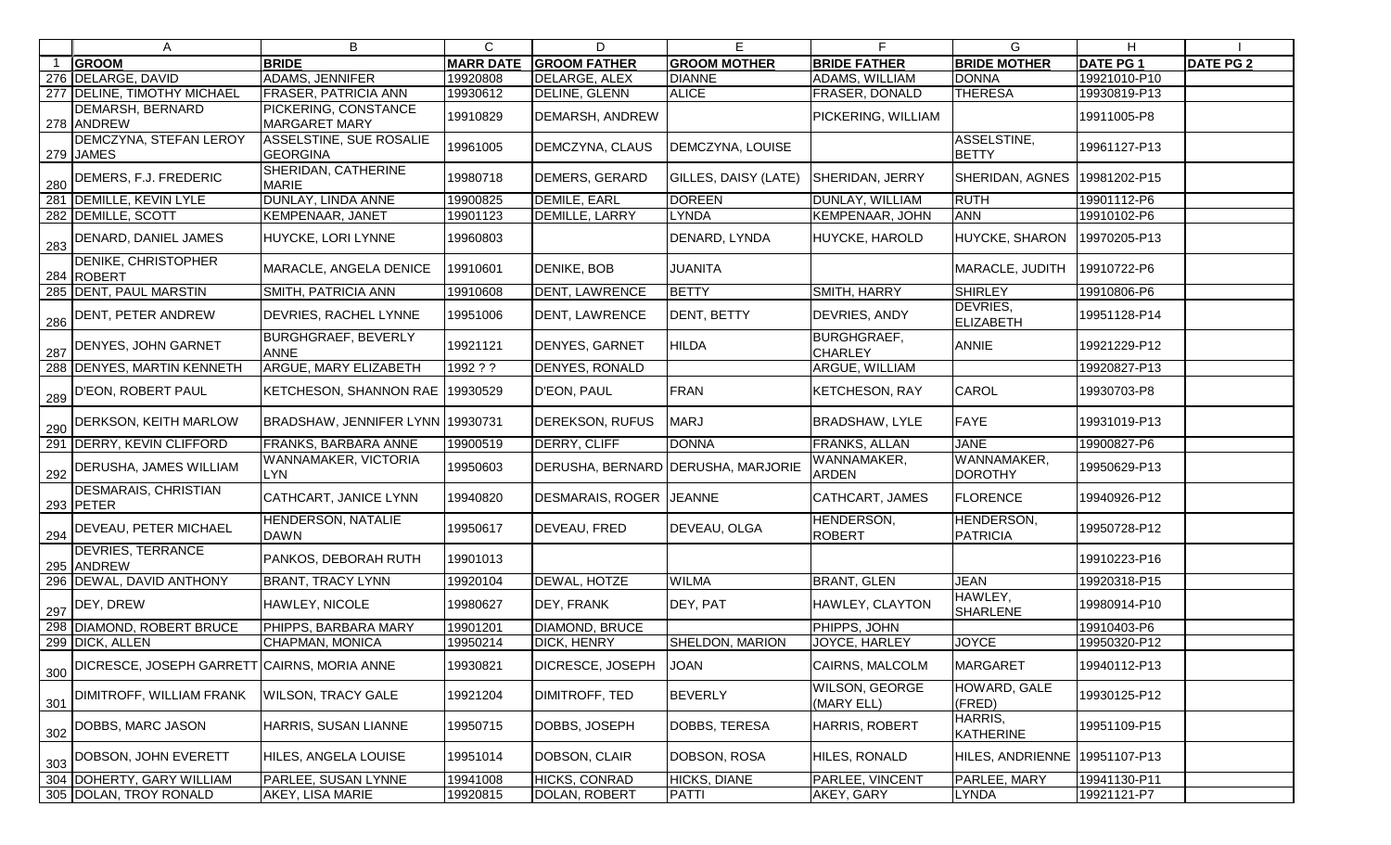| $\mathsf{A}$                                                | B                                                 | $\mathsf{C}$     | D                       | Е                                  |                                      | G                             | H               |                  |
|-------------------------------------------------------------|---------------------------------------------------|------------------|-------------------------|------------------------------------|--------------------------------------|-------------------------------|-----------------|------------------|
| <b>GROOM</b>                                                | <b>BRIDE</b>                                      | <b>MARR DATE</b> | <b>GROOM FATHER</b>     | <b>GROOM MOTHER</b>                | <b>BRIDE FATHER</b>                  | <b>BRIDE MOTHER</b>           | <b>DATE PG1</b> | <b>DATE PG 2</b> |
| 276 DELARGE, DAVID                                          | <b>ADAMS, JENNIFER</b>                            | 19920808         | DELARGE, ALEX           | <b>DIANNE</b>                      | ADAMS, WILLIAM                       | <b>DONNA</b>                  | 19921010-P10    |                  |
| 277 DELINE, TIMOTHY MICHAEL                                 | <b>FRASER, PATRICIA ANN</b>                       | 19930612         | DELINE, GLENN           | <b>ALICE</b>                       | FRASER, DONALD                       | <b>THERESA</b>                | 19930819-P13    |                  |
| DEMARSH, BERNARD<br>278 ANDREW                              | PICKERING, CONSTANCE<br><b>MARGARET MARY</b>      | 19910829         | DEMARSH, ANDREW         |                                    | PICKERING, WILLIAM                   |                               | 19911005-P8     |                  |
| <b>DEMCZYNA, STEFAN LEROY</b><br>279 JAMES                  | <b>ASSELSTINE, SUE ROSALIE</b><br><b>GEORGINA</b> | 19961005         | DEMCZYNA, CLAUS         | DEMCZYNA, LOUISE                   |                                      | ASSELSTINE,<br><b>BETTY</b>   | 19961127-P13    |                  |
| $\frac{1}{280}$ DEMERS, F.J. FREDERIC                       | SHERIDAN, CATHERINE<br><b>MARIE</b>               | 19980718         | DEMERS, GERARD          | GILLES, DAISY (LATE)               | <b>SHERIDAN, JERRY</b>               | <b>SHERIDAN, AGNES</b>        | 19981202-P15    |                  |
| 281 DEMILLE, KEVIN LYLE                                     | DUNLAY, LINDA ANNE                                | 19900825         | DEMILE, EARL            | <b>DOREEN</b>                      | <b>DUNLAY, WILLIAM</b>               | <b>RUTH</b>                   | 19901112-P6     |                  |
| 282 DEMILLE, SCOTT                                          | <b>KEMPENAAR, JANET</b>                           | 19901123         | DEMILLE, LARRY          | <b>LYNDA</b>                       | KEMPENAAR, JOHN                      | <b>ANN</b>                    | 19910102-P6     |                  |
| 283 DENARD, DANIEL JAMES                                    | HUYCKE, LORI LYNNE                                | 19960803         |                         | DENARD, LYNDA                      | HUYCKE, HAROLD                       | <b>HUYCKE, SHARON</b>         | 19970205-P13    |                  |
| <b>DENIKE, CHRISTOPHER</b><br>284 ROBERT                    | MARACLE, ANGELA DENICE                            | 19910601         | DENIKE, BOB             | <b>JUANITA</b>                     |                                      | MARACLE, JUDITH               | 19910722-P6     |                  |
| 285 DENT, PAUL MARSTIN                                      | <b>SMITH, PATRICIA ANN</b>                        | 19910608         | DENT, LAWRENCE          | <b>BETTY</b>                       | <b>SMITH, HARRY</b>                  | <b>SHIRLEY</b>                | 19910806-P6     |                  |
| $\frac{1}{286}$ DENT, PETER ANDREW                          | <b>DEVRIES, RACHEL LYNNE</b>                      | 19951006         | <b>DENT, LAWRENCE</b>   | DENT, BETTY                        | DEVRIES, ANDY                        | DEVRIES,<br><b>ELIZABETH</b>  | 19951128-P14    |                  |
| 287 DENYES, JOHN GARNET                                     | <b>BURGHGRAEF, BEVERLY</b><br><b>ANNE</b>         | 19921121         | <b>DENYES, GARNET</b>   | <b>HILDA</b>                       | <b>BURGHGRAEF,</b><br><b>CHARLEY</b> | <b>ANNIE</b>                  | 19921229-P12    |                  |
| 288 DENYES, MARTIN KENNETH                                  | <b>ARGUE, MARY ELIZABETH</b>                      | 1992 ? ?         | DENYES, RONALD          |                                    | ARGUE, WILLIAM                       |                               | 19920827-P13    |                  |
| $\frac{289}{289}$ P'EON, ROBERT PAUL                        | KETCHESON, SHANNON RAE                            | 19930529         | D'EON, PAUL             | FRAN                               | <b>KETCHESON, RAY</b>                | <b>CAROL</b>                  | 19930703-P8     |                  |
| $\frac{1}{290}$ DERKSON, KEITH MARLOW                       | BRADSHAW, JENNIFER LYNN 19930731                  |                  | DEREKSON, RUFUS         | <b>MARJ</b>                        | BRADSHAW, LYLE                       | <b>FAYE</b>                   | 19931019-P13    |                  |
| 291 DERRY, KEVIN CLIFFORD                                   | FRANKS, BARBARA ANNE                              | 19900519         | DERRY, CLIFF            | <b>DONNA</b>                       | FRANKS, ALLAN                        | <b>JANE</b>                   | 19900827-P6     |                  |
| $\frac{1}{292}$ DERUSHA, JAMES WILLIAM                      | WANNAMAKER, VICTORIA<br><b>LYN</b>                | 19950603         |                         | DERUSHA, BERNARD DERUSHA, MARJORIE | WANNAMAKER,<br><b>ARDEN</b>          | WANNAMAKER,<br><b>DOROTHY</b> | 19950629-P13    |                  |
| <b>DESMARAIS, CHRISTIAN</b><br>293 PETER                    | CATHCART, JANICE LYNN                             | 19940820         | DESMARAIS, ROGER JEANNE |                                    | CATHCART, JAMES                      | <b>FLORENCE</b>               | 19940926-P12    |                  |
| $\frac{1}{294}$ DEVEAU, PETER MICHAEL                       | <b>HENDERSON, NATALIE</b><br><b>DAWN</b>          | 19950617         | DEVEAU, FRED            | <b>DEVEAU, OLGA</b>                | HENDERSON,<br><b>ROBERT</b>          | HENDERSON,<br>PATRICIA        | 19950728-P12    |                  |
| <b>DEVRIES, TERRANCE</b><br>295 ANDREW                      | PANKOS, DEBORAH RUTH                              | 19901013         |                         |                                    |                                      |                               | 19910223-P16    |                  |
| 296 DEWAL, DAVID ANTHONY                                    | <b>BRANT, TRACY LYNN</b>                          | 19920104         | <b>DEWAL, HOTZE</b>     | <b>WILMA</b>                       | <b>BRANT, GLEN</b>                   | <b>JEAN</b>                   | 19920318-P15    |                  |
| $\frac{297}{297}$ DEY, DREW                                 | HAWLEY, NICOLE                                    | 19980627         | DEY, FRANK              | DEY, PAT                           | HAWLEY, CLAYTON                      | HAWLEY,<br><b>SHARLENE</b>    | 19980914-P10    |                  |
| 298 DIAMOND, ROBERT BRUCE                                   | PHIPPS, BARBARA MARY                              | 19901201         | <b>DIAMOND, BRUCE</b>   |                                    | PHIPPS, JOHN                         |                               | 19910403-P6     |                  |
| 299 DICK, ALLEN                                             | CHAPMAN, MONICA                                   | 19950214         | <b>DICK, HENRY</b>      | <b>SHELDON, MARION</b>             | JOYCE, HARLEY                        | <b>JOYCE</b>                  | 19950320-P12    |                  |
| $\frac{1}{300}$ DICRESCE, JOSEPH GARRETT CAIRNS, MORIA ANNE |                                                   | 19930821         | DICRESCE, JOSEPH        | <b>JOAN</b>                        | <b>CAIRNS, MALCOLM</b>               | <b>MARGARET</b>               | 19940112-P13    |                  |
| 301   DIMITROFF, WILLIAM FRANK                              | <b>WILSON, TRACY GALE</b>                         | 19921204         | <b>DIMITROFF, TED</b>   | <b>BEVERLY</b>                     | WILSON, GEORGE<br>(MARY ELL)         | HOWARD, GALE<br>(FRED)        | 19930125-P12    |                  |
| $\frac{302}{302}$ DOBBS, MARC JASON                         | HARRIS, SUSAN LIANNE                              | 19950715         | DOBBS, JOSEPH           | DOBBS, TERESA                      | HARRIS, ROBERT                       | HARRIS,<br>KATHERINE          | 19951109-P15    |                  |
| $\frac{1}{303}$ DOBSON, JOHN EVERETT                        | HILES, ANGELA LOUISE                              | 19951014         | DOBSON, CLAIR           | DOBSON, ROSA                       | HILES, RONALD                        | HILES, ANDRIENNE              | 19951107-P13    |                  |
| 304 DOHERTY, GARY WILLIAM                                   | PARLEE, SUSAN LYNNE                               | 19941008         | HICKS, CONRAD           | HICKS, DIANE                       | <b>PARLEE, VINCENT</b>               | PARLEE, MARY                  | 19941130-P11    |                  |
| 305 DOLAN, TROY RONALD                                      | AKEY, LISA MARIE                                  | 19920815         | DOLAN, ROBERT           | PATTI                              | AKEY, GARY                           | <b>LYNDA</b>                  | 19921121-P7     |                  |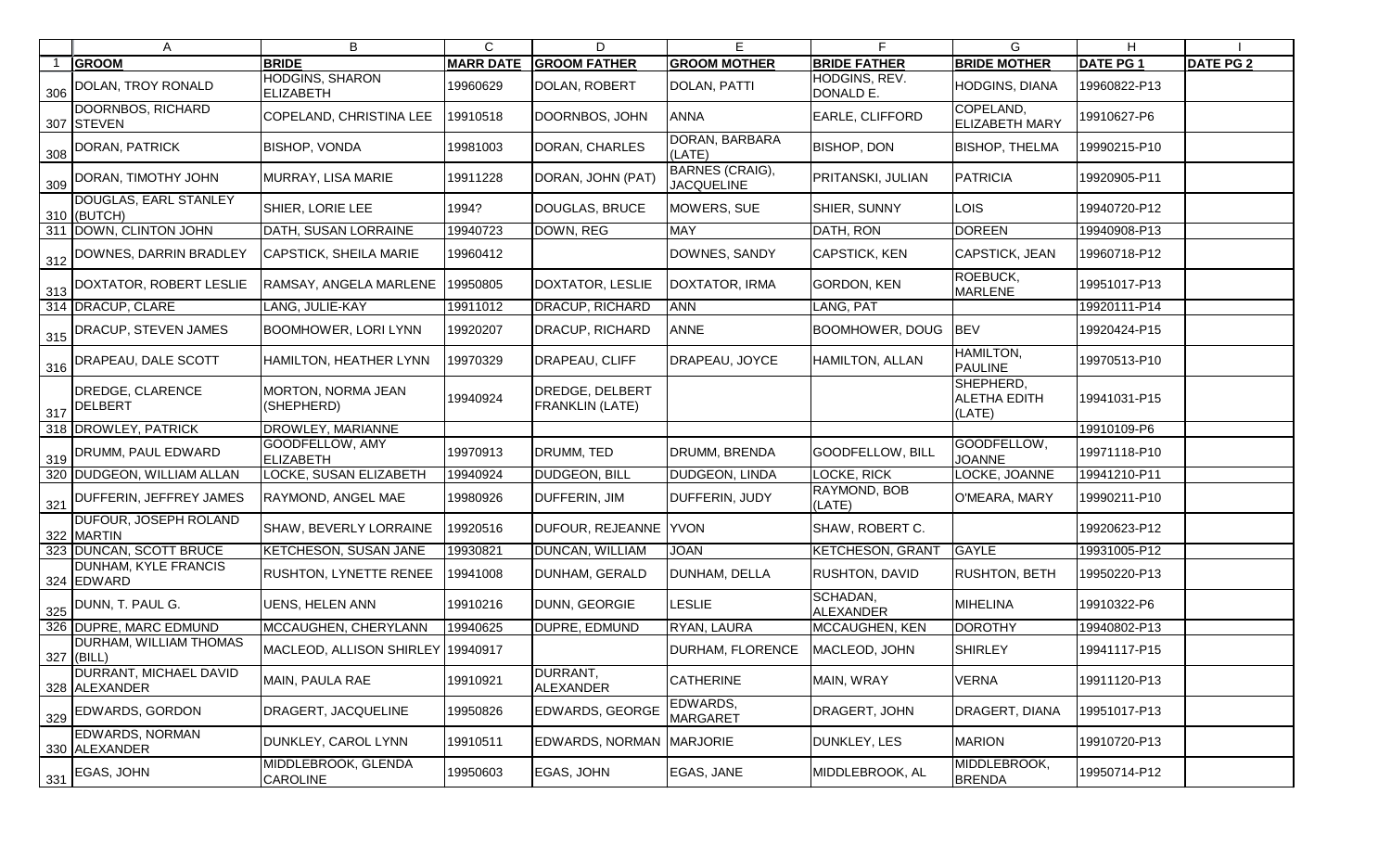|     | A                                       | B                                          | $\mathsf{C}$     | D                                         | E                                           |                              | G                                          | H               |                  |
|-----|-----------------------------------------|--------------------------------------------|------------------|-------------------------------------------|---------------------------------------------|------------------------------|--------------------------------------------|-----------------|------------------|
|     | <b>GROOM</b>                            | <b>BRIDE</b>                               | <b>MARR DATE</b> | <b>GROOM FATHER</b>                       | <b>GROOM MOTHER</b>                         | <b>BRIDE FATHER</b>          | <b>BRIDE MOTHER</b>                        | <b>DATE PG1</b> | <b>DATE PG 2</b> |
| 306 | DOLAN, TROY RONALD                      | <b>HODGINS, SHARON</b><br><b>ELIZABETH</b> | 19960629         | DOLAN, ROBERT                             | <b>DOLAN, PATTI</b>                         | HODGINS, REV.<br>DONALD E.   | HODGINS, DIANA                             | 19960822-P13    |                  |
|     | DOORNBOS, RICHARD<br>307 STEVEN         | COPELAND, CHRISTINA LEE                    | 19910518         | DOORNBOS, JOHN                            | <b>ANNA</b>                                 | EARLE, CLIFFORD              | COPELAND,<br><b>ELIZABETH MARY</b>         | 19910627-P6     |                  |
| 308 | DORAN, PATRICK                          | <b>BISHOP, VONDA</b>                       | 19981003         | DORAN, CHARLES                            | DORAN, BARBARA<br>(LATE)                    | <b>BISHOP, DON</b>           | <b>BISHOP, THELMA</b>                      | 19990215-P10    |                  |
|     | 309 DORAN, TIMOTHY JOHN                 | MURRAY, LISA MARIE                         | 19911228         | DORAN, JOHN (PAT)                         | <b>BARNES (CRAIG),</b><br><b>JACQUELINE</b> | PRITANSKI, JULIAN            | PATRICIA                                   | 19920905-P11    |                  |
|     | DOUGLAS, EARL STANLEY<br>310 (BUTCH)    | <b>SHIER, LORIE LEE</b>                    | 1994?            | <b>DOUGLAS, BRUCE</b>                     | MOWERS, SUE                                 | SHIER, SUNNY                 | <b>LOIS</b>                                | 19940720-P12    |                  |
|     | 311 DOWN, CLINTON JOHN                  | DATH, SUSAN LORRAINE                       | 19940723         | DOWN, REG                                 | <b>MAY</b>                                  | DATH, RON                    | <b>DOREEN</b>                              | 19940908-P13    |                  |
|     | 312 DOWNES, DARRIN BRADLEY              | CAPSTICK, SHEILA MARIE                     | 19960412         |                                           | DOWNES, SANDY                               | <b>CAPSTICK, KEN</b>         | CAPSTICK, JEAN                             | 19960718-P12    |                  |
|     | 313 DOXTATOR, ROBERT LESLIE             | RAMSAY, ANGELA MARLENE                     | 19950805         | DOXTATOR, LESLIE                          | DOXTATOR, IRMA                              | GORDON, KEN                  | ROEBUCK,<br><b>MARLENE</b>                 | 19951017-P13    |                  |
|     | 314 DRACUP, CLARE                       | LANG, JULIE-KAY                            | 19911012         | DRACUP, RICHARD                           | <b>ANN</b>                                  | LANG, PAT                    |                                            | 19920111-P14    |                  |
|     | 315 DRACUP, STEVEN JAMES                | <b>BOOMHOWER, LORI LYNN</b>                | 19920207         | DRACUP, RICHARD                           | <b>ANNE</b>                                 | <b>BOOMHOWER, DOUG</b>       | <b>BEV</b>                                 | 19920424-P15    |                  |
|     | 316   DRAPEAU, DALE SCOTT               | HAMILTON, HEATHER LYNN                     | 19970329         | DRAPEAU, CLIFF                            | DRAPEAU, JOYCE                              | HAMILTON, ALLAN              | HAMILTON,<br><b>PAULINE</b>                | 19970513-P10    |                  |
| 317 | DREDGE, CLARENCE<br>DELBERT             | MORTON, NORMA JEAN<br>(SHEPHERD)           | 19940924         | DREDGE, DELBERT<br><b>FRANKLIN (LATE)</b> |                                             |                              | SHEPHERD,<br><b>ALETHA EDITH</b><br>(LATE) | 19941031-P15    |                  |
|     | 318 DROWLEY, PATRICK                    | DROWLEY, MARIANNE                          |                  |                                           |                                             |                              |                                            | 19910109-P6     |                  |
| 319 | <b>DRUMM, PAUL EDWARD</b>               | GOODFELLOW, AMY<br>ELIZABETH               | 19970913         | DRUMM, TED                                | DRUMM, BRENDA                               | GOODFELLOW, BILL             | GOODFELLOW,<br><b>JOANNE</b>               | 19971118-P10    |                  |
|     | 320 DUDGEON, WILLIAM ALLAN              | LOCKE, SUSAN ELIZABETH                     | 19940924         | <b>DUDGEON, BILL</b>                      | DUDGEON, LINDA                              | <b>LOCKE, RICK</b>           | LOCKE, JOANNE                              | 19941210-P11    |                  |
|     | 321 DUFFERIN, JEFFREY JAMES             | <b>RAYMOND, ANGEL MAE</b>                  | 19980926         | DUFFERIN, JIM                             | DUFFERIN, JUDY                              | RAYMOND, BOB<br>(LATE)       | O'MEARA, MARY                              | 19990211-P10    |                  |
|     | DUFOUR, JOSEPH ROLAND<br>322 MARTIN     | <b>SHAW, BEVERLY LORRAINE</b>              | 19920516         | <b>DUFOUR, REJEANNE</b>                   | <b>YVON</b>                                 | SHAW, ROBERT C.              |                                            | 19920623-P12    |                  |
|     | 323 DUNCAN, SCOTT BRUCE                 | <b>KETCHESON, SUSAN JANE</b>               | 19930821         | DUNCAN, WILLIAM                           | <b>JOAN</b>                                 | <b>KETCHESON, GRANT</b>      | <b>GAYLE</b>                               | 19931005-P12    |                  |
|     | DUNHAM, KYLE FRANCIS<br>324 EDWARD      | <b>RUSHTON, LYNETTE RENEE</b>              | 19941008         | DUNHAM, GERALD                            | DUNHAM, DELLA                               | RUSHTON, DAVID               | <b>RUSHTON, BETH</b>                       | 19950220-P13    |                  |
|     | $325$ DUNN, T. PAUL G.                  | <b>UENS, HELEN ANN</b>                     | 19910216         | DUNN, GEORGIE                             | <b>LESLIE</b>                               | SCHADAN,<br><b>ALEXANDER</b> | <b>MIHELINA</b>                            | 19910322-P6     |                  |
|     | 326 DUPRE, MARC EDMUND                  | MCCAUGHEN, CHERYLANN                       | 19940625         | DUPRE, EDMUND                             | RYAN, LAURA                                 | MCCAUGHEN, KEN               | <b>DOROTHY</b>                             | 19940802-P13    |                  |
|     | DURHAM, WILLIAM THOMAS<br>$327$ (BILL)  | MACLEOD, ALLISON SHIRLEY 19940917          |                  |                                           | <b>DURHAM, FLORENCE</b>                     | MACLEOD, JOHN                | <b>SHIRLEY</b>                             | 19941117-P15    |                  |
|     | DURRANT, MICHAEL DAVID<br>328 ALEXANDER | MAIN, PAULA RAE                            | 19910921         | DURRANT,<br><b>ALEXANDER</b>              | <b>CATHERINE</b>                            | MAIN, WRAY                   | <b>VERNA</b>                               | 19911120-P13    |                  |
| 329 | <b>EDWARDS, GORDON</b>                  | DRAGERT, JACQUELINE                        | 19950826         | <b>EDWARDS, GEORGE</b>                    | EDWARDS,<br><b>MARGARET</b>                 | DRAGERT, JOHN                | DRAGERT, DIANA                             | 19951017-P13    |                  |
|     | EDWARDS, NORMAN<br>330 ALEXANDER        | DUNKLEY, CAROL LYNN                        | 19910511         | EDWARDS, NORMAN MARJORIE                  |                                             | DUNKLEY, LES                 | <b>MARION</b>                              | 19910720-P13    |                  |
| 331 | EGAS, JOHN                              | MIDDLEBROOK, GLENDA<br><b>CAROLINE</b>     | 19950603         | EGAS, JOHN                                | EGAS, JANE                                  | MIDDLEBROOK, AL              | MIDDLEBROOK,<br><b>BRENDA</b>              | 19950714-P12    |                  |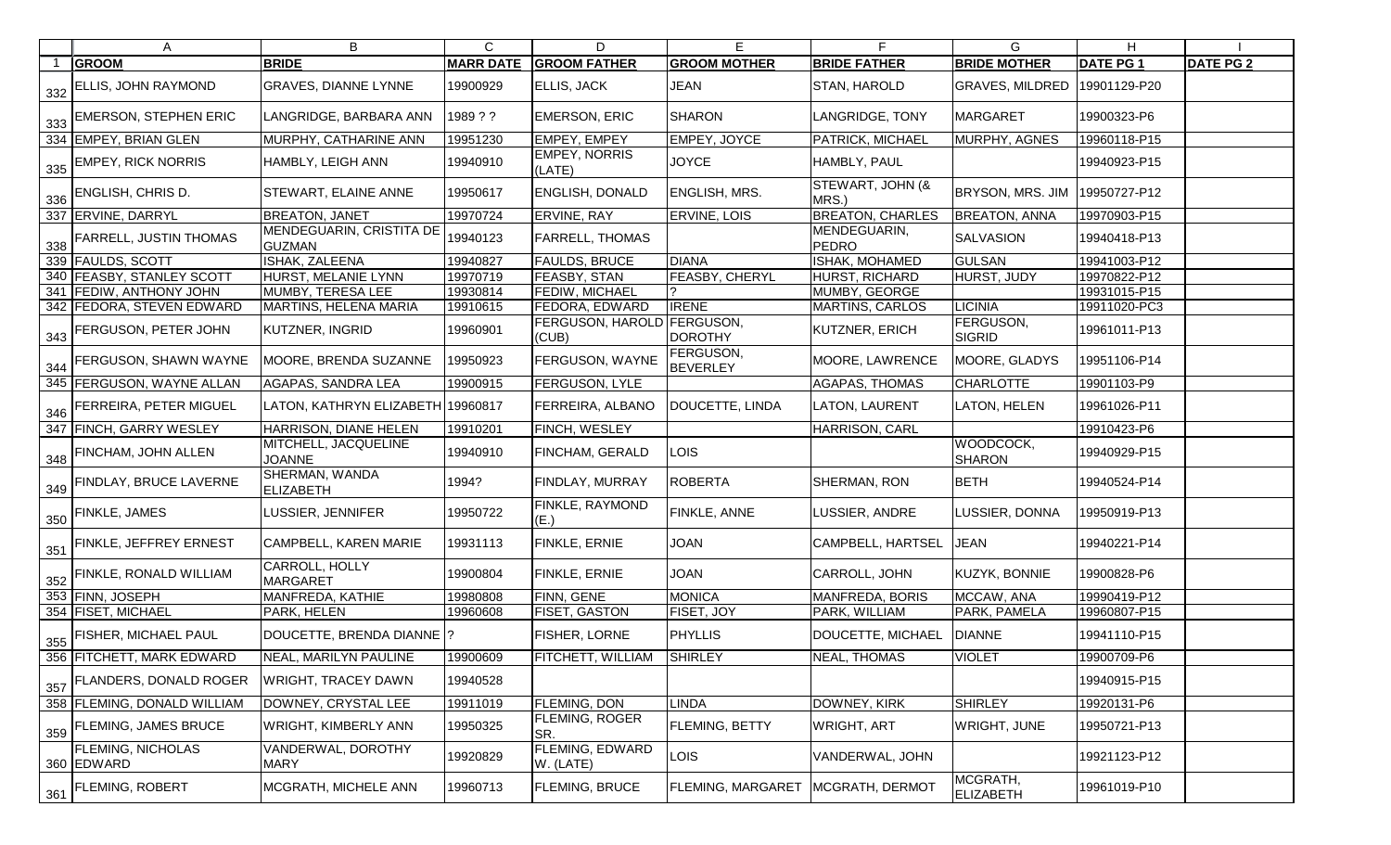| A                                        | B                                         | C                | D                                   | Е                            |                              | G                            | H.              |                  |
|------------------------------------------|-------------------------------------------|------------------|-------------------------------------|------------------------------|------------------------------|------------------------------|-----------------|------------------|
| <b>GROOM</b>                             | <b>BRIDE</b>                              | <b>MARR DATE</b> | <b>GROOM FATHER</b>                 | <b>GROOM MOTHER</b>          | <b>BRIDE FATHER</b>          | <b>BRIDE MOTHER</b>          | <b>DATE PG1</b> | <b>DATE PG 2</b> |
| $\frac{1}{332}$ ELLIS, JOHN RAYMOND      | <b>GRAVES, DIANNE LYNNE</b>               | 19900929         | <b>ELLIS, JACK</b>                  | <b>JEAN</b>                  | <b>STAN, HAROLD</b>          | <b>GRAVES, MILDRED</b>       | 19901129-P20    |                  |
| $\frac{1}{333}$ EMERSON, STEPHEN ERIC    | LANGRIDGE, BARBARA ANN                    | 1989??           | <b>EMERSON, ERIC</b>                | <b>SHARON</b>                | <b>LANGRIDGE, TONY</b>       | MARGARET                     | 19900323-P6     |                  |
| 334 EMPEY, BRIAN GLEN                    | MURPHY, CATHARINE ANN                     | 19951230         | <b>EMPEY, EMPEY</b>                 | <b>EMPEY, JOYCE</b>          | PATRICK, MICHAEL             | MURPHY, AGNES                | 19960118-P15    |                  |
| $\frac{335}{ }$ EMPEY, RICK NORRIS       | HAMBLY, LEIGH ANN                         | 19940910         | <b>EMPEY, NORRIS</b><br>(LATE)      | <b>JOYCE</b>                 | HAMBLY, PAUL                 |                              | 19940923-P15    |                  |
| $\frac{1}{336}$ ENGLISH, CHRIS D.        | <b>STEWART, ELAINE ANNE</b>               | 19950617         | <b>ENGLISH, DONALD</b>              | <b>ENGLISH, MRS.</b>         | STEWART, JOHN (&<br>MRS.)    | <b>BRYSON, MRS. JIM</b>      | 19950727-P12    |                  |
| 337 ERVINE, DARRYL                       | <b>BREATON, JANET</b>                     | 19970724         | ERVINE, RAY                         | <b>ERVINE, LOIS</b>          | <b>BREATON, CHARLES</b>      | <b>BREATON, ANNA</b>         | 19970903-P15    |                  |
| $\frac{338}{338}$ FARRELL, JUSTIN THOMAS | MENDEGUARIN, CRISTITA DE<br><b>GUZMAN</b> | 19940123         | FARRELL, THOMAS                     |                              | MENDEGUARIN,<br><b>PEDRO</b> | <b>SALVASION</b>             | 19940418-P13    |                  |
| 339 FAULDS, SCOTT                        | <b>ISHAK, ZALEENA</b>                     | 19940827         | <b>FAULDS, BRUCE</b>                | DIANA                        | <b>ISHAK, MOHAMED</b>        | <b>GULSAN</b>                | 19941003-P12    |                  |
| 340 FEASBY, STANLEY SCOTT                | HURST, MELANIE LYNN                       | 19970719         | FEASBY, STAN                        | <b>FEASBY, CHERYL</b>        | HURST, RICHARD               | <b>HURST, JUDY</b>           | 19970822-P12    |                  |
| 341 FEDIW, ANTHONY JOHN                  | MUMBY, TERESA LEE                         | 19930814         | FEDIW, MICHAEL                      |                              | MUMBY, GEORGE                |                              | 19931015-P15    |                  |
| 342 FEDORA, STEVEN EDWARD                | <b>MARTINS, HELENA MARIA</b>              | 19910615         | FEDORA, EDWARD                      | <b>IRENE</b>                 | <b>MARTINS, CARLOS</b>       | <b>LICINIA</b>               | 19911020-PC3    |                  |
| $\frac{343}{ }$ FERGUSON, PETER JOHN     | <b>KUTZNER, INGRID</b>                    | 19960901         | FERGUSON, HAROLD FERGUSON,<br>(CUB) | <b>DOROTHY</b>               | KUTZNER, ERICH               | FERGUSON,<br><b>SIGRID</b>   | 19961011-P13    |                  |
| 344 FERGUSON, SHAWN WAYNE                | MOORE, BRENDA SUZANNE                     | 19950923         | FERGUSON, WAYNE                     | FERGUSON,<br><b>BEVERLEY</b> | MOORE, LAWRENCE              | MOORE, GLADYS                | 19951106-P14    |                  |
| 345 FERGUSON, WAYNE ALLAN                | <b>AGAPAS, SANDRA LEA</b>                 | 19900915         | FERGUSON, LYLE                      |                              | AGAPAS, THOMAS               | <b>CHARLOTTE</b>             | 19901103-P9     |                  |
| $\frac{346}{ }$ FERREIRA, PETER MIGUEL   | LATON, KATHRYN ELIZABETH 19960817         |                  | FERREIRA, ALBANO                    | DOUCETTE, LINDA              | LATON, LAURENT               | <b>LATON, HELEN</b>          | 19961026-P11    |                  |
| 347 FINCH, GARRY WESLEY                  | HARRISON, DIANE HELEN                     | 19910201         | FINCH, WESLEY                       |                              | HARRISON, CARL               |                              | 19910423-P6     |                  |
| $\frac{348}{ }$ FINCHAM, JOHN ALLEN      | MITCHELL, JACQUELINE<br><b>JOANNE</b>     | 19940910         | FINCHAM, GERALD                     | <b>LOIS</b>                  |                              | WOODCOCK,<br><b>SHARON</b>   | 19940929-P15    |                  |
| 349 FINDLAY, BRUCE LAVERNE               | <b>SHERMAN, WANDA</b><br><b>ELIZABETH</b> | 1994?            | FINDLAY, MURRAY                     | <b>ROBERTA</b>               | SHERMAN, RON                 | <b>BETH</b>                  | 19940524-P14    |                  |
| $\frac{350}{350}$ FINKLE, JAMES          | LUSSIER, JENNIFER                         | 19950722         | FINKLE, RAYMOND<br>(E.)             | <b>FINKLE, ANNE</b>          | LUSSIER, ANDRE               | LUSSIER, DONNA               | 19950919-P13    |                  |
| $\frac{1}{351}$ FINKLE, JEFFREY ERNEST   | CAMPBELL, KAREN MARIE                     | 19931113         | FINKLE, ERNIE                       | <b>JOAN</b>                  | CAMPBELL, HARTSEL            | <b>JEAN</b>                  | 19940221-P14    |                  |
| $\frac{352}{ }$ FINKLE, RONALD WILLIAM   | CARROLL, HOLLY<br><b>MARGARET</b>         | 19900804         | FINKLE, ERNIE                       | <b>JOAN</b>                  | CARROLL, JOHN                | KUZYK, BONNIE                | 19900828-P6     |                  |
| 353 FINN, JOSEPH                         | MANFREDA, KATHIE                          | 19980808         | FINN, GENE                          | <b>MONICA</b>                | MANFREDA, BORIS              | MCCAW, ANA                   | 19990419-P12    |                  |
| 354 FISET, MICHAEL                       | PARK, HELEN                               | 19960608         | FISET, GASTON                       | FISET, JOY                   | PARK, WILLIAM                | PARK, PAMELA                 | 19960807-P15    |                  |
| $\frac{355}{355}$ FISHER, MICHAEL PAUL   | DOUCETTE, BRENDA DIANNE  ?                |                  | FISHER, LORNE                       | <b>PHYLLIS</b>               | DOUCETTE, MICHAEL            | <b>DIANNE</b>                | 19941110-P15    |                  |
| 356 FITCHETT, MARK EDWARD                | NEAL, MARILYN PAULINE                     | 19900609         | FITCHETT, WILLIAM                   | <b>SHIRLEY</b>               | NEAL, THOMAS                 | <b>VIOLET</b>                | 19900709-P6     |                  |
| 357 FLANDERS, DONALD ROGER               | <b>WRIGHT, TRACEY DAWN</b>                | 19940528         |                                     |                              |                              |                              | 19940915-P15    |                  |
| 358 FLEMING, DONALD WILLIAM              | DOWNEY, CRYSTAL LEE                       | 19911019         | FLEMING, DON                        | <b>LINDA</b>                 | DOWNEY, KIRK                 | <b>SHIRLEY</b>               | 19920131-P6     |                  |
| $\frac{359}{ }$ FLEMING, JAMES BRUCE     | <b>WRIGHT, KIMBERLY ANN</b>               | 19950325         | <b>FLEMING, ROGER</b><br>SR.        | <b>FLEMING, BETTY</b>        | <b>WRIGHT, ART</b>           | <b>WRIGHT, JUNE</b>          | 19950721-P13    |                  |
| <b>FLEMING, NICHOLAS</b><br>360 EDWARD   | VANDERWAL, DOROTHY<br><b>MARY</b>         | 19920829         | <b>FLEMING, EDWARD</b><br>W. (LATE) | <b>LOIS</b>                  | VANDERWAL, JOHN              |                              | 19921123-P12    |                  |
| 361 FLEMING, ROBERT                      | <b>MCGRATH, MICHELE ANN</b>               | 19960713         | FLEMING, BRUCE                      | <b>FLEMING, MARGARET</b>     | MCGRATH, DERMOT              | MCGRATH,<br><b>ELIZABETH</b> | 19961019-P10    |                  |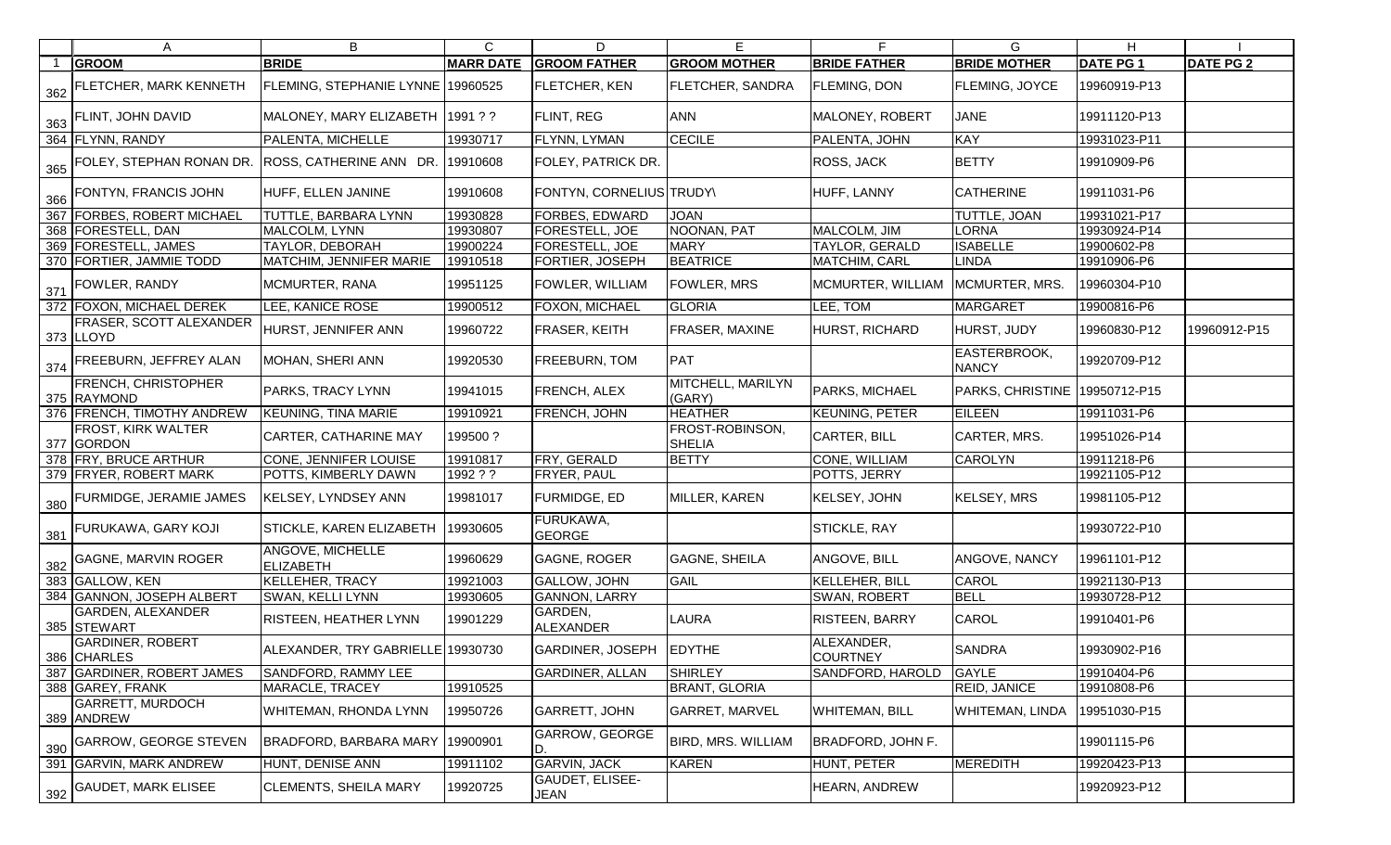|     | A                                         | B                                  | C                | D                              | Е                                | F.                                 | G                                   | H               |                  |
|-----|-------------------------------------------|------------------------------------|------------------|--------------------------------|----------------------------------|------------------------------------|-------------------------------------|-----------------|------------------|
|     | <b>GROOM</b>                              | <b>BRIDE</b>                       | <b>MARR DATE</b> | <b>GROOM FATHER</b>            | <b>GROOM MOTHER</b>              | <b>BRIDE FATHER</b>                | <b>BRIDE MOTHER</b>                 | <b>DATE PG1</b> | <b>DATE PG 2</b> |
| 362 | <b>FLETCHER, MARK KENNETH</b>             | FLEMING, STEPHANIE LYNNE 19960525  |                  | <b>FLETCHER, KEN</b>           | <b>FLETCHER, SANDRA</b>          | <b>FLEMING, DON</b>                | <b>FLEMING, JOYCE</b>               | 19960919-P13    |                  |
|     | 363 FLINT, JOHN DAVID                     | MALONEY, MARY ELIZABETH   1991 ? ? |                  | <b>FLINT, REG</b>              | <b>ANN</b>                       | MALONEY, ROBERT                    | <b>JANE</b>                         | 19911120-P13    |                  |
|     | 364 FLYNN, RANDY                          | PALENTA, MICHELLE                  | 19930717         | FLYNN, LYMAN                   | <b>CECILE</b>                    | PALENTA, JOHN                      | <b>KAY</b>                          | 19931023-P11    |                  |
|     | 365 FOLEY, STEPHAN RONAN DR.              | ROSS, CATHERINE ANN DR.            | 19910608         | FOLEY, PATRICK DR.             |                                  | <b>ROSS, JACK</b>                  | <b>BETTY</b>                        | 19910909-P6     |                  |
|     | 366 FONTYN, FRANCIS JOHN                  | HUFF, ELLEN JANINE                 | 19910608         | FONTYN, CORNELIUS TRUDY        |                                  | HUFF, LANNY                        | <b>CATHERINE</b>                    | 19911031-P6     |                  |
|     | 367 FORBES, ROBERT MICHAEL                | <b>TUTTLE, BARBARA LYNN</b>        | 19930828         | FORBES, EDWARD                 | <b>JOAN</b>                      |                                    | TUTTLE, JOAN                        | 19931021-P17    |                  |
|     | 368 FORESTELL, DAN                        | MALCOLM, LYNN                      | 19930807         | FORESTELL, JOE                 | NOONAN, PAT                      | MALCOLM, JIM                       | <b>LORNA</b>                        | 19930924-P14    |                  |
|     | 369 FORESTELL, JAMES                      | TAYLOR, DEBORAH                    | 19900224         | FORESTELL, JOE                 | <b>MARY</b>                      | <b>TAYLOR, GERALD</b>              | <b>ISABELLE</b>                     | 19900602-P8     |                  |
|     | 370 FORTIER, JAMMIE TODD                  | MATCHIM, JENNIFER MARIE            | 19910518         | FORTIER, JOSEPH                | <b>BEATRICE</b>                  | MATCHIM, CARL                      | <b>LINDA</b>                        | 19910906-P6     |                  |
|     | 371 FOWLER, RANDY                         | MCMURTER, RANA                     | 19951125         | FOWLER, WILLIAM                | <b>FOWLER, MRS</b>               | MCMURTER, WILLIAM   MCMURTER, MRS. |                                     | 19960304-P10    |                  |
|     | 372 FOXON, MICHAEL DEREK                  | LEE, KANICE ROSE                   | 19900512         | FOXON, MICHAEL                 | <b>GLORIA</b>                    | LEE, TOM                           | <b>MARGARET</b>                     | 19900816-P6     |                  |
|     | FRASER, SCOTT ALEXANDER<br>373 LLOYD      | HURST, JENNIFER ANN                | 19960722         | FRASER, KEITH                  | <b>FRASER, MAXINE</b>            | <b>HURST, RICHARD</b>              | HURST, JUDY                         | 19960830-P12    | 19960912-P15     |
|     | 374 FREEBURN, JEFFREY ALAN                | MOHAN, SHERI ANN                   | 19920530         | FREEBURN, TOM                  | PAT                              |                                    | <b>EASTERBROOK,</b><br><b>NANCY</b> | 19920709-P12    |                  |
|     | <b>FRENCH, CHRISTOPHER</b><br>375 RAYMOND | PARKS, TRACY LYNN                  | 19941015         | FRENCH, ALEX                   | MITCHELL, MARILYN<br>(GARY)      | PARKS, MICHAEL                     | PARKS, CHRISTINE                    | 19950712-P15    |                  |
|     | 376 FRENCH, TIMOTHY ANDREW                | <b>KEUNING, TINA MARIE</b>         | 19910921         | FRENCH, JOHN                   | <b>HEATHER</b>                   | <b>KEUNING, PETER</b>              | <b>EILEEN</b>                       | 19911031-P6     |                  |
|     | <b>FROST, KIRK WALTER</b><br>377 GORDON   | <b>CARTER, CATHARINE MAY</b>       | 199500?          |                                | FROST-ROBINSON,<br><b>SHELIA</b> | <b>CARTER, BILL</b>                | CARTER, MRS.                        | 19951026-P14    |                  |
|     | 378 FRY, BRUCE ARTHUR                     | <b>CONE, JENNIFER LOUISE</b>       | 19910817         | FRY, GERALD                    | <b>BETTY</b>                     | CONE, WILLIAM                      | <b>CAROLYN</b>                      | 19911218-P6     |                  |
|     | 379 FRYER, ROBERT MARK                    | POTTS, KIMBERLY DAWN               | 1992 ? ?         | FRYER, PAUL                    |                                  | POTTS, JERRY                       |                                     | 19921105-P12    |                  |
|     | 380 FURMIDGE, JERAMIE JAMES               | <b>KELSEY, LYNDSEY ANN</b>         | 19981017         | <b>FURMIDGE, ED</b>            | MILLER, KAREN                    | KELSEY, JOHN                       | KELSEY, MRS                         | 19981105-P12    |                  |
|     | 381 FURUKAWA, GARY KOJI                   | STICKLE, KAREN ELIZABETH           | 19930605         | FURUKAWA,<br><b>GEORGE</b>     |                                  | <b>STICKLE, RAY</b>                |                                     | 19930722-P10    |                  |
|     | 382 GAGNE, MARVIN ROGER                   | ANGOVE, MICHELLE<br>ELIZABETH      | 19960629         | <b>GAGNE, ROGER</b>            | <b>GAGNE, SHEILA</b>             | ANGOVE, BILL                       | ANGOVE, NANCY                       | 19961101-P12    |                  |
|     | 383 GALLOW, KEN                           | <b>KELLEHER, TRACY</b>             | 19921003         | <b>GALLOW, JOHN</b>            | GAIL                             | <b>KELLEHER, BILL</b>              | CAROL                               | 19921130-P13    |                  |
|     | 384 GANNON, JOSEPH ALBERT                 | SWAN, KELLI LYNN                   | 19930605         | GANNON, LARRY                  |                                  | SWAN, ROBERT                       | <b>BELL</b>                         | 19930728-P12    |                  |
|     | <b>GARDEN, ALEXANDER</b><br>385 STEWART   | RISTEEN, HEATHER LYNN              | 19901229         | GARDEN,<br><b>ALEXANDER</b>    | LAURA                            | RISTEEN, BARRY                     | <b>CAROL</b>                        | 19910401-P6     |                  |
|     | <b>GARDINER, ROBERT</b><br>386 CHARLES    | ALEXANDER, TRY GABRIELLE 19930730  |                  | <b>GARDINER, JOSEPH</b>        | <b>EDYTHE</b>                    | ALEXANDER,<br><b>COURTNEY</b>      | <b>SANDRA</b>                       | 19930902-P16    |                  |
|     | 387 GARDINER, ROBERT JAMES                | SANDFORD, RAMMY LEE                |                  | <b>GARDINER, ALLAN</b>         | <b>SHIRLEY</b>                   | SANDFORD, HAROLD                   | <b>GAYLE</b>                        | 19910404-P6     |                  |
|     | 388 GAREY, FRANK                          | MARACLE, TRACEY                    | 19910525         |                                | <b>BRANT, GLORIA</b>             |                                    | <b>REID, JANICE</b>                 | 19910808-P6     |                  |
|     | <b>GARRETT, MURDOCH</b><br>389 ANDREW     | WHITEMAN, RHONDA LYNN              | 19950726         | <b>GARRETT, JOHN</b>           | <b>GARRET, MARVEL</b>            | <b>WHITEMAN, BILL</b>              | <b>WHITEMAN, LINDA</b>              | 19951030-P15    |                  |
| 390 | <b>GARROW, GEORGE STEVEN</b>              | BRADFORD, BARBARA MARY             | 19900901         | <b>GARROW, GEORGE</b>          | <b>BIRD, MRS. WILLIAM</b>        | <b>BRADFORD, JOHN F.</b>           |                                     | 19901115-P6     |                  |
|     | 391 GARVIN, MARK ANDREW                   | HUNT, DENISE ANN                   | 19911102         | <b>GARVIN, JACK</b>            | <b>KAREN</b>                     | HUNT, PETER                        | MEREDITH                            | 19920423-P13    |                  |
|     | 392 GAUDET, MARK ELISEE                   | <b>CLEMENTS, SHEILA MARY</b>       | 19920725         | <b>GAUDET, ELISEE-</b><br>JEAN |                                  | <b>HEARN, ANDREW</b>               |                                     | 19920923-P12    |                  |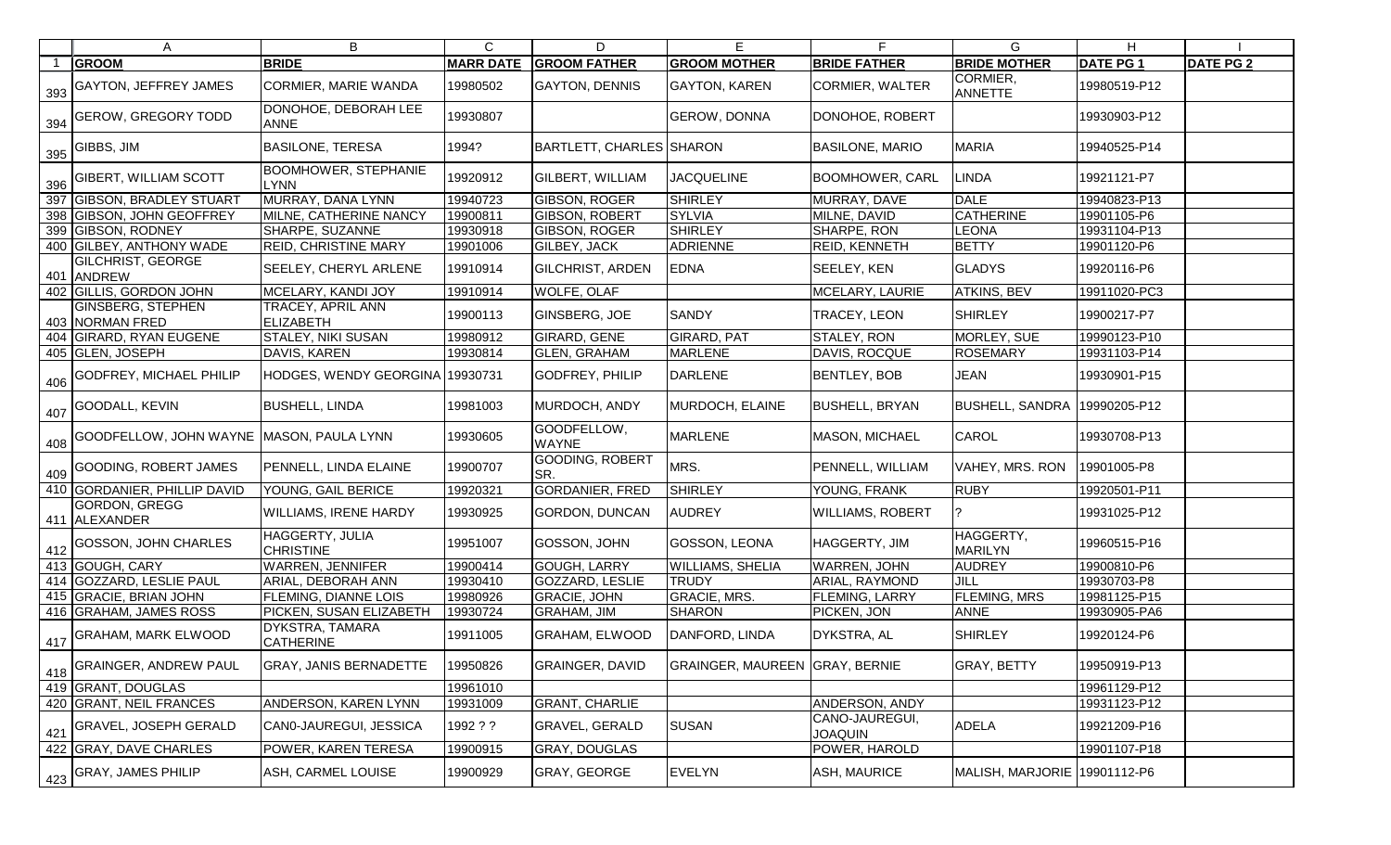|     | A                                           | B                                          | C                | D                           | Е                              |                                  | G                            | Н               |                  |
|-----|---------------------------------------------|--------------------------------------------|------------------|-----------------------------|--------------------------------|----------------------------------|------------------------------|-----------------|------------------|
|     | <b>GROOM</b>                                | <b>BRIDE</b>                               | <b>MARR DATE</b> | <b>GROOM FATHER</b>         | <b>GROOM MOTHER</b>            | <b>BRIDE FATHER</b>              | <b>BRIDE MOTHER</b>          | <b>DATE PG1</b> | <b>DATE PG 2</b> |
| 393 | <b>GAYTON, JEFFREY JAMES</b>                | <b>CORMIER, MARIE WANDA</b>                | 19980502         | <b>GAYTON, DENNIS</b>       | <b>GAYTON, KAREN</b>           | <b>CORMIER, WALTER</b>           | CORMIER,<br>ANNETTE          | 19980519-P12    |                  |
| 394 | <b>GEROW, GREGORY TODD</b>                  | DONOHOE, DEBORAH LEE<br><b>ANNE</b>        | 19930807         |                             | <b>GEROW, DONNA</b>            | DONOHOE, ROBERT                  |                              | 19930903-P12    |                  |
| 395 | GIBBS, JIM                                  | <b>BASILONE, TERESA</b>                    | 1994?            | BARTLETT, CHARLES SHARON    |                                | <b>BASILONE, MARIO</b>           | <b>MARIA</b>                 | 19940525-P14    |                  |
| 396 | <b>GIBERT, WILLIAM SCOTT</b>                | <b>BOOMHOWER, STEPHANIE</b><br><b>LYNN</b> | 19920912         | <b>GILBERT, WILLIAM</b>     | <b>JACQUELINE</b>              | <b>BOOMHOWER, CARL</b>           | LINDA                        | 19921121-P7     |                  |
|     | 397 GIBSON, BRADLEY STUART                  | MURRAY, DANA LYNN                          | 19940723         | <b>GIBSON, ROGER</b>        | <b>SHIRLEY</b>                 | MURRAY, DAVE                     | <b>DALE</b>                  | 19940823-P13    |                  |
|     | 398 GIBSON, JOHN GEOFFREY                   | MILNE, CATHERINE NANCY                     | 19900811         | <b>GIBSON, ROBERT</b>       | <b>SYLVIA</b>                  | MILNE, DAVID                     | <b>CATHERINE</b>             | 19901105-P6     |                  |
|     | 399 GIBSON, RODNEY                          | SHARPE, SUZANNE                            | 19930918         | <b>GIBSON, ROGER</b>        | <b>SHIRLEY</b>                 | <b>SHARPE, RON</b>               | <b>LEONA</b>                 | 19931104-P13    |                  |
|     | 400 GILBEY, ANTHONY WADE                    | REID, CHRISTINE MARY                       | 19901006         | <b>GILBEY, JACK</b>         | <b>ADRIENNE</b>                | REID, KENNETH                    | <b>BETTY</b>                 | 19901120-P6     |                  |
|     | <b>GILCHRIST, GEORGE</b><br>401 ANDREW      | SEELEY, CHERYL ARLENE                      | 19910914         | <b>GILCHRIST, ARDEN</b>     | <b>EDNA</b>                    | SEELEY, KEN                      | <b>GLADYS</b>                | 19920116-P6     |                  |
|     | 402 GILLIS, GORDON JOHN                     | MCELARY, KANDI JOY                         | 19910914         | <b>WOLFE, OLAF</b>          |                                | MCELARY, LAURIE                  | <b>ATKINS, BEV</b>           | 19911020-PC3    |                  |
|     | <b>GINSBERG, STEPHEN</b><br>403 NORMAN FRED | TRACEY, APRIL ANN<br><b>ELIZABETH</b>      | 19900113         | <b>GINSBERG, JOE</b>        | <b>SANDY</b>                   | TRACEY, LEON                     | <b>SHIRLEY</b>               | 19900217-P7     |                  |
|     | 404 GIRARD, RYAN EUGENE                     | <b>STALEY, NIKI SUSAN</b>                  | 19980912         | GIRARD, GENE                | <b>GIRARD, PAT</b>             | STALEY, RON                      | MORLEY, SUE                  | 19990123-P10    |                  |
|     | 405 GLEN, JOSEPH                            | DAVIS, KAREN                               | 19930814         | <b>GLEN, GRAHAM</b>         | <b>MARLENE</b>                 | DAVIS, ROCQUE                    | <b>ROSEMARY</b>              | 19931103-P14    |                  |
| 406 | <b>GODFREY, MICHAEL PHILIP</b>              | HODGES, WENDY GEORGINA 19930731            |                  | <b>GODFREY, PHILIP</b>      | <b>DARLENE</b>                 | <b>BENTLEY, BOB</b>              | <b>JEAN</b>                  | 19930901-P15    |                  |
|     | 407 GOODALL, KEVIN                          | <b>BUSHELL, LINDA</b>                      | 19981003         | MURDOCH, ANDY               | MURDOCH, ELAINE                | <b>BUSHELL, BRYAN</b>            | <b>BUSHELL, SANDRA</b>       | 19990205-P12    |                  |
| 408 | GOODFELLOW, JOHN WAYNE MASON, PAULA LYNN    |                                            | 19930605         | GOODFELLOW,<br><b>WAYNE</b> | <b>MARLENE</b>                 | <b>MASON, MICHAEL</b>            | <b>CAROL</b>                 | 19930708-P13    |                  |
| 409 | GOODING, ROBERT JAMES                       | PENNELL, LINDA ELAINE                      | 19900707         | GOODING, ROBERT<br>ISR.     | MRS.                           | PENNELL, WILLIAM                 | VAHEY, MRS. RON              | 19901005-P8     |                  |
|     | 410 GORDANIER, PHILLIP DAVID                | YOUNG, GAIL BERICE                         | 19920321         | GORDANIER, FRED             | <b>SHIRLEY</b>                 | YOUNG, FRANK                     | <b>RUBY</b>                  | 19920501-P11    |                  |
|     | GORDON, GREGG<br>411 ALEXANDER              | <b>WILLIAMS, IRENE HARDY</b>               | 19930925         | GORDON, DUNCAN              | <b>AUDREY</b>                  | <b>WILLIAMS, ROBERT</b>          |                              | 19931025-P12    |                  |
|     | GOSSON, JOHN CHARLES                        | HAGGERTY, JULIA<br><b>CHRISTINE</b>        | 19951007         | GOSSON, JOHN                | GOSSON, LEONA                  | HAGGERTY, JIM                    | HAGGERTY,<br><b>MARILYN</b>  | 19960515-P16    |                  |
|     | 413 GOUGH, CARY                             | <b>WARREN, JENNIFER</b>                    | 19900414         | GOUGH, LARRY                | <b>WILLIAMS, SHELIA</b>        | <b>WARREN, JOHN</b>              | <b>AUDREY</b>                | 19900810-P6     |                  |
|     | 414 GOZZARD, LESLIE PAUL                    | ARIAL, DEBORAH ANN                         | 19930410         | GOZZARD, LESLIE             | <b>TRUDY</b>                   | <b>ARIAL, RAYMOND</b>            | JILL                         | 19930703-P8     |                  |
|     | 415 GRACIE, BRIAN JOHN                      | <b>FLEMING, DIANNE LOIS</b>                | 19980926         | <b>GRACIE, JOHN</b>         | <b>GRACIE, MRS.</b>            | FLEMING, LARRY                   | FLEMING, MRS                 | 19981125-P15    |                  |
|     | 416 GRAHAM, JAMES ROSS                      | PICKEN, SUSAN ELIZABETH                    | 19930724         | GRAHAM, JIM                 | <b>SHARON</b>                  | PICKEN, JON                      | <b>ANNE</b>                  | 19930905-PA6    |                  |
| 417 | <b>GRAHAM, MARK ELWOOD</b>                  | DYKSTRA, TAMARA<br><b>CATHERINE</b>        | 19911005         | <b>GRAHAM, ELWOOD</b>       | DANFORD, LINDA                 | DYKSTRA, AL                      | <b>SHIRLEY</b>               | 19920124-P6     |                  |
|     | $^{\prime}$ 418 SGRAINGER, ANDREW PAUL      | <b>GRAY, JANIS BERNADETTE</b>              | 19950826         | <b>GRAINGER, DAVID</b>      | GRAINGER, MAUREEN GRAY, BERNIE |                                  | <b>GRAY, BETTY</b>           | 19950919-P13    |                  |
|     | 419 GRANT, DOUGLAS                          |                                            | 19961010         |                             |                                |                                  |                              | 19961129-P12    |                  |
|     | 420 GRANT, NEIL FRANCES                     | ANDERSON, KAREN LYNN                       | 19931009         | <b>GRANT, CHARLIE</b>       |                                | ANDERSON, ANDY                   |                              | 19931123-P12    |                  |
| 421 | <b>GRAVEL, JOSEPH GERALD</b>                | CAN0-JAUREGUI, JESSICA                     | 1992 ? ?         | <b>GRAVEL, GERALD</b>       | <b>SUSAN</b>                   | CANO-JAUREGUI,<br><b>JOAQUIN</b> | <b>ADELA</b>                 | 19921209-P16    |                  |
|     | 422 GRAY, DAVE CHARLES                      | POWER, KAREN TERESA                        | 19900915         | GRAY, DOUGLAS               |                                | POWER, HAROLD                    |                              | 19901107-P18    |                  |
|     | $\frac{423}{423}$ GRAY, JAMES PHILIP        | ASH, CARMEL LOUISE                         | 19900929         | GRAY, GEORGE                | <b>EVELYN</b>                  | ASH, MAURICE                     | MALISH, MARJORIE 19901112-P6 |                 |                  |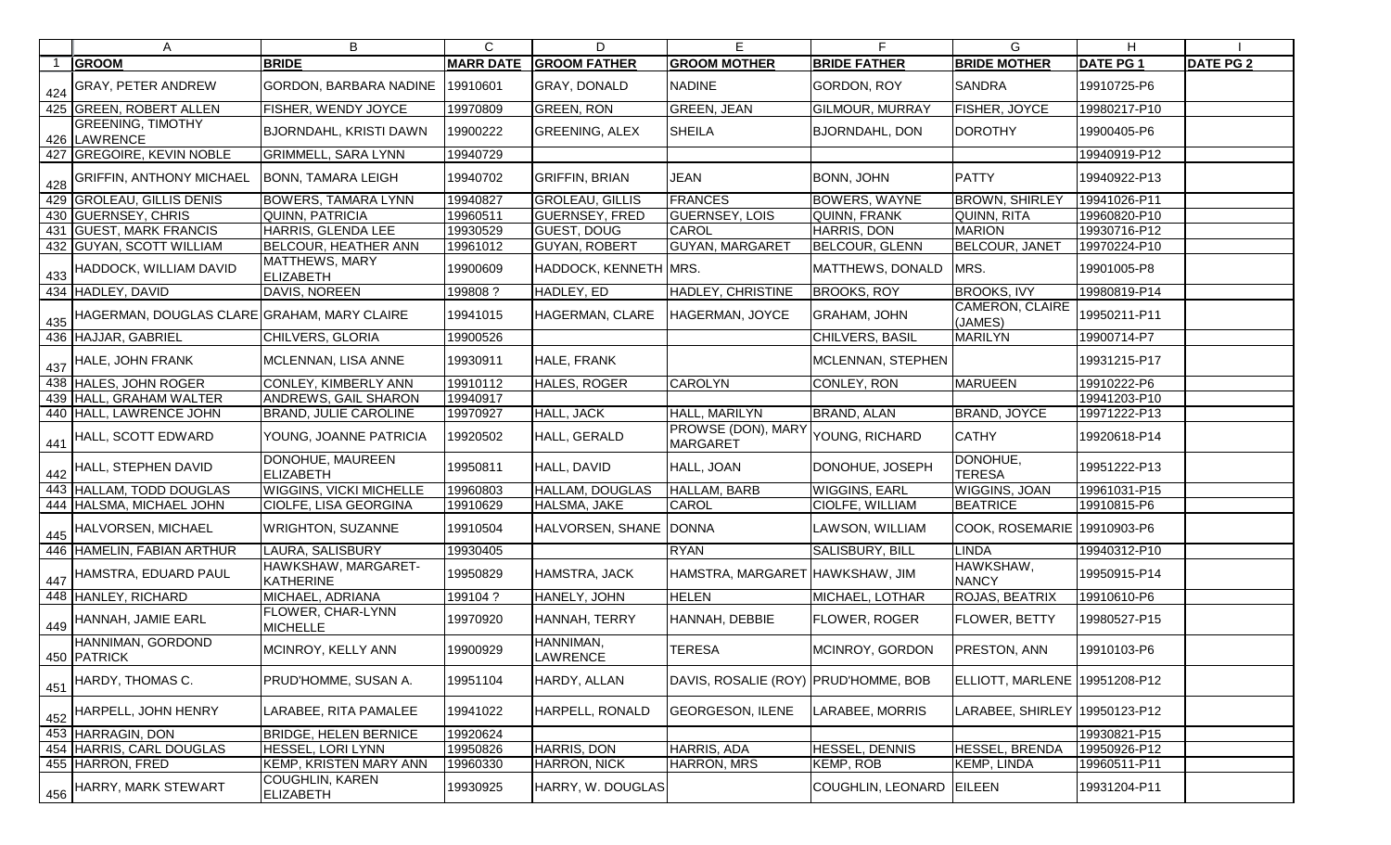|     | A                                           | B                                          | $\mathsf{C}$     | D                      | E                                     | F                        | G                               | H                |                  |
|-----|---------------------------------------------|--------------------------------------------|------------------|------------------------|---------------------------------------|--------------------------|---------------------------------|------------------|------------------|
|     | <b>GROOM</b>                                | <b>BRIDE</b>                               | <b>MARR DATE</b> | <b>GROOM FATHER</b>    | <b>GROOM MOTHER</b>                   | <b>BRIDE FATHER</b>      | <b>BRIDE MOTHER</b>             | <b>DATE PG 1</b> | <b>DATE PG 2</b> |
| 424 | <b>GRAY, PETER ANDREW</b>                   | GORDON, BARBARA NADINE                     | 19910601         | <b>GRAY, DONALD</b>    | <b>NADINE</b>                         | <b>GORDON, ROY</b>       | <b>SANDRA</b>                   | 19910725-P6      |                  |
|     | 425 GREEN, ROBERT ALLEN                     | FISHER, WENDY JOYCE                        | 19970809         | <b>GREEN, RON</b>      | <b>GREEN, JEAN</b>                    | <b>GILMOUR, MURRAY</b>   | FISHER, JOYCE                   | 19980217-P10     |                  |
|     | <b>GREENING, TIMOTHY</b><br>426 LAWRENCE    | BJORNDAHL, KRISTI DAWN                     | 19900222         | <b>GREENING, ALEX</b>  | <b>SHEILA</b>                         | <b>BJORNDAHL, DON</b>    | <b>DOROTHY</b>                  | 19900405-P6      |                  |
|     | 427 GREGOIRE, KEVIN NOBLE                   | <b>GRIMMELL, SARA LYNN</b>                 | 19940729         |                        |                                       |                          |                                 | 19940919-P12     |                  |
| 428 | <b>GRIFFIN, ANTHONY MICHAEL</b>             | <b>BONN, TAMARA LEIGH</b>                  | 19940702         | <b>GRIFFIN, BRIAN</b>  | <b>JEAN</b>                           | <b>BONN, JOHN</b>        | <b>PATTY</b>                    | 19940922-P13     |                  |
|     | 429 GROLEAU, GILLIS DENIS                   | <b>BOWERS, TAMARA LYNN</b>                 | 19940827         | <b>GROLEAU, GILLIS</b> | <b>FRANCES</b>                        | <b>BOWERS, WAYNE</b>     | <b>BROWN, SHIRLEY</b>           | 19941026-P11     |                  |
|     | 430 GUERNSEY, CHRIS                         | QUINN, PATRICIA                            | 19960511         | <b>GUERNSEY, FRED</b>  | <b>GUERNSEY, LOIS</b>                 | QUINN, FRANK             | QUINN, RITA                     | 19960820-P10     |                  |
|     | 431 GUEST, MARK FRANCIS                     | HARRIS, GLENDA LEE                         | 19930529         | <b>GUEST, DOUG</b>     | CAROL                                 | <b>HARRIS, DON</b>       | <b>MARION</b>                   | 19930716-P12     |                  |
|     | 432 GUYAN, SCOTT WILLIAM                    | <b>BELCOUR, HEATHER ANN</b>                | 19961012         | <b>GUYAN, ROBERT</b>   | <b>GUYAN, MARGARET</b>                | <b>BELCOUR, GLENN</b>    | <b>BELCOUR, JANET</b>           | 19970224-P10     |                  |
| 433 | HADDOCK, WILLIAM DAVID                      | MATTHEWS, MARY<br><b>ELIZABETH</b>         | 19900609         | HADDOCK, KENNETH MRS.  |                                       | MATTHEWS, DONALD         | MRS.                            | 19901005-P8      |                  |
|     | 434 HADLEY, DAVID                           | DAVIS, NOREEN                              | 199808?          | HADLEY, ED             | HADLEY, CHRISTINE                     | <b>BROOKS, ROY</b>       | <b>BROOKS, IVY</b>              | 19980819-P14     |                  |
| 435 | HAGERMAN, DOUGLAS CLARE GRAHAM, MARY CLAIRE |                                            | 19941015         | HAGERMAN, CLARE        | HAGERMAN, JOYCE                       | <b>GRAHAM, JOHN</b>      | CAMERON, CLAIRE<br>(JAMES)      | 19950211-P11     |                  |
|     | 436 HAJJAR, GABRIEL                         | CHILVERS, GLORIA                           | 19900526         |                        |                                       | CHILVERS, BASIL          | <b>MARILYN</b>                  | 19900714-P7      |                  |
| 437 | HALE, JOHN FRANK                            | MCLENNAN, LISA ANNE                        | 19930911         | HALE, FRANK            |                                       | <b>MCLENNAN, STEPHEN</b> |                                 | 19931215-P17     |                  |
|     | 438 HALES, JOHN ROGER                       | CONLEY, KIMBERLY ANN                       | 19910112         | HALES, ROGER           | <b>CAROLYN</b>                        | CONLEY, RON              | <b>MARUEEN</b>                  | 19910222-P6      |                  |
|     | 439 HALL, GRAHAM WALTER                     | ANDREWS, GAIL SHARON                       | 19940917         |                        |                                       |                          |                                 | 19941203-P10     |                  |
|     | 440 HALL, LAWRENCE JOHN                     | <b>BRAND, JULIE CAROLINE</b>               | 19970927         | HALL, JACK             | HALL, MARILYN                         | BRAND, ALAN              | <b>BRAND, JOYCE</b>             | 19971222-P13     |                  |
| 441 | HALL, SCOTT EDWARD                          | YOUNG, JOANNE PATRICIA                     | 19920502         | HALL, GERALD           | PROWSE (DON), MARY<br><b>MARGARET</b> | YOUNG, RICHARD           | <b>CATHY</b>                    | 19920618-P14     |                  |
|     | $\frac{442}{ }$ HALL, STEPHEN DAVID         | DONOHUE, MAUREEN<br><b>ELIZABETH</b>       | 19950811         | HALL, DAVID            | HALL, JOAN                            | DONOHUE, JOSEPH          | DONOHUE,<br><b>TERESA</b>       | 19951222-P13     |                  |
|     | 443 HALLAM, TODD DOUGLAS                    | <b>WIGGINS, VICKI MICHELLE</b>             | 19960803         | <b>HALLAM, DOUGLAS</b> | HALLAM, BARB                          | <b>WIGGINS, EARL</b>     | WIGGINS, JOAN                   | 19961031-P15     |                  |
|     | 444 HALSMA, MICHAEL JOHN                    | CIOLFE, LISA GEORGINA                      | 19910629         | HALSMA, JAKE           | <b>CAROL</b>                          | CIOLFE, WILLIAM          | <b>BEATRICE</b>                 | 19910815-P6      |                  |
| 445 | HALVORSEN, MICHAEL                          | <b>WRIGHTON, SUZANNE</b>                   | 19910504         | HALVORSEN, SHANE       | <b>DONNA</b>                          | LAWSON, WILLIAM          | COOK, ROSEMARIE 19910903-P6     |                  |                  |
|     | 446 HAMELIN, FABIAN ARTHUR                  | LAURA, SALISBURY                           | 19930405         |                        | <b>RYAN</b>                           | SALISBURY, BILL          | <b>LINDA</b>                    | 19940312-P10     |                  |
| 447 | HAMSTRA, EDUARD PAUL                        | HAWKSHAW, MARGARET-<br><b>KATHERINE</b>    | 19950829         | HAMSTRA, JACK          | HAMSTRA, MARGARET HAWKSHAW, JIM       |                          | HAWKSHAW,<br><b>NANCY</b>       | 19950915-P14     |                  |
|     | 448 HANLEY, RICHARD                         | MICHAEL, ADRIANA                           | 199104?          | HANELY, JOHN           | <b>HELEN</b>                          | MICHAEL, LOTHAR          | ROJAS, BEATRIX                  | 19910610-P6      |                  |
| 449 | HANNAH, JAMIE EARL                          | FLOWER, CHAR-LYNN<br>MICHELLE              | 19970920         | HANNAH, TERRY          | HANNAH, DEBBIE                        | <b>FLOWER, ROGER</b>     | <b>FLOWER, BETTY</b>            | 19980527-P15     |                  |
|     | HANNIMAN, GORDOND<br>450 PATRICK            | MCINROY, KELLY ANN                         | 19900929         | HANNIMAN,<br>LAWRENCE  | <b>TERESA</b>                         | MCINROY, GORDON          | PRESTON, ANN                    | 19910103-P6      |                  |
| 451 | HARDY, THOMAS C.                            | PRUD'HOMME, SUSAN A.                       | 19951104         | HARDY, ALLAN           | DAVIS, ROSALIE (ROY) PRUD'HOMME, BOB  |                          | ELLIOTT, MARLENE   19951208-P12 |                  |                  |
| 452 | HARPELL, JOHN HENRY                         | LARABEE, RITA PAMALEE                      | 19941022         | HARPELL, RONALD        | <b>GEORGESON, ILENE</b>               | <b>LARABEE, MORRIS</b>   | LARABEE, SHIRLEY  19950123-P12  |                  |                  |
|     | 453 HARRAGIN, DON                           | <b>BRIDGE, HELEN BERNICE</b>               | 19920624         |                        |                                       |                          |                                 | 19930821-P15     |                  |
|     | 454 HARRIS, CARL DOUGLAS                    | HESSEL, LORI LYNN                          | 19950826         | HARRIS, DON            | HARRIS, ADA                           | HESSEL, DENNIS           | HESSEL, BRENDA                  | 19950926-P12     |                  |
|     | 455 HARRON, FRED                            | KEMP, KRISTEN MARY ANN                     | 19960330         | HARRON, NICK           | HARRON, MRS                           | KEMP, ROB                | <b>KEMP, LINDA</b>              | 19960511-P11     |                  |
| 456 | HARRY, MARK STEWART                         | <b>COUGHLIN, KAREN</b><br><b>ELIZABETH</b> | 19930925         | HARRY, W. DOUGLAS      |                                       | COUGHLIN, LEONARD        | <b>EILEEN</b>                   | 19931204-P11     |                  |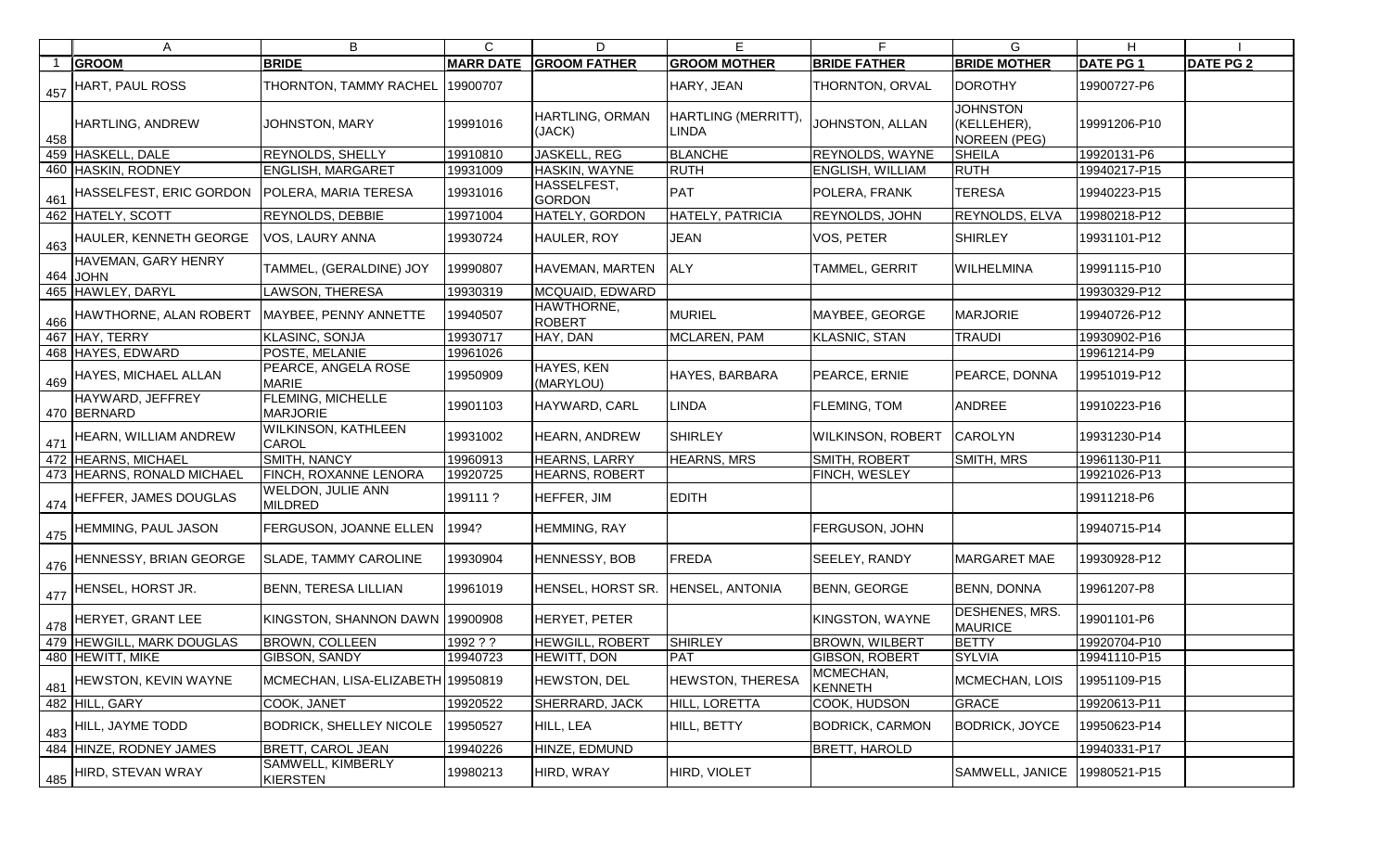|     | A                                         | B                                           | C                | D                                 | Е                                  | E                           | G                                              | H.              |                  |
|-----|-------------------------------------------|---------------------------------------------|------------------|-----------------------------------|------------------------------------|-----------------------------|------------------------------------------------|-----------------|------------------|
|     | <b>GROOM</b>                              | <b>BRIDE</b>                                | <b>MARR DATE</b> | <b>GROOM FATHER</b>               | <b>GROOM MOTHER</b>                | <b>BRIDE FATHER</b>         | <b>BRIDE MOTHER</b>                            | <b>DATE PG1</b> | <b>DATE PG 2</b> |
| 457 | HART, PAUL ROSS                           | THORNTON, TAMMY RACHEL                      | 19900707         |                                   | HARY, JEAN                         | THORNTON, ORVAL             | <b>DOROTHY</b>                                 | 19900727-P6     |                  |
| 458 | <b>HARTLING, ANDREW</b>                   | <b>JOHNSTON, MARY</b>                       | 19991016         | HARTLING, ORMAN<br>(JACK)         | HARTLING (MERRITT)<br><b>LINDA</b> | JOHNSTON, ALLAN             | <b>JOHNSTON</b><br>(KELLEHER),<br>NOREEN (PEG) | 19991206-P10    |                  |
|     | 459 HASKELL, DALE                         | <b>REYNOLDS, SHELLY</b>                     | 19910810         | <b>JASKELL, REG</b>               | <b>BLANCHE</b>                     | <b>REYNOLDS, WAYNE</b>      | <b>SHEILA</b>                                  | 19920131-P6     |                  |
|     | 460 HASKIN, RODNEY                        | <b>ENGLISH, MARGARET</b>                    | 19931009         | HASKIN, WAYNE                     | RUTH                               | ENGLISH, WILLIAM            | <b>RUTH</b>                                    | 19940217-P15    |                  |
|     | $\frac{461}{100}$ HASSELFEST, ERIC GORDON | POLERA, MARIA TERESA                        | 19931016         | HASSELFEST,<br><b>GORDON</b>      | PAT                                | POLERA, FRANK               | <b>TERESA</b>                                  | 19940223-P15    |                  |
|     | 462 HATELY, SCOTT                         | <b>REYNOLDS, DEBBIE</b>                     | 19971004         | HATELY, GORDON                    | HATELY, PATRICIA                   | REYNOLDS, JOHN              | <b>REYNOLDS, ELVA</b>                          | 19980218-P12    |                  |
|     | 463 HAULER, KENNETH GEORGE                | VOS, LAURY ANNA                             | 19930724         | HAULER, ROY                       | <b>JEAN</b>                        | VOS, PETER                  | <b>SHIRLEY</b>                                 | 19931101-P12    |                  |
|     | HAVEMAN, GARY HENRY<br>464 JOHN           | TAMMEL, (GERALDINE) JOY                     | 19990807         | HAVEMAN, MARTEN                   | <b>ALY</b>                         | TAMMEL, GERRIT              | <b>WILHELMINA</b>                              | 19991115-P10    |                  |
|     | 465 HAWLEY, DARYL                         | <b>LAWSON, THERESA</b>                      | 19930319         | <b>MCQUAID, EDWARD</b>            |                                    |                             |                                                | 19930329-P12    |                  |
|     | $\frac{1}{466}$ HAWTHORNE, ALAN ROBERT    | MAYBEE, PENNY ANNETTE                       | 19940507         | HAWTHORNE,<br><b>ROBERT</b>       | MURIEL                             | MAYBEE, GEORGE              | <b>MARJORIE</b>                                | 19940726-P12    |                  |
|     | 467 HAY, TERRY                            | <b>KLASINC, SONJA</b>                       | 19930717         | HAY, DAN                          | MCLAREN, PAM                       | <b>KLASNIC, STAN</b>        | <b>TRAUDI</b>                                  | 19930902-P16    |                  |
|     | 468 HAYES, EDWARD                         | POSTE, MELANIE                              | 19961026         |                                   |                                    |                             |                                                | 19961214-P9     |                  |
|     | 469 HAYES, MICHAEL ALLAN                  | PEARCE, ANGELA ROSE<br><b>MARIE</b>         | 19950909         | <b>HAYES, KEN</b><br>(MARYLOU)    | HAYES, BARBARA                     | PEARCE, ERNIE               | PEARCE, DONNA                                  | 19951019-P12    |                  |
|     | HAYWARD, JEFFREY<br>470 BERNARD           | <b>FLEMING, MICHELLE</b><br><b>MARJORIE</b> | 19901103         | HAYWARD, CARL                     | <b>LINDA</b>                       | <b>FLEMING, TOM</b>         | <b>ANDREE</b>                                  | 19910223-P16    |                  |
|     | 471 HEARN, WILLIAM ANDREW                 | <b>WILKINSON, KATHLEEN</b><br><b>CAROL</b>  | 19931002         | HEARN, ANDREW                     | <b>SHIRLEY</b>                     | <b>WILKINSON, ROBERT</b>    | <b>CAROLYN</b>                                 | 19931230-P14    |                  |
|     | 472 HEARNS, MICHAEL                       | <b>SMITH, NANCY</b>                         | 19960913         | HEARNS, LARRY                     | <b>HEARNS, MRS</b>                 | SMITH, ROBERT               | SMITH, MRS                                     | 19961130-P11    |                  |
|     | 473 HEARNS, RONALD MICHAEL                | FINCH, ROXANNE LENORA                       | 19920725         | <b>HEARNS, ROBERT</b>             |                                    | FINCH, WESLEY               |                                                | 19921026-P13    |                  |
|     | $\frac{1}{474}$ HEFFER, JAMES DOUGLAS     | <b>WELDON, JULIE ANN</b><br><b>MILDRED</b>  | 199111?          | HEFFER, JIM                       | <b>EDITH</b>                       |                             |                                                | 19911218-P6     |                  |
|     | $\frac{475}{475}$ HEMMING, PAUL JASON     | FERGUSON, JOANNE ELLEN                      | 1994?            | HEMMING, RAY                      |                                    | FERGUSON, JOHN              |                                                | 19940715-P14    |                  |
|     | $\frac{1}{476}$ HENNESSY, BRIAN GEORGE    | <b>SLADE, TAMMY CAROLINE</b>                | 19930904         | HENNESSY, BOB                     | FREDA                              | SEELEY, RANDY               | <b>MARGARET MAE</b>                            | 19930928-P12    |                  |
|     | $\frac{1}{477}$ HENSEL, HORST JR.         | <b>BENN, TERESA LILLIAN</b>                 | 19961019         | HENSEL, HORST SR. HENSEL, ANTONIA |                                    | <b>BENN, GEORGE</b>         | <b>BENN, DONNA</b>                             | 19961207-P8     |                  |
|     | $1478$ HERYET, GRANT LEE                  | KINGSTON, SHANNON DAWN 19900908             |                  | HERYET, PETER                     |                                    | KINGSTON, WAYNE             | <b>DESHENES, MRS.</b><br><b>MAURICE</b>        | 19901101-P6     |                  |
|     | 479 HEWGILL, MARK DOUGLAS                 | <b>BROWN, COLLEEN</b>                       | 1992 ? ?         | <b>HEWGILL, ROBERT</b>            | <b>SHIRLEY</b>                     | <b>BROWN, WILBERT</b>       | <b>BETTY</b>                                   | 19920704-P10    |                  |
|     | 480 HEWITT, MIKE                          | GIBSON, SANDY                               | 19940723         | HEWITT, DON                       | PAT                                | GIBSON, ROBERT              | <b>SYLVIA</b>                                  | 19941110-P15    |                  |
|     | $\frac{481}{481}$ HEWSTON, KEVIN WAYNE    | MCMECHAN, LISA-ELIZABETH 19950819           |                  | HEWSTON, DEL                      | <b>HEWSTON, THERESA</b>            | MCMECHAN,<br><b>KENNETH</b> | MCMECHAN, LOIS                                 | 19951109-P15    |                  |
|     | 482 HILL, GARY                            | COOK, JANET                                 | 19920522         | SHERRARD, JACK                    | HILL, LORETTA                      | COOK, HUDSON                | GRACE                                          | 19920613-P11    |                  |
|     | $\frac{483}{ }$ HILL, JAYME TODD          | <b>BODRICK, SHELLEY NICOLE</b>              | 19950527         | HILL, LEA                         | HILL, BETTY                        | <b>BODRICK, CARMON</b>      | <b>BODRICK, JOYCE</b>                          | 19950623-P14    |                  |
|     | 484 HINZE, RODNEY JAMES                   | <b>BRETT, CAROL JEAN</b>                    | 19940226         | HINZE, EDMUND                     |                                    | BRETT, HAROLD               |                                                | 19940331-P17    |                  |
|     | $^{\prime}$ 485 HIRD, STEVAN WRAY         | SAMWELL, KIMBERLY<br><b>KIERSTEN</b>        | 19980213         | HIRD, WRAY                        | HIRD, VIOLET                       |                             | SAMWELL, JANICE                                | 19980521-P15    |                  |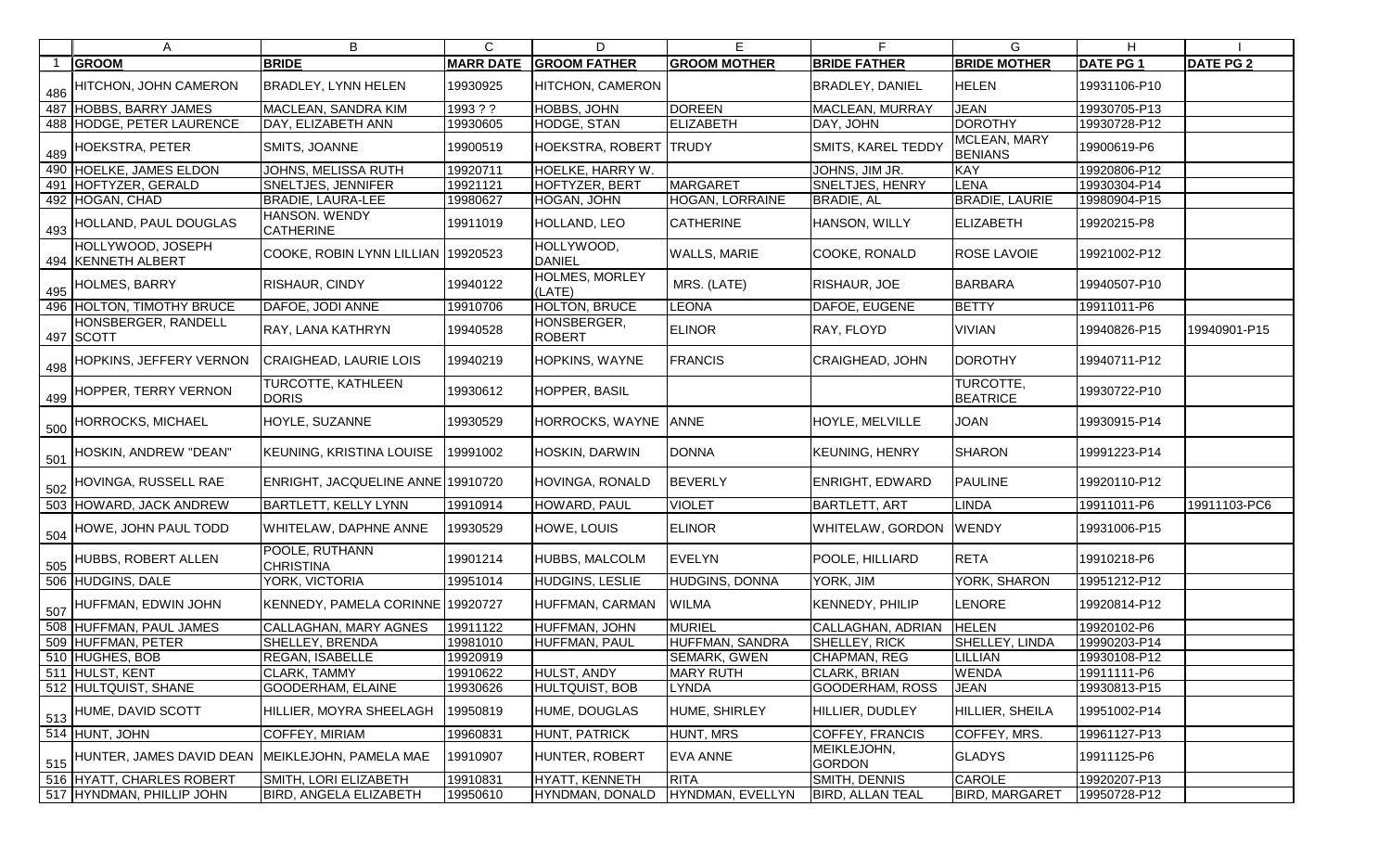|     | A                                       | B                                         | $\mathsf{C}$     | D                               | E                      | F.                           | G.                             | H               |                  |
|-----|-----------------------------------------|-------------------------------------------|------------------|---------------------------------|------------------------|------------------------------|--------------------------------|-----------------|------------------|
|     | <b>GROOM</b>                            | <b>BRIDE</b>                              | <b>MARR DATE</b> | <b>GROOM FATHER</b>             | <b>GROOM MOTHER</b>    | <b>BRIDE FATHER</b>          | <b>BRIDE MOTHER</b>            | <b>DATE PG1</b> | <b>DATE PG 2</b> |
| 486 | HITCHON, JOHN CAMERON                   | <b>BRADLEY, LYNN HELEN</b>                | 19930925         | HITCHON, CAMERON                |                        | <b>BRADLEY, DANIEL</b>       | <b>HELEN</b>                   | 19931106-P10    |                  |
|     | 487 HOBBS, BARRY JAMES                  | MACLEAN, SANDRA KIM                       | 1993 ? ?         | HOBBS, JOHN                     | <b>DOREEN</b>          | MACLEAN, MURRAY              | <b>JEAN</b>                    | 19930705-P13    |                  |
|     | 488 HODGE, PETER LAURENCE               | DAY, ELIZABETH ANN                        | 19930605         | HODGE, STAN                     | ELIZABETH              | DAY, JOHN                    | <b>DOROTHY</b>                 | 19930728-P12    |                  |
| 489 | <b>HOEKSTRA, PETER</b>                  | SMITS, JOANNE                             | 19900519         | HOEKSTRA, ROBERT  TRUDY         |                        | <b>SMITS, KAREL TEDDY</b>    | MCLEAN, MARY<br><b>BENIANS</b> | 19900619-P6     |                  |
|     | 490 HOELKE, JAMES ELDON                 | JOHNS, MELISSA RUTH                       | 19920711         | HOELKE, HARRY W.                |                        | JOHNS, JIM JR.               | <b>KAY</b>                     | 19920806-P12    |                  |
|     | 491 HOFTYZER, GERALD                    | <b>SNELTJES, JENNIFER</b>                 | 19921121         | <b>HOFTYZER, BERT</b>           | <b>MARGARET</b>        | SNELTJES, HENRY              | <b>LENA</b>                    | 19930304-P14    |                  |
|     | 492 HOGAN, CHAD                         | <b>BRADIE, LAURA-LEE</b>                  | 19980627         | HOGAN, JOHN                     | <b>HOGAN, LORRAINE</b> | <b>BRADIE, AL</b>            | <b>BRADIE, LAURIE</b>          | 19980904-P15    |                  |
| 493 | HOLLAND, PAUL DOUGLAS                   | HANSON. WENDY<br><b>CATHERINE</b>         | 19911019         | HOLLAND, LEO                    | <b>CATHERINE</b>       | HANSON, WILLY                | <b>ELIZABETH</b>               | 19920215-P8     |                  |
|     | HOLLYWOOD, JOSEPH<br>494 KENNETH ALBERT | COOKE, ROBIN LYNN LILLIAN                 | 19920523         | HOLLYWOOD,<br><b>DANIEL</b>     | <b>WALLS, MARIE</b>    | COOKE, RONALD                | <b>ROSE LAVOIE</b>             | 19921002-P12    |                  |
| 495 | <b>HOLMES, BARRY</b>                    | RISHAUR, CINDY                            | 19940122         | <b>HOLMES, MORLEY</b><br>(LATE) | MRS. (LATE)            | RISHAUR, JOE                 | <b>BARBARA</b>                 | 19940507-P10    |                  |
|     | 496 HOLTON, TIMOTHY BRUCE               | DAFOE, JODI ANNE                          | 19910706         | <b>HOLTON, BRUCE</b>            | <b>LEONA</b>           | DAFOE, EUGENE                | <b>BETTY</b>                   | 19911011-P6     |                  |
|     | HONSBERGER, RANDELL<br>497 SCOTT        | RAY, LANA KATHRYN                         | 19940528         | HONSBERGER,<br><b>ROBERT</b>    | <b>ELINOR</b>          | <b>RAY, FLOYD</b>            | <b>VIVIAN</b>                  | 19940826-P15    | 19940901-P15     |
| 498 | HOPKINS, JEFFERY VERNON                 | CRAIGHEAD, LAURIE LOIS                    | 19940219         | HOPKINS, WAYNE                  | <b>FRANCIS</b>         | <b>CRAIGHEAD, JOHN</b>       | <b>DOROTHY</b>                 | 19940711-P12    |                  |
| 499 | HOPPER, TERRY VERNON                    | <b>TURCOTTE, KATHLEEN</b><br><b>DORIS</b> | 19930612         | HOPPER, BASIL                   |                        |                              | TURCOTTE,<br><b>BEATRICE</b>   | 19930722-P10    |                  |
| 500 | HORROCKS, MICHAEL                       | HOYLE, SUZANNE                            | 19930529         | HORROCKS, WAYNE                 | <b>ANNE</b>            | <b>HOYLE, MELVILLE</b>       | <b>JOAN</b>                    | 19930915-P14    |                  |
| 501 | HOSKIN, ANDREW "DEAN"                   | KEUNING, KRISTINA LOUISE                  | 9991002          | HOSKIN, DARWIN                  | <b>DONNA</b>           | <b>KEUNING, HENRY</b>        | <b>SHARON</b>                  | 19991223-P14    |                  |
| 502 | HOVINGA, RUSSELL RAE                    | ENRIGHT, JACQUELINE ANNE 19910720         |                  | HOVINGA, RONALD                 | <b>BEVERLY</b>         | <b>ENRIGHT, EDWARD</b>       | <b>PAULINE</b>                 | 19920110-P12    |                  |
|     | 503 HOWARD, JACK ANDREW                 | <b>BARTLETT, KELLY LYNN</b>               | 19910914         | HOWARD, PAUL                    | <b>VIOLET</b>          | <b>BARTLETT, ART</b>         | LINDA                          | 19911011-P6     | 19911103-PC6     |
| 504 | HOWE, JOHN PAUL TODD                    | WHITELAW, DAPHNE ANNE                     | 19930529         | HOWE, LOUIS                     | <b>ELINOR</b>          | <b>WHITELAW, GORDON</b>      | <b>WENDY</b>                   | 19931006-P15    |                  |
| 505 | <b>HUBBS, ROBERT ALLEN</b>              | POOLE, RUTHANN<br><b>CHRISTINA</b>        | 19901214         | HUBBS, MALCOLM                  | EVELYN                 | POOLE, HILLIARD              | <b>RETA</b>                    | 19910218-P6     |                  |
|     | 506 HUDGINS, DALE                       | YORK, VICTORIA                            | 19951014         | HUDGINS, LESLIE                 | HUDGINS, DONNA         | YORK, JIM                    | YORK, SHARON                   | 19951212-P12    |                  |
| 507 | HUFFMAN, EDWIN JOHN                     | KENNEDY, PAMELA CORINNE 19920727          |                  | HUFFMAN, CARMAN                 | <b>WILMA</b>           | <b>KENNEDY, PHILIP</b>       | LENORE                         | 19920814-P12    |                  |
|     | 508 HUFFMAN, PAUL JAMES                 | <b>CALLAGHAN, MARY AGNES</b>              | 19911122         | HUFFMAN, JOHN                   | <b>MURIEL</b>          | CALLAGHAN, ADRIAN            | <b>HELEN</b>                   | 19920102-P6     |                  |
|     | 509 HUFFMAN, PETER                      | SHELLEY, BRENDA                           | 19981010         | HUFFMAN, PAUL                   | HUFFMAN, SANDRA        | SHELLEY, RICK                | <b>SHELLEY, LINDA</b>          | 19990203-P14    |                  |
|     | 510 HUGHES, BOB                         | <b>REGAN, ISABELLE</b>                    | 19920919         |                                 | <b>SEMARK, GWEN</b>    | CHAPMAN, REG                 | LILLIAN                        | 19930108-P12    |                  |
|     | 511 HULST, KENT                         | CLARK, TAMMY                              | 19910622         | HULST, ANDY                     | <b>MARY RUTH</b>       | <b>CLARK, BRIAN</b>          | <b>WENDA</b>                   | 19911111-P6     |                  |
|     | 512 HULTQUIST, SHANE                    | GOODERHAM, ELAINE                         | 19930626         | <b>HULTQUIST, BOB</b>           | <b>LYNDA</b>           | <b>GOODERHAM, ROSS</b>       | <b>JEAN</b>                    | 19930813-P15    |                  |
| 513 | <b>HUME, DAVID SCOTT</b>                | HILLIER, MOYRA SHEELAGH                   | 19950819         | HUME, DOUGLAS                   | HUME, SHIRLEY          | HILLIER, DUDLEY              | HILLIER, SHEILA                | 19951002-P14    |                  |
|     | 514 HUNT, JOHN                          | COFFEY, MIRIAM                            | 19960831         | HUNT, PATRICK                   | HUNT, MRS              | COFFEY, FRANCIS              | COFFEY, MRS.                   | 19961127-P13    |                  |
|     | 515 HUNTER, JAMES DAVID DEAN            | MEIKLEJOHN, PAMELA MAE                    | 19910907         | HUNTER, ROBERT                  | <b>EVA ANNE</b>        | MEIKLEJOHN,<br><b>GORDON</b> | <b>GLADYS</b>                  | 19911125-P6     |                  |
|     | 516 HYATT, CHARLES ROBERT               | SMITH, LORI ELIZABETH                     | 19910831         | HYATT, KENNETH                  | <b>RITA</b>            | SMITH, DENNIS                | CAROLE                         | 19920207-P13    |                  |
|     | 517 HYNDMAN, PHILLIP JOHN               | <b>BIRD, ANGELA ELIZABETH</b>             | 19950610         | HYNDMAN, DONALD                 | HYNDMAN, EVELLYN       | <b>BIRD, ALLAN TEAL</b>      | <b>BIRD, MARGARET</b>          | 19950728-P12    |                  |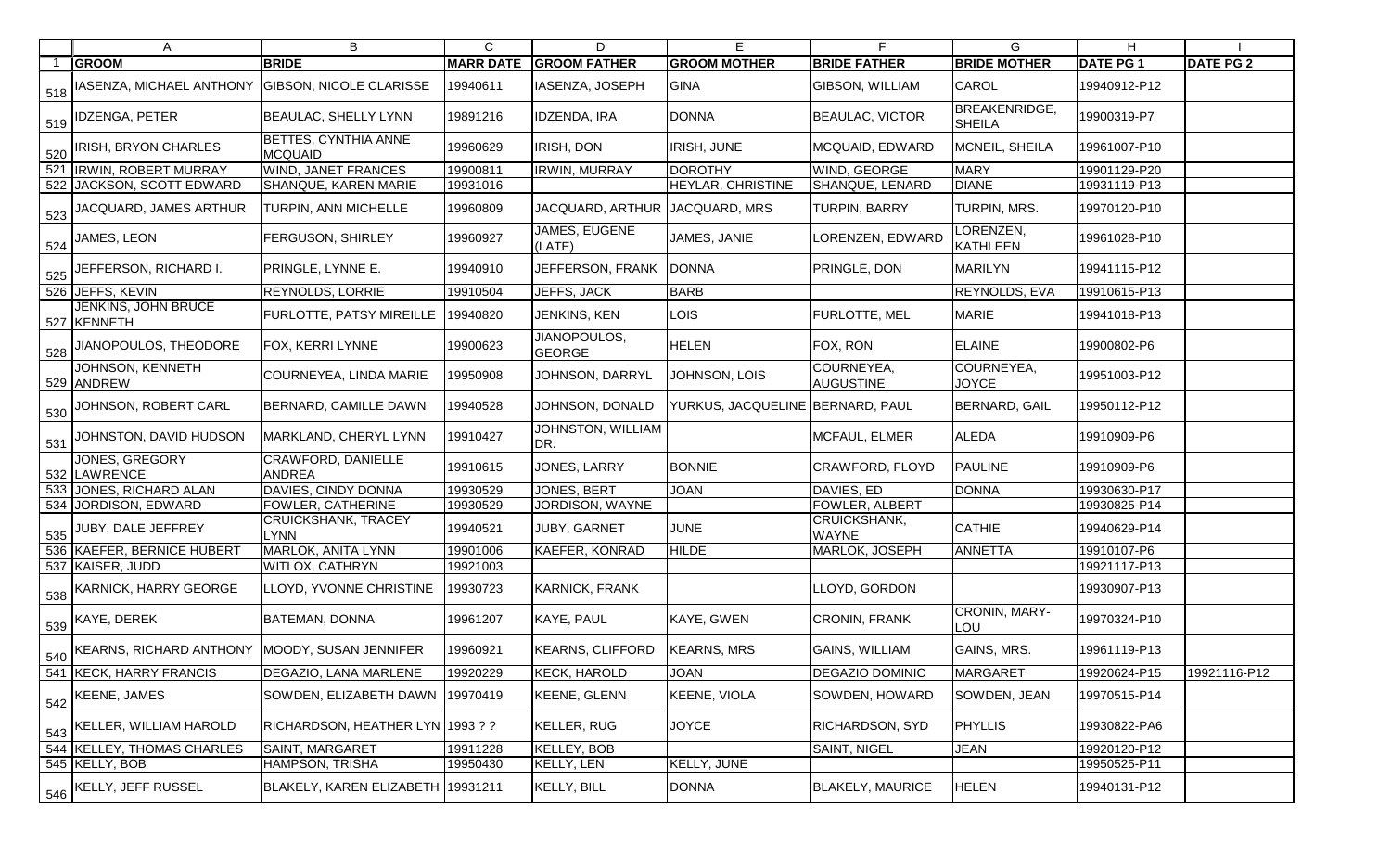| A                                                                        | B                                             | $\mathsf{C}$     | D                             | Е                                | F.                             | G                                     | H.              |                  |
|--------------------------------------------------------------------------|-----------------------------------------------|------------------|-------------------------------|----------------------------------|--------------------------------|---------------------------------------|-----------------|------------------|
| <b>GROOM</b>                                                             | <b>BRIDE</b>                                  | <b>MARR DATE</b> | <b>GROOM FATHER</b>           | <b>GROOM MOTHER</b>              | <b>BRIDE FATHER</b>            | <b>BRIDE MOTHER</b>                   | <b>DATE PG1</b> | <b>DATE PG 2</b> |
| $1_{\,518}$  IASENZA, MICHAEL ANTHONY $ $ GIBSON, NICOLE CLARISSE        |                                               | 19940611         | IASENZA, JOSEPH               | GINA                             | GIBSON, WILLIAM                | <b>CAROL</b>                          | 19940912-P12    |                  |
| $\frac{519}{519}$ IDZENGA, PETER                                         | <b>BEAULAC, SHELLY LYNN</b>                   | 19891216         | <b>IDZENDA, IRA</b>           | <b>DONNA</b>                     | <b>BEAULAC, VICTOR</b>         | <b>BREAKENRIDGE,</b><br><b>SHEILA</b> | 19900319-P7     |                  |
| $\frac{1}{220}$  IRISH, BRYON CHARLES                                    | <b>BETTES, CYNTHIA ANNE</b><br><b>MCQUAID</b> | 19960629         | IRISH, DON                    | <b>IRISH, JUNE</b>               | MCQUAID, EDWARD                | MCNEIL, SHEILA                        | 19961007-P10    |                  |
| 521 IRWIN, ROBERT MURRAY                                                 | <b>WIND, JANET FRANCES</b>                    | 19900811         | <b>IRWIN, MURRAY</b>          | <b>DOROTHY</b>                   | WIND, GEORGE                   | <b>MARY</b>                           | 19901129-P20    |                  |
| 522 JACKSON, SCOTT EDWARD                                                | <b>SHANQUE, KAREN MARIE</b>                   | 19931016         |                               | <b>HEYLAR, CHRISTINE</b>         | SHANQUE, LENARD                | <b>DIANE</b>                          | 19931119-P13    |                  |
| $\frac{1}{2}$ 523 $\left\vert \text{JACQUARD, JAMES ARTHUR} \right\vert$ | TURPIN, ANN MICHELLE                          | 19960809         | JACQUARD, ARTHUR              | JACQUARD, MRS                    | <b>TURPIN, BARRY</b>           | TURPIN, MRS.                          | 19970120-P10    |                  |
| $\frac{524}{ }$ JAMES, LEON                                              | FERGUSON, SHIRLEY                             | 19960927         | JAMES, EUGENE<br>(LATE)       | JAMES, JANIE                     | <b>_ORENZEN, EDWARD</b>        | LORENZEN,<br>KATHLEEN                 | 19961028-P10    |                  |
| 525 JEFFERSON, RICHARD I.                                                | PRINGLE, LYNNE E.                             | 19940910         | JEFFERSON, FRANK              | <b>DONNA</b>                     | PRINGLE, DON                   | <b>MARILYN</b>                        | 19941115-P12    |                  |
| 526 JEFFS, KEVIN                                                         | <b>REYNOLDS, LORRIE</b>                       | 19910504         | JEFFS, JACK                   | <b>BARB</b>                      |                                | <b>REYNOLDS, EVA</b>                  | 19910615-P13    |                  |
| <b>JENKINS, JOHN BRUCE</b><br>527 KENNETH                                | <b>FURLOTTE, PATSY MIREILLE</b>               | 19940820         | JENKINS, KEN                  | <b>LOIS</b>                      | FURLOTTE, MEL                  | <b>MARIE</b>                          | 19941018-P13    |                  |
| 528 JIANOPOULOS, THEODORE                                                | <b>FOX, KERRI LYNNE</b>                       | 19900623         | JIANOPOULOS,<br><b>GEORGE</b> | <b>HELEN</b>                     | FOX, RON                       | <b>ELAINE</b>                         | 19900802-P6     |                  |
| <b>JOHNSON, KENNETH</b><br>529 ANDREW                                    | <b>COURNEYEA, LINDA MARIE</b>                 | 19950908         | JOHNSON, DARRYL               | JOHNSON, LOIS                    | COURNEYEA,<br><b>AUGUSTINE</b> | COURNEYEA,<br><b>JOYCE</b>            | 19951003-P12    |                  |
| 530 JOHNSON, ROBERT CARL                                                 | <b>BERNARD, CAMILLE DAWN</b>                  | 19940528         | JOHNSON, DONALD               | YURKUS, JACQUELINE BERNARD, PAUL |                                | <b>BERNARD, GAIL</b>                  | 19950112-P12    |                  |
| $\frac{1}{531}$ JOHNSTON, DAVID HUDSON                                   | MARKLAND, CHERYL LYNN                         | 19910427         | JOHNSTON, WILLIAM<br>DR.      |                                  | MCFAUL, ELMER                  | <b>ALEDA</b>                          | 19910909-P6     |                  |
| JONES, GREGORY<br>532 LAWRENCE                                           | <b>CRAWFORD, DANIELLE</b><br><b>ANDREA</b>    | 19910615         | JONES, LARRY                  | <b>BONNIE</b>                    | CRAWFORD, FLOYD                | <b>PAULINE</b>                        | 19910909-P6     |                  |
| 533 JONES, RICHARD ALAN                                                  | DAVIES, CINDY DONNA                           | 19930529         | JONES, BERT                   | <b>JOAN</b>                      | DAVIES, ED                     | <b>DONNA</b>                          | 19930630-P17    |                  |
| 534 JORDISON, EDWARD                                                     | <b>FOWLER, CATHERINE</b>                      | 19930529         | JORDISON, WAYNE               |                                  | FOWLER, ALBERT                 |                                       | 19930825-P14    |                  |
| $\frac{1}{535}$ JUBY, DALE JEFFREY                                       | <b>CRUICKSHANK, TRACEY</b><br><b>LYNN</b>     | 19940521         | JUBY, GARNET                  | <b>JUNE</b>                      | CRUICKSHANK,<br><b>WAYNE</b>   | <b>CATHIE</b>                         | 19940629-P14    |                  |
| 536 KAEFER, BERNICE HUBERT                                               | <b>MARLOK, ANITA LYNN</b>                     | 19901006         | <b>KAEFER, KONRAD</b>         | <b>HILDE</b>                     | MARLOK, JOSEPH                 | ANNETTA                               | 19910107-P6     |                  |
| 537 KAISER, JUDD                                                         | <b>WITLOX, CATHRYN</b>                        | 19921003         |                               |                                  |                                |                                       | 19921117-P13    |                  |
| 538 KARNICK, HARRY GEORGE                                                | LLOYD, YVONNE CHRISTINE   19930723            |                  | <b>KARNICK, FRANK</b>         |                                  | LLOYD, GORDON                  |                                       | 19930907-P13    |                  |
| $\frac{539}{539}$ KAYE, DEREK                                            | <b>BATEMAN, DONNA</b>                         | 19961207         | KAYE, PAUL                    | KAYE, GWEN                       | CRONIN, FRANK                  | CRONIN, MARY-<br>LOU                  | 19970324-P10    |                  |
| 540 KEARNS, RICHARD ANTHONY                                              | MOODY, SUSAN JENNIFER                         | 19960921         | KEARNS, CLIFFORD              | <b>KEARNS, MRS</b>               | GAINS, WILLIAM                 | GAINS, MRS.                           | 19961119-P13    |                  |
| 541 KECK, HARRY FRANCIS                                                  | DEGAZIO, LANA MARLENE                         | 19920229         | <b>KECK, HAROLD</b>           | JOAN                             | <b>DEGAZIO DOMINIC</b>         | <b>MARGARET</b>                       | 19920624-P15    | 19921116-P12     |
| $542$ KEENE, JAMES                                                       | SOWDEN, ELIZABETH DAWN                        | 19970419         | <b>KEENE, GLENN</b>           | KEENE, VIOLA                     | SOWDEN, HOWARD                 | SOWDEN, JEAN                          | 19970515-P14    |                  |
| $\frac{1}{2}$ S43 KELLER, WILLIAM HAROLD                                 | RICHARDSON, HEATHER LYN 1993??                |                  | <b>KELLER, RUG</b>            | <b>JOYCE</b>                     | RICHARDSON, SYD                | <b>PHYLLIS</b>                        | 19930822-PA6    |                  |
| 544 KELLEY, THOMAS CHARLES                                               | SAINT, MARGARET                               | 19911228         | <b>KELLEY, BOB</b>            |                                  | SAINT, NIGEL                   | <b>JEAN</b>                           | 19920120-P12    |                  |
| 545 KELLY, BOB                                                           | HAMPSON, TRISHA                               | 19950430         | <b>KELLY, LEN</b>             | KELLY, JUNE                      |                                |                                       | 19950525-P11    |                  |
| $\frac{1}{546}$ KELLY, JEFF RUSSEL                                       | BLAKELY, KAREN ELIZABETH   19931211           |                  | <b>KELLY, BILL</b>            | <b>DONNA</b>                     | <b>BLAKELY, MAURICE</b>        | <b>HELEN</b>                          | 19940131-P12    |                  |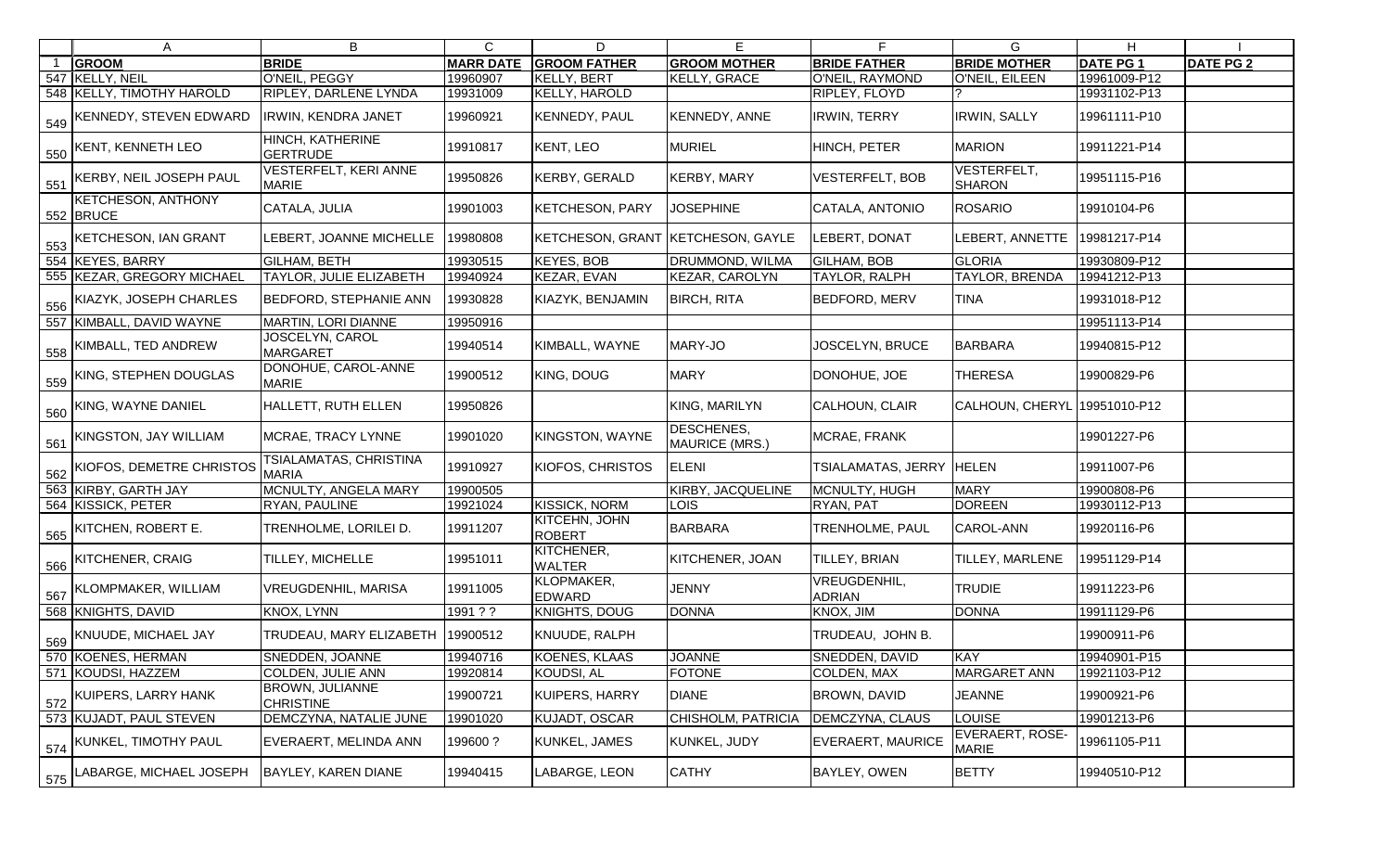|     | $\mathsf{A}$                           | B                                            | $\mathsf{C}$     | D                                 | Е                                   | F.                            | G                               | H               |                  |
|-----|----------------------------------------|----------------------------------------------|------------------|-----------------------------------|-------------------------------------|-------------------------------|---------------------------------|-----------------|------------------|
|     | <b>GROOM</b>                           | <b>BRIDE</b>                                 | <b>MARR DATE</b> | <b>GROOM FATHER</b>               | <b>GROOM MOTHER</b>                 | <b>BRIDE FATHER</b>           | <b>BRIDE MOTHER</b>             | <b>DATE PG1</b> | <b>DATE PG 2</b> |
|     | 547 KELLY, NEIL                        | O'NEIL, PEGGY                                | 19960907         | KELLY, BERT                       | <b>KELLY, GRACE</b>                 | O'NEIL, RAYMOND               | O'NEIL, EILEEN                  | 19961009-P12    |                  |
|     | 548 KELLY, TIMOTHY HAROLD              | RIPLEY, DARLENE LYNDA                        | 19931009         | KELLY, HAROLD                     |                                     | RIPLEY, FLOYD                 |                                 | 19931102-P13    |                  |
| 549 | KENNEDY, STEVEN EDWARD                 | <b>IRWIN, KENDRA JANET</b>                   | 19960921         | KENNEDY, PAUL                     | <b>KENNEDY, ANNE</b>                | <b>IRWIN, TERRY</b>           | <b>IRWIN, SALLY</b>             | 19961111-P10    |                  |
| 550 | KENT, KENNETH LEO                      | HINCH, KATHERINE<br><b>GERTRUDE</b>          | 19910817         | KENT, LEO                         | <b>MURIEL</b>                       | HINCH, PETER                  | <b>MARION</b>                   | 19911221-P14    |                  |
| 551 | KERBY, NEIL JOSEPH PAUL                | <b>VESTERFELT, KERI ANNE</b><br><b>MARIE</b> | 19950826         | KERBY, GERALD                     | <b>KERBY, MARY</b>                  | <b>VESTERFELT, BOB</b>        | VESTERFELT,<br><b>SHARON</b>    | 19951115-P16    |                  |
|     | <b>KETCHESON, ANTHONY</b><br>552 BRUCE | CATALA, JULIA                                | 19901003         | <b>KETCHESON, PARY</b>            | <b>JOSEPHINE</b>                    | CATALA, ANTONIO               | <b>ROSARIO</b>                  | 19910104-P6     |                  |
| 553 | <b>KETCHESON, IAN GRANT</b>            | LEBERT, JOANNE MICHELLE                      | 19980808         | KETCHESON, GRANT KETCHESON, GAYLE |                                     | LEBERT, DONAT                 | LEBERT, ANNETTE                 | 19981217-P14    |                  |
|     | 554 KEYES, BARRY                       | <b>GILHAM, BETH</b>                          | 19930515         | <b>KEYES, BOB</b>                 | <b>DRUMMOND, WILMA</b>              | <b>GILHAM, BOB</b>            | <b>GLORIA</b>                   | 19930809-P12    |                  |
|     | 555 KEZAR, GREGORY MICHAEL             | TAYLOR, JULIE ELIZABETH                      | 19940924         | KEZAR, EVAN                       | KEZAR, CAROLYN                      | TAYLOR, RALPH                 | TAYLOR, BRENDA                  | 19941212-P13    |                  |
| 556 | KIAZYK, JOSEPH CHARLES                 | <b>BEDFORD, STEPHANIE ANN</b>                | 19930828         | KIAZYK, BENJAMIN                  | <b>BIRCH, RITA</b>                  | <b>BEDFORD, MERV</b>          | <b>TINA</b>                     | 19931018-P12    |                  |
|     | 557 KIMBALL, DAVID WAYNE               | MARTIN, LORI DIANNE                          | 19950916         |                                   |                                     |                               |                                 | 19951113-P14    |                  |
| 558 | KIMBALL, TED ANDREW                    | JOSCELYN, CAROL<br><b>MARGARET</b>           | 19940514         | KIMBALL, WAYNE                    | MARY-JO                             | JOSCELYN, BRUCE               | <b>BARBARA</b>                  | 19940815-P12    |                  |
| 559 | KING, STEPHEN DOUGLAS                  | DONOHUE, CAROL-ANNE<br><b>MARIE</b>          | 19900512         | KING, DOUG                        | <b>MARY</b>                         | DONOHUE, JOE                  | <b>THERESA</b>                  | 19900829-P6     |                  |
| 560 | KING, WAYNE DANIEL                     | HALLETT, RUTH ELLEN                          | 19950826         |                                   | KING, MARILYN                       | <b>CALHOUN, CLAIR</b>         | CALHOUN, CHERYL 19951010-P12    |                 |                  |
| 561 | KINGSTON, JAY WILLIAM                  | MCRAE, TRACY LYNNE                           | 19901020         | KINGSTON, WAYNE                   | DESCHENES,<br><b>MAURICE (MRS.)</b> | MCRAE, FRANK                  |                                 | 19901227-P6     |                  |
| 562 | KIOFOS, DEMETRE CHRISTOS               | TSIALAMATAS, CHRISTINA<br><b>MARIA</b>       | 19910927         | KIOFOS, CHRISTOS                  | <b>ELENI</b>                        | TSIALAMATAS, JERRY            | <b>HELEN</b>                    | 19911007-P6     |                  |
|     | 563 KIRBY, GARTH JAY                   | MCNULTY, ANGELA MARY                         | 19900505         |                                   | KIRBY, JACQUELINE                   | MCNULTY, HUGH                 | <b>MARY</b>                     | 19900808-P6     |                  |
|     | 564 KISSICK, PETER                     | RYAN, PAULINE                                | 19921024         | <b>KISSICK, NORM</b>              | <b>LOIS</b>                         | RYAN, PAT                     | <b>DOREEN</b>                   | 19930112-P13    |                  |
| 565 | KITCHEN, ROBERT E.                     | TRENHOLME, LORILEI D.                        | 19911207         | KITCEHN, JOHN<br>ROBERT           | <b>BARBARA</b>                      | TRENHOLME, PAUL               | CAROL-ANN                       | 19920116-P6     |                  |
| 566 | <b>KITCHENER, CRAIG</b>                | TILLEY, MICHELLE                             | 19951011         | KITCHENER,<br><b>WALTER</b>       | KITCHENER, JOAN                     | <b>TILLEY, BRIAN</b>          | <b>TILLEY, MARLENE</b>          | 19951129-P14    |                  |
|     | 567 KLOMPMAKER, WILLIAM                | <b>VREUGDENHIL, MARISA</b>                   | 19911005         | KLOPMAKER,<br>EDWARD              | <b>JENNY</b>                        | VREUGDENHIL,<br><b>ADRIAN</b> | <b>TRUDIE</b>                   | 19911223-P6     |                  |
|     | 568 KNIGHTS, DAVID                     | KNOX, LYNN                                   | 1991 ? ?         | KNIGHTS, DOUG                     | <b>DONNA</b>                        | KNOX, JIM                     | <b>DONNA</b>                    | 19911129-P6     |                  |
|     | 569 KNUUDE, MICHAEL JAY                | TRUDEAU, MARY ELIZABETH   19900512           |                  | KNUUDE, RALPH                     |                                     | TRUDEAU, JOHN B.              |                                 | 19900911-P6     |                  |
|     | 570 KOENES, HERMAN                     | SNEDDEN, JOANNE                              | 19940716         | KOENES, KLAAS                     | <b>JOANNE</b>                       | SNEDDEN, DAVID                | <b>KAY</b>                      | 19940901-P15    |                  |
|     | 571 KOUDSI, HAZZEM                     | COLDEN, JULIE ANN                            | 19920814         | KOUDSI, AL                        | <b>FOTONE</b>                       | COLDEN, MAX                   | <b>MARGARET ANN</b>             | 19921103-P12    |                  |
|     | 572 KUIPERS, LARRY HANK                | BROWN, JULIANNE<br><b>CHRISTINE</b>          | 19900721         | KUIPERS, HARRY                    | <b>DIANE</b>                        | <b>BROWN, DAVID</b>           | <b>JEANNE</b>                   | 19900921-P6     |                  |
|     | 573 KUJADT, PAUL STEVEN                | DEMCZYNA, NATALIE JUNE                       | 19901020         | KUJADT, OSCAR                     | CHISHOLM, PATRICIA                  | DEMCZYNA, CLAUS               | <b>LOUISE</b>                   | 19901213-P6     |                  |
| 574 | KUNKEL, TIMOTHY PAUL                   | EVERAERT, MELINDA ANN                        | 199600?          | KUNKEL, JAMES                     | KUNKEL, JUDY                        | <b>EVERAERT, MAURICE</b>      | EVERAERT, ROSE-<br><b>MARIE</b> | 19961105-P11    |                  |
|     | 575 LABARGE, MICHAEL JOSEPH            | BAYLEY, KAREN DIANE                          | 19940415         | LABARGE, LEON                     | <b>CATHY</b>                        | BAYLEY, OWEN                  | <b>BETTY</b>                    | 19940510-P12    |                  |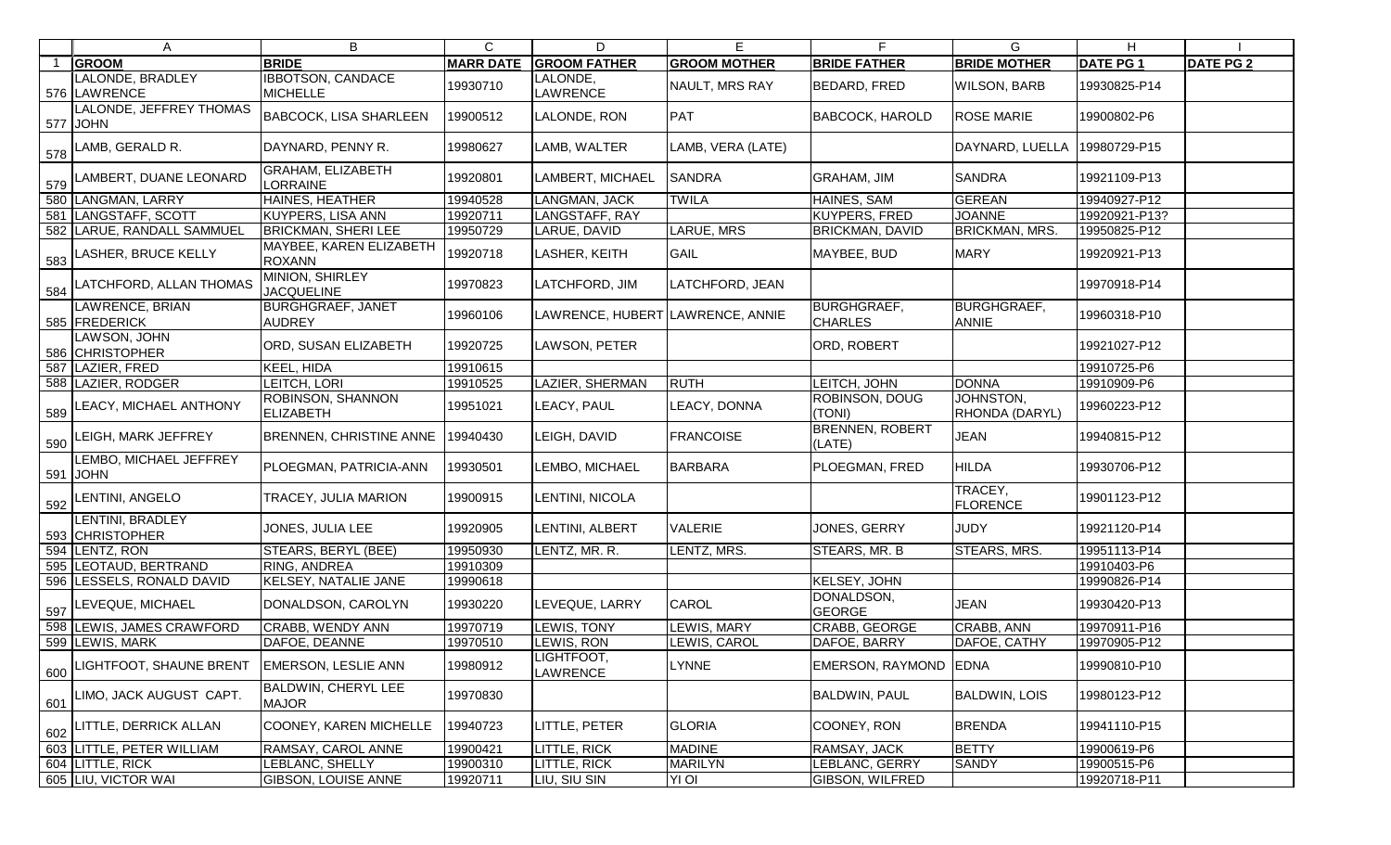| $\mathsf{A}$                            | B                                            | $\mathsf{C}$     | D                               | E                   | E.                                   | G                                  | H               |                  |
|-----------------------------------------|----------------------------------------------|------------------|---------------------------------|---------------------|--------------------------------------|------------------------------------|-----------------|------------------|
| <b>GROOM</b>                            | <b>BRIDE</b>                                 | <b>MARR DATE</b> | <b>GROOM FATHER</b>             | <b>GROOM MOTHER</b> | <b>BRIDE FATHER</b>                  | <b>BRIDE MOTHER</b>                | <b>DATE PG1</b> | <b>DATE PG 2</b> |
| LALONDE, BRADLEY                        | <b>IBBOTSON, CANDACE</b>                     | 19930710         | LALONDE,                        | NAULT, MRS RAY      | BEDARD, FRED                         | <b>WILSON, BARB</b>                | 19930825-P14    |                  |
| 576 LAWRENCE                            | <b>MICHELLE</b>                              |                  | LAWRENCE                        |                     |                                      |                                    |                 |                  |
| LALONDE, JEFFREY THOMAS<br>577 JOHN     | <b>BABCOCK, LISA SHARLEEN</b>                | 19900512         | LALONDE, RON                    | PAT                 | <b>BABCOCK, HAROLD</b>               | <b>ROSE MARIE</b>                  | 19900802-P6     |                  |
| 578 LAMB, GERALD R.                     | DAYNARD, PENNY R.                            | 19980627         | LAMB, WALTER                    | LAMB, VERA (LATE)   |                                      | DAYNARD, LUELLA                    | 19980729-P15    |                  |
| 579 LAMBERT, DUANE LEONARD              | GRAHAM, ELIZABETH<br><b>LORRAINE</b>         | 19920801         | LAMBERT, MICHAEL                | <b>SANDRA</b>       | <b>GRAHAM, JIM</b>                   | <b>SANDRA</b>                      | 19921109-P13    |                  |
| 580 LANGMAN, LARRY                      | <b>HAINES, HEATHER</b>                       | 19940528         | LANGMAN, JACK                   | <b>TWILA</b>        | <b>HAINES, SAM</b>                   | <b>GEREAN</b>                      | 19940927-P12    |                  |
| 581 LANGSTAFF, SCOTT                    | <b>KUYPERS, LISA ANN</b>                     | 19920711         | LANGSTAFF, RAY                  |                     | <b>KUYPERS, FRED</b>                 | <b>JOANNE</b>                      | 19920921-P13?   |                  |
| 582 LARUE, RANDALL SAMMUEL              | <b>BRICKMAN, SHERI LEE</b>                   | 19950729         | LARUE, DAVID                    | LARUE, MRS          | <b>BRICKMAN, DAVID</b>               | <b>BRICKMAN, MRS.</b>              | 19950825-P12    |                  |
| $\frac{1}{583}$ LASHER, BRUCE KELLY     | MAYBEE, KAREN ELIZABETH<br><b>ROXANN</b>     | 19920718         | LASHER, KEITH                   | <b>GAIL</b>         | MAYBEE, BUD                          | <b>MARY</b>                        | 19920921-P13    |                  |
| $\frac{1}{584}$ LATCHFORD, ALLAN THOMAS | MINION, SHIRLEY<br><b>JACQUELINE</b>         | 19970823         | LATCHFORD, JIM                  | LATCHFORD, JEAN     |                                      |                                    | 19970918-P14    |                  |
| LAWRENCE, BRIAN<br>585 FREDERICK        | <b>BURGHGRAEF, JANET</b><br><b>AUDREY</b>    | 19960106         | AWRENCE, HUBERT LAWRENCE, ANNIE |                     | <b>BURGHGRAEF,</b><br><b>CHARLES</b> | <b>BURGHGRAEF,</b><br><b>ANNIE</b> | 19960318-P10    |                  |
| LAWSON, JOHN<br>586 CHRISTOPHER         | ORD, SUSAN ELIZABETH                         | 19920725         | LAWSON, PETER                   |                     | ORD, ROBERT                          |                                    | 19921027-P12    |                  |
| 587 LAZIER, FRED                        | KEEL, HIDA                                   | 19910615         |                                 |                     |                                      |                                    | 19910725-P6     |                  |
| 588 LAZIER, RODGER                      | LEITCH, LORI                                 | 19910525         | LAZIER, SHERMAN                 | <b>RUTH</b>         | LEITCH, JOHN                         | <b>DONNA</b>                       | 19910909-P6     |                  |
| $\frac{1}{589}$ LEACY, MICHAEL ANTHONY  | <b>ROBINSON, SHANNON</b><br><b>ELIZABETH</b> | 19951021         | LEACY, PAUL                     | LEACY, DONNA        | ROBINSON, DOUG<br>(TONI)             | JOHNSTON,<br>RHONDA (DARYL)        | 19960223-P12    |                  |
| $\frac{1}{590}$ LEIGH, MARK JEFFREY     | <b>BRENNEN, CHRISTINE ANNE</b>               | 19940430         | LEIGH, DAVID                    | <b>FRANCOISE</b>    | <b>BRENNEN, ROBERT</b><br>(LATE)     | <b>JEAN</b>                        | 19940815-P12    |                  |
| LEMBO, MICHAEL JEFFREY<br>591 JOHN      | PLOEGMAN, PATRICIA-ANN                       | 19930501         | LEMBO, MICHAEL                  | <b>BARBARA</b>      | PLOEGMAN, FRED                       | <b>HILDA</b>                       | 19930706-P12    |                  |
| $592$ LENTINI, ANGELO                   | TRACEY, JULIA MARION                         | 19900915         | LENTINI, NICOLA                 |                     |                                      | TRACEY,<br><b>FLORENCE</b>         | 19901123-P12    |                  |
| LENTINI, BRADLEY<br>593 CHRISTOPHER     | JONES, JULIA LEE                             | 19920905         | LENTINI, ALBERT                 | <b>VALERIE</b>      | JONES, GERRY                         | <b>JUDY</b>                        | 19921120-P14    |                  |
| 594 LENTZ, RON                          | STEARS, BERYL (BEE)                          | 19950930         | LENTZ, MR. R.                   | LENTZ, MRS.         | STEARS, MR. B                        | <b>STEARS, MRS.</b>                | 19951113-P14    |                  |
| 595 LEOTAUD, BERTRAND                   | <b>RING, ANDREA</b>                          | 19910309         |                                 |                     |                                      |                                    | 19910403-P6     |                  |
| 596 LESSELS, RONALD DAVID               | KELSEY, NATALIE JANE                         | 19990618         |                                 |                     | KELSEY, JOHN                         |                                    | 19990826-P14    |                  |
| 597 LEVEQUE, MICHAEL                    | DONALDSON, CAROLYN                           | 19930220         | LEVEQUE, LARRY                  | <b>CAROL</b>        | DONALDSON,<br><b>GEORGE</b>          | <b>JEAN</b>                        | 19930420-P13    |                  |
| 598 LEWIS, JAMES CRAWFORD               | <b>CRABB, WENDY ANN</b>                      | 19970719         | LEWIS, TONY                     | LEWIS, MARY         | CRABB, GEORGE                        | CRABB, ANN                         | 19970911-P16    |                  |
| 599 LEWIS, MARK                         | DAFOE, DEANNE                                | 19970510         | LEWIS, RON                      | LEWIS, CAROL        | DAFOE, BARRY                         | DAFOE, CATHY                       | 19970905-P12    |                  |
| $\frac{1}{600}$ LIGHTFOOT, SHAUNE BRENT | <b>EMERSON, LESLIE ANN</b>                   | 19980912         | LIGHTFOOT,<br>LAWRENCE          | LYNNE               | EMERSON, RAYMOND EDNA                |                                    | 19990810-P10    |                  |
| 601 LIMO, JACK AUGUST CAPT.             | <b>BALDWIN, CHERYL LEE</b><br><b>MAJOR</b>   | 19970830         |                                 |                     | <b>BALDWIN, PAUL</b>                 | <b>BALDWIN, LOIS</b>               | 19980123-P12    |                  |
| 602 LITTLE, DERRICK ALLAN               | COONEY, KAREN MICHELLE                       | 19940723         | LITTLE, PETER                   | <b>GLORIA</b>       | COONEY, RON                          | <b>BRENDA</b>                      | 19941110-P15    |                  |
| 603 LITTLE, PETER WILLIAM               | RAMSAY, CAROL ANNE                           | 19900421         | LITTLE, RICK                    | <b>MADINE</b>       | RAMSAY, JACK                         | <b>BETTY</b>                       | 19900619-P6     |                  |
| 604 LITTLE, RICK                        | LEBLANC, SHELLY                              | 19900310         | <b>ITTLE, RICK</b>              | <b>MARILYN</b>      | LEBLANC, GERRY                       | <b>SANDY</b>                       | 19900515-P6     |                  |
| 605 LIU, VICTOR WAI                     | <b>GIBSON, LOUISE ANNE</b>                   | 19920711         | LIU, SIU SIN                    | YI OI               | GIBSON, WILFRED                      |                                    | 19920718-P11    |                  |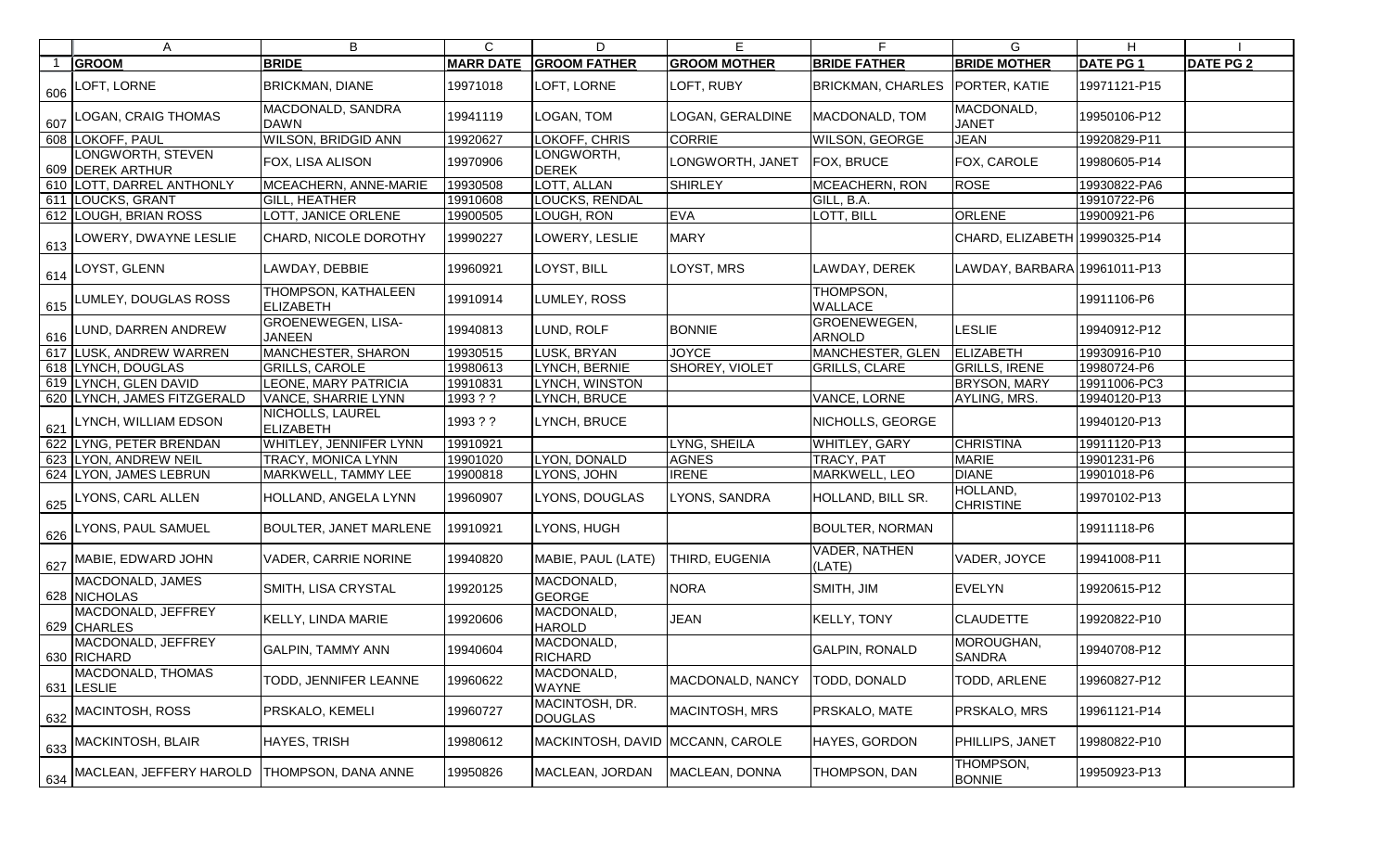|     | A                                     | B                                       | $\mathsf{C}$     | D                                | Е                   | F.                            | G                             | H                |                  |
|-----|---------------------------------------|-----------------------------------------|------------------|----------------------------------|---------------------|-------------------------------|-------------------------------|------------------|------------------|
|     | <b>GROOM</b>                          | <b>BRIDE</b>                            | <b>MARR DATE</b> | <b>GROOM FATHER</b>              | <b>GROOM MOTHER</b> | <b>BRIDE FATHER</b>           | <b>BRIDE MOTHER</b>           | <b>DATE PG 1</b> | <b>DATE PG 2</b> |
| 606 | LOFT, LORNE                           | <b>BRICKMAN, DIANE</b>                  | 19971018         | LOFT, LORNE                      | LOFT, RUBY          | <b>BRICKMAN, CHARLES</b>      | PORTER, KATIE                 | 19971121-P15     |                  |
| 607 | LOGAN, CRAIG THOMAS                   | MACDONALD, SANDRA<br><b>DAWN</b>        | 19941119         | LOGAN, TOM                       | LOGAN, GERALDINE    | MACDONALD, TOM                | MACDONALD,<br><b>JANET</b>    | 19950106-P12     |                  |
|     | 608 LOKOFF, PAUL                      | <b>WILSON, BRIDGID ANN</b>              | 19920627         | LOKOFF, CHRIS                    | <b>CORRIE</b>       | <b>WILSON, GEORGE</b>         | <b>JEAN</b>                   | 19920829-P11     |                  |
|     | LONGWORTH, STEVEN<br>609 DEREK ARTHUR | FOX, LISA ALISON                        | 19970906         | LONGWORTH,<br><b>DEREK</b>       | LONGWORTH, JANET    | FOX, BRUCE                    | FOX, CAROLE                   | 19980605-P14     |                  |
|     | 610 LOTT, DARREL ANTHONLY             | MCEACHERN, ANNE-MARIE                   | 19930508         | LOTT, ALLAN                      | <b>SHIRLEY</b>      | <b>MCEACHERN, RON</b>         | <b>ROSE</b>                   | 19930822-PA6     |                  |
|     | 611 LOUCKS, GRANT                     | <b>GILL, HEATHER</b>                    | 19910608         | LOUCKS, RENDAL                   |                     | GILL, B.A.                    |                               | 19910722-P6      |                  |
|     | 612 LOUGH, BRIAN ROSS                 | LOTT, JANICE ORLENE                     | 19900505         | LOUGH, RON                       | <b>EVA</b>          | LOTT, BILL                    | ORLENE                        | 19900921-P6      |                  |
| 613 | LOWERY, DWAYNE LESLIE                 | CHARD, NICOLE DOROTHY                   | 19990227         | LOWERY, LESLIE                   | <b>MARY</b>         |                               | CHARD, ELIZABETH 19990325-P14 |                  |                  |
| 614 | LOYST, GLENN                          | LAWDAY, DEBBIE                          | 19960921         | LOYST, BILL                      | LOYST, MRS          | LAWDAY, DEREK                 | LAWDAY, BARBARA 19961011-P13  |                  |                  |
| 615 | LUMLEY, DOUGLAS ROSS                  | THOMPSON, KATHALEEN<br><b>ELIZABETH</b> | 19910914         | LUMLEY, ROSS                     |                     | THOMPSON,<br>WALLACE          |                               | 19911106-P6      |                  |
| 616 | LUND, DARREN ANDREW                   | GROENEWEGEN, LISA-<br><b>JANEEN</b>     | 19940813         | LUND, ROLF                       | <b>BONNIE</b>       | GROENEWEGEN,<br><b>ARNOLD</b> | <b>LESLIE</b>                 | 19940912-P12     |                  |
|     | 617 LUSK, ANDREW WARREN               | MANCHESTER, SHARON                      | 19930515         | LUSK, BRYAN                      | <b>JOYCE</b>        | MANCHESTER, GLEN              | <b>ELIZABETH</b>              | 19930916-P10     |                  |
|     | 618 LYNCH, DOUGLAS                    | <b>GRILLS, CAROLE</b>                   | 19980613         | LYNCH, BERNIE                    | SHOREY, VIOLET      | <b>GRILLS, CLARE</b>          | <b>GRILLS, IRENE</b>          | 19980724-P6      |                  |
|     | 619 LYNCH, GLEN DAVID                 | LEONE, MARY PATRICIA                    | 19910831         | LYNCH, WINSTON                   |                     |                               | <b>BRYSON, MARY</b>           | 19911006-PC3     |                  |
|     | 620 LYNCH, JAMES FITZGERALD           | VANCE, SHARRIE LYNN                     | 1993 ? ?         | LYNCH, BRUCE                     |                     | VANCE, LORNE                  | AYLING, MRS.                  | 19940120-P13     |                  |
| 621 | LYNCH, WILLIAM EDSON                  | NICHOLLS, LAUREL<br><b>ELIZABETH</b>    | 1993 ? ?         | LYNCH, BRUCE                     |                     | NICHOLLS, GEORGE              |                               | 19940120-P13     |                  |
|     | 622 LYNG, PETER BRENDAN               | WHITLEY, JENNIFER LYNN                  | 19910921         |                                  | LYNG, SHEILA        | WHITLEY, GARY                 | <b>CHRISTINA</b>              | 19911120-P13     |                  |
|     | 623 LYON, ANDREW NEIL                 | TRACY, MONICA LYNN                      | 19901020         | LYON, DONALD                     | <b>AGNES</b>        | <b>TRACY, PAT</b>             | <b>MARIE</b>                  | 19901231-P6      |                  |
|     | 624 LYON, JAMES LEBRUN                | MARKWELL, TAMMY LEE                     | 19900818         | LYONS, JOHN                      | <b>IRENE</b>        | MARKWELL, LEO                 | <b>DIANE</b>                  | 19901018-P6      |                  |
| 625 | LYONS, CARL ALLEN                     | HOLLAND, ANGELA LYNN                    | 19960907         | LYONS, DOUGLAS                   | LYONS, SANDRA       | HOLLAND, BILL SR.             | HOLLAND,<br><b>CHRISTINE</b>  | 19970102-P13     |                  |
| 626 | LYONS, PAUL SAMUEL                    | <b>BOULTER, JANET MARLENE</b>           | 19910921         | LYONS, HUGH                      |                     | <b>BOULTER, NORMAN</b>        |                               | 19911118-P6      |                  |
| 627 | MABIE, EDWARD JOHN                    | <b>VADER, CARRIE NORINE</b>             | 19940820         | MABIE, PAUL (LATE)               | THIRD, EUGENIA      | VADER, NATHEN<br>(LATE)       | VADER, JOYCE                  | 19941008-P11     |                  |
|     | MACDONALD, JAMES<br>628 NICHOLAS      | SMITH, LISA CRYSTAL                     | 19920125         | MACDONALD,<br><b>GEORGE</b>      | <b>NORA</b>         | SMITH, JIM                    | <b>EVELYN</b>                 | 19920615-P12     |                  |
|     | MACDONALD, JEFFREY<br>629 CHARLES     | KELLY, LINDA MARIE                      | 19920606         | MACDONALD,<br><b>HAROLD</b>      | <b>JEAN</b>         | <b>KELLY, TONY</b>            | <b>CLAUDETTE</b>              | 19920822-P10     |                  |
|     | MACDONALD, JEFFREY<br>630 RICHARD     | <b>GALPIN, TAMMY ANN</b>                | 19940604         | MACDONALD,<br><b>RICHARD</b>     |                     | <b>GALPIN, RONALD</b>         | MOROUGHAN,<br><b>SANDRA</b>   | 19940708-P12     |                  |
|     | MACDONALD, THOMAS<br>631 LESLIE       | TODD, JENNIFER LEANNE                   | 19960622         | MACDONALD,<br>WAYNE              | MACDONALD, NANCY    | TODD, DONALD                  | TODD, ARLENE                  | 19960827-P12     |                  |
| 632 | MACINTOSH, ROSS                       | PRSKALO, KEMELI                         | 19960727         | MACINTOSH, DR.<br><b>DOUGLAS</b> | MACINTOSH, MRS      | PRSKALO, MATE                 | PRSKALO, MRS                  | 19961121-P14     |                  |
| 633 | MACKINTOSH, BLAIR                     | <b>HAYES, TRISH</b>                     | 19980612         | MACKINTOSH, DAVID MCCANN, CAROLE |                     | HAYES, GORDON                 | PHILLIPS, JANET               | 19980822-P10     |                  |
| 634 | MACLEAN, JEFFERY HAROLD               | <b>THOMPSON, DANA ANNE</b>              | 19950826         | MACLEAN, JORDAN                  | MACLEAN, DONNA      | THOMPSON, DAN                 | THOMPSON,<br><b>BONNIE</b>    | 19950923-P13     |                  |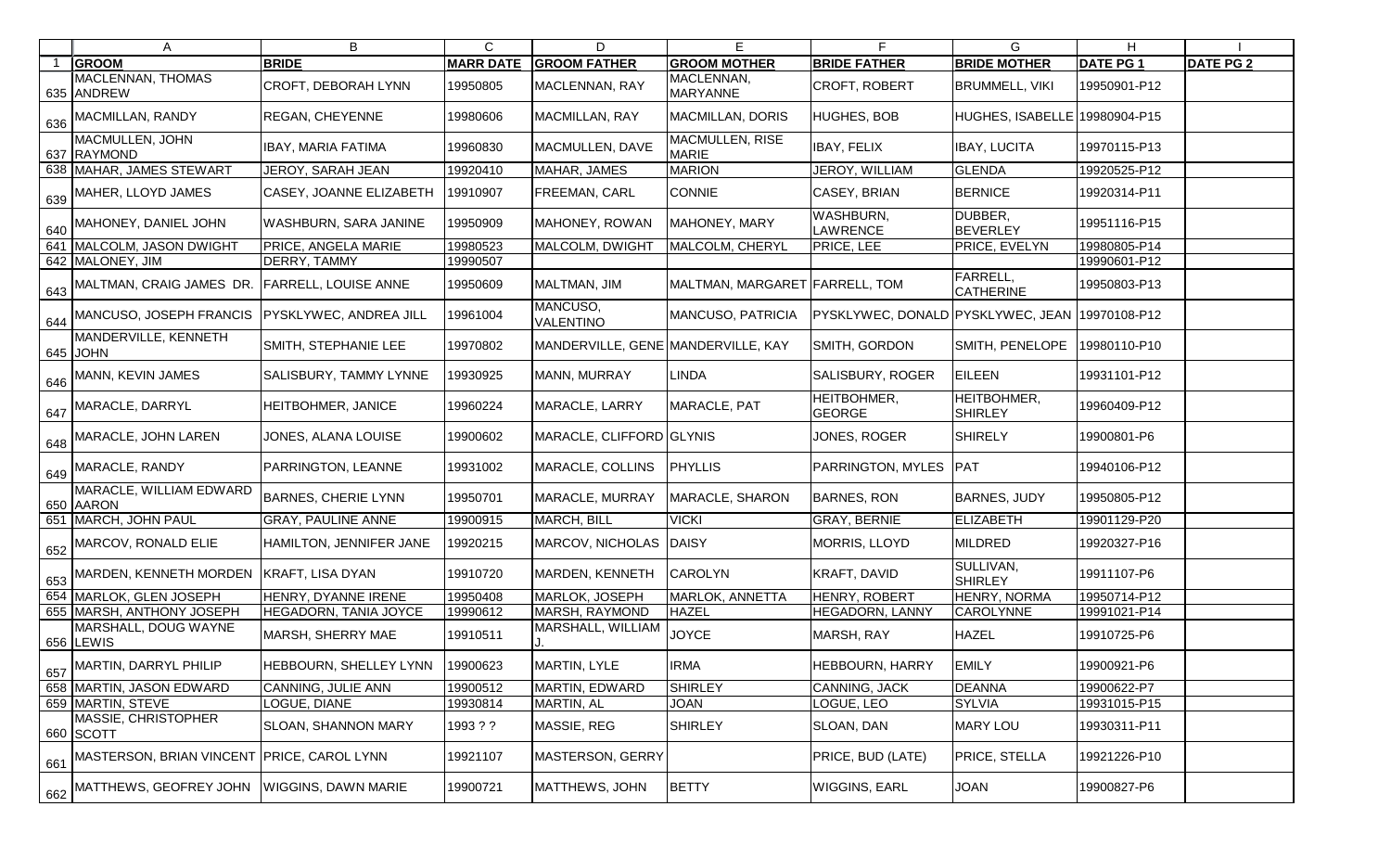| A                                                              | B                             | C                | D                                  | Е                               |                                     | G                                   | H.              |                  |
|----------------------------------------------------------------|-------------------------------|------------------|------------------------------------|---------------------------------|-------------------------------------|-------------------------------------|-----------------|------------------|
| <b>GROOM</b>                                                   | <b>BRIDE</b>                  | <b>MARR DATE</b> | <b>GROOM FATHER</b>                | <b>GROOM MOTHER</b>             | <b>BRIDE FATHER</b>                 | <b>BRIDE MOTHER</b>                 | <b>DATE PG1</b> | <b>DATE PG 2</b> |
| MACLENNAN, THOMAS<br>635 ANDREW                                | CROFT, DEBORAH LYNN           | 19950805         | MACLENNAN, RAY                     | MACLENNAN,<br><b>MARYANNE</b>   | CROFT, ROBERT                       | <b>BRUMMELL, VIKI</b>               | 19950901-P12    |                  |
| 636 MACMILLAN, RANDY                                           | <b>REGAN, CHEYENNE</b>        | 19980606         | MACMILLAN, RAY                     | <b>MACMILLAN, DORIS</b>         | <b>HUGHES, BOB</b>                  | HUGHES, ISABELLE 19980904-P15       |                 |                  |
| MACMULLEN, JOHN<br>637 RAYMOND                                 | <b>IBAY, MARIA FATIMA</b>     | 19960830         | MACMULLEN, DAVE                    | MACMULLEN, RISE<br><b>MARIE</b> | <b>IBAY, FELIX</b>                  | <b>IBAY, LUCITA</b>                 | 19970115-P13    |                  |
| 638 MAHAR, JAMES STEWART                                       | JEROY, SARAH JEAN             | 19920410         | MAHAR, JAMES                       | MARION                          | JEROY, WILLIAM                      | <b>GLENDA</b>                       | 19920525-P12    |                  |
| $\frac{639}{639}$ MAHER, LLOYD JAMES                           | CASEY, JOANNE ELIZABETH       | 19910907         | FREEMAN, CARL                      | <b>CONNIE</b>                   | CASEY, BRIAN                        | <b>BERNICE</b>                      | 19920314-P11    |                  |
| 640 MAHONEY, DANIEL JOHN                                       | <b>WASHBURN, SARA JANINE</b>  | 19950909         | MAHONEY, ROWAN                     | MAHONEY, MARY                   | WASHBURN,<br><b>AWRENCE</b>         | DUBBER,<br><b>BEVERLEY</b>          | 19951116-P15    |                  |
| 641 MALCOLM, JASON DWIGHT                                      | PRICE, ANGELA MARIE           | 19980523         | MALCOLM, DWIGHT                    | MALCOLM, CHERYL                 | PRICE, LEE                          | PRICE, EVELYN                       | 19980805-P14    |                  |
| 642 MALONEY, JIM                                               | DERRY, TAMMY                  | 19990507         |                                    |                                 |                                     |                                     | 19990601-P12    |                  |
| $\frac{1}{643}$ MALTMAN, CRAIG JAMES DR.                       | <b>FARRELL, LOUISE ANNE</b>   | 19950609         | MALTMAN, JIM                       | MALTMAN, MARGARET FARRELL, TOM  |                                     | <b>FARRELL,</b><br><b>CATHERINE</b> | 19950803-P13    |                  |
| 644 MANCUSO, JOSEPH FRANCIS PYSKLYWEC, ANDREA JILL             |                               | 19961004         | MANCUSO,<br><b>VALENTINO</b>       | MANCUSO, PATRICIA               | PYSKLYWEC, DONALD PYSKLYWEC, JEAN   |                                     | 19970108-P12    |                  |
| MANDERVILLE, KENNETH<br>645 JOHN                               | SMITH, STEPHANIE LEE          | 19970802         | MANDERVILLE, GENE MANDERVILLE, KAY |                                 | SMITH, GORDON                       | SMITH, PENELOPE                     | 19980110-P10    |                  |
| $\frac{1}{646}$ MANN, KEVIN JAMES                              | <b>SALISBURY, TAMMY LYNNE</b> | 19930925         | MANN, MURRAY                       | <b>LINDA</b>                    | SALISBURY, ROGER                    | <b>EILEEN</b>                       | 19931101-P12    |                  |
| 647 MARACLE, DARRYL                                            | <b>HEITBOHMER, JANICE</b>     | 19960224         | MARACLE, LARRY                     | MARACLE, PAT                    | <b>HEITBOHMER,</b><br><b>GEORGE</b> | <b>HEITBOHMER,</b><br>SHIRLEY       | 19960409-P12    |                  |
| $\frac{1}{648}$ MARACLE, JOHN LAREN                            | JONES, ALANA LOUISE           | 19900602         | MARACLE, CLIFFORD GLYNIS           |                                 | JONES, ROGER                        | <b>SHIRELY</b>                      | 19900801-P6     |                  |
| 649 MARACLE, RANDY                                             | PARRINGTON, LEANNE            | 19931002         | MARACLE, COLLINS                   | <b>PHYLLIS</b>                  | PARRINGTON, MYLES                   | <b>IPAT</b>                         | 19940106-P12    |                  |
| MARACLE, WILLIAM EDWARD<br>650 AARON                           | <b>BARNES, CHERIE LYNN</b>    | 19950701         | MARACLE, MURRAY                    | MARACLE, SHARON                 | <b>BARNES, RON</b>                  | <b>BARNES, JUDY</b>                 | 19950805-P12    |                  |
| 651 MARCH, JOHN PAUL                                           | <b>GRAY, PAULINE ANNE</b>     | 19900915         | MARCH, BILL                        | <b>VICKI</b>                    | <b>GRAY, BERNIE</b>                 | <b>ELIZABETH</b>                    | 19901129-P20    |                  |
| $^{\prime}$ 652 MARCOV, RONALD ELIE                            | HAMILTON, JENNIFER JANE       | 19920215         | MARCOV, NICHOLAS                   | DAISY                           | MORRIS, LLOYD                       | <b>MILDRED</b>                      | 19920327-P16    |                  |
| $\frac{1}{1}$ 653 MARDEN, KENNETH MORDEN $\,$ KRAFT, LISA DYAN |                               | 19910720         | MARDEN, KENNETH                    | <b>CAROLYN</b>                  | KRAFT, DAVID                        | SULLIVAN,<br><b>SHIRLEY</b>         | 19911107-P6     |                  |
| 654 MARLOK, GLEN JOSEPH                                        | HENRY, DYANNE IRENE           | 19950408         | MARLOK, JOSEPH                     | MARLOK, ANNETTA                 | <b>HENRY, ROBERT</b>                | <b>HENRY, NORMA</b>                 | 19950714-P12    |                  |
| 655 MARSH, ANTHONY JOSEPH                                      | <b>HEGADORN, TANIA JOYCE</b>  | 19990612         | MARSH, RAYMOND                     | <b>HAZEL</b>                    | HEGADORN, LANNY                     | <b>CAROLYNNE</b>                    | 19991021-P14    |                  |
| MARSHALL, DOUG WAYNE<br>656 LEWIS                              | MARSH, SHERRY MAE             | 19910511         | MARSHALL, WILLIAM                  | <b>JOYCE</b>                    | MARSH, RAY                          | <b>HAZEL</b>                        | 19910725-P6     |                  |
| $\frac{1}{657}$ MARTIN, DARRYL PHILIP                          | <b>HEBBOURN, SHELLEY LYNN</b> | 19900623         | <b>MARTIN, LYLE</b>                | <b>IRMA</b>                     | <b>HEBBOURN, HARRY</b>              | <b>EMILY</b>                        | 19900921-P6     |                  |
| 658 MARTIN, JASON EDWARD                                       | <b>CANNING, JULIE ANN</b>     | 19900512         | MARTIN, EDWARD                     | <b>SHIRLEY</b>                  | CANNING, JACK                       | <b>DEANNA</b>                       | 19900622-P7     |                  |
| 659 MARTIN, STEVE                                              | LOGUE, DIANE                  | 19930814         | MARTIN, AL                         | <b>JOAN</b>                     | LOGUE, LEO                          | <b>SYLVIA</b>                       | 19931015-P15    |                  |
| MASSIE, CHRISTOPHER<br>660 SCOTT                               | <b>SLOAN, SHANNON MARY</b>    | 1993??           | MASSIE, REG                        | <b>SHIRLEY</b>                  | SLOAN, DAN                          | <b>MARY LOU</b>                     | 19930311-P11    |                  |
| $\mid$ $_{661}$ MASTERSON, BRIAN VINCENT PRICE, CAROL LYNN     |                               | 19921107         | MASTERSON, GERRY                   |                                 | PRICE, BUD (LATE)                   | <b>PRICE, STELLA</b>                | 19921226-P10    |                  |
| 662 MATTHEWS, GEOFREY JOHN WIGGINS, DAWN MARIE                 |                               | 19900721         | MATTHEWS, JOHN                     | <b>BETTY</b>                    | WIGGINS, EARL                       | <b>JOAN</b>                         | 19900827-P6     |                  |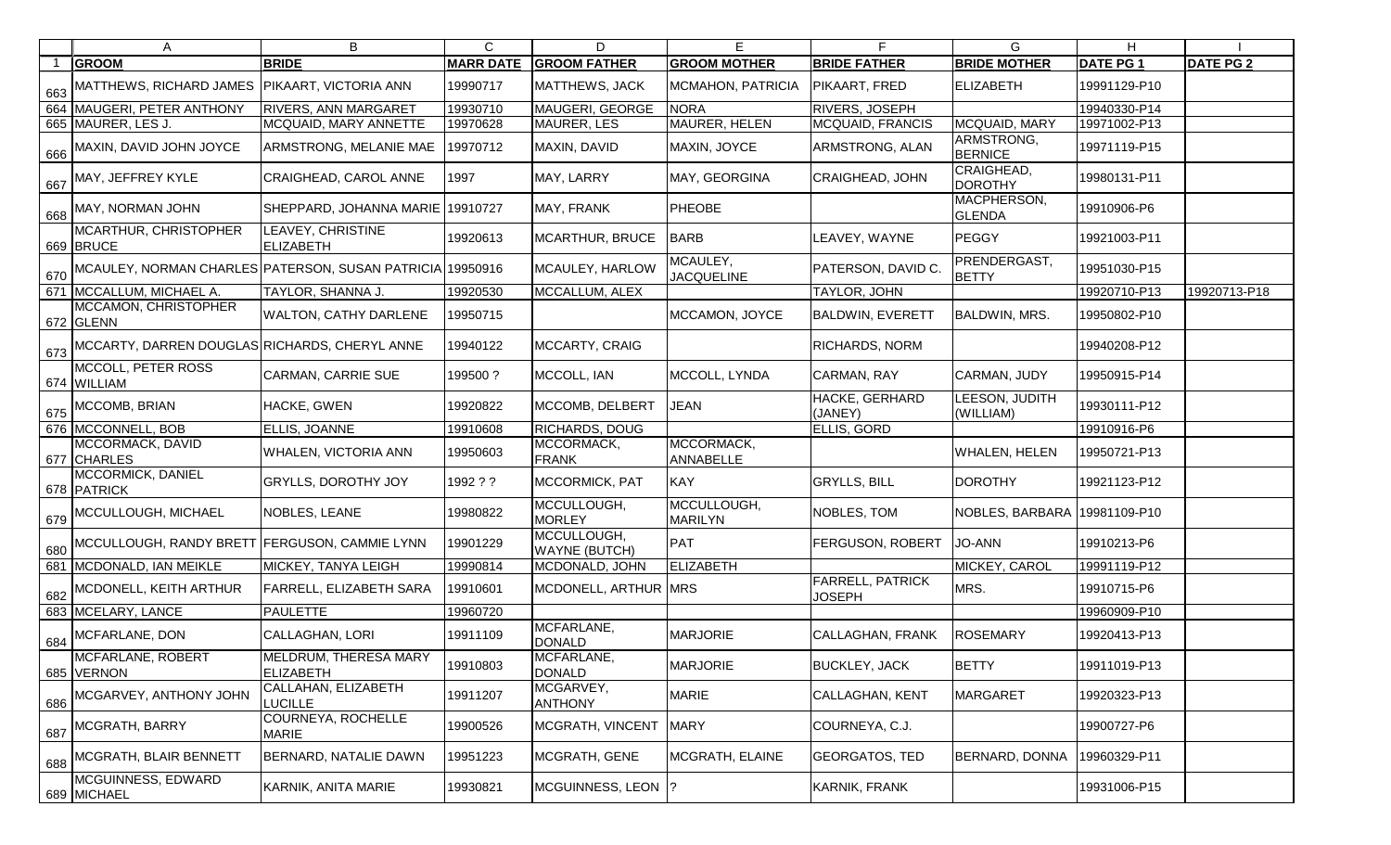|     | A                                                         | B                                                | C                | D                                   | Е                             | F.                                       | G                            | H               |                  |
|-----|-----------------------------------------------------------|--------------------------------------------------|------------------|-------------------------------------|-------------------------------|------------------------------------------|------------------------------|-----------------|------------------|
|     | <b>GROOM</b>                                              | <b>BRIDE</b>                                     | <b>MARR DATE</b> | <b>GROOM FATHER</b>                 | <b>GROOM MOTHER</b>           | <b>BRIDE FATHER</b>                      | <b>BRIDE MOTHER</b>          | <b>DATE PG1</b> | <b>DATE PG 2</b> |
| 663 | MATTHEWS, RICHARD JAMES                                   | PIKAART, VICTORIA ANN                            | 19990717         | <b>MATTHEWS, JACK</b>               | <b>MCMAHON, PATRICIA</b>      | <b>PIKAART, FRED</b>                     | ELIZABETH                    | 19991129-P10    |                  |
|     | 664 MAUGERI, PETER ANTHONY                                | <b>RIVERS, ANN MARGARET</b>                      | 19930710         | MAUGERI, GEORGE                     | <b>NORA</b>                   | <b>RIVERS, JOSEPH</b>                    |                              | 19940330-P14    |                  |
|     | 665 MAURER, LES J.                                        | MCQUAID, MARY ANNETTE                            | 19970628         | <b>MAURER, LES</b>                  | MAURER, HELEN                 | <b>MCQUAID, FRANCIS</b>                  | MCQUAID, MARY                | 19971002-P13    |                  |
| 666 | MAXIN, DAVID JOHN JOYCE                                   | ARMSTRONG, MELANIE MAE                           | 9970712          | MAXIN, DAVID                        | MAXIN, JOYCE                  | ARMSTRONG, ALAN                          | ARMSTRONG,<br><b>BERNICE</b> | 19971119-P15    |                  |
| 667 | MAY, JEFFREY KYLE                                         | <b>CRAIGHEAD, CAROL ANNE</b>                     | 1997             | MAY, LARRY                          | MAY, GEORGINA                 | <b>CRAIGHEAD, JOHN</b>                   | CRAIGHEAD,<br><b>DOROTHY</b> | 19980131-P11    |                  |
| 668 | MAY, NORMAN JOHN                                          | SHEPPARD, JOHANNA MARIE 19910727                 |                  | MAY, FRANK                          | PHEOBE                        |                                          | MACPHERSON,<br><b>GLENDA</b> | 19910906-P6     |                  |
|     | MCARTHUR, CHRISTOPHER<br>669 BRUCE                        | <b>LEAVEY, CHRISTINE</b><br><b>ELIZABETH</b>     | 19920613         | MCARTHUR, BRUCE                     | <b>BARB</b>                   | LEAVEY, WAYNE                            | PEGGY                        | 19921003-P11    |                  |
| 670 | MCAULEY, NORMAN CHARLES PATERSON, SUSAN PATRICIA 19950916 |                                                  |                  | MCAULEY, HARLOW                     | MCAULEY,<br><b>JACQUELINE</b> | PATERSON, DAVID C.                       | PRENDERGAST,<br><b>BETTY</b> | 19951030-P15    |                  |
|     | 671 MCCALLUM, MICHAEL A.                                  | TAYLOR, SHANNA J.                                | 19920530         | MCCALLUM, ALEX                      |                               | <b>TAYLOR, JOHN</b>                      |                              | 19920710-P13    | 19920713-P18     |
|     | MCCAMON, CHRISTOPHER<br>672 GLENN                         | <b>WALTON, CATHY DARLENE</b>                     | 19950715         |                                     | MCCAMON, JOYCE                | <b>BALDWIN, EVERETT</b>                  | <b>BALDWIN, MRS.</b>         | 19950802-P10    |                  |
| 673 | MCCARTY, DARREN DOUGLAS RICHARDS, CHERYL ANNE             |                                                  | 19940122         | MCCARTY, CRAIG                      |                               | <b>RICHARDS, NORM</b>                    |                              | 19940208-P12    |                  |
|     | MCCOLL, PETER ROSS<br>674 WILLIAM                         | <b>CARMAN, CARRIE SUE</b>                        | 199500?          | MCCOLL, IAN                         | MCCOLL, LYNDA                 | CARMAN, RAY                              | CARMAN, JUDY                 | 19950915-P14    |                  |
| 675 | MCCOMB, BRIAN                                             | HACKE, GWEN                                      | 19920822         | MCCOMB, DELBERT                     | <b>JEAN</b>                   | HACKE, GERHARD<br>(JANEY)                | LEESON, JUDITH<br>(WILLIAM)  | 19930111-P12    |                  |
|     | 676   MCCONNELL, BOB                                      | ELLIS, JOANNE                                    | 19910608         | <b>RICHARDS, DOUG</b>               |                               | <b>ELLIS, GORD</b>                       |                              | 19910916-P6     |                  |
|     | MCCORMACK, DAVID<br>677 CHARLES                           | WHALEN, VICTORIA ANN                             | 19950603         | MCCORMACK,<br><b>FRANK</b>          | MCCORMACK,<br>ANNABELLE       |                                          | <b>WHALEN, HELEN</b>         | 19950721-P13    |                  |
|     | MCCORMICK, DANIEL<br>678 PATRICK                          | <b>GRYLLS, DOROTHY JOY</b>                       | 1992 ? ?         | <b>MCCORMICK, PAT</b>               | KAY                           | <b>GRYLLS, BILL</b>                      | <b>DOROTHY</b>               | 19921123-P12    |                  |
| 679 | MCCULLOUGH, MICHAEL                                       | <b>NOBLES, LEANE</b>                             | 19980822         | MCCULLOUGH,<br><b>MORLEY</b>        | MCCULLOUGH,<br><b>MARILYN</b> | NOBLES, TOM                              | NOBLES, BARBARA 19981109-P10 |                 |                  |
| 680 | MCCULLOUGH, RANDY BRETT FERGUSON, CAMMIE LYNN             |                                                  | 19901229         | MCCULLOUGH,<br><b>WAYNE (BUTCH)</b> | PAT                           | <b>FERGUSON, ROBERT</b>                  | <b>JO-ANN</b>                | 19910213-P6     |                  |
|     | 681 MCDONALD, IAN MEIKLE                                  | <b>MICKEY, TANYA LEIGH</b>                       | 19990814         | MCDONALD, JOHN                      | ELIZABETH                     |                                          | MICKEY, CAROL                | 19991119-P12    |                  |
|     | 682 MCDONELL, KEITH ARTHUR                                | <b>FARRELL, ELIZABETH SARA</b>                   | 19910601         | MCDONELL, ARTHUR MRS                |                               | <b>FARRELL, PATRICK</b><br><b>JOSEPH</b> | MRS.                         | 19910715-P6     |                  |
|     | 683 MCELARY, LANCE                                        | <b>PAULETTE</b>                                  | 19960720         |                                     |                               |                                          |                              | 19960909-P10    |                  |
| 684 | MCFARLANE, DON                                            | <b>CALLAGHAN, LORI</b>                           | 19911109         | MCFARLANE,<br><b>DONALD</b>         | <b>MARJORIE</b>               | CALLAGHAN, FRANK                         | <b>ROSEMARY</b>              | 19920413-P13    |                  |
|     | MCFARLANE, ROBERT<br>685 VERNON                           | <b>MELDRUM, THERESA MARY</b><br><b>ELIZABETH</b> | 19910803         | MCFARLANE,<br><b>DONALD</b>         | <b>MARJORIE</b>               | <b>BUCKLEY, JACK</b>                     | <b>BETTY</b>                 | 19911019-P13    |                  |
| 686 | MCGARVEY, ANTHONY JOHN                                    | CALLAHAN, ELIZABETH<br><b>LUCILLE</b>            | 19911207         | MCGARVEY,<br><b>ANTHONY</b>         | <b>MARIE</b>                  | <b>CALLAGHAN, KENT</b>                   | <b>MARGARET</b>              | 19920323-P13    |                  |
| 687 | MCGRATH, BARRY                                            | <b>COURNEYA, ROCHELLE</b><br><b>MARIE</b>        | 19900526         | MCGRATH, VINCENT                    | <b>MARY</b>                   | COURNEYA, C.J.                           |                              | 19900727-P6     |                  |
| 688 | MCGRATH, BLAIR BENNETT                                    | BERNARD, NATALIE DAWN                            | 19951223         | MCGRATH, GENE                       | MCGRATH, ELAINE               | <b>GEORGATOS, TED</b>                    | <b>BERNARD, DONNA</b>        | 19960329-P11    |                  |
|     | MCGUINNESS, EDWARD<br>689 MICHAEL                         | KARNIK, ANITA MARIE                              | 19930821         | MCGUINNESS, LEON 1?                 |                               | KARNIK, FRANK                            |                              | 19931006-P15    |                  |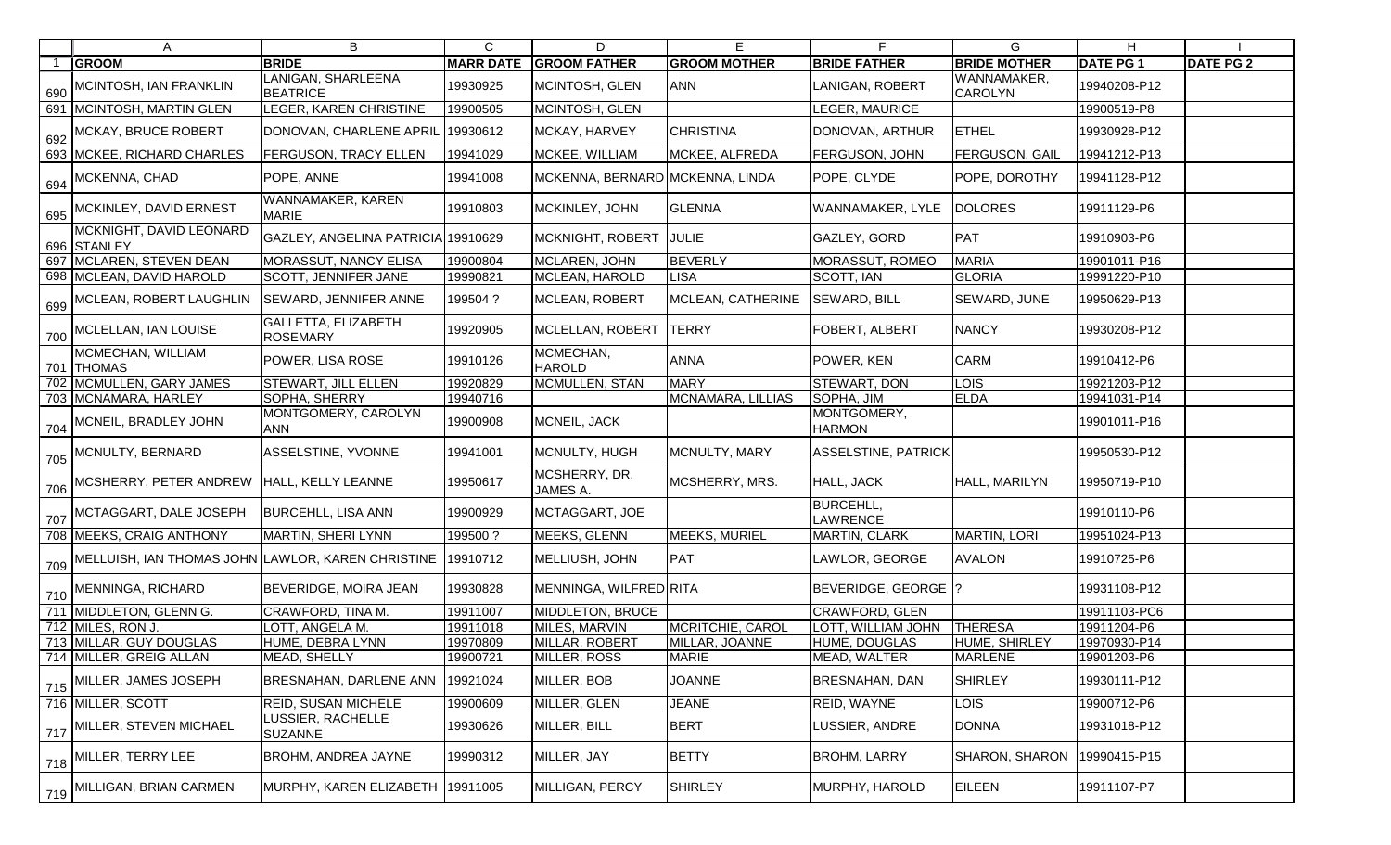| A                                                                            | B                                      | $\mathsf{C}$     | D                               | Е                   | F                                   | G                             | H               |                  |
|------------------------------------------------------------------------------|----------------------------------------|------------------|---------------------------------|---------------------|-------------------------------------|-------------------------------|-----------------|------------------|
| <b>GROOM</b>                                                                 | <b>BRIDE</b>                           | <b>MARR DATE</b> | <b>GROOM FATHER</b>             | <b>GROOM MOTHER</b> | <b>BRIDE FATHER</b>                 | <b>BRIDE MOTHER</b>           | <b>DATE PG1</b> | <b>DATE PG 2</b> |
| 690 MCINTOSH, IAN FRANKLIN                                                   | LANIGAN, SHARLEENA<br><b>BEATRICE</b>  | 19930925         | MCINTOSH, GLEN                  | <b>ANN</b>          | LANIGAN, ROBERT                     | WANNAMAKER,<br><b>CAROLYN</b> | 19940208-P12    |                  |
| 691 MCINTOSH, MARTIN GLEN                                                    | LEGER, KAREN CHRISTINE                 | 19900505         | MCINTOSH, GLEN                  |                     | LEGER, MAURICE                      |                               | 19900519-P8     |                  |
| 692 MCKAY, BRUCE ROBERT                                                      | DONOVAN, CHARLENE APRIL                | 19930612         | MCKAY, HARVEY                   | <b>CHRISTINA</b>    | DONOVAN, ARTHUR                     | <b>ETHEL</b>                  | 19930928-P12    |                  |
| 693 MCKEE, RICHARD CHARLES                                                   | <b>FERGUSON, TRACY ELLEN</b>           | 19941029         | MCKEE, WILLIAM                  | MCKEE, ALFREDA      | FERGUSON, JOHN                      | <b>FERGUSON, GAIL</b>         | 19941212-P13    |                  |
| $\frac{694}{694}$ MCKENNA, CHAD                                              | POPE, ANNE                             | 19941008         | MCKENNA, BERNARD MCKENNA, LINDA |                     | POPE, CLYDE                         | POPE, DOROTHY                 | 19941128-P12    |                  |
| $\frac{1}{695}$ MCKINLEY, DAVID ERNEST                                       | WANNAMAKER, KAREN<br><b>MARIE</b>      | 19910803         | MCKINLEY, JOHN                  | <b>GLENNA</b>       | WANNAMAKER, LYLE                    | <b>DOLORES</b>                | 19911129-P6     |                  |
| MCKNIGHT, DAVID LEONARD<br>696 STANLEY                                       | GAZLEY, ANGELINA PATRICIA 19910629     |                  | MCKNIGHT, ROBERT                | JULIE               | GAZLEY, GORD                        | <b>PAT</b>                    | 19910903-P6     |                  |
| 697 MCLAREN, STEVEN DEAN                                                     | <b>MORASSUT, NANCY ELISA</b>           | 19900804         | MCLAREN, JOHN                   | <b>BEVERLY</b>      | <b>MORASSUT, ROMEO</b>              | <b>MARIA</b>                  | 19901011-P16    |                  |
| 698 MCLEAN, DAVID HAROLD                                                     | <b>SCOTT, JENNIFER JANE</b>            | 19990821         | MCLEAN, HAROLD                  | <b>LISA</b>         | SCOTT, IAN                          | <b>GLORIA</b>                 | 19991220-P10    |                  |
| 699 MCLEAN, ROBERT LAUGHLIN                                                  | <b>SEWARD, JENNIFER ANNE</b>           | 199504?          | MCLEAN, ROBERT                  | MCLEAN, CATHERINE   | <b>SEWARD, BILL</b>                 | SEWARD, JUNE                  | 19950629-P13    |                  |
| 700 MCLELLAN, IAN LOUISE                                                     | GALLETTA, ELIZABETH<br><b>ROSEMARY</b> | 19920905         | MCLELLAN, ROBERT                | <b>TERRY</b>        | FOBERT, ALBERT                      | <b>NANCY</b>                  | 19930208-P12    |                  |
| MCMECHAN, WILLIAM<br>701 THOMAS                                              | POWER, LISA ROSE                       | 19910126         | MCMECHAN,<br><b>HAROLD</b>      | <b>ANNA</b>         | POWER, KEN                          | <b>CARM</b>                   | 19910412-P6     |                  |
| 702 MCMULLEN, GARY JAMES                                                     | <b>STEWART, JILL ELLEN</b>             | 19920829         | MCMULLEN, STAN                  | <b>MARY</b>         | STEWART, DON                        | <b>LOIS</b>                   | 19921203-P12    |                  |
| 703 MCNAMARA, HARLEY                                                         | SOPHA, SHERRY                          | 19940716         |                                 | MCNAMARA, LILLIAS   | SOPHA, JIM                          | ELDA                          | 19941031-P14    |                  |
| 704 MCNEIL, BRADLEY JOHN                                                     | MONTGOMERY, CAROLYN<br><b>ANN</b>      | 19900908         | MCNEIL, JACK                    |                     | MONTGOMERY,<br><b>HARMON</b>        |                               | 19901011-P16    |                  |
| 705 MCNULTY, BERNARD                                                         | ASSELSTINE, YVONNE                     | 19941001         | MCNULTY, HUGH                   | MCNULTY, MARY       | <b>ASSELSTINE, PATRICK</b>          |                               | 19950530-P12    |                  |
| 706 MCSHERRY, PETER ANDREW HALL, KELLY LEANNE                                |                                        | 19950617         | MCSHERRY, DR.<br>JAMES A.       | MCSHERRY, MRS.      | HALL, JACK                          | HALL, MARILYN                 | 19950719-P10    |                  |
| 707 MCTAGGART, DALE JOSEPH                                                   | <b>BURCEHLL, LISA ANN</b>              | 19900929         | MCTAGGART, JOE                  |                     | <b>BURCEHLL,</b><br><b>LAWRENCE</b> |                               | 19910110-P6     |                  |
| 708 MEEKS, CRAIG ANTHONY                                                     | MARTIN, SHERI LYNN                     | 199500?          | <b>MEEKS, GLENN</b>             | MEEKS, MURIEL       | MARTIN, CLARK                       | <b>MARTIN, LORI</b>           | 19951024-P13    |                  |
| $_{\rm 709}$ MELLUISH, IAN THOMAS JOHN LAWLOR, KAREN CHRISTINE $\,$ 19910712 |                                        |                  | MELLIUSH, JOHN                  | PAT                 | LAWLOR, GEORGE                      | <b>AVALON</b>                 | 19910725-P6     |                  |
| 710 MENNINGA, RICHARD                                                        | <b>BEVERIDGE, MOIRA JEAN</b>           | 19930828         | MENNINGA, WILFRED RITA          |                     | BEVERIDGE, GEORGE  ?                |                               | 19931108-P12    |                  |
| 711 MIDDLETON, GLENN G.                                                      | CRAWFORD, TINA M.                      | 19911007         | MIDDLETON, BRUCE                |                     | CRAWFORD, GLEN                      |                               | 19911103-PC6    |                  |
| 712 MILES, RON J.                                                            | LOTT, ANGELA M.                        | 19911018         | MILES, MARVIN                   | MCRITCHIE, CAROL    | <b>LOTT, WILLIAM JOHN</b>           | <b>THERESA</b>                | 19911204-P6     |                  |
| 713 MILLAR, GUY DOUGLAS                                                      | HUME, DEBRA LYNN                       | 19970809         | MILLAR, ROBERT                  | MILLAR, JOANNE      | HUME, DOUGLAS                       | HUME, SHIRLEY                 | 19970930-P14    |                  |
| 714 MILLER, GREIG ALLAN                                                      | MEAD, SHELLY                           | 19900721         | MILLER, ROSS                    | <b>MARIE</b>        | MEAD, WALTER                        | <b>MARLENE</b>                | 19901203-P6     |                  |
| $\frac{1}{715}$ MILLER, JAMES JOSEPH                                         | BRESNAHAN, DARLENE ANN                 | 19921024         | MILLER, BOB                     | <b>JOANNE</b>       | BRESNAHAN, DAN                      | <b>SHIRLEY</b>                | 19930111-P12    |                  |
| 716 MILLER, SCOTT                                                            | <b>REID, SUSAN MICHELE</b>             | 19900609         | MILLER, GLEN                    | <b>JEANE</b>        | REID, WAYNE                         | LOIS                          | 19900712-P6     |                  |
| 717 MILLER, STEVEN MICHAEL                                                   | LUSSIER, RACHELLE<br><b>SUZANNE</b>    | 19930626         | MILLER, BILL                    | <b>BERT</b>         | LUSSIER, ANDRE                      | <b>DONNA</b>                  | 19931018-P12    |                  |
| $718$ MILLER, TERRY LEE                                                      | <b>BROHM, ANDREA JAYNE</b>             | 19990312         | MILLER, JAY                     | <b>BETTY</b>        | <b>BROHM, LARRY</b>                 | <b>SHARON, SHARON</b>         | 19990415-P15    |                  |
| 719 MILLIGAN, BRIAN CARMEN                                                   | MURPHY, KAREN ELIZABETH                | 19911005         | MILLIGAN, PERCY                 | <b>SHIRLEY</b>      | MURPHY, HAROLD                      | <b>EILEEN</b>                 | 19911107-P7     |                  |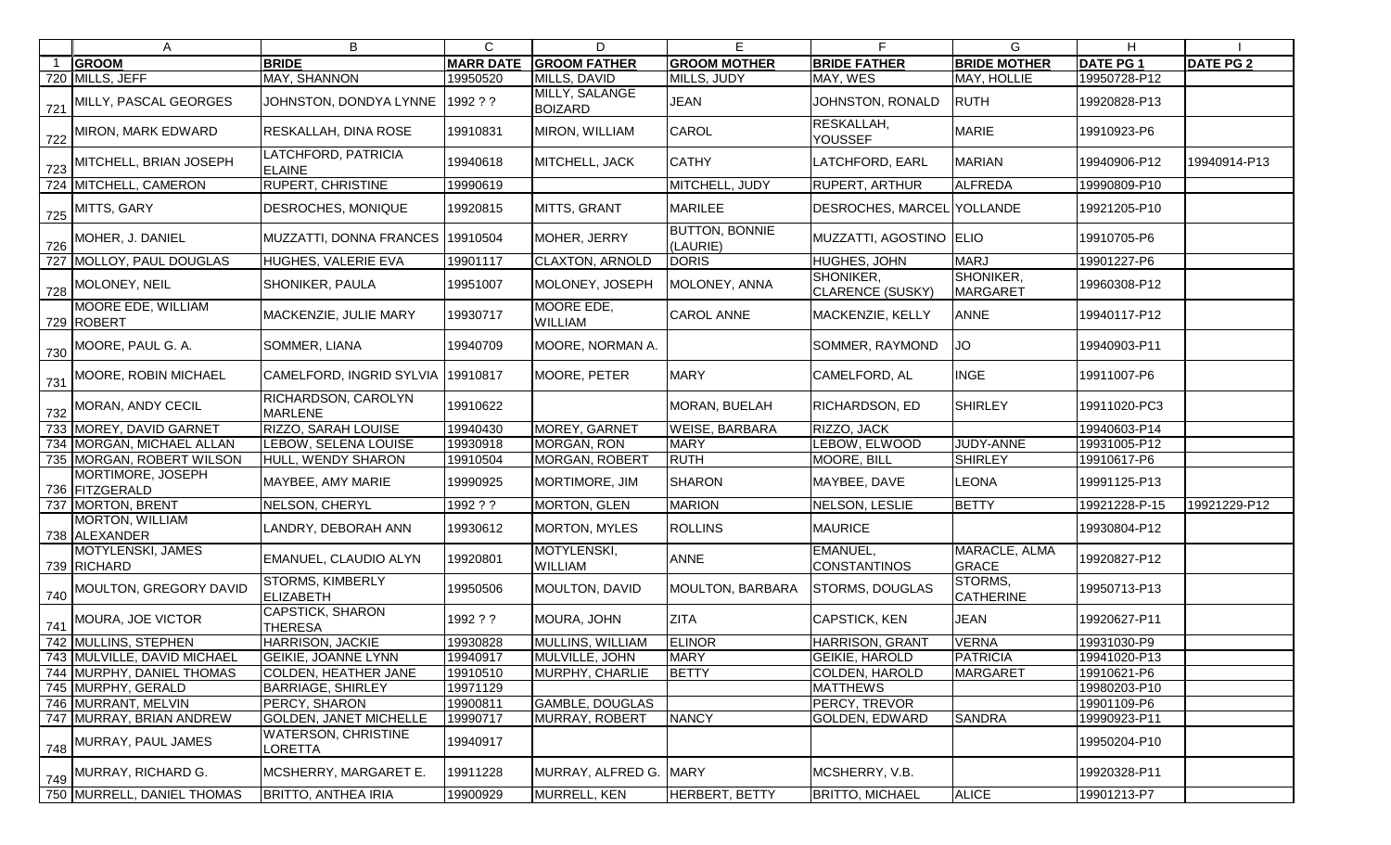|                | A                                      | B                                           | $\mathsf{C}$     | D                                | E                                 |                                      | G.                            | H                |                  |
|----------------|----------------------------------------|---------------------------------------------|------------------|----------------------------------|-----------------------------------|--------------------------------------|-------------------------------|------------------|------------------|
| $\overline{1}$ | <b>GROOM</b>                           | <b>BRIDE</b>                                | <b>MARR DATE</b> | <b>GROOM FATHER</b>              | <b>GROOM MOTHER</b>               | <b>BRIDE FATHER</b>                  | <b>BRIDE MOTHER</b>           | <b>DATE PG 1</b> | <b>DATE PG 2</b> |
|                | 720 MILLS, JEFF                        | MAY, SHANNON                                | 19950520         | MILLS, DAVID                     | MILLS, JUDY                       | MAY, WES                             | MAY, HOLLIE                   | 19950728-P12     |                  |
|                | 721 MILLY, PASCAL GEORGES              | JOHNSTON, DONDYA LYNNE                      | 1992??           | MILLY, SALANGE<br><b>BOIZARD</b> | <b>JEAN</b>                       | JOHNSTON, RONALD                     | <b>RUTH</b>                   | 19920828-P13     |                  |
|                | 722 MIRON, MARK EDWARD                 | RESKALLAH, DINA ROSE                        | 19910831         | MIRON, WILLIAM                   | <b>CAROL</b>                      | RESKALLAH,<br><b>YOUSSEF</b>         | <b>MARIE</b>                  | 19910923-P6      |                  |
|                | $\frac{1}{123}$ MITCHELL, BRIAN JOSEPH | LATCHFORD, PATRICIA<br><b>ELAINE</b>        | 19940618         | MITCHELL, JACK                   | <b>CATHY</b>                      | LATCHFORD, EARL                      | <b>MARIAN</b>                 | 19940906-P12     | 19940914-P13     |
|                | 724 MITCHELL, CAMERON                  | <b>RUPERT, CHRISTINE</b>                    | 19990619         |                                  | MITCHELL, JUDY                    | <b>RUPERT, ARTHUR</b>                | <b>ALFREDA</b>                | 19990809-P10     |                  |
|                | $\frac{725}{122}$ MITTS, GARY          | <b>DESROCHES, MONIQUE</b>                   | 19920815         | MITTS, GRANT                     | <b>MARILEE</b>                    | DESROCHES, MARCEL YOLLANDE           |                               | 19921205-P10     |                  |
|                | 726 MOHER, J. DANIEL                   | MUZZATTI, DONNA FRANCES 19910504            |                  | MOHER, JERRY                     | <b>BUTTON, BONNIE</b><br>(LAURIE) | MUZZATTI, AGOSTINO  ELIO             |                               | 19910705-P6      |                  |
|                | 727 MOLLOY, PAUL DOUGLAS               | HUGHES, VALERIE EVA                         | 19901117         | <b>CLAXTON, ARNOLD</b>           | <b>DORIS</b>                      | <b>HUGHES, JOHN</b>                  | <b>MARJ</b>                   | 19901227-P6      |                  |
|                | 728 MOLONEY, NEIL                      | <b>SHONIKER, PAULA</b>                      | 19951007         | MOLONEY, JOSEPH                  | MOLONEY, ANNA                     | SHONIKER,<br><b>CLARENCE (SUSKY)</b> | SHONIKER,<br>MARGARET         | 19960308-P12     |                  |
|                | MOORE EDE, WILLIAM<br>729 ROBERT       | MACKENZIE, JULIE MARY                       | 19930717         | MOORE EDE,<br>WILLIAM            | <b>CAROL ANNE</b>                 | MACKENZIE, KELLY                     | <b>ANNE</b>                   | 19940117-P12     |                  |
|                | 730 MOORE, PAUL G. A.                  | SOMMER, LIANA                               | 19940709         | MOORE, NORMAN A.                 |                                   | SOMMER, RAYMOND                      | <b>JO</b>                     | 19940903-P11     |                  |
|                | 731 MOORE, ROBIN MICHAEL               | CAMELFORD, INGRID SYLVIA 19910817           |                  | MOORE, PETER                     | <b>MARY</b>                       | CAMELFORD, AL                        | <b>INGE</b>                   | 19911007-P6      |                  |
|                | 732 MORAN, ANDY CECIL                  | RICHARDSON, CAROLYN<br><b>MARLENE</b>       | 19910622         |                                  | MORAN, BUELAH                     | RICHARDSON, ED                       | <b>SHIRLEY</b>                | 19911020-PC3     |                  |
|                | 733 MOREY, DAVID GARNET                | <b>RIZZO, SARAH LOUISE</b>                  | 19940430         | MOREY, GARNET                    | <b>WEISE, BARBARA</b>             | RIZZO, JACK                          |                               | 19940603-P14     |                  |
|                | 734 MORGAN, MICHAEL ALLAN              | LEBOW, SELENA LOUISE                        | 19930918         | MORGAN, RON                      | <b>MARY</b>                       | LEBOW, ELWOOD                        | JUDY-ANNE                     | 19931005-P12     |                  |
|                | 735 MORGAN, ROBERT WILSON              | HULL, WENDY SHARON                          | 19910504         | MORGAN, ROBERT                   | <b>RUTH</b>                       | MOORE, BILL                          | <b>SHIRLEY</b>                | 19910617-P6      |                  |
|                | MORTIMORE, JOSEPH<br>736 FITZGERALD    | MAYBEE, AMY MARIE                           | 19990925         | MORTIMORE, JIM                   | <b>SHARON</b>                     | MAYBEE, DAVE                         | LEONA                         | 19991125-P13     |                  |
|                | 737 MORTON, BRENT                      | NELSON, CHERYL                              | 1992 ? ?         | MORTON, GLEN                     | <b>MARION</b>                     | NELSON, LESLIE                       | <b>BETTY</b>                  | 19921228-P-15    | 19921229-P12     |
|                | MORTON, WILLIAM<br>738 ALEXANDER       | LANDRY, DEBORAH ANN                         | 19930612         | <b>MORTON, MYLES</b>             | <b>ROLLINS</b>                    | <b>MAURICE</b>                       |                               | 19930804-P12     |                  |
|                | MOTYLENSKI, JAMES<br>739 RICHARD       | <b>EMANUEL, CLAUDIO ALYN</b>                | 19920801         | MOTYLENSKI,<br><b>WILLIAM</b>    | <b>ANNE</b>                       | EMANUEL,<br>CONSTANTINOS             | MARACLE, ALMA<br><b>GRACE</b> | 19920827-P12     |                  |
|                | 740 MOULTON, GREGORY DAVID             | <b>STORMS, KIMBERLY</b><br><b>ELIZABETH</b> | 19950506         | <b>MOULTON, DAVID</b>            | MOULTON, BARBARA                  | <b>STORMS, DOUGLAS</b>               | STORMS,<br><b>CATHERINE</b>   | 19950713-P13     |                  |
|                | 741 MOURA, JOE VICTOR                  | CAPSTICK, SHARON<br><b>THERESA</b>          | 1992 ? ?         | MOURA, JOHN                      | <b>ZITA</b>                       | CAPSTICK, KEN                        | <b>JEAN</b>                   | 19920627-P11     |                  |
|                | 742 MULLINS, STEPHEN                   | <b>HARRISON, JACKIE</b>                     | 19930828         | <b>MULLINS, WILLIAM</b>          | <b>ELINOR</b>                     | <b>HARRISON, GRANT</b>               | <b>VERNA</b>                  | 19931030-P9      |                  |
|                | 743 MULVILLE, DAVID MICHAEL            | <b>GEIKIE, JOANNE LYNN</b>                  | 19940917         | MULVILLE, JOHN                   | <b>MARY</b>                       | <b>GEIKIE, HAROLD</b>                | <b>PATRICIA</b>               | 19941020-P13     |                  |
|                | 744   MURPHY, DANIEL THOMAS            | <b>COLDEN, HEATHER JANE</b>                 | 19910510         | MURPHY, CHARLIE                  | <b>BETTY</b>                      | COLDEN, HAROLD                       | <b>MARGARET</b>               | 19910621-P6      |                  |
|                | 745 MURPHY, GERALD                     | <b>BARRIAGE, SHIRLEY</b>                    | 19971129         |                                  |                                   | <b>MATTHEWS</b>                      |                               | 19980203-P10     |                  |
|                | 746 MURRANT, MELVIN                    | <b>PERCY, SHARON</b>                        | 19900811         | GAMBLE, DOUGLAS                  |                                   | PERCY, TREVOR                        |                               | 19901109-P6      |                  |
|                | 747 MURRAY, BRIAN ANDREW               | <b>GOLDEN, JANET MICHELLE</b>               | 19990717         | MURRAY, ROBERT                   | <b>NANCY</b>                      | <b>GOLDEN, EDWARD</b>                | <b>SANDRA</b>                 | 19990923-P11     |                  |
|                | 748 MURRAY, PAUL JAMES                 | WATERSON, CHRISTINE<br>LORETTA              | 19940917         |                                  |                                   |                                      |                               | 19950204-P10     |                  |
|                | 749 MURRAY, RICHARD G.                 | MCSHERRY, MARGARET E.                       | 19911228         | MURRAY, ALFRED G.                | <b>MARY</b>                       | MCSHERRY, V.B.                       |                               | 19920328-P11     |                  |
|                | 750 MURRELL, DANIEL THOMAS             | <b>BRITTO, ANTHEA IRIA</b>                  | 19900929         | MURRELL, KEN                     | <b>HERBERT, BETTY</b>             | <b>BRITTO, MICHAEL</b>               | <b>ALICE</b>                  | 19901213-P7      |                  |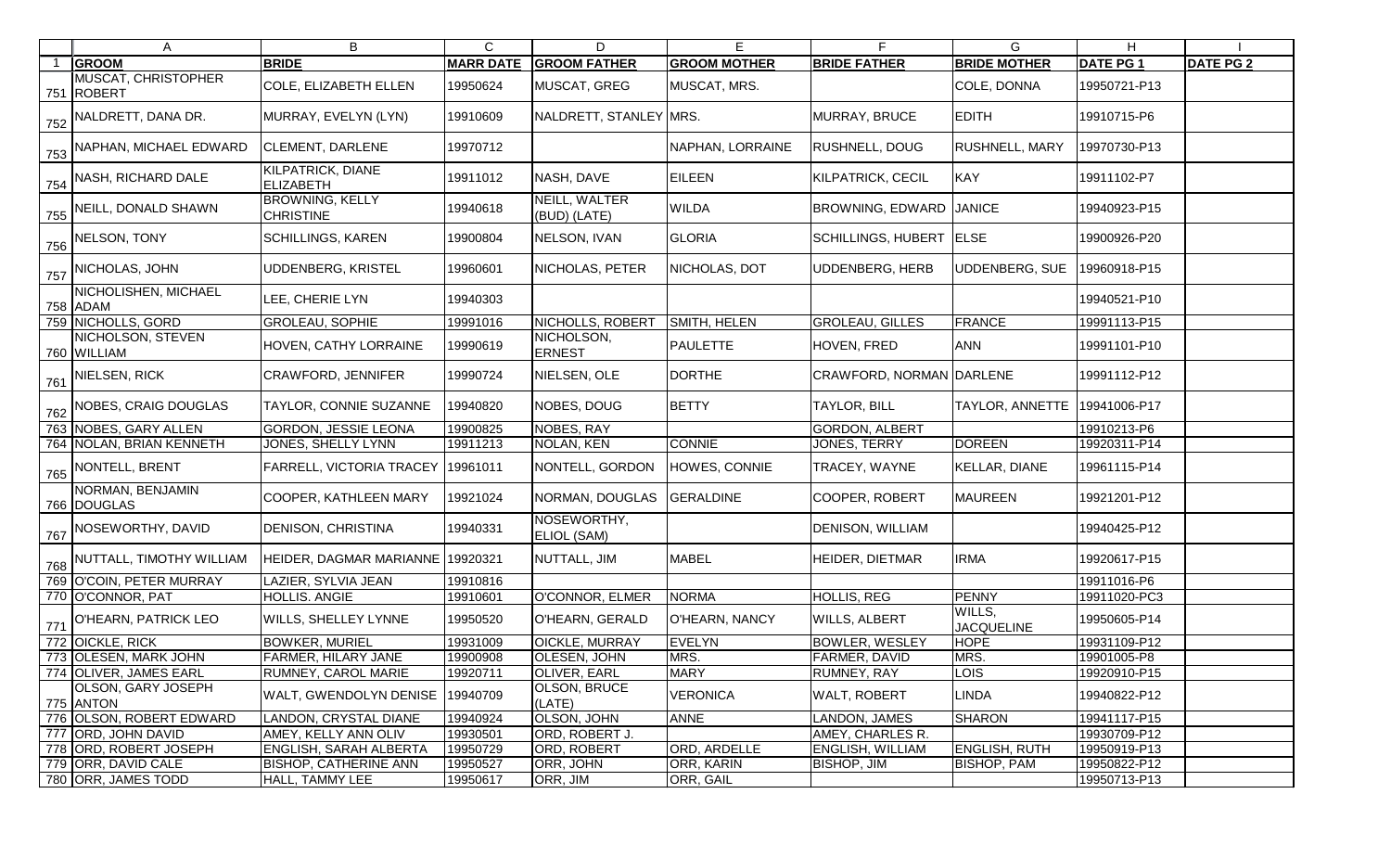|     | A                                    | B                                          | $\mathsf{C}$     | D                             | E                   |                           | G                           | H               |                  |
|-----|--------------------------------------|--------------------------------------------|------------------|-------------------------------|---------------------|---------------------------|-----------------------------|-----------------|------------------|
|     | <b>GROOM</b>                         | <b>BRIDE</b>                               | <b>MARR DATE</b> | <b>GROOM FATHER</b>           | <b>GROOM MOTHER</b> | <b>BRIDE FATHER</b>       | <b>BRIDE MOTHER</b>         | <b>DATE PG1</b> | <b>DATE PG 2</b> |
|     | MUSCAT, CHRISTOPHER<br>751 ROBERT    | <b>COLE, ELIZABETH ELLEN</b>               | 19950624         | MUSCAT, GREG                  | MUSCAT, MRS.        |                           | COLE, DONNA                 | 19950721-P13    |                  |
|     | 752 NALDRETT, DANA DR.               | MURRAY, EVELYN (LYN)                       | 19910609         | NALDRETT, STANLEY MRS.        |                     | MURRAY, BRUCE             | <b>EDITH</b>                | 19910715-P6     |                  |
|     | 753 NAPHAN, MICHAEL EDWARD           | <b>CLEMENT, DARLENE</b>                    | 19970712         |                               | NAPHAN, LORRAINE    | <b>RUSHNELL, DOUG</b>     | <b>RUSHNELL, MARY</b>       | 19970730-P13    |                  |
|     | 754 NASH, RICHARD DALE               | KILPATRICK, DIANE<br><b>ELIZABETH</b>      | 19911012         | NASH, DAVE                    | <b>EILEEN</b>       | <b>KILPATRICK, CECIL</b>  | <b>KAY</b>                  | 19911102-P7     |                  |
|     | 755 NEILL, DONALD SHAWN              | <b>BROWNING, KELLY</b><br><b>CHRISTINE</b> | 19940618         | NEILL, WALTER<br>(BUD) (LATE) | <b>WILDA</b>        | <b>BROWNING, EDWARD</b>   | <b>JANICE</b>               | 19940923-P15    |                  |
|     | $756$ NELSON, TONY                   | <b>SCHILLINGS, KAREN</b>                   | 19900804         | NELSON, IVAN                  | <b>GLORIA</b>       | <b>SCHILLINGS, HUBERT</b> | <b>ELSE</b>                 | 19900926-P20    |                  |
|     | 757 NICHOLAS, JOHN                   | UDDENBERG, KRISTEL                         | 19960601         | NICHOLAS, PETER               | NICHOLAS, DOT       | <b>UDDENBERG, HERB</b>    | UDDENBERG, SUE              | 19960918-P15    |                  |
|     | NICHOLISHEN, MICHAEL<br>758 ADAM     | LEE, CHERIE LYN                            | 19940303         |                               |                     |                           |                             | 19940521-P10    |                  |
|     | 759 NICHOLLS, GORD                   | <b>GROLEAU, SOPHIE</b>                     | 19991016         | NICHOLLS, ROBERT              | SMITH, HELEN        | <b>GROLEAU, GILLES</b>    | FRANCE                      | 19991113-P15    |                  |
|     | NICHOLSON, STEVEN<br>760 WILLIAM     | HOVEN, CATHY LORRAINE                      | 19990619         | NICHOLSON,<br><b>ERNEST</b>   | <b>PAULETTE</b>     | HOVEN, FRED               | <b>ANN</b>                  | 19991101-P10    |                  |
|     | $761$ NIELSEN, RICK                  | <b>CRAWFORD, JENNIFER</b>                  | 19990724         | NIELSEN, OLE                  | <b>DORTHE</b>       | CRAWFORD, NORMAN DARLENE  |                             | 19991112-P12    |                  |
| 762 | NOBES, CRAIG DOUGLAS                 | TAYLOR, CONNIE SUZANNE                     | 19940820         | NOBES, DOUG                   | <b>BETTY</b>        | <b>TAYLOR, BILL</b>       | TAYLOR, ANNETTE             | 19941006-P17    |                  |
|     | 763 NOBES, GARY ALLEN                | <b>GORDON, JESSIE LEONA</b>                | 19900825         | <b>NOBES, RAY</b>             |                     | <b>GORDON, ALBERT</b>     |                             | 19910213-P6     |                  |
|     | 764 NOLAN, BRIAN KENNETH             | JONES, SHELLY LYNN                         | 19911213         | NOLAN, KEN                    | <b>CONNIE</b>       | JONES, TERRY              | <b>DOREEN</b>               | 19920311-P14    |                  |
|     | 765 NONTELL, BRENT                   | <b>FARRELL, VICTORIA TRACEY</b>            | 19961011         | NONTELL, GORDON               | HOWES, CONNIE       | TRACEY, WAYNE             | <b>KELLAR, DIANE</b>        | 19961115-P14    |                  |
|     | NORMAN, BENJAMIN<br>766 DOUGLAS      | <b>COOPER, KATHLEEN MARY</b>               | 19921024         | NORMAN, DOUGLAS               | <b>GERALDINE</b>    | <b>COOPER, ROBERT</b>     | <b>MAUREEN</b>              | 19921201-P12    |                  |
|     | 767 NOSEWORTHY, DAVID                | <b>DENISON, CHRISTINA</b>                  | 19940331         | NOSEWORTHY,<br>ELIOL (SAM)    |                     | DENISON, WILLIAM          |                             | 19940425-P12    |                  |
|     | 768 NUTTALL, TIMOTHY WILLIAM         | HEIDER, DAGMAR MARIANNE 19920321           |                  | NUTTALL, JIM                  | MABEL               | <b>HEIDER, DIETMAR</b>    | <b>IRMA</b>                 | 19920617-P15    |                  |
|     | 769 O'COIN, PETER MURRAY             | LAZIER, SYLVIA JEAN                        | 19910816         |                               |                     |                           |                             | 19911016-P6     |                  |
|     | 770 O'CONNOR, PAT                    | <b>HOLLIS. ANGIE</b>                       | 19910601         | O'CONNOR, ELMER NORMA         |                     | <b>HOLLIS, REG</b>        | PENNY                       | 19911020-PC3    |                  |
|     | $\frac{1}{771}$ O'HEARN, PATRICK LEO | <b>WILLS, SHELLEY LYNNE</b>                | 19950520         | O'HEARN, GERALD               | O'HEARN, NANCY      | <b>WILLS, ALBERT</b>      | WILLS,<br><b>JACQUELINE</b> | 19950605-P14    |                  |
|     | 772 OICKLE, RICK                     | <b>BOWKER, MURIEL</b>                      | 19931009         | <b>OICKLE, MURRAY</b>         | EVELYN              | <b>BOWLER, WESLEY</b>     | <b>HOPE</b>                 | 19931109-P12    |                  |
|     | 773 OLESEN, MARK JOHN                | <b>FARMER, HILARY JANE</b>                 | 19900908         | OLESEN, JOHN                  | MRS.                | <b>FARMER, DAVID</b>      | MRS.                        | 19901005-P8     |                  |
|     | 774 OLIVER, JAMES EARL               | RUMNEY, CAROL MARIE                        | 19920711         | <b>OLIVER, EARL</b>           | <b>MARY</b>         | RUMNEY, RAY               | <b>LOIS</b>                 | 19920910-P15    |                  |
|     | OLSON, GARY JOSEPH<br>775 ANTON      | <b>WALT, GWENDOLYN DENISE</b>              | 19940709         | <b>OLSON, BRUCE</b><br>(LATE) | <b>VERONICA</b>     | <b>WALT, ROBERT</b>       | LINDA                       | 19940822-P12    |                  |
|     | 776 OLSON, ROBERT EDWARD             | <b>LANDON, CRYSTAL DIANE</b>               | 19940924         | OLSON, JOHN                   | <b>ANNE</b>         | LANDON, JAMES             | SHARON                      | 19941117-P15    |                  |
|     | 777 ORD, JOHN DAVID                  | AMEY, KELLY ANN OLIV                       | 19930501         | ORD, ROBERT J.                |                     | AMEY, CHARLES R.          |                             | 19930709-P12    |                  |
|     | 778 ORD, ROBERT JOSEPH               | <b>ENGLISH, SARAH ALBERTA</b>              | 19950729         | ORD, ROBERT                   | ORD, ARDELLE        | ENGLISH, WILLIAM          | <b>ENGLISH, RUTH</b>        | 19950919-P13    |                  |
|     | 779 ORR, DAVID CALE                  | <b>BISHOP, CATHERINE ANN</b>               | 19950527         | ORR, JOHN                     | ORR, KARIN          | BISHOP, JIM               | <b>BISHOP, PAM</b>          | 19950822-P12    |                  |
|     | 780 ORR, JAMES TODD                  | HALL, TAMMY LEE                            | 19950617         | ORR, JIM                      | ORR, GAIL           |                           |                             | 19950713-P13    |                  |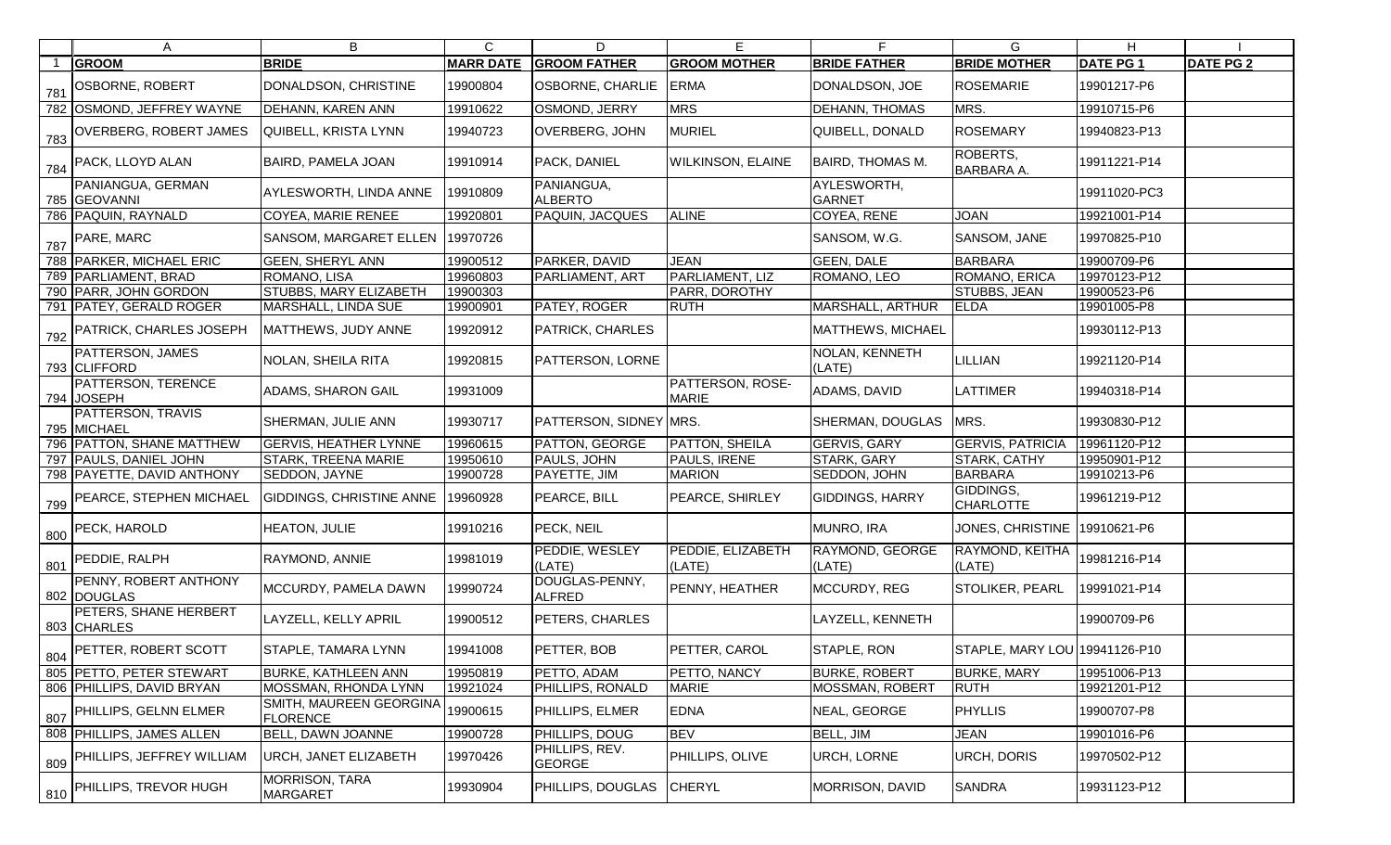|     | A                                           | B                                          | $\mathsf{C}$     | D                               | Е                                | F                            | G                             | H.               |                  |
|-----|---------------------------------------------|--------------------------------------------|------------------|---------------------------------|----------------------------------|------------------------------|-------------------------------|------------------|------------------|
|     | <b>GROOM</b>                                | <b>BRIDE</b>                               | <b>MARR DATE</b> | <b>GROOM FATHER</b>             | <b>GROOM MOTHER</b>              | <b>BRIDE FATHER</b>          | <b>BRIDE MOTHER</b>           | <b>DATE PG 1</b> | <b>DATE PG 2</b> |
| 781 | <b>OSBORNE, ROBERT</b>                      | DONALDSON, CHRISTINE                       | 19900804         | OSBORNE, CHARLIE                | <b>ERMA</b>                      | DONALDSON, JOE               | <b>ROSEMARIE</b>              | 19901217-P6      |                  |
|     | 782 OSMOND, JEFFREY WAYNE                   | <b>DEHANN, KAREN ANN</b>                   | 19910622         | OSMOND, JERRY                   | <b>MRS</b>                       | DEHANN, THOMAS               | MRS.                          | 19910715-P6      |                  |
|     | 783 OVERBERG, ROBERT JAMES                  | QUIBELL, KRISTA LYNN                       | 19940723         | <b>OVERBERG, JOHN</b>           | <b>MURIEL</b>                    | QUIBELL, DONALD              | <b>ROSEMARY</b>               | 19940823-P13     |                  |
|     | 784 PACK, LLOYD ALAN                        | <b>BAIRD, PAMELA JOAN</b>                  | 19910914         | PACK, DANIEL                    | <b>WILKINSON, ELAINE</b>         | <b>BAIRD, THOMAS M.</b>      | ROBERTS,<br><b>BARBARA A.</b> | 19911221-P14     |                  |
|     | PANIANGUA, GERMAN<br>785 GEOVANNI           | AYLESWORTH, LINDA ANNE                     | 19910809         | PANIANGUA,<br><b>ALBERTO</b>    |                                  | AYLESWORTH,<br><b>GARNET</b> |                               | 19911020-PC3     |                  |
|     | 786 PAQUIN, RAYNALD                         | COYEA, MARIE RENEE                         | 19920801         | PAQUIN, JACQUES                 | <b>ALINE</b>                     | COYEA, RENE                  | <b>JOAN</b>                   | 19921001-P14     |                  |
|     | $\frac{787}{287}$ PARE, MARC                | SANSOM, MARGARET ELLEN   19970726          |                  |                                 |                                  | SANSOM, W.G.                 | SANSOM, JANE                  | 19970825-P10     |                  |
|     | 788 PARKER, MICHAEL ERIC                    | <b>GEEN, SHERYL ANN</b>                    | 19900512         | PARKER, DAVID                   | <b>JEAN</b>                      | <b>GEEN, DALE</b>            | <b>BARBARA</b>                | 19900709-P6      |                  |
|     | 789 PARLIAMENT, BRAD                        | ROMANO, LISA                               | 19960803         | PARLIAMENT, ART                 | PARLIAMENT, LIZ                  | ROMANO, LEO                  | ROMANO, ERICA                 | 19970123-P12     |                  |
|     | 790 PARR, JOHN GORDON                       | <b>STUBBS, MARY ELIZABETH</b>              | 19900303         |                                 | PARR, DOROTHY                    |                              | STUBBS, JEAN                  | 19900523-P6      |                  |
|     | 791   PATEY, GERALD ROGER                   | MARSHALL, LINDA SUE                        | 19900901         | PATEY, ROGER                    | <b>RUTH</b>                      | MARSHALL, ARTHUR             | <b>ELDA</b>                   | 19901005-P8      |                  |
|     | 792 PATRICK, CHARLES JOSEPH                 | MATTHEWS, JUDY ANNE                        | 19920912         | <b>PATRICK, CHARLES</b>         |                                  | MATTHEWS, MICHAEL            |                               | 19930112-P13     |                  |
|     | <b>PATTERSON, JAMES</b><br>793 CLIFFORD     | NOLAN, SHEILA RITA                         | 19920815         | PATTERSON, LORNE                |                                  | NOLAN, KENNETH<br>(LATE)     | LILLIAN                       | 19921120-P14     |                  |
|     | PATTERSON, TERENCE<br>794 JOSEPH            | <b>ADAMS, SHARON GAIL</b>                  | 19931009         |                                 | PATTERSON, ROSE-<br><b>MARIE</b> | ADAMS, DAVID                 | <b>LATTIMER</b>               | 19940318-P14     |                  |
|     | <b>PATTERSON, TRAVIS</b><br>795 MICHAEL     | <b>SHERMAN, JULIE ANN</b>                  | 19930717         | PATTERSON, SIDNEY MRS.          |                                  | SHERMAN, DOUGLAS             | MRS.                          | 19930830-P12     |                  |
|     | 796 PATTON, SHANE MATTHEW                   | <b>GERVIS, HEATHER LYNNE</b>               | 19960615         | <b>PATTON, GEORGE</b>           | <b>PATTON, SHEILA</b>            | GERVIS, GARY                 | <b>GERVIS, PATRICIA</b>       | 19961120-P12     |                  |
|     | 797 PAULS, DANIEL JOHN                      | <b>STARK, TREENA MARIE</b>                 | 19950610         | PAULS, JOHN                     | PAULS, IRENE                     | <b>STARK, GARY</b>           | STARK, CATHY                  | 19950901-P12     |                  |
|     | 798   PAYETTE, DAVID ANTHONY                | SEDDON, JAYNE                              | 19900728         | PAYETTE, JIM                    | <b>MARION</b>                    | SEDDON, JOHN                 | <b>BARBARA</b>                | 19910213-P6      |                  |
|     | 799 PEARCE, STEPHEN MICHAEL                 | GIDDINGS, CHRISTINE ANNE                   | 19960928         | PEARCE, BILL                    | <b>PEARCE, SHIRLEY</b>           | <b>GIDDINGS, HARRY</b>       | GIDDINGS,<br><b>CHARLOTTE</b> | 19961219-P12     |                  |
|     | 800 PECK, HAROLD                            | <b>HEATON, JULIE</b>                       | 19910216         | PECK, NEIL                      |                                  | MUNRO, IRA                   | JONES, CHRISTINE 19910621-P6  |                  |                  |
|     | 801 PEDDIE, RALPH                           | RAYMOND, ANNIE                             | 19981019         | PEDDIE, WESLEY<br>(LATE)        | PEDDIE, ELIZABETH<br>(LATE)      | RAYMOND, GEORGE<br>(LATE)    | RAYMOND, KEITHA<br>(LATE)     | 19981216-P14     |                  |
|     | <b>PENNY, ROBERT ANTHONY</b><br>802 DOUGLAS | MCCURDY, PAMELA DAWN                       | 19990724         | DOUGLAS-PENNY,<br><b>ALFRED</b> | PENNY, HEATHER                   | MCCURDY, REG                 | STOLIKER, PEARL               | 19991021-P14     |                  |
|     | <b>PETERS, SHANE HERBERT</b><br>803 CHARLES | LAYZELL, KELLY APRIL                       | 19900512         | PETERS, CHARLES                 |                                  | LAYZELL, KENNETH             |                               | 19900709-P6      |                  |
|     | 804 PETTER, ROBERT SCOTT                    | STAPLE, TAMARA LYNN                        | 19941008         | PETTER, BOB                     | PETTER, CAROL                    | STAPLE, RON                  | STAPLE, MARY LOU 19941126-P10 |                  |                  |
|     | 805 PETTO, PETER STEWART                    | <b>BURKE, KATHLEEN ANN</b>                 | 19950819         | PETTO, ADAM                     | PETTO, NANCY                     | <b>BURKE, ROBERT</b>         | <b>BURKE, MARY</b>            | 19951006-P13     |                  |
|     | 806 PHILLIPS, DAVID BRYAN                   | MOSSMAN, RHONDA LYNN                       | 19921024         | <b>PHILLIPS, RONALD</b>         | <b>MARIE</b>                     | MOSSMAN, ROBERT              | <b>RUTH</b>                   | 19921201-P12     |                  |
|     | 807 PHILLIPS, GELNN ELMER                   | SMITH, MAUREEN GEORGINA<br><b>FLORENCE</b> | 19900615         | PHILLIPS, ELMER                 | <b>EDNA</b>                      | NEAL, GEORGE                 | <b>PHYLLIS</b>                | 19900707-P8      |                  |
|     | 808 PHILLIPS, JAMES ALLEN                   | BELL, DAWN JOANNE                          | 19900728         | PHILLIPS, DOUG                  | <b>BEV</b>                       | BELL, JIM                    | <b>JEAN</b>                   | 19901016-P6      |                  |
|     | 809 PHILLIPS, JEFFREY WILLIAM               | URCH, JANET ELIZABETH                      | 19970426         | PHILLIPS, REV.<br><b>GEORGE</b> | PHILLIPS, OLIVE                  | URCH, LORNE                  | <b>URCH, DORIS</b>            | 19970502-P12     |                  |
|     | 810 PHILLIPS, TREVOR HUGH                   | <b>MORRISON, TARA</b><br><b>MARGARET</b>   | 19930904         | <b>PHILLIPS, DOUGLAS</b>        | <b>CHERYL</b>                    | <b>MORRISON, DAVID</b>       | <b>SANDRA</b>                 | 19931123-P12     |                  |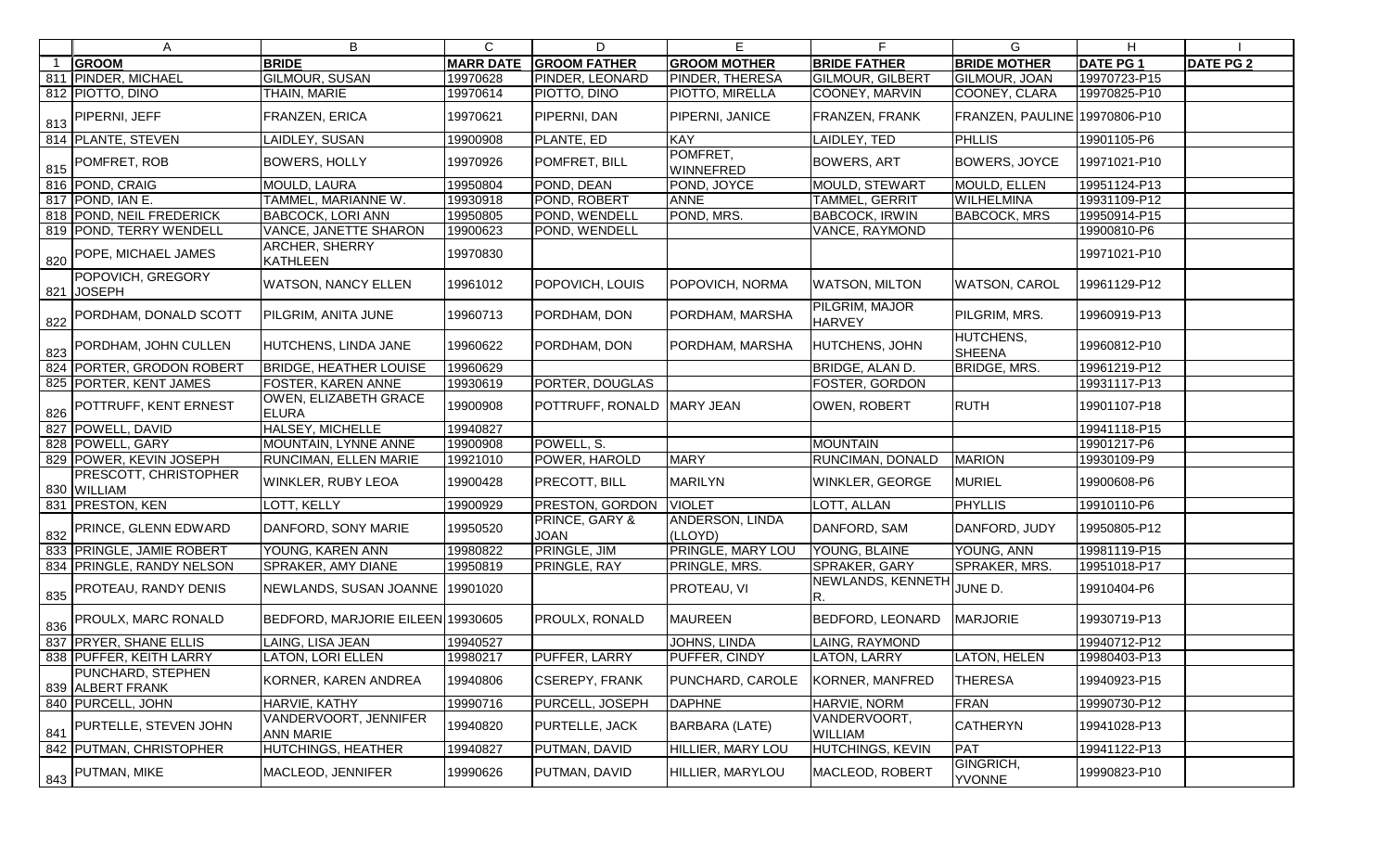|     | Α                                           | B                                         | C                | D                             | E                            | F.                              | G                                 | H               |                  |
|-----|---------------------------------------------|-------------------------------------------|------------------|-------------------------------|------------------------------|---------------------------------|-----------------------------------|-----------------|------------------|
|     | <b>GROOM</b>                                | <b>BRIDE</b>                              | <b>MARR DATE</b> | <b>GROOM FATHER</b>           | <b>GROOM MOTHER</b>          | <b>BRIDE FATHER</b>             | <b>BRIDE MOTHER</b>               | <b>DATE PG1</b> | <b>DATE PG 2</b> |
|     | 811 PINDER, MICHAEL                         | <b>GILMOUR, SUSAN</b>                     | 19970628         | <b>PINDER, LEONARD</b>        | PINDER, THERESA              | <b>GILMOUR, GILBERT</b>         | GILMOUR, JOAN                     | 19970723-P15    |                  |
|     | 812 PIOTTO, DINO                            | THAIN, MARIE                              | 19970614         | PIOTTO, DINO                  | PIOTTO, MIRELLA              | COONEY, MARVIN                  | COONEY, CLARA                     | 19970825-P10    |                  |
| 813 | <b>PIPERNI, JEFF</b>                        | FRANZEN, ERICA                            | 19970621         | <b>PIPERNI, DAN</b>           | PIPERNI, JANICE              | FRANZEN, FRANK                  | FRANZEN, PAULINE 19970806-P10     |                 |                  |
|     | 814 PLANTE, STEVEN                          | LAIDLEY, SUSAN                            | 19900908         | PLANTE, ED                    | <b>KAY</b>                   | LAIDLEY, TED                    | PHLLIS                            | 19901105-P6     |                  |
| 815 | POMFRET, ROB                                | <b>BOWERS, HOLLY</b>                      | 19970926         | POMFRET, BILL                 | POMFRET,<br><b>WINNEFRED</b> | <b>BOWERS, ART</b>              | <b>BOWERS, JOYCE</b>              | 19971021-P10    |                  |
|     | 816 POND, CRAIG                             | MOULD, LAURA                              | 19950804         | POND, DEAN                    | POND, JOYCE                  | <b>MOULD, STEWART</b>           | MOULD, ELLEN                      | 19951124-P13    |                  |
|     | 817 POND, IAN E.                            | TAMMEL, MARIANNE W.                       | 19930918         | POND, ROBERT                  | <b>ANNE</b>                  | TAMMEL, GERRIT                  | <b>WILHELMINA</b>                 | 19931109-P12    |                  |
|     | 818 POND, NEIL FREDERICK                    | <b>BABCOCK, LORI ANN</b>                  | 19950805         | POND, WENDELL                 | POND, MRS.                   | <b>BABCOCK, IRWIN</b>           | <b>BABCOCK, MRS</b>               | 19950914-P15    |                  |
|     | 819 POND, TERRY WENDELL                     | <b>VANCE, JANETTE SHARON</b>              | 19900623         | POND, WENDELL                 |                              | VANCE, RAYMOND                  |                                   | 19900810-P6     |                  |
| 820 | POPE, MICHAEL JAMES                         | ARCHER, SHERRY<br><b>KATHLEEN</b>         | 19970830         |                               |                              |                                 |                                   | 19971021-P10    |                  |
|     | POPOVICH, GREGORY<br>821 JOSEPH             | <b>WATSON, NANCY ELLEN</b>                | 19961012         | <b>POPOVICH, LOUIS</b>        | POPOVICH, NORMA              | <b>WATSON, MILTON</b>           | <b>WATSON, CAROL</b>              | 19961129-P12    |                  |
| 822 | PORDHAM, DONALD SCOTT                       | PILGRIM, ANITA JUNE                       | 19960713         | PORDHAM, DON                  | PORDHAM, MARSHA              | PILGRIM, MAJOR<br><b>HARVEY</b> | PILGRIM, MRS.                     | 19960919-P13    |                  |
| 823 | PORDHAM, JOHN CULLEN                        | HUTCHENS, LINDA JANE                      | 19960622         | PORDHAM, DON                  | PORDHAM, MARSHA              | HUTCHENS, JOHN                  | <b>HUTCHENS,</b><br><b>SHEENA</b> | 19960812-P10    |                  |
|     | 824 PORTER, GRODON ROBERT                   | <b>BRIDGE, HEATHER LOUISE</b>             | 19960629         |                               |                              | BRIDGE, ALAN D.                 | <b>BRIDGE, MRS.</b>               | 19961219-P12    |                  |
|     | 825 PORTER, KENT JAMES                      | FOSTER, KAREN ANNE                        | 19930619         | PORTER, DOUGLAS               |                              | FOSTER, GORDON                  |                                   | 19931117-P13    |                  |
| 826 | POTTRUFF, KENT ERNEST                       | OWEN, ELIZABETH GRACE<br><b>ELURA</b>     | 19900908         | POTTRUFF, RONALD              | MARY JEAN                    | <b>OWEN, ROBERT</b>             | <b>RUTH</b>                       | 19901107-P18    |                  |
|     | 827 POWELL, DAVID                           | <b>HALSEY, MICHELLE</b>                   | 19940827         |                               |                              |                                 |                                   | 19941118-P15    |                  |
|     | 828 POWELL, GARY                            | MOUNTAIN, LYNNE ANNE                      | 19900908         | POWELL, S.                    |                              | <b>MOUNTAIN</b>                 |                                   | 19901217-P6     |                  |
|     | 829 POWER, KEVIN JOSEPH                     | RUNCIMAN, ELLEN MARIE                     | 19921010         | POWER, HAROLD                 | <b>MARY</b>                  | RUNCIMAN, DONALD                | <b>MARION</b>                     | 19930109-P9     |                  |
|     | <b>PRESCOTT, CHRISTOPHER</b><br>830 WILLIAM | <b>WINKLER, RUBY LEOA</b>                 | 19900428         | <b>PRECOTT, BILL</b>          | <b>MARILYN</b>               | WINKLER, GEORGE                 | <b>MURIEL</b>                     | 19900608-P6     |                  |
|     | 831   PRESTON, KEN                          | LOTT, KELLY                               | 19900929         | <b>PRESTON, GORDON</b>        | <b>VIOLET</b>                | LOTT, ALLAN                     | PHYLLIS                           | 19910110-P6     |                  |
| 832 | <b>PRINCE, GLENN EDWARD</b>                 | DANFORD, SONY MARIE                       | 19950520         | PRINCE, GARY &<br><b>JOAN</b> | ANDERSON, LINDA<br>(LLOYD)   | DANFORD, SAM                    | DANFORD, JUDY                     | 19950805-P12    |                  |
|     | 833 PRINGLE, JAMIE ROBERT                   | YOUNG, KAREN ANN                          | 19980822         | PRINGLE, JIM                  | PRINGLE, MARY LOU            | YOUNG, BLAINE                   | YOUNG, ANN                        | 19981119-P15    |                  |
|     | 834 PRINGLE, RANDY NELSON                   | SPRAKER, AMY DIANE                        | 19950819         | <b>PRINGLE, RAY</b>           | PRINGLE, MRS.                | SPRAKER, GARY                   | SPRAKER, MRS.                     | 19951018-P17    |                  |
|     | 835 PROTEAU, RANDY DENIS                    | NEWLANDS, SUSAN JOANNE 19901020           |                  |                               | <b>PROTEAU, VI</b>           | NEWLANDS, KENNETH<br>R.         | JUNE D.                           | 19910404-P6     |                  |
| 836 | <b>PROULX, MARC RONALD</b>                  | BEDFORD, MARJORIE EILEEN 19930605         |                  | <b>PROULX, RONALD</b>         | <b>MAUREEN</b>               | BEDFORD, LEONARD                | <b>MARJORIE</b>                   | 19930719-P13    |                  |
|     | 837 PRYER, SHANE ELLIS                      | LAING, LISA JEAN                          | 19940527         |                               | <b>JOHNS, LINDA</b>          | LAING, RAYMOND                  |                                   | 19940712-P12    |                  |
|     | 838 PUFFER, KEITH LARRY                     | LATON, LORI ELLEN                         | 19980217         | <b>PUFFER, LARRY</b>          | PUFFER, CINDY                | LATON, LARRY                    | LATON, HELEN                      | 19980403-P13    |                  |
|     | PUNCHARD, STEPHEN<br>839 ALBERT FRANK       | KORNER, KAREN ANDREA                      | 19940806         | <b>CSEREPY, FRANK</b>         | <b>PUNCHARD, CAROLE</b>      | KORNER, MANFRED                 | <b>THERESA</b>                    | 19940923-P15    |                  |
|     | 840 PURCELL, JOHN                           | HARVIE, KATHY                             | 19990716         | <b>PURCELL, JOSEPH</b>        | <b>DAPHNE</b>                | HARVIE, NORM                    | <b>FRAN</b>                       | 19990730-P12    |                  |
| 841 | PURTELLE, STEVEN JOHN                       | VANDERVOORT, JENNIFER<br><b>ANN MARIE</b> | 19940820         | <b>PURTELLE, JACK</b>         | BARBARA (LATE)               | VANDERVOORT,<br><b>WILLIAM</b>  | <b>CATHERYN</b>                   | 19941028-P13    |                  |
|     | 842 PUTMAN, CHRISTOPHER                     | HUTCHINGS, HEATHER                        | 19940827         | PUTMAN, DAVID                 | HILLIER, MARY LOU            | HUTCHINGS, KEVIN                | <b>PAT</b>                        | 19941122-P13    |                  |
|     | $\frac{1843}{1000}$ PUTMAN, MIKE            | MACLEOD, JENNIFER                         | 19990626         | <b>PUTMAN, DAVID</b>          | HILLIER, MARYLOU             | MACLEOD, ROBERT                 | GINGRICH,<br><b>YVONNE</b>        | 19990823-P10    |                  |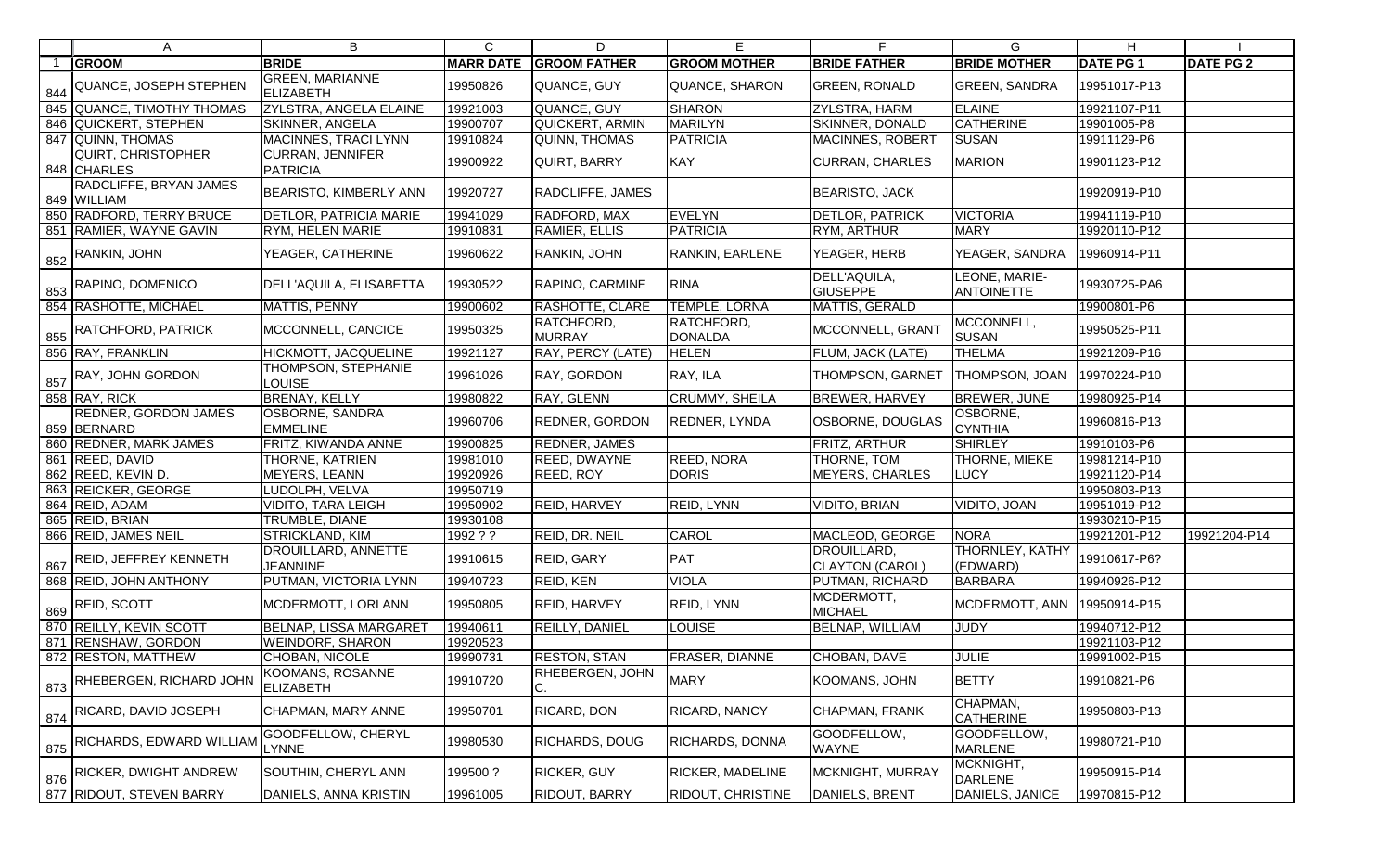| A                                          | B                                             | $\mathsf{C}$     | D                           | Е                        |                                       | G.                                 | H               |                  |
|--------------------------------------------|-----------------------------------------------|------------------|-----------------------------|--------------------------|---------------------------------------|------------------------------------|-----------------|------------------|
| <b>GROOM</b>                               | <b>BRIDE</b>                                  | <b>MARR DATE</b> | <b>GROOM FATHER</b>         | <b>GROOM MOTHER</b>      | <b>BRIDE FATHER</b>                   | <b>BRIDE MOTHER</b>                | <b>DATE PG1</b> | <b>DATE PG 2</b> |
| 844 QUANCE, JOSEPH STEPHEN                 | <b>GREEN, MARIANNE</b><br><b>ELIZABETH</b>    | 19950826         | QUANCE, GUY                 | QUANCE, SHARON           | <b>GREEN, RONALD</b>                  | <b>GREEN, SANDRA</b>               | 19951017-P13    |                  |
| 845 QUANCE, TIMOTHY THOMAS                 | ZYLSTRA, ANGELA ELAINE                        | 19921003         | QUANCE, GUY                 | <b>SHARON</b>            | <b>ZYLSTRA, HARM</b>                  | ELAINE                             | 19921107-P11    |                  |
| 846 QUICKERT, STEPHEN                      | <b>SKINNER, ANGELA</b>                        | 19900707         | QUICKERT, ARMIN             | <b>MARILYN</b>           | SKINNER, DONALD                       | <b>CATHERINE</b>                   | 19901005-P8     |                  |
| 847 QUINN, THOMAS                          | MACINNES, TRACI LYNN                          | 19910824         | QUINN, THOMAS               | <b>PATRICIA</b>          | MACINNES, ROBERT                      | <b>SUSAN</b>                       | 19911129-P6     |                  |
| <b>QUIRT, CHRISTOPHER</b><br>848 CHARLES   | <b>CURRAN, JENNIFER</b><br><b>PATRICIA</b>    | 19900922         | QUIRT, BARRY                | <b>KAY</b>               | <b>CURRAN, CHARLES</b>                | <b>MARION</b>                      | 19901123-P12    |                  |
| RADCLIFFE, BRYAN JAMES<br>849 WILLIAM      | <b>BEARISTO, KIMBERLY ANN</b>                 | 19920727         | RADCLIFFE, JAMES            |                          | <b>BEARISTO, JACK</b>                 |                                    | 19920919-P10    |                  |
| 850 RADFORD, TERRY BRUCE                   | <b>DETLOR, PATRICIA MARIE</b>                 | 19941029         | RADFORD, MAX                | EVELYN                   | DETLOR, PATRICK                       | <b>VICTORIA</b>                    | 19941119-P10    |                  |
| 851 RAMIER, WAYNE GAVIN                    | RYM, HELEN MARIE                              | 19910831         | RAMIER, ELLIS               | <b>PATRICIA</b>          | RYM, ARTHUR                           | <b>MARY</b>                        | 19920110-P12    |                  |
| $\frac{852}{180}$ RANKIN, JOHN             | YEAGER, CATHERINE                             | 19960622         | RANKIN, JOHN                | RANKIN, EARLENE          | YEAGER, HERB                          | YEAGER, SANDRA                     | 19960914-P11    |                  |
| $\frac{853}{853}$ RAPINO, DOMENICO         | DELL'AQUILA, ELISABETTA                       | 19930522         | RAPINO, CARMINE             | <b>RINA</b>              | DELL'AQUILA,<br><b>GIUSEPPE</b>       | LEONE, MARIE-<br><b>ANTOINETTE</b> | 19930725-PA6    |                  |
| 854 RASHOTTE, MICHAEL                      | MATTIS, PENNY                                 | 19900602         | <b>RASHOTTE, CLARE</b>      | <b>TEMPLE, LORNA</b>     | <b>MATTIS, GERALD</b>                 |                                    | 19900801-P6     |                  |
| $\frac{1}{855}$ RATCHFORD, PATRICK         | MCCONNELL, CANCICE                            | 19950325         | RATCHFORD,<br><b>MURRAY</b> | RATCHFORD,<br>DONALDA    | MCCONNELL, GRANT                      | MCCONNELL,<br><b>SUSAN</b>         | 19950525-P11    |                  |
| 856 RAY, FRANKLIN                          | HICKMOTT, JACQUELINE                          | 19921127         | RAY, PERCY (LATE)           | <b>HELEN</b>             | FLUM, JACK (LATE)                     | <b>THELMA</b>                      | 19921209-P16    |                  |
| $857$ RAY, JOHN GORDON                     | THOMPSON, STEPHANIE<br>LOUISE                 | 19961026         | RAY, GORDON                 | RAY, ILA                 | THOMPSON, GARNET                      | THOMPSON, JOAN                     | 19970224-P10    |                  |
| 858 RAY, RICK                              | <b>BRENAY, KELLY</b>                          | 19980822         | RAY, GLENN                  | <b>CRUMMY, SHEILA</b>    | BREWER, HARVEY                        | <b>BREWER, JUNE</b>                | 19980925-P14    |                  |
| <b>REDNER, GORDON JAMES</b><br>859 BERNARD | <b>OSBORNE, SANDRA</b><br><b>EMMELINE</b>     | 19960706         | <b>REDNER, GORDON</b>       | <b>REDNER, LYNDA</b>     | OSBORNE, DOUGLAS                      | OSBORNE,<br><b>CYNTHIA</b>         | 19960816-P13    |                  |
| 860 REDNER, MARK JAMES                     | FRITZ, KIWANDA ANNE                           | 19900825         | <b>REDNER, JAMES</b>        |                          | FRITZ, ARTHUR                         | SHIRLEY                            | 19910103-P6     |                  |
| 861 REED, DAVID                            | <b>THORNE, KATRIEN</b>                        | 19981010         | REED, DWAYNE                | <b>REED, NORA</b>        | THORNE, TOM                           | THORNE, MIEKE                      | 19981214-P10    |                  |
| 862 REED, KEVIN D.                         | <b>MEYERS, LEANN</b>                          | 19920926         | <b>REED, ROY</b>            | DORIS                    | <b>MEYERS, CHARLES</b>                | <b>LUCY</b>                        | 19921120-P14    |                  |
| 863 REICKER, GEORGE                        | LUDOLPH, VELVA                                | 19950719         |                             |                          |                                       |                                    | 19950803-P13    |                  |
| 864 REID, ADAM                             | VIDITO, TARA LEIGH                            | 19950902         | <b>REID, HARVEY</b>         | <b>REID, LYNN</b>        | <b>VIDITO, BRIAN</b>                  | VIDITO, JOAN                       | 19951019-P12    |                  |
| 865 REID, BRIAN                            | TRUMBLE, DIANE                                | 19930108         |                             |                          |                                       |                                    | 19930210-P15    |                  |
| 866 REID, JAMES NEIL                       | STRICKLAND, KIM                               | 1992 ? ?         | REID, DR. NEIL              | CAROL                    | MACLEOD, GEORGE                       | <b>NORA</b>                        | 19921201-P12    | 19921204-P14     |
| $\frac{1}{867}$ REID, JEFFREY KENNETH      | <b>DROUILLARD, ANNETTE</b><br><b>JEANNINE</b> | 19910615         | REID, GARY                  | PAT                      | DROUILLARD,<br><b>CLAYTON (CAROL)</b> | <b>THORNLEY, KATHY</b><br>(EDWARD) | 19910617-P6?    |                  |
| 868 REID, JOHN ANTHONY                     | PUTMAN, VICTORIA LYNN                         | 19940723         | REID, KEN                   | <b>VIOLA</b>             | PUTMAN, RICHARD                       | <b>BARBARA</b>                     | 19940926-P12    |                  |
| $\frac{869}{869}$ REID, SCOTT              | MCDERMOTT, LORI ANN                           | 19950805         | <b>REID, HARVEY</b>         | REID, LYNN               | MCDERMOTT,<br><b>MICHAEL</b>          | MCDERMOTT, ANN                     | 19950914-P15    |                  |
| 870 REILLY, KEVIN SCOTT                    | BELNAP, LISSA MARGARET                        | 19940611         | REILLY, DANIEL              | LOUISE                   | <b>BELNAP, WILLIAM</b>                | <b>JUDY</b>                        | 19940712-P12    |                  |
| 871 RENSHAW, GORDON                        | <b>WEINDORF, SHARON</b>                       | 19920523         |                             |                          |                                       |                                    | 19921103-P12    |                  |
| 872 RESTON, MATTHEW                        | CHOBAN, NICOLE                                | 19990731         | <b>RESTON, STAN</b>         | <b>FRASER, DIANNE</b>    | CHOBAN, DAVE                          | <b>JULIE</b>                       | 19991002-P15    |                  |
| 873 RHEBERGEN, RICHARD JOHN                | <b>KOOMANS, ROSANNE</b><br><b>ELIZABETH</b>   | 19910720         | RHEBERGEN, JOHN<br>C.       | <b>MARY</b>              | KOOMANS, JOHN                         | <b>BETTY</b>                       | 19910821-P6     |                  |
| 874 RICARD, DAVID JOSEPH                   | CHAPMAN, MARY ANNE                            | 19950701         | RICARD, DON                 | <b>RICARD, NANCY</b>     | CHAPMAN, FRANK                        | CHAPMAN,<br><b>CATHERINE</b>       | 19950803-P13    |                  |
| 875 RICHARDS, EDWARD WILLIAM               | GOODFELLOW, CHERYL<br><b>LYNNE</b>            | 19980530         | RICHARDS, DOUG              | <b>RICHARDS, DONNA</b>   | GOODFELLOW,<br>WAYNE                  | GOODFELLOW,<br><b>MARLENE</b>      | 19980721-P10    |                  |
| $^{\prime}$ 876 RICKER, DWIGHT ANDREW      | SOUTHIN, CHERYL ANN                           | 199500?          | RICKER, GUY                 | <b>RICKER, MADELINE</b>  | MCKNIGHT, MURRAY                      | MCKNIGHT,<br><b>DARLENE</b>        | 19950915-P14    |                  |
| 877 RIDOUT, STEVEN BARRY                   | DANIELS, ANNA KRISTIN                         | 19961005         | <b>RIDOUT, BARRY</b>        | <b>RIDOUT, CHRISTINE</b> | DANIELS, BRENT                        | DANIELS, JANICE                    | 19970815-P12    |                  |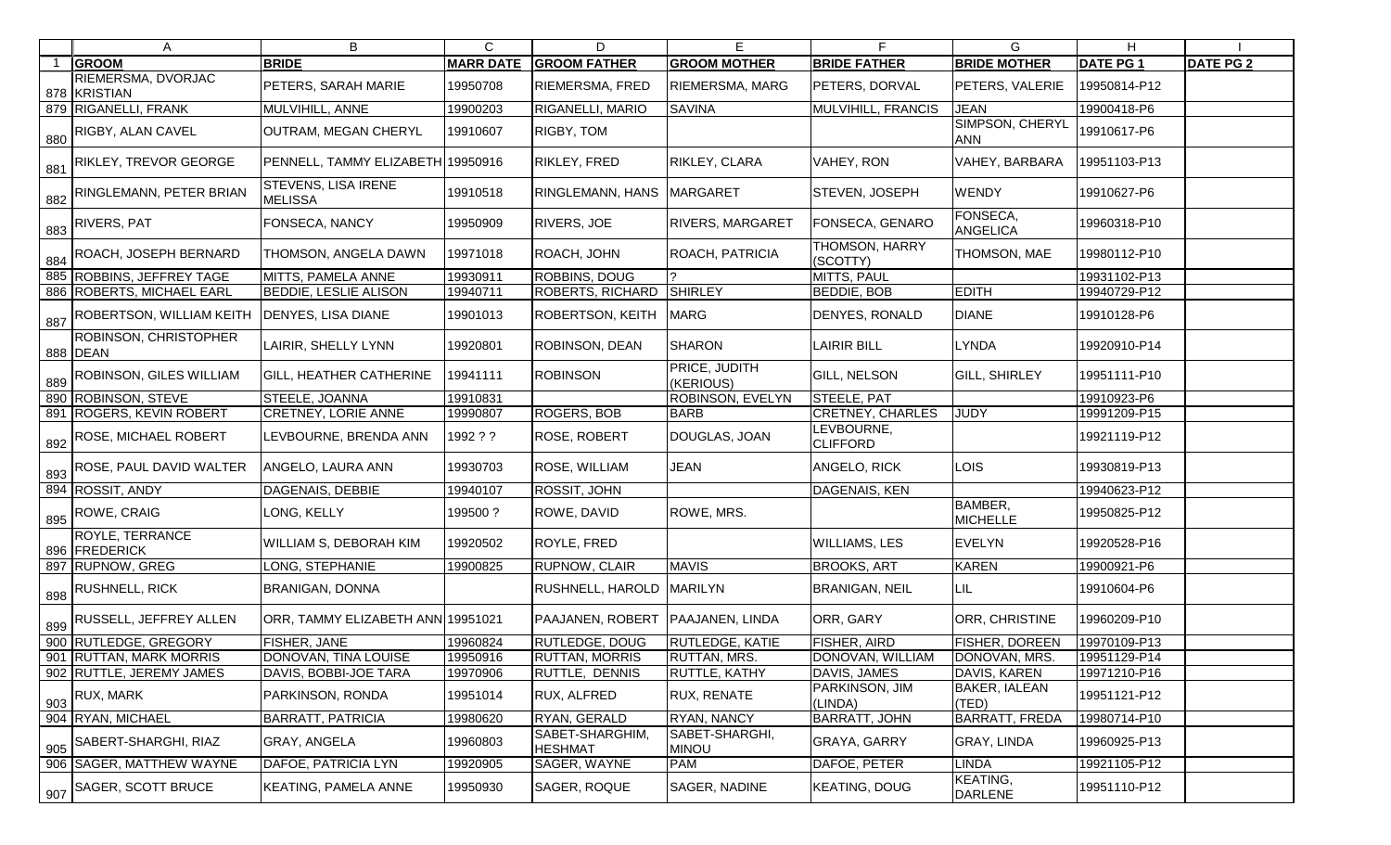| A                                        | В                                            | C                | D                                 | Е                              | F                             | G                             | H.              |                  |
|------------------------------------------|----------------------------------------------|------------------|-----------------------------------|--------------------------------|-------------------------------|-------------------------------|-----------------|------------------|
| <b>GROOM</b>                             | <b>BRIDE</b>                                 | <b>MARR DATE</b> | <b>GROOM FATHER</b>               | <b>GROOM MOTHER</b>            | <b>BRIDE FATHER</b>           | <b>BRIDE MOTHER</b>           | <b>DATE PG1</b> | <b>DATE PG 2</b> |
| RIEMERSMA, DVORJAC<br>878 KRISTIAN       | PETERS, SARAH MARIE                          | 19950708         | RIEMERSMA, FRED                   | <b>RIEMERSMA, MARG</b>         | PETERS, DORVAL                | PETERS, VALERIE               | 19950814-P12    |                  |
| 879 RIGANELLI, FRANK                     | MULVIHILL, ANNE                              | 19900203         | RIGANELLI, MARIO                  | <b>SAVINA</b>                  | MULVIHILL, FRANCIS            | <b>JEAN</b>                   | 19900418-P6     |                  |
| 880 RIGBY, ALAN CAVEL                    | OUTRAM, MEGAN CHERYL                         | 19910607         | RIGBY, TOM                        |                                |                               | SIMPSON, CHERYL<br><b>ANN</b> | 19910617-P6     |                  |
| 881 RIKLEY, TREVOR GEORGE                | PENNELL, TAMMY ELIZABETH 19950916            |                  | RIKLEY, FRED                      | RIKLEY, CLARA                  | VAHEY, RON                    | <b>VAHEY, BARBARA</b>         | 19951103-P13    |                  |
| 882 RINGLEMANN, PETER BRIAN              | <b>STEVENS, LISA IRENE</b><br><b>MELISSA</b> | 19910518         | RINGLEMANN, HANS                  | <b>MARGARET</b>                | STEVEN, JOSEPH                | <b>WENDY</b>                  | 19910627-P6     |                  |
| $\frac{883}{100}$ RIVERS, PAT            | <b>FONSECA, NANCY</b>                        | 19950909         | RIVERS, JOE                       | <b>RIVERS, MARGARET</b>        | FONSECA, GENARO               | FONSECA,<br>ANGELICA          | 19960318-P10    |                  |
| 884 ROACH, JOSEPH BERNARD                | THOMSON, ANGELA DAWN                         | 19971018         | ROACH, JOHN                       | ROACH, PATRICIA                | THOMSON, HARRY<br>(SCOTTY)    | <b>THOMSON, MAE</b>           | 19980112-P10    |                  |
| 885 ROBBINS, JEFFREY TAGE                | MITTS, PAMELA ANNE                           | 19930911         | ROBBINS, DOUG                     |                                | MITTS, PAUL                   |                               | 19931102-P13    |                  |
| 886 ROBERTS, MICHAEL EARL                | <b>BEDDIE, LESLIE ALISON</b>                 | 19940711         | ROBERTS, RICHARD                  | SHIRLEY                        | <b>BEDDIE, BOB</b>            | <b>EDITH</b>                  | 19940729-P12    |                  |
| $\frac{1}{887}$ ROBERTSON, WILLIAM KEITH | <b>DENYES, LISA DIANE</b>                    | 19901013         | ROBERTSON, KEITH                  | <b>MARG</b>                    | DENYES, RONALD                | <b>DIANE</b>                  | 19910128-P6     |                  |
| ROBINSON, CHRISTOPHER<br>888 DEAN        | LAIRIR, SHELLY LYNN                          | 19920801         | ROBINSON, DEAN                    | <b>SHARON</b>                  | LAIRIR BILL                   | <b>LYNDA</b>                  | 19920910-P14    |                  |
| $\frac{1}{889}$ ROBINSON, GILES WILLIAM  | <b>GILL, HEATHER CATHERINE</b>               | 19941111         | <b>ROBINSON</b>                   | PRICE, JUDITH<br>(KERIOUS)     | GILL, NELSON                  | <b>GILL, SHIRLEY</b>          | 19951111-P10    |                  |
| 890 ROBINSON, STEVE                      | <b>STEELE, JOANNA</b>                        | 19910831         |                                   | ROBINSON, EVELYN               | <b>STEELE, PAT</b>            |                               | 19910923-P6     |                  |
| 891 ROGERS, KEVIN ROBERT                 | <b>CRETNEY, LORIE ANNE</b>                   | 19990807         | ROGERS, BOB                       | <b>BARB</b>                    | <b>CRETNEY, CHARLES</b>       | <b>JUDY</b>                   | 19991209-P15    |                  |
| 892 ROSE, MICHAEL ROBERT                 | LEVBOURNE, BRENDA ANN                        | 1992??           | ROSE, ROBERT                      | DOUGLAS, JOAN                  | LEVBOURNE,<br><b>CLIFFORD</b> |                               | 19921119-P12    |                  |
| $\frac{1}{893}$ ROSE, PAUL DAVID WALTER  | ANGELO, LAURA ANN                            | 19930703         | ROSE, WILLIAM                     | <b>JEAN</b>                    | ANGELO, RICK                  | <b>LOIS</b>                   | 19930819-P13    |                  |
| 894 ROSSIT, ANDY                         | DAGENAIS, DEBBIE                             | 19940107         | ROSSIT, JOHN                      |                                | DAGENAIS, KEN                 |                               | 19940623-P12    |                  |
| $\frac{895}{895}$ ROWE, CRAIG            | LONG, KELLY                                  | 199500?          | ROWE, DAVID                       | ROWE, MRS.                     |                               | BAMBER,<br><b>MICHELLE</b>    | 19950825-P12    |                  |
| <b>ROYLE, TERRANCE</b><br>896 FREDERICK  | <b>WILLIAM S, DEBORAH KIM</b>                | 19920502         | ROYLE, FRED                       |                                | <b>WILLIAMS, LES</b>          | <b>EVELYN</b>                 | 19920528-P16    |                  |
| 897 RUPNOW, GREG                         | LONG, STEPHANIE                              | 19900825         | RUPNOW, CLAIR                     | <b>MAVIS</b>                   | <b>BROOKS, ART</b>            | <b>KAREN</b>                  | 19900921-P6     |                  |
| 898 RUSHNELL, RICK                       | <b>BRANIGAN, DONNA</b>                       |                  | RUSHNELL, HAROLD MARILYN          |                                | <b>BRANIGAN, NEIL</b>         | LIL                           | 19910604-P6     |                  |
| 899 RUSSELL, JEFFREY ALLEN               | ORR, TAMMY ELIZABETH ANN 19951021            |                  | PAAJANEN, ROBERT                  | <b>PAAJANEN, LINDA</b>         | ORR, GARY                     | ORR, CHRISTINE                | 19960209-P10    |                  |
| 900 RUTLEDGE, GREGORY                    | <b>FISHER, JANE</b>                          | 19960824         | RUTLEDGE, DOUG                    | <b>RUTLEDGE, KATIE</b>         | FISHER, AIRD                  | <b>FISHER, DOREEN</b>         | 19970109-P13    |                  |
| 901 RUTTAN, MARK MORRIS                  | DONOVAN, TINA LOUISE                         | 19950916         | <b>RUTTAN, MORRIS</b>             | <b>RUTTAN, MRS.</b>            | DONOVAN, WILLIAM              | DONOVAN, MRS.                 | 19951129-P14    |                  |
| 902 RUTTLE, JEREMY JAMES                 | DAVIS, BOBBI-JOE TARA                        | 19970906         | RUTTLE, DENNIS                    | <b>RUTTLE, KATHY</b>           | DAVIS, JAMES                  | DAVIS, KAREN                  | 19971210-P16    |                  |
| $\frac{903}{903}$ RUX, MARK              | <b>PARKINSON, RONDA</b>                      | 19951014         | RUX, ALFRED                       | <b>RUX, RENATE</b>             | PARKINSON, JIM<br>(LINDA)     | <b>BAKER, IALEAN</b><br>(TED) | 19951121-P12    |                  |
| 904 RYAN, MICHAEL                        | <b>BARRATT, PATRICIA</b>                     | 19980620         | RYAN, GERALD                      | RYAN, NANCY                    | <b>BARRATT, JOHN</b>          | <b>BARRATT, FREDA</b>         | 19980714-P10    |                  |
| 905 SABERT-SHARGHI, RIAZ                 | <b>GRAY, ANGELA</b>                          | 19960803         | SABET-SHARGHIM,<br><b>HESHMAT</b> | SABET-SHARGHI,<br><b>MINOU</b> | GRAYA, GARRY                  | <b>GRAY, LINDA</b>            | 19960925-P13    |                  |
| 906 SAGER, MATTHEW WAYNE                 | DAFOE, PATRICIA LYN                          | 19920905         | SAGER, WAYNE                      | PAM                            | DAFOE, PETER                  | <b>LINDA</b>                  | 19921105-P12    |                  |
| 907 SAGER, SCOTT BRUCE                   | KEATING, PAMELA ANNE                         | 19950930         | SAGER, ROQUE                      | SAGER, NADINE                  | <b>KEATING, DOUG</b>          | KEATING,<br><b>DARLENE</b>    | 19951110-P12    |                  |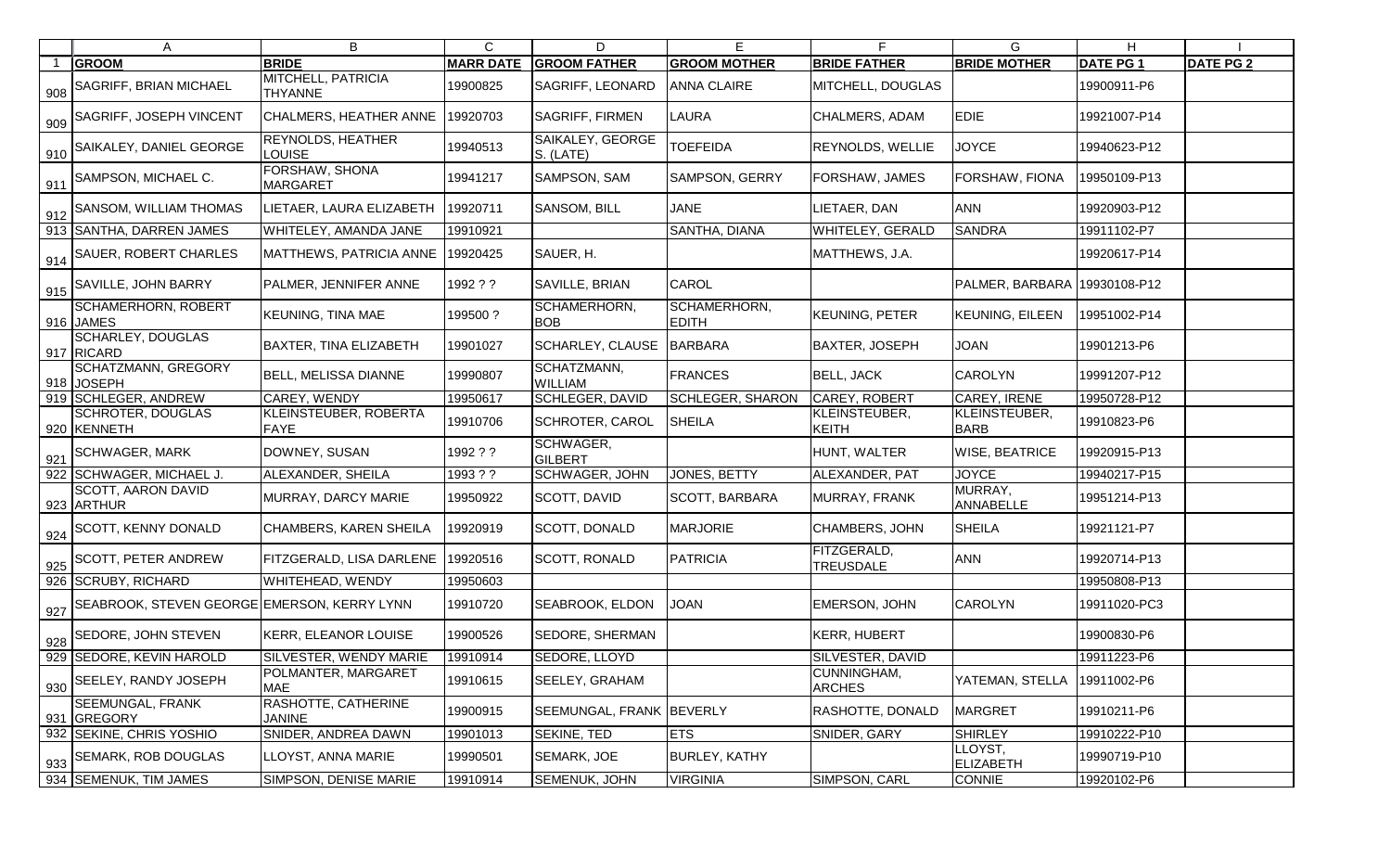| A                                               | B                                           | $\mathsf{C}$     | D                             | E                            |                                 | G                            | H                |                  |
|-------------------------------------------------|---------------------------------------------|------------------|-------------------------------|------------------------------|---------------------------------|------------------------------|------------------|------------------|
| <b>GROOM</b>                                    | <b>BRIDE</b>                                | <b>MARR DATE</b> | <b>GROOM FATHER</b>           | <b>GROOM MOTHER</b>          | <b>BRIDE FATHER</b>             | <b>BRIDE MOTHER</b>          | <b>DATE PG 1</b> | <b>DATE PG 2</b> |
| 908 SAGRIFF, BRIAN MICHAEL                      | <b>MITCHELL, PATRICIA</b><br><b>THYANNE</b> | 19900825         | SAGRIFF, LEONARD              | <b>ANNA CLAIRE</b>           | MITCHELL, DOUGLAS               |                              | 19900911-P6      |                  |
| 909 SAGRIFF, JOSEPH VINCENT                     | CHALMERS, HEATHER ANNE                      | 19920703         | <b>SAGRIFF, FIRMEN</b>        | <b>LAURA</b>                 | CHALMERS, ADAM                  | <b>EDIE</b>                  | 19921007-P14     |                  |
| 910 SAIKALEY, DANIEL GEORGE                     | <b>REYNOLDS, HEATHER</b><br><b>LOUISE</b>   | 19940513         | SAIKALEY, GEORGE<br>S. (LATE) | <b>TOEFEIDA</b>              | <b>REYNOLDS, WELLIE</b>         | <b>JOYCE</b>                 | 19940623-P12     |                  |
| $\frac{1}{911}$ SAMPSON, MICHAEL C.             | <b>FORSHAW, SHONA</b><br><b>MARGARET</b>    | 19941217         | SAMPSON, SAM                  | SAMPSON, GERRY               | FORSHAW, JAMES                  | <b>FORSHAW, FIONA</b>        | 19950109-P13     |                  |
| $^{\prime}$ 912 SANSOM, WILLIAM THOMAS          | LIETAER, LAURA ELIZABETH                    | 19920711         | <b>SANSOM, BILL</b>           | <b>JANE</b>                  | LIETAER, DAN                    | <b>ANN</b>                   | 19920903-P12     |                  |
| 913 SANTHA, DARREN JAMES                        | WHITELEY, AMANDA JANE                       | 19910921         |                               | SANTHA, DIANA                | <b>WHITELEY, GERALD</b>         | <b>SANDRA</b>                | 19911102-P7      |                  |
| 914 SAUER, ROBERT CHARLES                       | MATTHEWS, PATRICIA ANNE                     | 19920425         | SAUER, H.                     |                              | MATTHEWS, J.A.                  |                              | 19920617-P14     |                  |
| $^{\prime}$ 915 SAVILLE, JOHN BARRY             | PALMER, JENNIFER ANNE                       | 1992 ? ?         | SAVILLE, BRIAN                | <b>CAROL</b>                 |                                 | PALMER, BARBARA 19930108-P12 |                  |                  |
| <b>SCHAMERHORN, ROBERT</b><br>916 JAMES         | <b>KEUNING, TINA MAE</b>                    | 199500?          | SCHAMERHORN,<br><b>BOB</b>    | SCHAMERHORN,<br><b>EDITH</b> | KEUNING, PETER                  | <b>KEUNING, EILEEN</b>       | 19951002-P14     |                  |
| <b>SCHARLEY, DOUGLAS</b><br>917 RICARD          | <b>BAXTER, TINA ELIZABETH</b>               | 19901027         | <b>SCHARLEY, CLAUSE</b>       | BARBARA                      | <b>BAXTER, JOSEPH</b>           | <b>JOAN</b>                  | 19901213-P6      |                  |
| <b>SCHATZMANN, GREGORY</b><br>918 JOSEPH        | <b>BELL, MELISSA DIANNE</b>                 | 19990807         | SCHATZMANN,<br><b>WILLIAM</b> | <b>FRANCES</b>               | <b>BELL, JACK</b>               | <b>CAROLYN</b>               | 19991207-P12     |                  |
| 919 SCHLEGER, ANDREW                            | <b>CAREY, WENDY</b>                         | 19950617         | <b>SCHLEGER, DAVID</b>        | SCHLEGER, SHARON             | <b>CAREY, ROBERT</b>            | CAREY, IRENE                 | 19950728-P12     |                  |
| <b>SCHROTER, DOUGLAS</b><br>920 KENNETH         | <b>KLEINSTEUBER, ROBERTA</b><br><b>FAYE</b> | 19910706         | <b>SCHROTER, CAROL</b>        | SHEILA                       | KLEINSTEUBER,<br><b>KEITH</b>   | KLEINSTEUBER,<br><b>BARB</b> | 19910823-P6      |                  |
| 921 SCHWAGER, MARK                              | DOWNEY, SUSAN                               | 1992 ? ?         | SCHWAGER,<br><b>GILBERT</b>   |                              | HUNT, WALTER                    | <b>WISE, BEATRICE</b>        | 19920915-P13     |                  |
| 922 SCHWAGER, MICHAEL J.                        | ALEXANDER, SHEILA                           | 1993 ? ?         | <b>SCHWAGER, JOHN</b>         | <b>JONES, BETTY</b>          | ALEXANDER, PAT                  | <b>JOYCE</b>                 | 19940217-P15     |                  |
| <b>SCOTT, AARON DAVID</b><br>923 ARTHUR         | MURRAY, DARCY MARIE                         | 19950922         | SCOTT, DAVID                  | SCOTT, BARBARA               | MURRAY, FRANK                   | MURRAY,<br>ANNABELLE         | 19951214-P13     |                  |
| $\frac{924}{924}$ SCOTT, KENNY DONALD           | <b>CHAMBERS, KAREN SHEILA</b>               | 19920919         | <b>SCOTT, DONALD</b>          | <b>MARJORIE</b>              | CHAMBERS, JOHN                  | <b>SHEILA</b>                | 19921121-P7      |                  |
| $\frac{1}{925}$ SCOTT, PETER ANDREW             | FITZGERALD, LISA DARLENE                    | 19920516         | <b>SCOTT, RONALD</b>          | PATRICIA                     | FITZGERALD,<br><b>TREUSDALE</b> | <b>ANN</b>                   | 19920714-P13     |                  |
| 926 SCRUBY, RICHARD                             | WHITEHEAD, WENDY                            | 19950603         |                               |                              |                                 |                              | 19950808-P13     |                  |
| 927 SEABROOK, STEVEN GEORGE EMERSON, KERRY LYNN |                                             | 19910720         | SEABROOK, ELDON               | <b>JOAN</b>                  | <b>EMERSON, JOHN</b>            | <b>CAROLYN</b>               | 19911020-PC3     |                  |
| $\frac{1}{928}$ SEDORE, JOHN STEVEN             | KERR, ELEANOR LOUISE                        | 19900526         | SEDORE, SHERMAN               |                              | <b>KERR, HUBERT</b>             |                              | 19900830-P6      |                  |
| 929 SEDORE, KEVIN HAROLD                        | SILVESTER, WENDY MARIE                      | 19910914         | SEDORE, LLOYD                 |                              | <b>SILVESTER, DAVID</b>         |                              | 19911223-P6      |                  |
| $\frac{1}{930}$ SEELEY, RANDY JOSEPH            | POLMANTER, MARGARET<br><b>MAE</b>           | 19910615         | <b>SEELEY, GRAHAM</b>         |                              | CUNNINGHAM,<br><b>ARCHES</b>    | YATEMAN, STELLA              | 19911002-P6      |                  |
| SEEMUNGAL, FRANK<br>931 GREGORY                 | RASHOTTE, CATHERINE<br><b>JANINE</b>        | 19900915         | SEEMUNGAL, FRANK BEVERLY      |                              | RASHOTTE, DONALD                | <b>MARGRET</b>               | 19910211-P6      |                  |
| 932 SEKINE, CHRIS YOSHIO                        | SNIDER, ANDREA DAWN                         | 19901013         | SEKINE, TED                   | <b>ETS</b>                   | SNIDER, GARY                    | <b>SHIRLEY</b>               | 19910222-P10     |                  |
| 933 SEMARK, ROB DOUGLAS                         | LLOYST, ANNA MARIE                          | 19990501         | SEMARK, JOE                   | <b>BURLEY, KATHY</b>         |                                 | LLOYST,<br><b>ELIZABETH</b>  | 19990719-P10     |                  |
| 934 SEMENUK, TIM JAMES                          | SIMPSON, DENISE MARIE                       | 19910914         | SEMENUK, JOHN                 | <b>VIRGINIA</b>              | SIMPSON, CARL                   | CONNIE                       | 19920102-P6      |                  |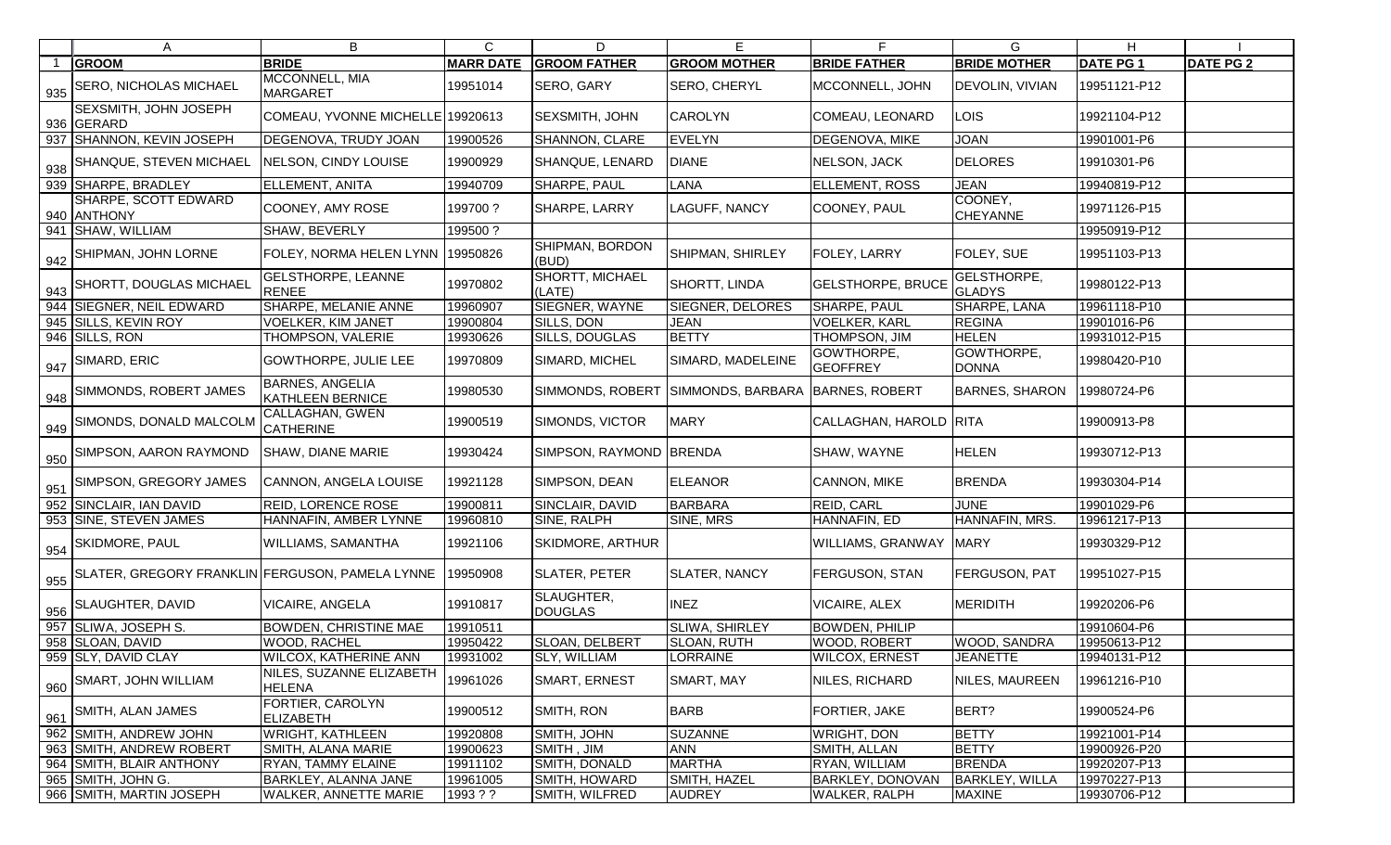|     | A                                                            | B                                          | C                | D                            | Е                                |                               | G                            | H               |                  |
|-----|--------------------------------------------------------------|--------------------------------------------|------------------|------------------------------|----------------------------------|-------------------------------|------------------------------|-----------------|------------------|
|     | <b>GROOM</b>                                                 | <b>BRIDE</b>                               | <b>MARR DATE</b> | <b>GROOM FATHER</b>          | <b>GROOM MOTHER</b>              | <b>BRIDE FATHER</b>           | <b>BRIDE MOTHER</b>          | <b>DATE PG1</b> | <b>DATE PG 2</b> |
| 935 | <b>SERO, NICHOLAS MICHAEL</b>                                | MCCONNELL, MIA<br><b>MARGARET</b>          | 19951014         | <b>SERO, GARY</b>            | <b>SERO, CHERYL</b>              | MCCONNELL, JOHN               | <b>DEVOLIN, VIVIAN</b>       | 19951121-P12    |                  |
|     | SEXSMITH, JOHN JOSEPH<br>936 GERARD                          | COMEAU, YVONNE MICHELLE 19920613           |                  | <b>SEXSMITH, JOHN</b>        | <b>CAROLYN</b>                   | COMEAU, LEONARD               | <b>LOIS</b>                  | 19921104-P12    |                  |
|     | 937 SHANNON, KEVIN JOSEPH                                    | DEGENOVA, TRUDY JOAN                       | 19900526         | SHANNON, CLARE               | EVELYN                           | <b>DEGENOVA, MIKE</b>         | <b>JOAN</b>                  | 19901001-P6     |                  |
| 938 | SHANQUE, STEVEN MICHAEL                                      | NELSON, CINDY LOUISE                       | 19900929         | <b>SHANQUE, LENARD</b>       | <b>DIANE</b>                     | NELSON, JACK                  | <b>DELORES</b>               | 19910301-P6     |                  |
|     | 939 SHARPE, BRADLEY                                          | ELLEMENT, ANITA                            | 19940709         | SHARPE, PAUL                 | LANA                             | <b>ELLEMENT, ROSS</b>         | <b>JEAN</b>                  | 19940819-P12    |                  |
|     | SHARPE, SCOTT EDWARD<br>940 ANTHONY                          | COONEY, AMY ROSE                           | 199700?          | SHARPE, LARRY                | <b>LAGUFF, NANCY</b>             | COONEY, PAUL                  | COONEY,<br><b>CHEYANNE</b>   | 19971126-P15    |                  |
|     | 941 SHAW, WILLIAM                                            | SHAW, BEVERLY                              | 199500 ?         |                              |                                  |                               |                              | 19950919-P12    |                  |
|     | 942 SHIPMAN, JOHN LORNE                                      | FOLEY, NORMA HELEN LYNN 19950826           |                  | SHIPMAN, BORDON<br>(BUD)     | <b>SHIPMAN, SHIRLEY</b>          | <b>FOLEY, LARRY</b>           | <b>FOLEY, SUE</b>            | 19951103-P13    |                  |
|     | 943 SHORTT, DOUGLAS MICHAEL                                  | <b>GELSTHORPE, LEANNE</b><br><b>RENEE</b>  | 19970802         | SHORTT, MICHAEL<br>(LATE)    | <b>SHORTT, LINDA</b>             | <b>GELSTHORPE, BRUCE</b>      | GELSTHORPE,<br><b>GLADYS</b> | 19980122-P13    |                  |
|     | 944 SIEGNER, NEIL EDWARD                                     | <b>SHARPE, MELANIE ANNE</b>                | 19960907         | SIEGNER, WAYNE               | SIEGNER, DELORES                 | SHARPE, PAUL                  | SHARPE, LANA                 | 19961118-P10    |                  |
|     | 945 SILLS, KEVIN ROY                                         | <b>VOELKER, KIM JANET</b>                  | 19900804         | SILLS, DON                   | <b>JEAN</b>                      | <b>VOELKER, KARL</b>          | <b>REGINA</b>                | 19901016-P6     |                  |
|     | 946 SILLS, RON                                               | THOMPSON, VALERIE                          | 19930626         | SILLS, DOUGLAS               | <b>BETTY</b>                     | THOMPSON, JIM                 | <b>HELEN</b>                 | 19931012-P15    |                  |
| 947 | SIMARD, ERIC                                                 | <b>GOWTHORPE, JULIE LEE</b>                | 19970809         | SIMARD, MICHEL               | SIMARD, MADELEINE                | GOWTHORPE,<br><b>GEOFFREY</b> | GOWTHORPE,<br><b>DONNA</b>   | 19980420-P10    |                  |
|     | 948 SIMMONDS, ROBERT JAMES                                   | <b>BARNES, ANGELIA</b><br>KATHLEEN BERNICE | 19980530         | SIMMONDS, ROBERT             | SIMMONDS, BARBARA BARNES, ROBERT |                               | <b>BARNES, SHARON</b>        | 19980724-P6     |                  |
| 949 | SIMONDS, DONALD MALCOLM                                      | CALLAGHAN, GWEN<br><b>CATHERINE</b>        | 19900519         | SIMONDS, VICTOR              | <b>MARY</b>                      | CALLAGHAN, HAROLD RITA        |                              | 19900913-P8     |                  |
| 950 | SIMPSON, AARON RAYMOND                                       | <b>SHAW, DIANE MARIE</b>                   | 19930424         | SIMPSON, RAYMOND BRENDA      |                                  | SHAW, WAYNE                   | <b>HELEN</b>                 | 19930712-P13    |                  |
|     | 951 SIMPSON, GREGORY JAMES                                   | CANNON, ANGELA LOUISE                      | 19921128         | SIMPSON, DEAN                | <b>ELEANOR</b>                   | <b>CANNON, MIKE</b>           | <b>BRENDA</b>                | 19930304-P14    |                  |
|     | 952 SINCLAIR, IAN DAVID                                      | <b>REID, LORENCE ROSE</b>                  | 19900811         | SINCLAIR, DAVID              | <b>BARBARA</b>                   | <b>REID, CARL</b>             | <b>JUNE</b>                  | 19901029-P6     |                  |
|     | 953 SINE, STEVEN JAMES                                       | HANNAFIN, AMBER LYNNE                      | 19960810         | SINE, RALPH                  | SINE, MRS                        | HANNAFIN, ED                  | HANNAFIN, MRS.               | 19961217-P13    |                  |
|     | 954 SKIDMORE, PAUL                                           | WILLIAMS, SAMANTHA                         | 19921106         | <b>SKIDMORE, ARTHUR</b>      |                                  | <b>WILLIAMS, GRANWAY</b>      | <b>MARY</b>                  | 19930329-P12    |                  |
|     | 955 SLATER, GREGORY FRANKLIN FERGUSON, PAMELA LYNNE 19950908 |                                            |                  | <b>SLATER, PETER</b>         | <b>SLATER, NANCY</b>             | <b>FERGUSON, STAN</b>         | <b>FERGUSON, PAT</b>         | 19951027-P15    |                  |
|     | 956 SLAUGHTER, DAVID                                         | <b>VICAIRE, ANGELA</b>                     | 19910817         | SLAUGHTER,<br><b>DOUGLAS</b> | <b>INEZ</b>                      | <b>VICAIRE, ALEX</b>          | MERIDITH                     | 19920206-P6     |                  |
|     | 957 SLIWA, JOSEPH S.                                         | <b>BOWDEN, CHRISTINE MAE</b>               | 19910511         |                              | <b>SLIWA, SHIRLEY</b>            | <b>BOWDEN, PHILIP</b>         |                              | 19910604-P6     |                  |
|     | 958 SLOAN, DAVID                                             | <b>WOOD, RACHEL</b>                        | 19950422         | SLOAN, DELBERT               | <b>SLOAN, RUTH</b>               | <b>WOOD, ROBERT</b>           | <b>WOOD, SANDRA</b>          | 19950613-P12    |                  |
|     | 959 SLY, DAVID CLAY                                          | WILCOX, KATHERINE ANN                      | 19931002         | SLY, WILLIAM                 | LORRAINE                         | <b>WILCOX, ERNEST</b>         | <b>JEANETTE</b>              | 19940131-P12    |                  |
|     | 960 SMART, JOHN WILLIAM                                      | NILES, SUZANNE ELIZABETH<br><b>HELENA</b>  | 19961026         | <b>SMART, ERNEST</b>         | SMART, MAY                       | NILES, RICHARD                | NILES, MAUREEN               | 19961216-P10    |                  |
|     | 961 SMITH, ALAN JAMES                                        | FORTIER, CAROLYN<br><b>ELIZABETH</b>       | 19900512         | SMITH, RON                   | <b>BARB</b>                      | <b>FORTIER, JAKE</b>          | BERT?                        | 19900524-P6     |                  |
|     | 962 SMITH, ANDREW JOHN                                       | <b>WRIGHT, KATHLEEN</b>                    | 19920808         | SMITH, JOHN                  | <b>SUZANNE</b>                   | <b>WRIGHT, DON</b>            | <b>BETTY</b>                 | 19921001-P14    |                  |
|     | 963 SMITH, ANDREW ROBERT                                     | SMITH, ALANA MARIE                         | 19900623         | SMITH, JIM                   | <b>ANN</b>                       | SMITH, ALLAN                  | <b>BETTY</b>                 | 19900926-P20    |                  |
|     | 964 SMITH, BLAIR ANTHONY                                     | RYAN, TAMMY ELAINE                         | 19911102         | SMITH, DONALD                | <b>MARTHA</b>                    | RYAN, WILLIAM                 | <b>BRENDA</b>                | 19920207-P13    |                  |
|     | 965 SMITH, JOHN G.                                           | BARKLEY, ALANNA JANE                       | 19961005         | <b>SMITH, HOWARD</b>         | SMITH, HAZEL                     | <b>BARKLEY, DONOVAN</b>       | <b>BARKLEY, WILLA</b>        | 19970227-P13    |                  |
|     | 966 SMITH, MARTIN JOSEPH                                     | WALKER, ANNETTE MARIE                      | 1993 ? ?         | SMITH, WILFRED               | <b>AUDREY</b>                    | <b>WALKER, RALPH</b>          | <b>MAXINE</b>                | 19930706-P12    |                  |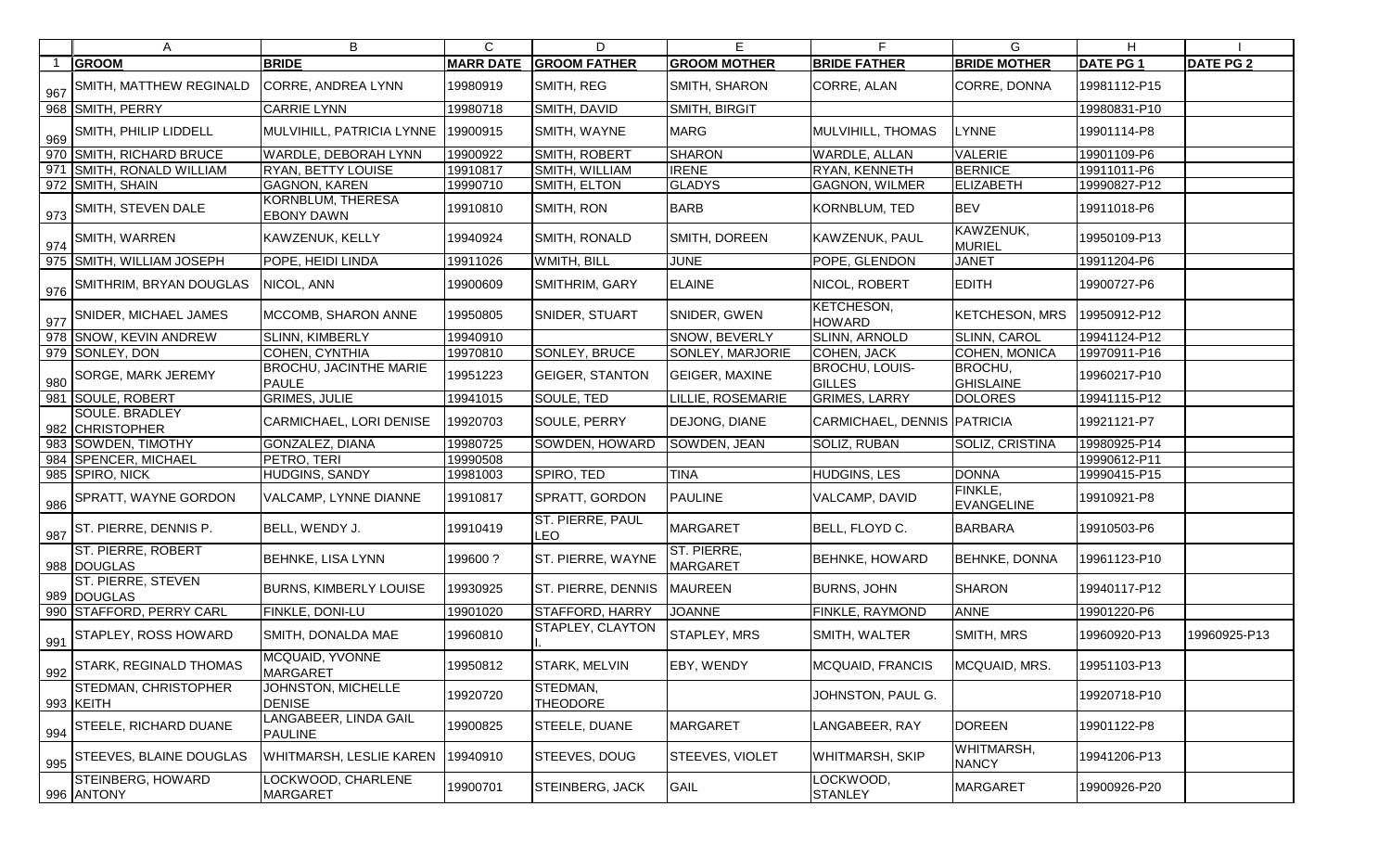|     | A                                        | B                                             | $\mathsf{C}$     | D                           | Е                             | F.                                 | G                                   | H               |                  |
|-----|------------------------------------------|-----------------------------------------------|------------------|-----------------------------|-------------------------------|------------------------------------|-------------------------------------|-----------------|------------------|
|     | <b>GROOM</b>                             | <b>BRIDE</b>                                  | <b>MARR DATE</b> | <b>GROOM FATHER</b>         | <b>GROOM MOTHER</b>           | <b>BRIDE FATHER</b>                | <b>BRIDE MOTHER</b>                 | <b>DATE PG1</b> | <b>DATE PG 2</b> |
| 967 | SMITH, MATTHEW REGINALD                  | <b>CORRE, ANDREA LYNN</b>                     | 19980919         | SMITH, REG                  | SMITH, SHARON                 | CORRE, ALAN                        | CORRE, DONNA                        | 19981112-P15    |                  |
|     | 968 SMITH, PERRY                         | <b>CARRIE LYNN</b>                            | 19980718         | SMITH, DAVID                | SMITH, BIRGIT                 |                                    |                                     | 19980831-P10    |                  |
| 969 | SMITH, PHILIP LIDDELL                    | MULVIHILL, PATRICIA LYNNE                     | 19900915         | SMITH, WAYNE                | <b>MARG</b>                   | MULVIHILL, THOMAS                  | <b>LYNNE</b>                        | 19901114-P8     |                  |
|     | 970 SMITH, RICHARD BRUCE                 | <b>WARDLE, DEBORAH LYNN</b>                   | 19900922         | SMITH, ROBERT               | <b>SHARON</b>                 | <b>WARDLE, ALLAN</b>               | <b>VALERIE</b>                      | 19901109-P6     |                  |
|     | 971 SMITH, RONALD WILLIAM                | <b>RYAN, BETTY LOUISE</b>                     | 19910817         | SMITH, WILLIAM              | <b>IRENE</b>                  | RYAN, KENNETH                      | <b>BERNICE</b>                      | 19911011-P6     |                  |
|     | 972 SMITH, SHAIN                         | <b>GAGNON, KAREN</b>                          | 19990710         | SMITH, ELTON                | <b>GLADYS</b>                 | <b>GAGNON, WILMER</b>              | <b>ELIZABETH</b>                    | 19990827-P12    |                  |
|     | $\frac{973}{973}$ SMITH, STEVEN DALE     | KORNBLUM, THERESA<br><b>EBONY DAWN</b>        | 19910810         | SMITH, RON                  | <b>BARB</b>                   | KORNBLUM, TED                      | <b>BEV</b>                          | 19911018-P6     |                  |
|     | 974 SMITH, WARREN                        | <b>KAWZENUK, KELLY</b>                        | 19940924         | SMITH, RONALD               | SMITH, DOREEN                 | <b>KAWZENUK, PAUL</b>              | KAWZENUK,<br><b>MURIEL</b>          | 19950109-P13    |                  |
|     | 975 SMITH, WILLIAM JOSEPH                | POPE, HEIDI LINDA                             | 19911026         | WMITH, BILL                 | <b>JUNE</b>                   | POPE, GLENDON                      | <b>JANET</b>                        | 19911204-P6     |                  |
|     | 976 SMITHRIM, BRYAN DOUGLAS              | NICOL, ANN                                    | 19900609         | SMITHRIM, GARY              | <b>ELAINE</b>                 | NICOL, ROBERT                      | <b>EDITH</b>                        | 19900727-P6     |                  |
|     | 977 SNIDER, MICHAEL JAMES                | MCCOMB, SHARON ANNE                           | 19950805         | SNIDER, STUART              | SNIDER, GWEN                  | <b>KETCHESON,</b><br><b>HOWARD</b> | <b>KETCHESON, MRS</b>               | 19950912-P12    |                  |
|     | 978 SNOW, KEVIN ANDREW                   | <b>SLINN, KIMBERLY</b>                        | 19940910         |                             | <b>SNOW, BEVERLY</b>          | <b>SLINN, ARNOLD</b>               | <b>SLINN, CAROL</b>                 | 19941124-P12    |                  |
|     | 979 SONLEY, DON                          | COHEN, CYNTHIA                                | 19970810         | SONLEY, BRUCE               | SONLEY, MARJORIE              | COHEN, JACK                        | COHEN, MONICA                       | 19970911-P16    |                  |
| 980 | SORGE, MARK JEREMY                       | <b>BROCHU, JACINTHE MARIE</b><br><b>PAULE</b> | 19951223         | <b>GEIGER, STANTON</b>      | <b>GEIGER, MAXINE</b>         | BROCHU, LOUIS-<br><b>GILLES</b>    | BROCHU,<br><b>GHISLAINE</b>         | 19960217-P10    |                  |
|     | 981 SOULE, ROBERT                        | <b>GRIMES, JULIE</b>                          | 19941015         | SOULE, TED                  | LILLIE, ROSEMARIE             | <b>GRIMES, LARRY</b>               | <b>DOLORES</b>                      | 19941115-P12    |                  |
|     | SOULE. BRADLEY<br>982 CHRISTOPHER        | CARMICHAEL, LORI DENISE                       | 19920703         | <b>SOULE, PERRY</b>         | DEJONG, DIANE                 | CARMICHAEL, DENNIS PATRICIA        |                                     | 19921121-P7     |                  |
|     | 983 SOWDEN, TIMOTHY                      | GONZALEZ, DIANA                               | 19980725         | SOWDEN, HOWARD              | SOWDEN, JEAN                  | SOLIZ, RUBAN                       | <b>SOLIZ, CRISTINA</b>              | 19980925-P14    |                  |
|     | 984 SPENCER, MICHAEL                     | PETRO, TERI                                   | 19990508         |                             |                               |                                    |                                     | 19990612-P11    |                  |
|     | 985 SPIRO, NICK                          | <b>HUDGINS, SANDY</b>                         | 19981003         | SPIRO, TED                  | <b>TINA</b>                   | <b>HUDGINS, LES</b>                | <b>DONNA</b>                        | 19990415-P15    |                  |
| 986 | <b>SPRATT, WAYNE GORDON</b>              | VALCAMP, LYNNE DIANNE                         | 19910817         | SPRATT, GORDON              | PAULINE                       | VALCAMP, DAVID                     | <b>FINKLE,</b><br><b>EVANGELINE</b> | 19910921-P8     |                  |
|     | $987$ ST. PIERRE, DENNIS P.              | BELL, WENDY J.                                | 19910419         | ST. PIERRE, PAUL<br>LEO     | MARGARET                      | BELL, FLOYD C.                     | <b>BARBARA</b>                      | 19910503-P6     |                  |
|     | <b>ST. PIERRE, ROBERT</b><br>988 DOUGLAS | <b>BEHNKE, LISA LYNN</b>                      | 199600 ?         | ST. PIERRE, WAYNE           | ST. PIERRE<br><b>MARGARET</b> | <b>BEHNKE, HOWARD</b>              | <b>BEHNKE, DONNA</b>                | 19961123-P10    |                  |
|     | <b>ST. PIERRE, STEVEN</b><br>989 DOUGLAS | <b>BURNS, KIMBERLY LOUISE</b>                 | 19930925         | ST. PIERRE, DENNIS MAUREEN  |                               | <b>BURNS, JOHN</b>                 | <b>SHARON</b>                       | 19940117-P12    |                  |
|     | 990 STAFFORD, PERRY CARL                 | FINKLE, DONI-LU                               | 19901020         | <b>STAFFORD, HARRY</b>      | <b>JOANNE</b>                 | FINKLE, RAYMOND                    | <b>ANNE</b>                         | 19901220-P6     |                  |
| 991 | STAPLEY, ROSS HOWARD                     | SMITH, DONALDA MAE                            | 19960810         | STAPLEY, CLAYTON            | <b>STAPLEY, MRS</b>           | SMITH, WALTER                      | SMITH, MRS                          | 19960920-P13    | 19960925-P13     |
| 992 | <b>STARK, REGINALD THOMAS</b>            | MCQUAID, YVONNE<br><b>MARGARET</b>            | 19950812         | <b>STARK, MELVIN</b>        | EBY, WENDY                    | MCQUAID, FRANCIS                   | MCQUAID, MRS.                       | 19951103-P13    |                  |
|     | STEDMAN, CHRISTOPHER<br>993 KEITH        | JOHNSTON, MICHELLE<br><b>DENISE</b>           | 19920720         | STEDMAN,<br><b>THEODORE</b> |                               | JOHNSTON, PAUL G.                  |                                     | 19920718-P10    |                  |
| 994 | <b>STEELE, RICHARD DUANE</b>             | LANGABEER, LINDA GAIL<br><b>PAULINE</b>       | 19900825         | STEELE, DUANE               | MARGARET                      | LANGABEER, RAY                     | <b>DOREEN</b>                       | 19901122-P8     |                  |
| 995 | <b>STEEVES, BLAINE DOUGLAS</b>           | WHITMARSH, LESLIE KAREN                       | 9940910          | <b>STEEVES, DOUG</b>        | STEEVES, VIOLET               | <b>WHITMARSH, SKIP</b>             | WHITMARSH,<br><b>NANCY</b>          | 19941206-P13    |                  |
|     | STEINBERG, HOWARD<br>996 ANTONY          | LOCKWOOD, CHARLENE<br><b>MARGARET</b>         | 19900701         | STEINBERG, JACK             | <b>GAIL</b>                   | LOCKWOOD,<br><b>STANLEY</b>        | <b>MARGARET</b>                     | 19900926-P20    |                  |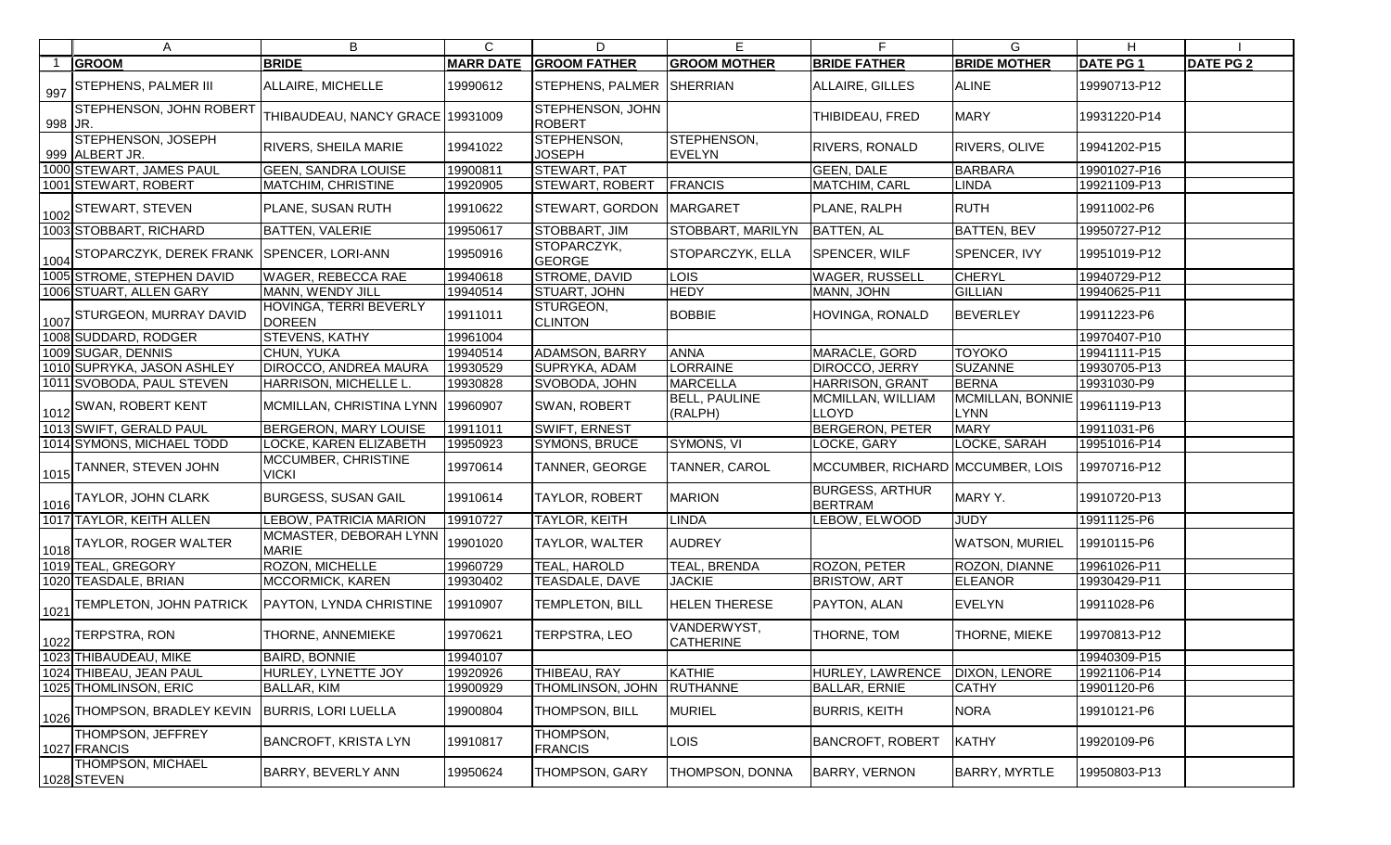|         | A                                                       | B                                       | $\mathsf{C}$     | D                            | Е                               | F.                                       | G                               | H.              |                  |
|---------|---------------------------------------------------------|-----------------------------------------|------------------|------------------------------|---------------------------------|------------------------------------------|---------------------------------|-----------------|------------------|
|         | <b>GROOM</b>                                            | <b>BRIDE</b>                            | <b>MARR DATE</b> | <b>GROOM FATHER</b>          | <b>GROOM MOTHER</b>             | <b>BRIDE FATHER</b>                      | <b>BRIDE MOTHER</b>             | <b>DATE PG1</b> | <b>DATE PG 2</b> |
|         | $\frac{1}{997}$ STEPHENS, PALMER III                    | ALLAIRE, MICHELLE                       | 19990612         | STEPHENS, PALMER SHERRIAN    |                                 | ALLAIRE, GILLES                          | <b>ALINE</b>                    | 19990713-P12    |                  |
| 998 JR. | STEPHENSON, JOHN ROBERT                                 | THIBAUDEAU, NANCY GRACE 19931009        |                  | STEPHENSON, JOHN<br>ROBERT   |                                 | <b>THIBIDEAU, FRED</b>                   | <b>MARY</b>                     | 19931220-P14    |                  |
|         | STEPHENSON, JOSEPH<br>999 ALBERT JR.                    | <b>RIVERS, SHEILA MARIE</b>             | 19941022         | STEPHENSON,<br><b>JOSEPH</b> | STEPHENSON,<br><b>EVELYN</b>    | <b>RIVERS, RONALD</b>                    | <b>RIVERS, OLIVE</b>            | 19941202-P15    |                  |
|         | 1000 STEWART, JAMES PAUL                                | <b>GEEN, SANDRA LOUISE</b>              | 19900811         | STEWART, PAT                 |                                 | <b>GEEN, DALE</b>                        | <b>BARBARA</b>                  | 19901027-P16    |                  |
|         | 1001 STEWART, ROBERT                                    | <b>MATCHIM, CHRISTINE</b>               | 19920905         | <b>STEWART, ROBERT</b>       | <b>FRANCIS</b>                  | <b>MATCHIM, CARL</b>                     | <b>LINDA</b>                    | 19921109-P13    |                  |
|         | $\rm{^{1}}_{1002}]$ STEWART, STEVEN                     | PLANE, SUSAN RUTH                       | 19910622         | STEWART, GORDON MARGARET     |                                 | PLANE, RALPH                             | <b>RUTH</b>                     | 19911002-P6     |                  |
|         | 1003 STOBBART, RICHARD                                  | <b>BATTEN, VALERIE</b>                  | 19950617         | STOBBART, JIM                | STOBBART, MARILYN               | <b>BATTEN, AL</b>                        | <b>BATTEN, BEV</b>              | 19950727-P12    |                  |
|         | 1004 STOPARCZYK, DEREK FRANK SPENCER, LORI-ANN          |                                         | 19950916         | STOPARCZYK,<br><b>GEORGE</b> | STOPARCZYK, ELLA                | <b>SPENCER, WILF</b>                     | SPENCER, IVY                    | 19951019-P12    |                  |
|         | 1005 STROME, STEPHEN DAVID                              | <b>WAGER, REBECCA RAE</b>               | 19940618         | <b>STROME, DAVID</b>         | <b>LOIS</b>                     | <b>WAGER, RUSSELL</b>                    | <b>CHERYL</b>                   | 19940729-P12    |                  |
|         | 1006 STUART, ALLEN GARY                                 | MANN, WENDY JILL                        | 19940514         | STUART, JOHN                 | <b>HEDY</b>                     | MANN, JOHN                               | <b>GILLIAN</b>                  | 19940625-P11    |                  |
|         | 1 <sub>1007</sub> STURGEON, MURRAY DAVID                | HOVINGA, TERRI BEVERLY<br><b>DOREEN</b> | 19911011         | STURGEON,<br><b>CLINTON</b>  | <b>BOBBIE</b>                   | HOVINGA, RONALD                          | <b>BEVERLEY</b>                 | 19911223-P6     |                  |
|         | 1008 SUDDARD, RODGER                                    | STEVENS, KATHY                          | 19961004         |                              |                                 |                                          |                                 | 19970407-P10    |                  |
|         | 1009 SUGAR, DENNIS                                      | CHUN, YUKA                              | 19940514         | ADAMSON, BARRY               | <b>ANNA</b>                     | MARACLE, GORD                            | <b>TOYOKO</b>                   | 19941111-P15    |                  |
|         | 1010 SUPRYKA, JASON ASHLEY                              | <b>DIROCCO, ANDREA MAURA</b>            | 19930529         | SUPRYKA, ADAM                | <b>LORRAINE</b>                 | DIROCCO, JERRY                           | <b>SUZANNE</b>                  | 19930705-P13    |                  |
|         | 1011 SVOBODA, PAUL STEVEN                               | HARRISON, MICHELLE L.                   | 19930828         | SVOBODA, JOHN                | MARCELLA                        | <b>HARRISON, GRANT</b>                   | <b>BERNA</b>                    | 19931030-P9     |                  |
|         | 1 <sub>1012</sub>  SWAN, ROBERT KENT                    | MCMILLAN, CHRISTINA LYNN   19960907     |                  | SWAN, ROBERT                 | <b>BELL, PAULINE</b><br>(RALPH) | MCMILLAN, WILLIAM<br><b>LLOYD</b>        | MCMILLAN, BONNIE<br><b>LYNN</b> | 19961119-P13    |                  |
|         | 1013 SWIFT, GERALD PAUL                                 | <b>BERGERON, MARY LOUISE</b>            | 19911011         | <b>SWIFT, ERNEST</b>         |                                 | <b>BERGERON, PETER</b>                   | <b>MARY</b>                     | 19911031-P6     |                  |
|         | 1014 SYMONS, MICHAEL TODD                               | LOCKE, KAREN ELIZABETH                  | 19950923         | SYMONS, BRUCE                | SYMONS, VI                      | LOCKE, GARY                              | LOCKE, SARAH                    | 19951016-P14    |                  |
|         | $\rm{H_{1015}}$ TANNER, STEVEN JOHN                     | MCCUMBER, CHRISTINE<br><b>VICKI</b>     | 19970614         | TANNER, GEORGE               | <b>TANNER, CAROL</b>            | MCCUMBER, RICHARD MCCUMBER, LOIS         |                                 | 19970716-P12    |                  |
|         | $\Gamma_{1016}$  TAYLOR, JOHN CLARK                     | <b>BURGESS, SUSAN GAIL</b>              | 19910614         | TAYLOR, ROBERT               | <b>MARION</b>                   | <b>BURGESS, ARTHUR</b><br><b>BERTRAM</b> | MARY Y.                         | 19910720-P13    |                  |
|         | 1017 TAYLOR, KEITH ALLEN                                | LEBOW, PATRICIA MARION                  | 19910727         | TAYLOR, KEITH                | <b>LINDA</b>                    | LEBOW, ELWOOD                            | <b>JUDY</b>                     | 19911125-P6     |                  |
|         | $\Gamma_{1018}$  TAYLOR, ROGER WALTER                   | MCMASTER, DEBORAH LYNN<br><b>MARIE</b>  | 19901020         | TAYLOR, WALTER               | <b>AUDREY</b>                   |                                          | <b>WATSON, MURIEL</b>           | 19910115-P6     |                  |
|         | 1019 TEAL, GREGORY                                      | ROZON, MICHELLE                         | 19960729         | TEAL, HAROLD                 | TEAL, BRENDA                    | ROZON, PETER                             | ROZON, DIANNE                   | 19961026-P11    |                  |
|         | 1020 TEASDALE, BRIAN                                    | MCCORMICK, KAREN                        | 19930402         | TEASDALE, DAVE               | <b>JACKIE</b>                   | <b>BRISTOW, ART</b>                      | <b>ELEANOR</b>                  | 19930429-P11    |                  |
|         | $\left  \frac{1021}{ } \right $ TEMPLETON, JOHN PATRICK | <b>PAYTON, LYNDA CHRISTINE</b>          | 19910907         | TEMPLETON, BILL              | <b>HELEN THERESE</b>            | PAYTON, ALAN                             | <b>EVELYN</b>                   | 19911028-P6     |                  |
|         | 1022 TERPSTRA, RON                                      | THORNE, ANNEMIEKE                       | 19970621         | TERPSTRA, LEO                | VANDERWYST,<br><b>CATHERINE</b> | THORNE, TOM                              | THORNE, MIEKE                   | 19970813-P12    |                  |
|         | 1023 THIBAUDEAU, MIKE                                   | <b>BAIRD, BONNIE</b>                    | 19940107         |                              |                                 |                                          |                                 | 19940309-P15    |                  |
|         | 1024 THIBEAU, JEAN PAUL                                 | HURLEY, LYNETTE JOY                     | 19920926         | THIBEAU, RAY                 | KATHIE                          | HURLEY, LAWRENCE                         | <b>DIXON, LENORE</b>            | 19921106-P14    |                  |
|         | 1025 THOMLINSON, ERIC                                   | BALLAR, KIM                             | 19900929         | THOMLINSON, JOHN             | <b>RUTHANNE</b>                 | <b>BALLAR, ERNIE</b>                     | <b>CATHY</b>                    | 19901120-P6     |                  |
|         | 1026 THOMPSON, BRADLEY KEVIN                            | <b>BURRIS, LORI LUELLA</b>              | 19900804         | THOMPSON, BILL               | <b>MURIEL</b>                   | <b>BURRIS, KEITH</b>                     | <b>NORA</b>                     | 19910121-P6     |                  |
|         | THOMPSON, JEFFREY<br>1027 FRANCIS                       | <b>BANCROFT, KRISTA LYN</b>             | 19910817         | THOMPSON,<br><b>FRANCIS</b>  | LOIS.                           | <b>BANCROFT, ROBERT</b>                  | <b>KATHY</b>                    | 19920109-P6     |                  |
|         | <b>THOMPSON, MICHAEL</b><br>1028 STEVEN                 | <b>BARRY, BEVERLY ANN</b>               | 19950624         | THOMPSON, GARY               | THOMPSON, DONNA                 | <b>BARRY, VERNON</b>                     | <b>BARRY, MYRTLE</b>            | 19950803-P13    |                  |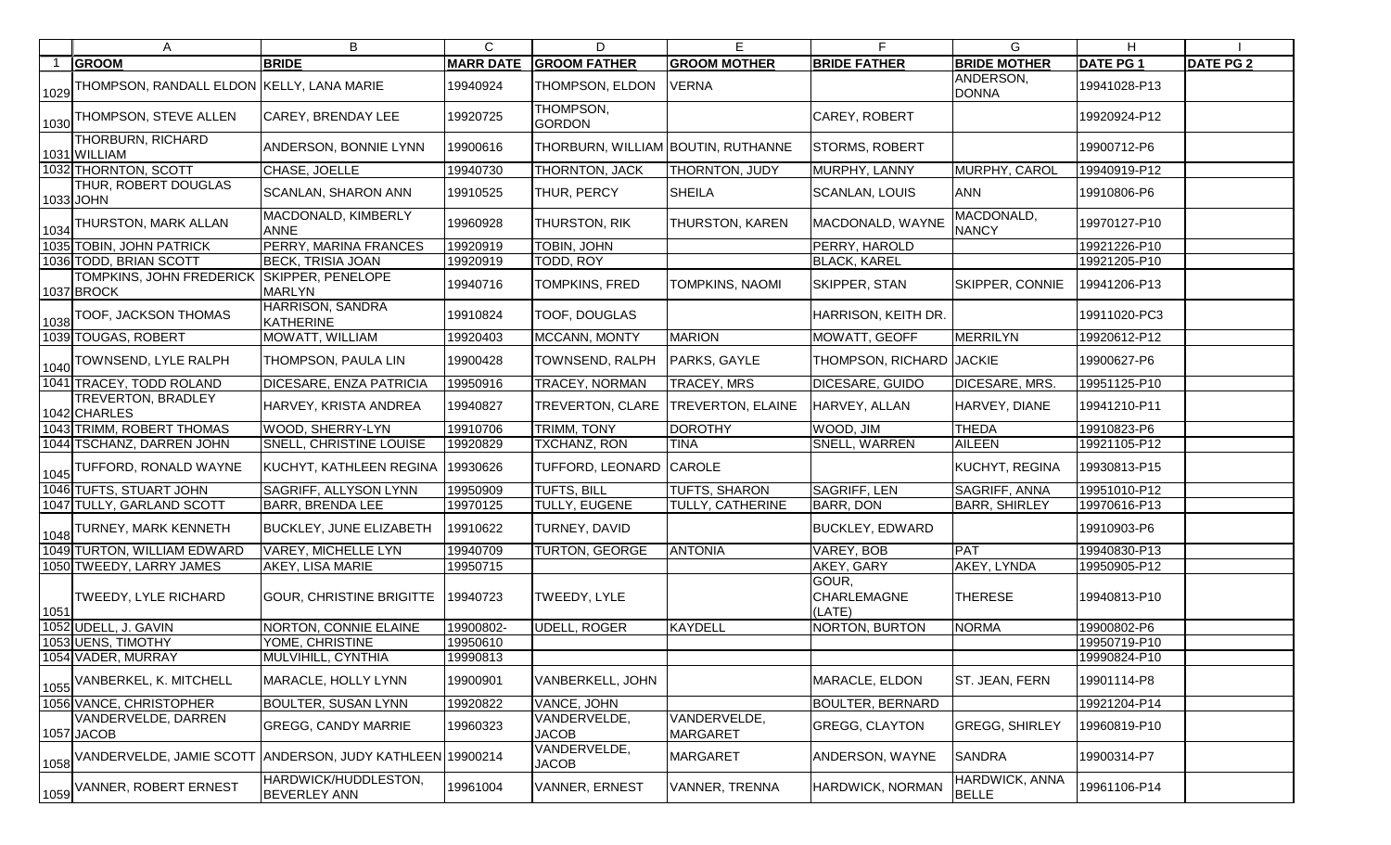|      | A                                                  | B                                    | $\mathsf{C}$     | D                                  | E                               | F                                     | G                              | H                |                  |
|------|----------------------------------------------------|--------------------------------------|------------------|------------------------------------|---------------------------------|---------------------------------------|--------------------------------|------------------|------------------|
|      | <b>GROOM</b>                                       | <b>BRIDE</b>                         | <b>MARR DATE</b> | <b>GROOM FATHER</b>                | <b>GROOM MOTHER</b>             | <b>BRIDE FATHER</b>                   | <b>BRIDE MOTHER</b>            | <b>DATE PG 1</b> | <b>DATE PG 2</b> |
| 1029 | THOMPSON, RANDALL ELDON KELLY, LANA MARIE          |                                      | 19940924         | THOMPSON, ELDON                    | VERNA                           |                                       | ANDERSON,<br><b>DONNA</b>      | 19941028-P13     |                  |
|      | 1030 THOMPSON, STEVE ALLEN                         | <b>CAREY, BRENDAY LEE</b>            | 19920725         | THOMPSON,<br><b>GORDON</b>         |                                 | CAREY, ROBERT                         |                                | 19920924-P12     |                  |
|      | <b>THORBURN, RICHARD</b><br>1031 WILLIAM           | ANDERSON, BONNIE LYNN                | 19900616         | THORBURN, WILLIAM BOUTIN, RUTHANNE |                                 | STORMS, ROBERT                        |                                | 19900712-P6      |                  |
|      | 1032 THORNTON, SCOTT                               | CHASE, JOELLE                        | 19940730         | THORNTON, JACK                     | THORNTON, JUDY                  | MURPHY, LANNY                         | MURPHY, CAROL                  | 19940919-P12     |                  |
|      | THUR, ROBERT DOUGLAS<br>1033 JOHN                  | <b>SCANLAN, SHARON ANN</b>           | 19910525         | THUR, PERCY                        | <b>SHEILA</b>                   | <b>SCANLAN, LOUIS</b>                 | <b>ANN</b>                     | 19910806-P6      |                  |
|      | $\bm{\mathsf{I}}_{1034}$ THURSTON, MARK ALLAN      | MACDONALD, KIMBERLY<br><b>ANNE</b>   | 19960928         | THURSTON, RIK                      | THURSTON, KAREN                 | MACDONALD, WAYNE                      | MACDONALD,<br><b>NANCY</b>     | 19970127-P10     |                  |
|      | 1035 TOBIN, JOHN PATRICK                           | PERRY, MARINA FRANCES                | 19920919         | TOBIN, JOHN                        |                                 | PERRY, HAROLD                         |                                | 19921226-P10     |                  |
|      | 1036 TODD, BRIAN SCOTT                             | <b>BECK, TRISIA JOAN</b>             | 19920919         | TODD, ROY                          |                                 | <b>BLACK, KAREL</b>                   |                                | 19921205-P10     |                  |
|      | TOMPKINS, JOHN FREDERICK<br>1037 BROCK             | SKIPPER, PENELOPE<br><b>MARLYN</b>   | 19940716         | TOMPKINS, FRED                     | TOMPKINS, NAOMI                 | <b>SKIPPER, STAN</b>                  | SKIPPER, CONNIE                | 19941206-P13     |                  |
|      | 1038 TOOF, JACKSON THOMAS                          | HARRISON, SANDRA<br>KATHERINE        | 19910824         | TOOF, DOUGLAS                      |                                 | HARRISON, KEITH DR.                   |                                | 19911020-PC3     |                  |
|      | 1039 TOUGAS, ROBERT                                | MOWATT, WILLIAM                      | 19920403         | MCCANN, MONTY                      | <b>MARION</b>                   | MOWATT, GEOFF                         | <b>MERRILYN</b>                | 19920612-P12     |                  |
|      | 1040 TOWNSEND, LYLE RALPH                          | THOMPSON, PAULA LIN                  | 19900428         | TOWNSEND, RALPH                    | PARKS, GAYLE                    | THOMPSON, RICHARD JACKIE              |                                | 19900627-P6      |                  |
|      | 1041 TRACEY, TODD ROLAND                           | DICESARE, ENZA PATRICIA              | 19950916         | <b>TRACEY, NORMAN</b>              | TRACEY, MRS                     | DICESARE, GUIDO                       | DICESARE, MRS.                 | 19951125-P10     |                  |
|      | TREVERTON, BRADLEY<br>1042 CHARLES                 | HARVEY, KRISTA ANDREA                | 19940827         | TREVERTON, CLARE TREVERTON, ELAINE |                                 | HARVEY, ALLAN                         | HARVEY, DIANE                  | 19941210-P11     |                  |
|      | 1043 TRIMM, ROBERT THOMAS                          | WOOD, SHERRY-LYN                     | 19910706         | TRIMM, TONY                        | <b>DOROTHY</b>                  | WOOD, JIM                             | <b>THEDA</b>                   | 19910823-P6      |                  |
|      | 1044 TSCHANZ, DARREN JOHN                          | SNELL, CHRISTINE LOUISE              | 19920829         | TXCHANZ, RON                       | <b>TINA</b>                     | SNELL, WARREN                         | <b>AILEEN</b>                  | 19921105-P12     |                  |
|      | $\rm{H_{1045} TUFFORD,~RONALD~WAYNE}$              | KUCHYT, KATHLEEN REGINA              | 19930626         | TUFFORD, LEONARD CAROLE            |                                 |                                       | KUCHYT, REGINA                 | 19930813-P15     |                  |
|      | 1046 TUFTS, STUART JOHN                            | SAGRIFF, ALLYSON LYNN                | 19950909         | <b>TUFTS, BILL</b>                 | TUFTS, SHARON                   | <b>SAGRIFF, LEN</b>                   | SAGRIFF, ANNA                  | 19951010-P12     |                  |
|      | 1047 TULLY, GARLAND SCOTT                          | <b>BARR, BRENDA LEE</b>              | 19970125         | TULLY, EUGENE                      | TULLY, CATHERINE                | <b>BARR, DON</b>                      | <b>BARR, SHIRLEY</b>           | 19970616-P13     |                  |
|      | $\rm{H_{1048} TURNEY, \, MARK \, KENNETH_{1048} }$ | <b>BUCKLEY, JUNE ELIZABETH</b>       | 19910622         | TURNEY, DAVID                      |                                 | <b>BUCKLEY, EDWARD</b>                |                                | 19910903-P6      |                  |
|      | 1049 TURTON, WILLIAM EDWARD                        | VAREY, MICHELLE LYN                  | 19940709         | <b>TURTON, GEORGE</b>              | <b>ANTONIA</b>                  | VAREY, BOB                            | <b>PAT</b>                     | 19940830-P13     |                  |
|      | 1050 TWEEDY, LARRY JAMES                           | AKEY, LISA MARIE                     | 19950715         |                                    |                                 | AKEY, GARY                            | AKEY, LYNDA                    | 19950905-P12     |                  |
| 1051 | TWEEDY, LYLE RICHARD                               | GOUR, CHRISTINE BRIGITTE 19940723    |                  | TWEEDY, LYLE                       |                                 | GOUR,<br><b>CHARLEMAGNE</b><br>(LATE) | <b>THERESE</b>                 | 19940813-P10     |                  |
|      | 1052 UDELL, J. GAVIN                               | <b>NORTON, CONNIE ELAINE</b>         | 19900802-        | <b>UDELL, ROGER</b>                | <b>KAYDELL</b>                  | NORTON, BURTON                        | <b>NORMA</b>                   | 19900802-P6      |                  |
|      | 1053 UENS, TIMOTHY                                 | YOME, CHRISTINE                      | 19950610         |                                    |                                 |                                       |                                | 19950719-P10     |                  |
|      | 1054 VADER, MURRAY                                 | MULVIHILL, CYNTHIA                   | 19990813         |                                    |                                 |                                       |                                | 19990824-P10     |                  |
| 1055 | VANBERKEL, K. MITCHELL                             | MARACLE, HOLLY LYNN                  | 19900901         | VANBERKELL, JOHN                   |                                 | MARACLE, ELDON                        | ST. JEAN, FERN                 | 19901114-P8      |                  |
|      | 1056 VANCE, CHRISTOPHER                            | <b>BOULTER, SUSAN LYNN</b>           | 19920822         | VANCE, JOHN                        |                                 | <b>BOULTER, BERNARD</b>               |                                | 19921204-P14     |                  |
|      | VANDERVELDE, DARREN<br>1057 JACOB                  | <b>GREGG, CANDY MARRIE</b>           | 19960323         | VANDERVELDE,<br><b>JACOB</b>       | VANDERVELDE,<br><b>MARGARET</b> | <b>GREGG, CLAYTON</b>                 | <b>GREGG, SHIRLEY</b>          | 19960819-P10     |                  |
| 1058 | VANDERVELDE, JAMIE SCOTT                           | ANDERSON, JUDY KATHLEEN 19900214     |                  | VANDERVELDE,<br><b>JACOB</b>       | MARGARET                        | ANDERSON, WAYNE                       | <b>SANDRA</b>                  | 19900314-P7      |                  |
| 1059 | VANNER, ROBERT ERNEST                              | HARDWICK/HUDDLESTON,<br>BEVERLEY ANN | 19961004         | VANNER, ERNEST                     | VANNER, TRENNA                  | HARDWICK, NORMAN                      | HARDWICK, ANNA<br><b>BELLE</b> | 19961106-P14     |                  |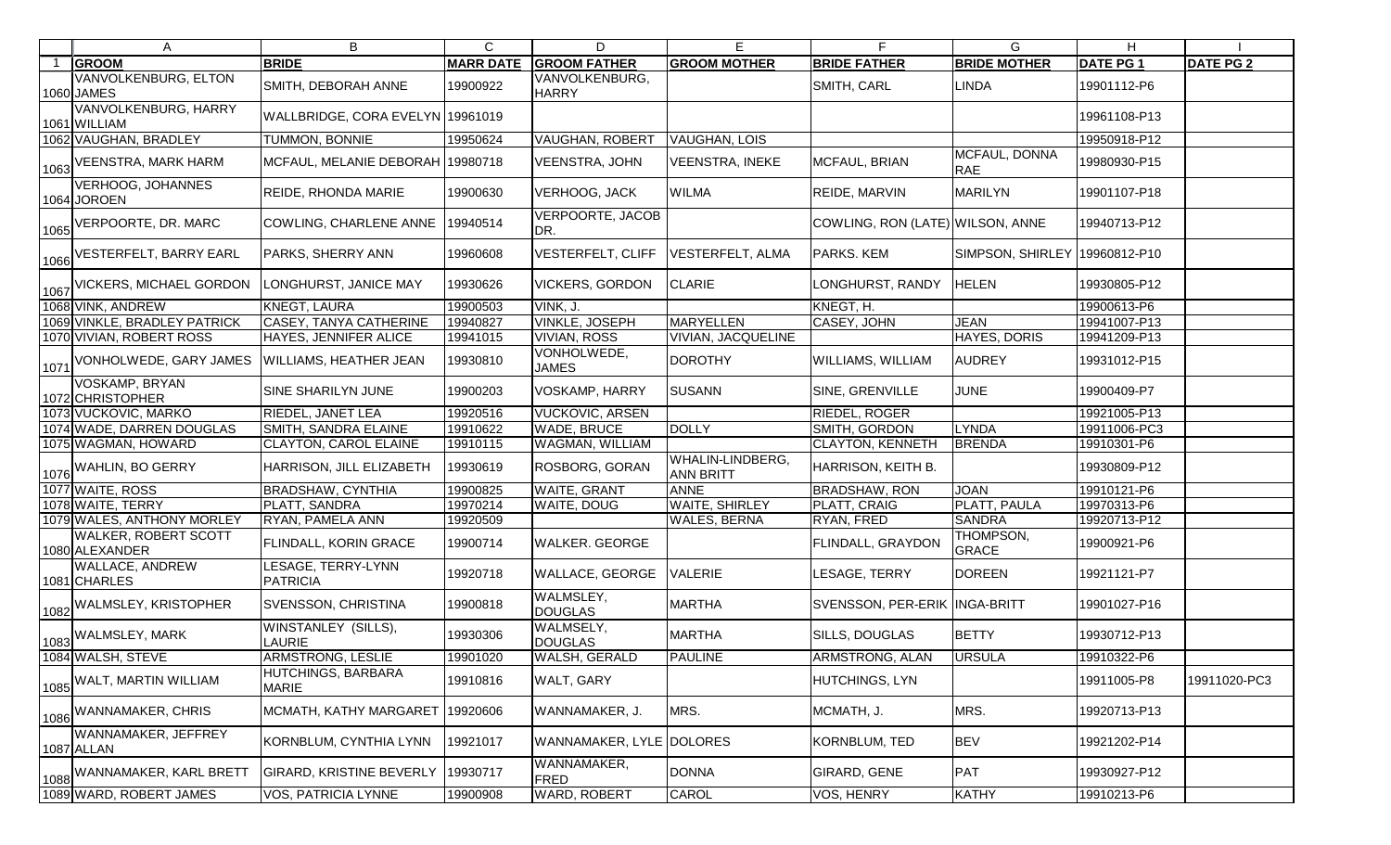|      | A                                         | B                                           | $\mathsf{C}$     | D                              | E                                    | F.                               | G                           | H                |                  |
|------|-------------------------------------------|---------------------------------------------|------------------|--------------------------------|--------------------------------------|----------------------------------|-----------------------------|------------------|------------------|
|      | <b>GROOM</b>                              | <b>BRIDE</b>                                | <b>MARR DATE</b> | <b>GROOM FATHER</b>            | <b>GROOM MOTHER</b>                  | <b>BRIDE FATHER</b>              | <b>BRIDE MOTHER</b>         | <b>DATE PG 1</b> | <b>DATE PG 2</b> |
|      | <b>VANVOLKENBURG, ELTON</b><br>1060 JAMES | SMITH, DEBORAH ANNE                         | 19900922         | VANVOLKENBURG,<br><b>HARRY</b> |                                      | SMITH, CARL                      | <b>LINDA</b>                | 19901112-P6      |                  |
|      | VANVOLKENBURG, HARRY<br>1061 WILLIAM      | WALLBRIDGE, CORA EVELYN 19961019            |                  |                                |                                      |                                  |                             | 19961108-P13     |                  |
|      | 1062 VAUGHAN, BRADLEY                     | TUMMON, BONNIE                              | 19950624         | VAUGHAN, ROBERT                | <b>VAUGHAN, LOIS</b>                 |                                  |                             | 19950918-P12     |                  |
| 1063 | <b>VEENSTRA, MARK HARM</b>                | MCFAUL, MELANIE DEBORAH 19980718            |                  | VEENSTRA, JOHN                 | <b>VEENSTRA, INEKE</b>               | MCFAUL, BRIAN                    | MCFAUL, DONNA<br><b>RAE</b> | 19980930-P15     |                  |
|      | <b>VERHOOG, JOHANNES</b><br>1064 JOROEN   | REIDE, RHONDA MARIE                         | 19900630         | <b>VERHOOG, JACK</b>           | <b>WILMA</b>                         | REIDE, MARVIN                    | <b>MARILYN</b>              | 19901107-P18     |                  |
| 1065 | VERPOORTE, DR. MARC                       | COWLING, CHARLENE ANNE                      | 19940514         | <b>VERPOORTE, JACOB</b><br>DR. |                                      | COWLING, RON (LATE) WILSON, ANNE |                             | 19940713-P12     |                  |
| 1066 | <b>VESTERFELT, BARRY EARL</b>             | PARKS, SHERRY ANN                           | 19960608         | <b>VESTERFELT, CLIFF</b>       | VESTERFELT, ALMA                     | PARKS. KEM                       | <b>SIMPSON, SHIRLEY</b>     | 19960812-P10     |                  |
| 1067 | <b>VICKERS, MICHAEL GORDON</b>            | LONGHURST, JANICE MAY                       | 19930626         | <b>VICKERS, GORDON</b>         | <b>CLARIE</b>                        | LONGHURST, RANDY                 | <b>HELEN</b>                | 19930805-P12     |                  |
|      | 1068 VINK, ANDREW                         | KNEGT, LAURA                                | 19900503         | VINK, J.                       |                                      | KNEGT, H.                        |                             | 19900613-P6      |                  |
|      | 1069 VINKLE, BRADLEY PATRICK              | CASEY, TANYA CATHERINE                      | 19940827         | <b>VINKLE, JOSEPH</b>          | <b>MARYELLEN</b>                     | CASEY, JOHN                      | <b>JEAN</b>                 | 19941007-P13     |                  |
|      | 1070 VIVIAN, ROBERT ROSS                  | HAYES, JENNIFER ALICE                       | 19941015         | <b>VIVIAN, ROSS</b>            | VIVIAN, JACQUELINE                   |                                  | HAYES, DORIS                | 19941209-P13     |                  |
| 1071 | VONHOLWEDE, GARY JAMES                    | WILLIAMS, HEATHER JEAN                      | 19930810         | VONHOLWEDE,<br><b>JAMES</b>    | <b>DOROTHY</b>                       | <b>WILLIAMS, WILLIAM</b>         | <b>AUDREY</b>               | 19931012-P15     |                  |
|      | VOSKAMP, BRYAN<br>1072 CHRISTOPHER        | SINE SHARILYN JUNE                          | 19900203         | VOSKAMP, HARRY                 | <b>SUSANN</b>                        | SINE, GRENVILLE                  | <b>JUNE</b>                 | 19900409-P7      |                  |
|      | 1073 VUCKOVIC, MARKO                      | RIEDEL, JANET LEA                           | 19920516         | <b>VUCKOVIC, ARSEN</b>         |                                      | <b>RIEDEL, ROGER</b>             |                             | 19921005-P13     |                  |
|      | 1074 WADE, DARREN DOUGLAS                 | SMITH, SANDRA ELAINE                        | 19910622         | <b>WADE, BRUCE</b>             | <b>DOLLY</b>                         | SMITH, GORDON                    | <b>LYNDA</b>                | 19911006-PC3     |                  |
|      | 1075 WAGMAN, HOWARD                       | CLAYTON, CAROL ELAINE                       | 19910115         | <b>WAGMAN, WILLIAM</b>         |                                      | <b>CLAYTON, KENNETH</b>          | <b>BRENDA</b>               | 19910301-P6      |                  |
|      | 1076 WAHLIN, BO GERRY                     | HARRISON, JILL ELIZABETH                    | 19930619         | <b>ROSBORG, GORAN</b>          | WHALIN-LINDBERG,<br><b>ANN BRITT</b> | HARRISON, KEITH B.               |                             | 19930809-P12     |                  |
|      | 1077 WAITE, ROSS                          | <b>BRADSHAW, CYNTHIA</b>                    | 19900825         | <b>WAITE, GRANT</b>            | <b>ANNE</b>                          | <b>BRADSHAW, RON</b>             | <b>JOAN</b>                 | 19910121-P6      |                  |
|      | 1078 WAITE, TERRY                         | PLATT, SANDRA                               | 19970214         | <b>WAITE, DOUG</b>             | WAITE, SHIRLEY                       | PLATT, CRAIG                     | <b>PLATT, PAULA</b>         | 19970313-P6      |                  |
|      | 1079 WALES, ANTHONY MORLEY                | RYAN, PAMELA ANN                            | 19920509         |                                | <b>WALES, BERNA</b>                  | RYAN, FRED                       | <b>SANDRA</b>               | 19920713-P12     |                  |
|      | WALKER, ROBERT SCOTT<br>1080 ALEXANDER    | FLINDALL, KORIN GRACE                       | 19900714         | <b>WALKER. GEORGE</b>          |                                      | FLINDALL, GRAYDON                | THOMPSON,<br><b>GRACE</b>   | 19900921-P6      |                  |
|      | WALLACE, ANDREW<br>1081 CHARLES           | <b>ESAGE, TERRY-LYNN</b><br><b>PATRICIA</b> | 19920718         | <b>WALLACE, GEORGE</b>         | <b>VALERIE</b>                       | LESAGE, TERRY                    | <b>DOREEN</b>               | 19921121-P7      |                  |
| 1082 | <b>WALMSLEY, KRISTOPHER</b>               | <b>SVENSSON, CHRISTINA</b>                  | 19900818         | WALMSLEY,<br><b>DOUGLAS</b>    | <b>MARTHA</b>                        | SVENSSON, PER-ERIK INGA-BRITT    |                             | 19901027-P16     |                  |
|      | 1083 WALMSLEY, MARK                       | WINSTANLEY (SILLS),<br>LAURIE               | 19930306         | WALMSELY,<br><b>DOUGLAS</b>    | <b>MARTHA</b>                        | SILLS, DOUGLAS                   | <b>BETTY</b>                | 19930712-P13     |                  |
|      | 1084 WALSH, STEVE                         | <b>ARMSTRONG, LESLIE</b>                    | 19901020         | <b>WALSH, GERALD</b>           | <b>PAULINE</b>                       | ARMSTRONG, ALAN                  | <b>URSULA</b>               | 19910322-P6      |                  |
| 1085 | WALT, MARTIN WILLIAM                      | HUTCHINGS, BARBARA<br><b>MARIE</b>          | 19910816         | <b>WALT, GARY</b>              |                                      | <b>HUTCHINGS, LYN</b>            |                             | 19911005-P8      | 19911020-PC3     |
|      | 1086 WANNAMAKER, CHRIS                    | MCMATH, KATHY MARGARET                      | 19920606         | WANNAMAKER, J.                 | MRS.                                 | MCMATH, J.                       | MRS.                        | 19920713-P13     |                  |
|      | WANNAMAKER, JEFFREY<br>1087 ALLAN         | KORNBLUM, CYNTHIA LYNN                      | 19921017         | WANNAMAKER, LYLE DOLORES       |                                      | KORNBLUM, TED                    | <b>BEV</b>                  | 19921202-P14     |                  |
| 1088 | WANNAMAKER, KARL BRETT                    | GIRARD, KRISTINE BEVERLY                    | 19930717         | WANNAMAKER,<br><b>FRED</b>     | <b>DONNA</b>                         | GIRARD, GENE                     | <b>PAT</b>                  | 19930927-P12     |                  |
|      | 1089 WARD, ROBERT JAMES                   | VOS, PATRICIA LYNNE                         | 19900908         | <b>WARD, ROBERT</b>            | CAROL                                | VOS, HENRY                       | <b>KATHY</b>                | 19910213-P6      |                  |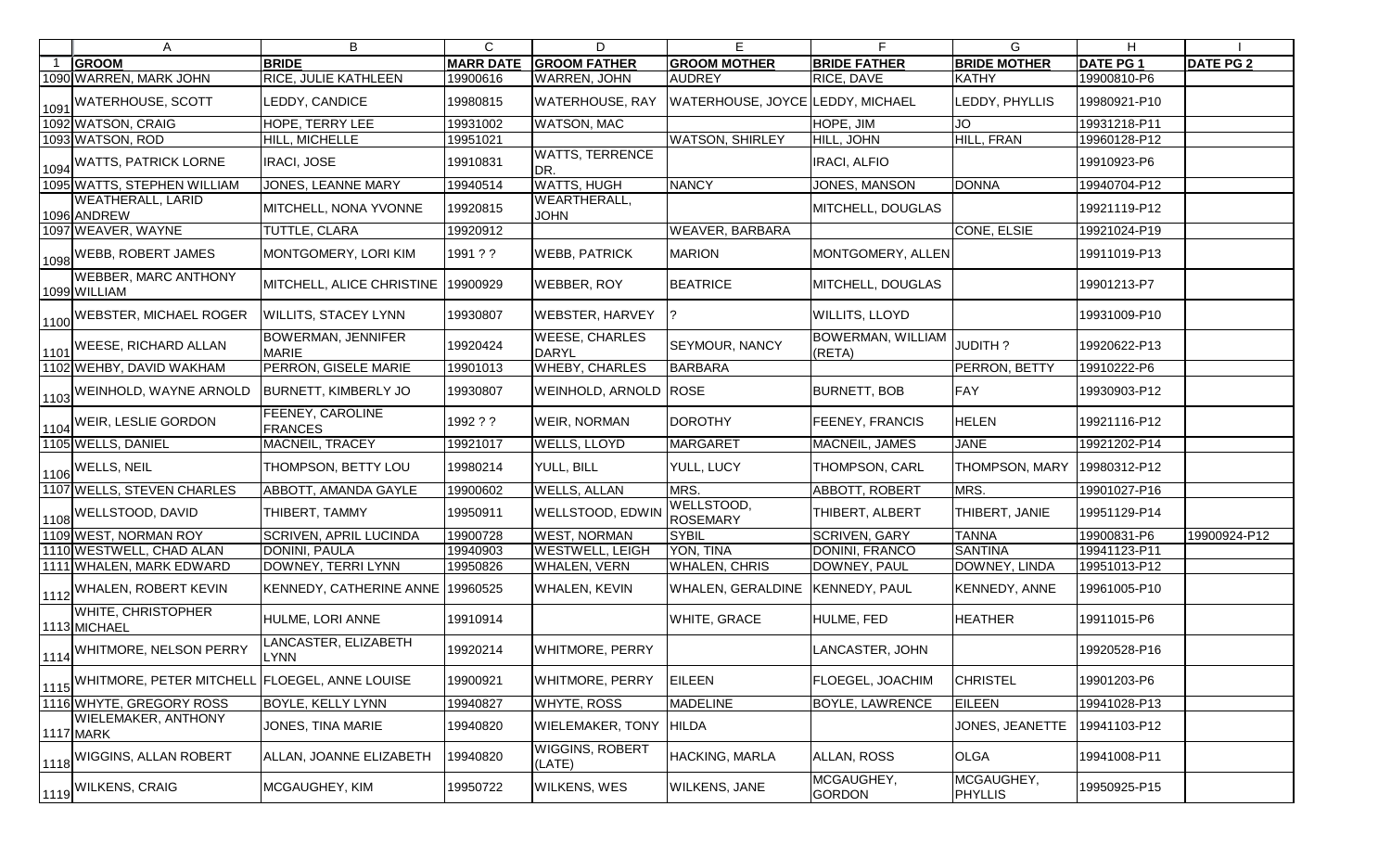| A                                           | B                                         | C                | D                                  | E.                               | F.                                 | G                            | H               |                  |
|---------------------------------------------|-------------------------------------------|------------------|------------------------------------|----------------------------------|------------------------------------|------------------------------|-----------------|------------------|
| <b>GROOM</b>                                | <b>BRIDE</b>                              | <b>MARR DATE</b> | <b>GROOM FATHER</b>                | <b>GROOM MOTHER</b>              | <b>BRIDE FATHER</b>                | <b>BRIDE MOTHER</b>          | <b>DATE PG1</b> | <b>DATE PG 2</b> |
| 1090 WARREN, MARK JOHN                      | <b>RICE, JULIE KATHLEEN</b>               | 19900616         | <b>WARREN, JOHN</b>                | <b>AUDREY</b>                    | RICE, DAVE                         | <b>KATHY</b>                 | 19900810-P6     |                  |
| 1091 WATERHOUSE, SCOTT                      | LEDDY, CANDICE                            | 19980815         | <b>WATERHOUSE, RAY</b>             | WATERHOUSE, JOYCE LEDDY, MICHAEL |                                    | LEDDY, PHYLLIS               | 19980921-P10    |                  |
| 1092 WATSON, CRAIG                          | HOPE, TERRY LEE                           | 19931002         | <b>WATSON, MAC</b>                 |                                  | HOPE, JIM                          | <b>JO</b>                    | 19931218-P11    |                  |
| 1093 WATSON, ROD                            | HILL, MICHELLE                            | 19951021         |                                    | <b>WATSON, SHIRLEY</b>           | HILL, JOHN                         | HILL, FRAN                   | 19960128-P12    |                  |
| 1094 WATTS, PATRICK LORNE                   | <b>IRACI, JOSE</b>                        | 19910831         | <b>WATTS, TERRENCE</b><br>DR.      |                                  | <b>IRACI, ALFIO</b>                |                              | 19910923-P6     |                  |
| 1095 WATTS, STEPHEN WILLIAM                 | <b>JONES, LEANNE MARY</b>                 | 19940514         | <b>WATTS, HUGH</b>                 | <b>NANCY</b>                     | <b>JONES, MANSON</b>               | <b>DONNA</b>                 | 19940704-P12    |                  |
| <b>WEATHERALL, LARID</b><br>1096 ANDREW     | MITCHELL, NONA YVONNE                     | 19920815         | <b>WEARTHERALL,</b><br><b>JOHN</b> |                                  | MITCHELL, DOUGLAS                  |                              | 19921119-P12    |                  |
| 1097 WEAVER, WAYNE                          | TUTTLE, CLARA                             | 19920912         |                                    | <b>WEAVER, BARBARA</b>           |                                    | CONE, ELSIE                  | 19921024-P19    |                  |
| 1098 WEBB, ROBERT JAMES                     | MONTGOMERY, LORI KIM                      | 1991 ? ?         | <b>WEBB, PATRICK</b>               | <b>MARION</b>                    | MONTGOMERY, ALLEN                  |                              | 19911019-P13    |                  |
| <b>WEBBER, MARC ANTHONY</b><br>1099 WILLIAM | MITCHELL, ALICE CHRISTINE   19900929      |                  | <b>WEBBER, ROY</b>                 | <b>BEATRICE</b>                  | MITCHELL, DOUGLAS                  |                              | 19901213-P7     |                  |
| 1100 WEBSTER, MICHAEL ROGER                 | <b>WILLITS, STACEY LYNN</b>               | 19930807         | <b>WEBSTER, HARVEY</b>             |                                  | <b>WILLITS, LLOYD</b>              |                              | 19931009-P10    |                  |
| 1101 WEESE, RICHARD ALLAN                   | <b>BOWERMAN, JENNIFER</b><br><b>MARIE</b> | 19920424         | <b>WEESE, CHARLES</b><br>DARYL     | <b>SEYMOUR, NANCY</b>            | <b>BOWERMAN, WILLIAM</b><br>(RETA) | JUDITH?                      | 19920622-P13    |                  |
| 1102 WEHBY, DAVID WAKHAM                    | PERRON, GISELE MARIE                      | 19901013         | <b>WHEBY, CHARLES</b>              | <b>BARBARA</b>                   |                                    | PERRON, BETTY                | 19910222-P6     |                  |
| 1103 WEINHOLD, WAYNE ARNOLD                 | <b>BURNETT, KIMBERLY JO</b>               | 19930807         | WEINHOLD, ARNOLD ROSE              |                                  | <b>BURNETT, BOB</b>                | <b>FAY</b>                   | 19930903-P12    |                  |
| 1104 WEIR, LESLIE GORDON                    | FEENEY, CAROLINE<br><b>FRANCES</b>        | 1992 ? ?         | <b>WEIR, NORMAN</b>                | <b>DOROTHY</b>                   | FEENEY, FRANCIS                    | HELEN                        | 19921116-P12    |                  |
| 1105 WELLS, DANIEL                          | MACNEIL, TRACEY                           | 19921017         | <b>WELLS, LLOYD</b>                | <b>MARGARET</b>                  | MACNEIL, JAMES                     | <b>JANE</b>                  | 19921202-P14    |                  |
| $\left  \frac{1106}{ } \right $ WELLS, NEIL | THOMPSON, BETTY LOU                       | 19980214         | YULL, BILL                         | YULL, LUCY                       | THOMPSON, CARL                     | THOMPSON, MARY               | 19980312-P12    |                  |
| 1107 WELLS, STEVEN CHARLES                  | ABBOTT, AMANDA GAYLE                      | 19900602         | <b>WELLS, ALLAN</b>                | MRS.                             | ABBOTT, ROBERT                     | MRS.                         | 19901027-P16    |                  |
| 1108 WELLSTOOD, DAVID                       | THIBERT, TAMMY                            | 19950911         | <b>WELLSTOOD, EDWIN</b>            | WELLSTOOD,<br><b>ROSEMARY</b>    | THIBERT, ALBERT                    | THIBERT, JANIE               | 19951129-P14    |                  |
| 1109 WEST, NORMAN ROY                       | <b>SCRIVEN, APRIL LUCINDA</b>             | 19900728         | <b>WEST, NORMAN</b>                | <b>SYBIL</b>                     | <b>SCRIVEN, GARY</b>               | <b>TANNA</b>                 | 19900831-P6     | 19900924-P12     |
| 1110 WESTWELL, CHAD ALAN                    | DONINI, PAULA                             | 19940903         | <b>WESTWELL, LEIGH</b>             | YON, TINA                        | <b>DONINI, FRANCO</b>              | <b>SANTINA</b>               | 19941123-P11    |                  |
| 1111 WHALEN, MARK EDWARD                    | DOWNEY, TERRI LYNN                        | 19950826         | <b>WHALEN, VERN</b>                | <b>WHALEN, CHRIS</b>             | DOWNEY, PAUL                       | DOWNEY, LINDA                | 19951013-P12    |                  |
| 1112 WHALEN, ROBERT KEVIN                   | KENNEDY, CATHERINE ANNE 19960525          |                  | <b>WHALEN, KEVIN</b>               | WHALEN, GERALDINE KENNEDY, PAUL  |                                    | <b>KENNEDY, ANNE</b>         | 19961005-P10    |                  |
| WHITE, CHRISTOPHER<br>1113 MICHAEL          | HULME, LORI ANNE                          | 19910914         |                                    | <b>WHITE, GRACE</b>              | HULME, FED                         | <b>HEATHER</b>               | 19911015-P6     |                  |
| 1114 WHITMORE, NELSON PERRY                 | LANCASTER, ELIZABETH<br><b>LYNN</b>       | 19920214         | <b>WHITMORE, PERRY</b>             |                                  | LANCASTER, JOHN                    |                              | 19920528-P16    |                  |
| 1115 WHITMORE, PETER MITCHELL               | <b>FLOEGEL, ANNE LOUISE</b>               | 19900921         | <b>WHITMORE, PERRY</b>             | <b>EILEEN</b>                    | FLOEGEL, JOACHIM                   | <b>CHRISTEL</b>              | 19901203-P6     |                  |
| 1116 WHYTE, GREGORY ROSS                    | BOYLE, KELLY LYNN                         | 19940827         | <b>WHYTE, ROSS</b>                 | <b>MADELINE</b>                  | <b>BOYLE, LAWRENCE</b>             | <b>EILEEN</b>                | 19941028-P13    |                  |
| <b>WIELEMAKER, ANTHONY</b><br>1117 MARK     | JONES, TINA MARIE                         | 19940820         | <b>WIELEMAKER, TONY</b>            | <b>HILDA</b>                     |                                    | JONES, JEANETTE              | 19941103-P12    |                  |
| 1118 WIGGINS, ALLAN ROBERT                  | ALLAN, JOANNE ELIZABETH                   | 19940820         | <b>WIGGINS, ROBERT</b><br>(LATE)   | HACKING, MARLA                   | ALLAN, ROSS                        | <b>OLGA</b>                  | 19941008-P11    |                  |
| 1119 WILKENS, CRAIG                         | MCGAUGHEY, KIM                            | 19950722         | <b>WILKENS, WES</b>                | <b>WILKENS, JANE</b>             | MCGAUGHEY,<br><b>GORDON</b>        | MCGAUGHEY,<br><b>PHYLLIS</b> | 19950925-P15    |                  |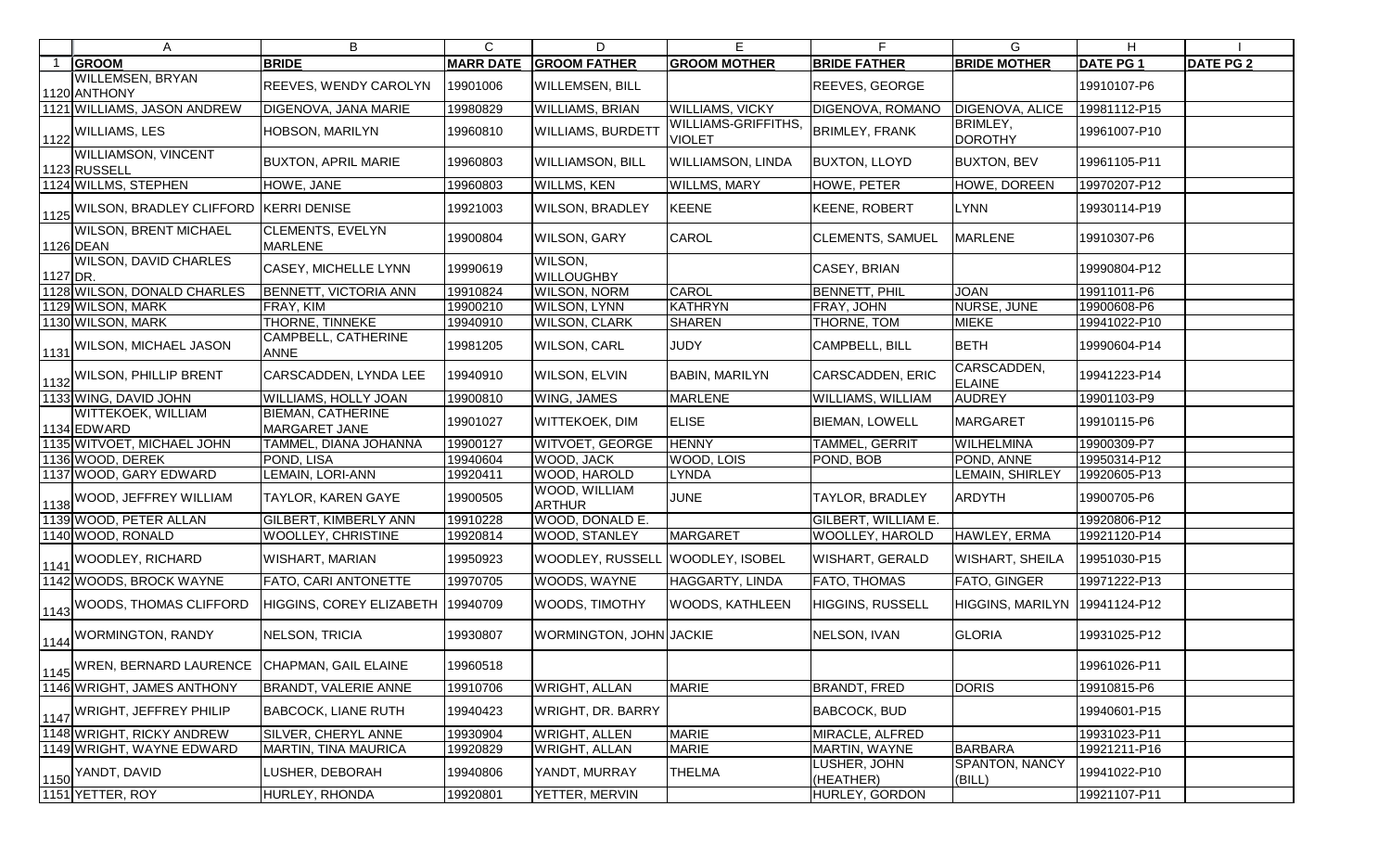|          | A                                                                                         | B                                         | $\mathsf{C}$ | D                                     | E                                   | F.                         | G                               | H.               |                  |
|----------|-------------------------------------------------------------------------------------------|-------------------------------------------|--------------|---------------------------------------|-------------------------------------|----------------------------|---------------------------------|------------------|------------------|
|          | <b>GROOM</b>                                                                              | <b>BRIDE</b>                              |              | <b>MARR DATE GROOM FATHER</b>         | <b>GROOM MOTHER</b>                 | <b>BRIDE FATHER</b>        | <b>BRIDE MOTHER</b>             | <b>DATE PG 1</b> | <b>DATE PG 2</b> |
|          | <b>WILLEMSEN, BRYAN</b><br>1120 ANTHONY                                                   | REEVES, WENDY CAROLYN                     | 19901006     | <b>WILLEMSEN, BILL</b>                |                                     | <b>REEVES, GEORGE</b>      |                                 | 19910107-P6      |                  |
|          | 1121 WILLIAMS, JASON ANDREW                                                               | DIGENOVA, JANA MARIE                      | 19980829     | <b>WILLIAMS, BRIAN</b>                | <b>WILLIAMS, VICKY</b>              | <b>DIGENOVA, ROMANO</b>    | DIGENOVA, ALICE                 | 19981112-P15     |                  |
|          | $\left  \frac{1122}{ } \right $ <sup>WILLIAMS, LES</sup>                                  | HOBSON, MARILYN                           | 19960810     | <b>WILLIAMS, BURDETT</b>              | WILLIAMS-GRIFFITHS<br><b>VIOLET</b> | <b>BRIMLEY, FRANK</b>      | BRIMLEY,<br><b>DOROTHY</b>      | 19961007-P10     |                  |
|          | <b>WILLIAMSON, VINCENT</b><br>1123 RUSSELL                                                | <b>BUXTON, APRIL MARIE</b>                | 19960803     | <b>WILLIAMSON, BILL</b>               | WILLIAMSON, LINDA                   | <b>BUXTON, LLOYD</b>       | <b>BUXTON, BEV</b>              | 19961105-P11     |                  |
|          | 1124 WILLMS, STEPHEN                                                                      | HOWE, JANE                                | 19960803     | <b>WILLMS, KEN</b>                    | <b>WILLMS, MARY</b>                 | HOWE, PETER                | HOWE, DOREEN                    | 19970207-P12     |                  |
|          | $\left  \frac{1125}{1125} \right $ WILSON, BRADLEY CLIFFORD $\left  \right.$ KERRI DENISE |                                           | 19921003     | <b>WILSON, BRADLEY</b>                | <b>KEENE</b>                        | KEENE, ROBERT              | <b>LYNN</b>                     | 19930114-P19     |                  |
|          | <b>WILSON, BRENT MICHAEL</b><br>1126 DEAN                                                 | <b>CLEMENTS, EVELYN</b><br><b>MARLENE</b> | 19900804     | <b>WILSON, GARY</b>                   | CAROL                               | <b>CLEMENTS, SAMUEL</b>    | <b>MARLENE</b>                  | 19910307-P6      |                  |
| 1127 DR. | <b>WILSON, DAVID CHARLES</b>                                                              | CASEY, MICHELLE LYNN                      | 19990619     | WILSON,<br><b>WILLOUGHBY</b>          |                                     | CASEY, BRIAN               |                                 | 19990804-P12     |                  |
|          | 1128 WILSON, DONALD CHARLES                                                               | <b>BENNETT, VICTORIA ANN</b>              | 19910824     | <b>WILSON, NORM</b>                   | CAROL                               | <b>BENNETT, PHIL</b>       | <b>JOAN</b>                     | 19911011-P6      |                  |
|          | 1129 WILSON, MARK                                                                         | FRAY, KIM                                 | 19900210     | <b>WILSON, LYNN</b>                   | <b>KATHRYN</b>                      | FRAY, JOHN                 | NURSE, JUNE                     | 19900608-P6      |                  |
|          | 1130 WILSON, MARK                                                                         | THORNE, TINNEKE                           | 19940910     | <b>WILSON, CLARK</b>                  | <b>SHAREN</b>                       | THORNE, TOM                | <b>MIEKE</b>                    | 19941022-P10     |                  |
|          | 1131 WILSON, MICHAEL JASON                                                                | CAMPBELL, CATHERINE<br><b>ANNE</b>        | 19981205     | <b>WILSON, CARL</b>                   | JUDY                                | <b>CAMPBELL, BILL</b>      | <b>BETH</b>                     | 19990604-P14     |                  |
|          | 1132 WILSON, PHILLIP BRENT                                                                | CARSCADDEN, LYNDA LEE                     | 19940910     | <b>WILSON, ELVIN</b>                  | <b>BABIN, MARILYN</b>               | CARSCADDEN, ERIC           | CARSCADDEN,<br><b>ELAINE</b>    | 19941223-P14     |                  |
|          | 1133 WING, DAVID JOHN                                                                     | WILLIAMS, HOLLY JOAN                      | 19900810     | WING, JAMES                           | <b>MARLENE</b>                      | <b>WILLIAMS, WILLIAM</b>   | <b>AUDREY</b>                   | 19901103-P9      |                  |
|          | <b>WITTEKOEK, WILLIAM</b><br>1134 EDWARD                                                  | <b>BIEMAN, CATHERINE</b><br>MARGARET JANE | 19901027     | <b>WITTEKOEK, DIM</b>                 | <b>ELISE</b>                        | <b>BIEMAN, LOWELL</b>      | <b>MARGARET</b>                 | 19910115-P6      |                  |
|          | 1135 WITVOET, MICHAEL JOHN                                                                | TAMMEL, DIANA JOHANNA                     | 19900127     | <b>WITVOET, GEORGE</b>                | <b>HENNY</b>                        | <b>TAMMEL, GERRIT</b>      | WILHELMINA                      | 19900309-P7      |                  |
|          | 1136 WOOD, DEREK                                                                          | POND, LISA                                | 19940604     | <b>WOOD, JACK</b>                     | WOOD, LOIS                          | POND, BOB                  | POND, ANNE                      | 19950314-P12     |                  |
|          | 1137 WOOD, GARY EDWARD                                                                    | LEMAIN, LORI-ANN                          | 19920411     | <b>WOOD, HAROLD</b>                   | LYNDA                               |                            | LEMAIN, SHIRLEY                 | 19920605-P13     |                  |
|          | 1 <sub>1138</sub> WOOD, JEFFREY WILLIAM                                                   | <b>TAYLOR, KAREN GAYE</b>                 | 19900505     | <b>WOOD, WILLIAM</b><br><b>ARTHUR</b> | <b>JUNE</b>                         | <b>TAYLOR, BRADLEY</b>     | <b>ARDYTH</b>                   | 19900705-P6      |                  |
|          | 1139 WOOD, PETER ALLAN                                                                    | <b>GILBERT, KIMBERLY ANN</b>              | 19910228     | WOOD, DONALD E.                       |                                     | <b>GILBERT, WILLIAM E.</b> |                                 | 19920806-P12     |                  |
|          | 1140 WOOD, RONALD                                                                         | <b>WOOLLEY, CHRISTINE</b>                 | 19920814     | <b>WOOD, STANLEY</b>                  | <b>MARGARET</b>                     | <b>WOOLLEY, HAROLD</b>     | HAWLEY, ERMA                    | 19921120-P14     |                  |
|          | 1141 WOODLEY, RICHARD                                                                     | <b>WISHART, MARIAN</b>                    | 19950923     | WOODLEY, RUSSELL WOODLEY, ISOBEL      |                                     | <b>WISHART, GERALD</b>     | <b>WISHART, SHEILA</b>          | 19951030-P15     |                  |
|          | 1142 WOODS, BROCK WAYNE                                                                   | FATO, CARI ANTONETTE                      | 19970705     | <b>WOODS, WAYNE</b>                   | <b>HAGGARTY, LINDA</b>              | <b>FATO, THOMAS</b>        | <b>FATO, GINGER</b>             | 19971222-P13     |                  |
|          | 1143 WOODS, THOMAS CLIFFORD                                                               | HIGGINS, COREY ELIZABETH 19940709         |              | <b>WOODS, TIMOTHY</b>                 | WOODS, KATHLEEN                     | <b>HIGGINS, RUSSELL</b>    | HIGGINS, MARILYN   19941124-P12 |                  |                  |
|          | 1144 WORMINGTON, RANDY                                                                    | <b>NELSON, TRICIA</b>                     | 19930807     | <b>WORMINGTON, JOHN JACKIE</b>        |                                     | NELSON, IVAN               | <b>GLORIA</b>                   | 19931025-P12     |                  |
|          | 1145 WREN, BERNARD LAURENCE                                                               | CHAPMAN, GAIL ELAINE                      | 19960518     |                                       |                                     |                            |                                 | 19961026-P11     |                  |
|          | 1146 WRIGHT, JAMES ANTHONY                                                                | <b>BRANDT, VALERIE ANNE</b>               | 19910706     | <b>WRIGHT, ALLAN</b>                  | <b>MARIE</b>                        | <b>BRANDT, FRED</b>        | <b>DORIS</b>                    | 19910815-P6      |                  |
|          | 1147 WRIGHT, JEFFREY PHILIP                                                               | <b>BABCOCK, LIANE RUTH</b>                | 19940423     | <b>WRIGHT, DR. BARRY</b>              |                                     | <b>BABCOCK, BUD</b>        |                                 | 19940601-P15     |                  |
|          | 1148 WRIGHT, RICKY ANDREW                                                                 | SILVER, CHERYL ANNE                       | 19930904     | <b>WRIGHT, ALLEN</b>                  | <b>MARIE</b>                        | MIRACLE, ALFRED            |                                 | 19931023-P11     |                  |
|          | 1149 WRIGHT, WAYNE EDWARD                                                                 | <b>MARTIN, TINA MAURICA</b>               | 19920829     | <b>WRIGHT, ALLAN</b>                  | <b>MARIE</b>                        | MARTIN, WAYNE              | <b>BARBARA</b>                  | 19921211-P16     |                  |
|          | 1150 YANDT, DAVID                                                                         | LUSHER, DEBORAH                           | 19940806     | YANDT, MURRAY                         | <b>THELMA</b>                       | LUSHER, JOHN<br>(HEATHER)  | SPANTON, NANCY<br>(BILL)        | 19941022-P10     |                  |
|          | 1151 YETTER, ROY                                                                          | HURLEY, RHONDA                            | 19920801     | YETTER, MERVIN                        |                                     | HURLEY, GORDON             |                                 | 19921107-P11     |                  |